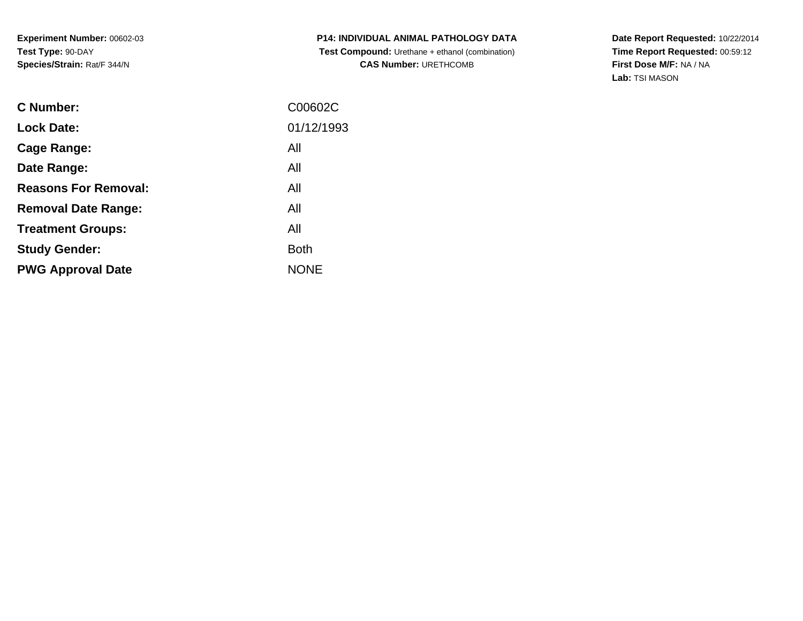**P14: INDIVIDUAL ANIMAL PATHOLOGY DATA Test Compound:** Urethane + ethanol (combination) **CAS Number:** URETHCOMB

| <b>C</b> Number:            | C00602C     |
|-----------------------------|-------------|
| <b>Lock Date:</b>           | 01/12/1993  |
| Cage Range:                 | All         |
| Date Range:                 | All         |
| <b>Reasons For Removal:</b> | All         |
| <b>Removal Date Range:</b>  | All         |
| <b>Treatment Groups:</b>    | All         |
| <b>Study Gender:</b>        | <b>Both</b> |
| <b>PWG Approval Date</b>    | <b>NONE</b> |
|                             |             |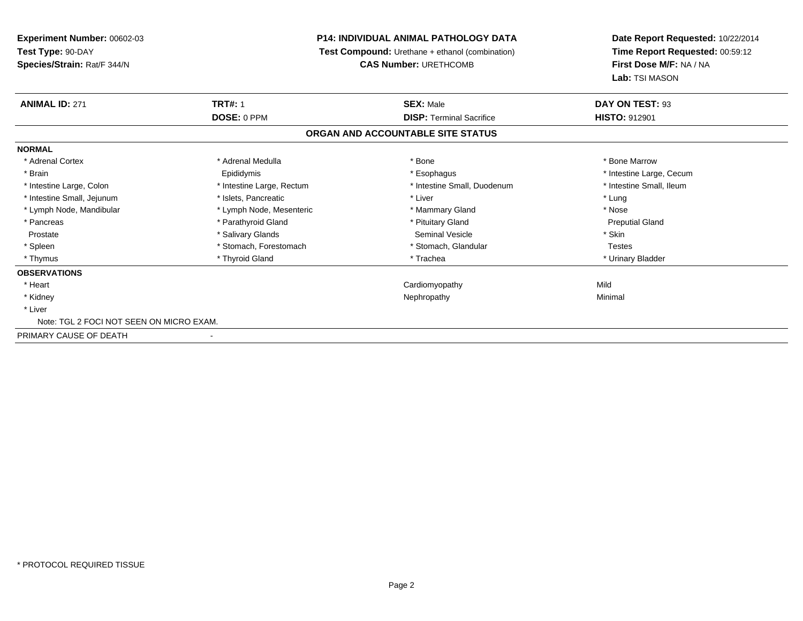# **P14: INDIVIDUAL ANIMAL PATHOLOGY DATA**

**Test Compound:** Urethane + ethanol (combination)

**CAS Number:** URETHCOMB

| <b>ANIMAL ID: 271</b>                    | <b>TRT#: 1</b>            | <b>SEX: Male</b>                  | DAY ON TEST: 93          |  |
|------------------------------------------|---------------------------|-----------------------------------|--------------------------|--|
|                                          | DOSE: 0 PPM               | <b>DISP:</b> Terminal Sacrifice   | <b>HISTO: 912901</b>     |  |
|                                          |                           | ORGAN AND ACCOUNTABLE SITE STATUS |                          |  |
| <b>NORMAL</b>                            |                           |                                   |                          |  |
| * Adrenal Cortex                         | * Adrenal Medulla         | * Bone                            | * Bone Marrow            |  |
| * Brain                                  | Epididymis                | * Esophagus                       | * Intestine Large, Cecum |  |
| * Intestine Large, Colon                 | * Intestine Large, Rectum | * Intestine Small, Duodenum       | * Intestine Small, Ileum |  |
| * Intestine Small, Jejunum               | * Islets, Pancreatic      | * Liver                           | * Lung                   |  |
| * Lymph Node, Mandibular                 | * Lymph Node, Mesenteric  | * Mammary Gland                   | * Nose                   |  |
| * Pancreas                               | * Parathyroid Gland       | * Pituitary Gland                 | <b>Preputial Gland</b>   |  |
| Prostate                                 | * Salivary Glands         | Seminal Vesicle                   | * Skin                   |  |
| * Spleen                                 | * Stomach, Forestomach    | * Stomach, Glandular              | <b>Testes</b>            |  |
| * Thymus                                 | * Thyroid Gland           | * Trachea                         | * Urinary Bladder        |  |
| <b>OBSERVATIONS</b>                      |                           |                                   |                          |  |
| * Heart                                  |                           | Cardiomyopathy                    | Mild                     |  |
| * Kidney                                 |                           | Nephropathy                       | Minimal                  |  |
| * Liver                                  |                           |                                   |                          |  |
| Note: TGL 2 FOCI NOT SEEN ON MICRO EXAM. |                           |                                   |                          |  |
| PRIMARY CAUSE OF DEATH                   |                           |                                   |                          |  |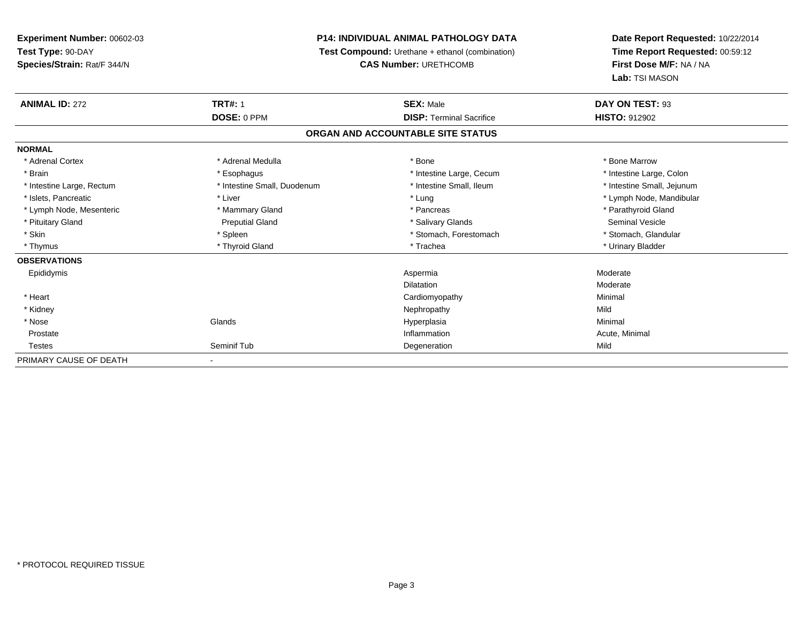# **P14: INDIVIDUAL ANIMAL PATHOLOGY DATA**

**Test Compound:** Urethane + ethanol (combination)

**CAS Number:** URETHCOMB

| <b>ANIMAL ID: 272</b>     | <b>TRT#: 1</b>              | <b>SEX: Male</b>                  | DAY ON TEST: 93            |  |
|---------------------------|-----------------------------|-----------------------------------|----------------------------|--|
|                           | DOSE: 0 PPM                 | <b>DISP: Terminal Sacrifice</b>   | <b>HISTO: 912902</b>       |  |
|                           |                             | ORGAN AND ACCOUNTABLE SITE STATUS |                            |  |
| <b>NORMAL</b>             |                             |                                   |                            |  |
| * Adrenal Cortex          | * Adrenal Medulla           | * Bone                            | * Bone Marrow              |  |
| * Brain                   | * Esophagus                 | * Intestine Large, Cecum          | * Intestine Large, Colon   |  |
| * Intestine Large, Rectum | * Intestine Small, Duodenum | * Intestine Small, Ileum          | * Intestine Small, Jejunum |  |
| * Islets, Pancreatic      | * Liver                     | * Lung                            | * Lymph Node, Mandibular   |  |
| * Lymph Node, Mesenteric  | * Mammary Gland             | * Pancreas                        | * Parathyroid Gland        |  |
| * Pituitary Gland         | <b>Preputial Gland</b>      | * Salivary Glands                 | Seminal Vesicle            |  |
| * Skin                    | * Spleen                    | * Stomach, Forestomach            | * Stomach, Glandular       |  |
| * Thymus                  | * Thyroid Gland             | * Trachea                         | * Urinary Bladder          |  |
| <b>OBSERVATIONS</b>       |                             |                                   |                            |  |
| Epididymis                |                             | Aspermia                          | Moderate                   |  |
|                           |                             | <b>Dilatation</b>                 | Moderate                   |  |
| * Heart                   |                             | Cardiomyopathy                    | Minimal                    |  |
| * Kidney                  |                             | Nephropathy                       | Mild                       |  |
| * Nose                    | Glands                      | Hyperplasia                       | Minimal                    |  |
| Prostate                  |                             | Inflammation                      | Acute, Minimal             |  |
| <b>Testes</b>             | Seminif Tub                 | Degeneration                      | Mild                       |  |
| PRIMARY CAUSE OF DEATH    | $\overline{\phantom{0}}$    |                                   |                            |  |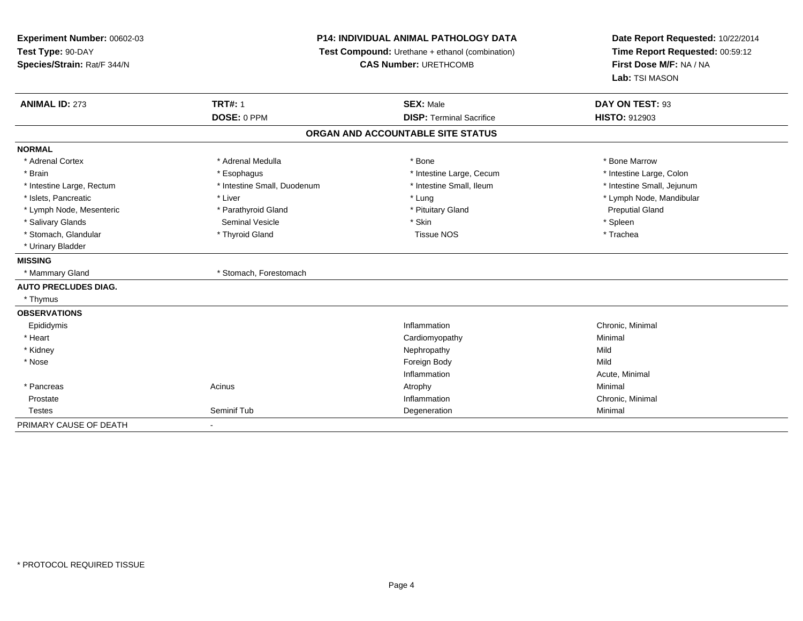**Experiment Number:** 00602-03**Test Type:** 90-DAY **Species/Strain:** Rat/F 344/N**P14: INDIVIDUAL ANIMAL PATHOLOGY DATA Test Compound:** Urethane + ethanol (combination)**CAS Number:** URETHCOMB**Date Report Requested:** 10/22/2014**Time Report Requested:** 00:59:12**First Dose M/F:** NA / NA**Lab:** TSI MASON**ANIMAL ID:** 273**TRT#:** 1 **SEX:** Male **DAY ON TEST:** 93 **DOSE:** 0 PPM**DISP:** Terminal Sacrifice **HISTO:** 912903 **ORGAN AND ACCOUNTABLE SITE STATUSNORMAL**\* Adrenal Cortex \* Adrenal Medulla \* Adrenal Medulla \* Bone \* Bone \* Bone \* Bone \* Bone Marrow \* Brain \* Thestine Large, Colon \* Esophagus \* Thestine Large, Cecum \* Intestine Large, Cecum \* Intestine Large, Colon \* Intestine Large, Colon \* Intestine Large, Colon \* Intestine Large, Colon \* Intestine Large, Rectum \* Thestine Small, Duodenum \* Number of the small, Ileum \* Intestine Small, Jejunum \* Intestine Small, Jejunum \* Islets, Pancreatic \* Liver \* Lung \* Lymph Node, Mandibular \* Lymph Node, Mesenteric \* The Community of Parathyroid Gland \* Pituitary Gland \* Pituitary Gland Preputial Gland \* Salivary Glands \* \* \* Spleen \* Seminal Vesicle \* \* \* Skin \* \* Skin \* \* Stemment \* Spleen \* Spleen \* Spleen \* \* Trachea \* Stomach, Glandular \* Thyroid Gland Tissue NOS \* Thyroid Gland Tissue NOS \* Urinary Bladder**MISSING**\* Mammary Gland \* Stomach, Forestomach **AUTO PRECLUDES DIAG.** \* Thymus**OBSERVATIONS** Epididymiss and the contract of the contract of the contract of the contract of the contract of the contract of the contract of the contract of the contract of the contract of the contract of the contract of the contract of the cont Inflammation Chronic, Minimal \* Heart CardiomyopathyMinimal<br>Mild \* Kidneyy the controller of the controller of the controller of the controller of the controller of the controller of the controller of the controller of the controller of the controller of the controller of the controller of the Mild \* Nosee and the state of the state of the state of the state of the state of the state of the state of the state of the state of the state of the state of the state of the state of the state of the state of the state of the stat Inflammation Acute, Minimal \* Pancreass the control of the control of the control of the control of the control of the control of the control of the control of the control of the control of the control of the control of the control of the control of the contro Prostatee inflammation in the control of the control of the control of the control of the control of the control of the control of the control of the control of the control of the control of the control of the control of the contr Testes Seminif Tubb **Degeneration** Degeneration **Degeneration** PRIMARY CAUSE OF DEATH-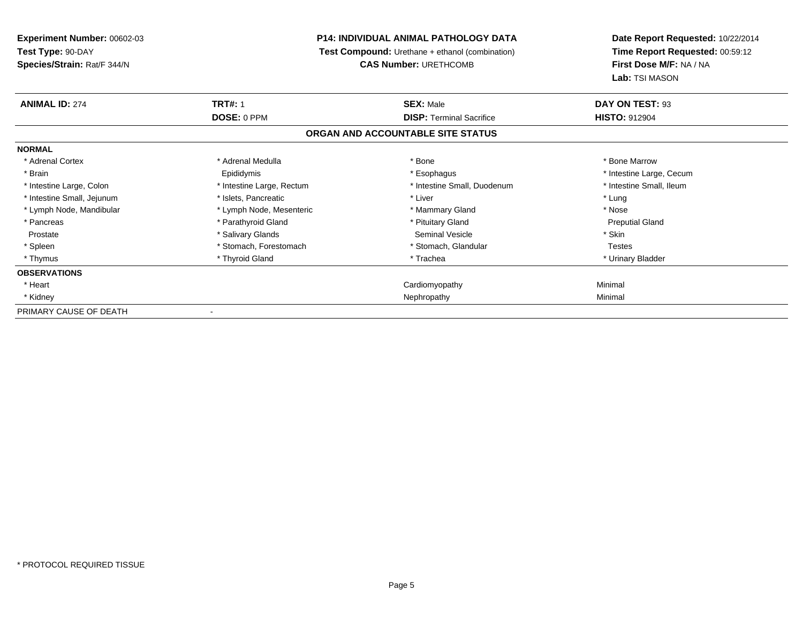# **P14: INDIVIDUAL ANIMAL PATHOLOGY DATA**

**Test Compound:** Urethane + ethanol (combination)

**CAS Number:** URETHCOMB

| <b>ANIMAL ID: 274</b>      | <b>TRT#: 1</b>            | <b>SEX: Male</b>                  | DAY ON TEST: 93          |
|----------------------------|---------------------------|-----------------------------------|--------------------------|
|                            | <b>DOSE: 0 PPM</b>        | <b>DISP:</b> Terminal Sacrifice   | <b>HISTO: 912904</b>     |
|                            |                           | ORGAN AND ACCOUNTABLE SITE STATUS |                          |
| <b>NORMAL</b>              |                           |                                   |                          |
| * Adrenal Cortex           | * Adrenal Medulla         | * Bone                            | * Bone Marrow            |
| * Brain                    | Epididymis                | * Esophagus                       | * Intestine Large, Cecum |
| * Intestine Large, Colon   | * Intestine Large, Rectum | * Intestine Small, Duodenum       | * Intestine Small, Ileum |
| * Intestine Small, Jejunum | * Islets, Pancreatic      | * Liver                           | * Lung                   |
| * Lymph Node, Mandibular   | * Lymph Node, Mesenteric  | * Mammary Gland                   | * Nose                   |
| * Pancreas                 | * Parathyroid Gland       | * Pituitary Gland                 | <b>Preputial Gland</b>   |
| Prostate                   | * Salivary Glands         | Seminal Vesicle                   | * Skin                   |
| * Spleen                   | * Stomach, Forestomach    | * Stomach, Glandular              | <b>Testes</b>            |
| * Thymus                   | * Thyroid Gland           | * Trachea                         | * Urinary Bladder        |
| <b>OBSERVATIONS</b>        |                           |                                   |                          |
| * Heart                    |                           | Cardiomyopathy                    | Minimal                  |
| * Kidney                   |                           | Nephropathy                       | Minimal                  |
| PRIMARY CAUSE OF DEATH     |                           |                                   |                          |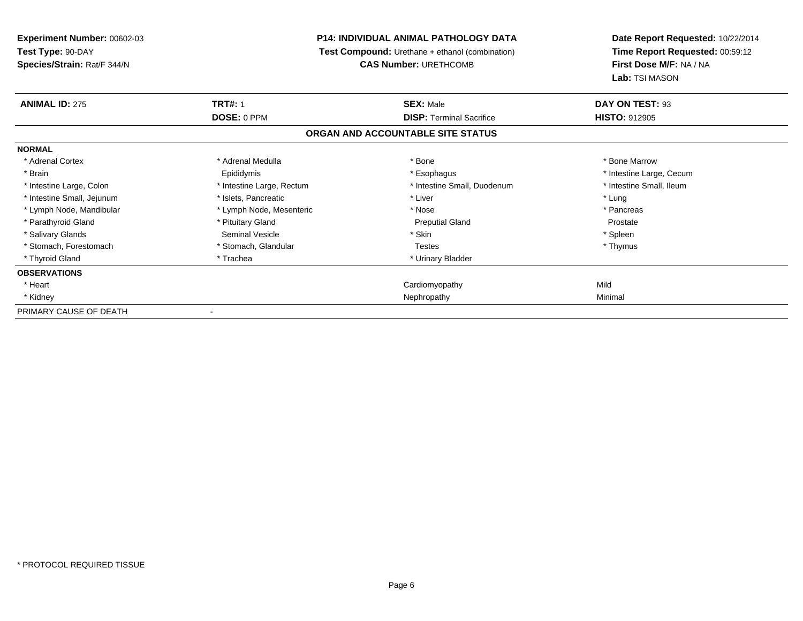**Experiment Number:** 00602-03**Test Type:** 90-DAY **Species/Strain:** Rat/F 344/N**P14: INDIVIDUAL ANIMAL PATHOLOGY DATA Test Compound:** Urethane + ethanol (combination)**CAS Number:** URETHCOMB**Date Report Requested:** 10/22/2014**Time Report Requested:** 00:59:12**First Dose M/F:** NA / NA**Lab:** TSI MASON**ANIMAL ID:** 275**TRT#:** 1 **SEX:** Male **DAY ON TEST:** 93 **DOSE:** 0 PPM**DISP:** Terminal Sacrifice **HISTO:** 912905 **ORGAN AND ACCOUNTABLE SITE STATUSNORMAL**\* Adrenal Cortex \* Adrenal Medulla \* Adrenal Medulla \* Bone \* Bone \* Bone \* Bone \* Bone Marrow \* Brain Epididymis \* Esophagus \* Intestine Large, Cecum\* Intestine Small, Ileum \* Intestine Large, Colon \* Intestine Large, Rectum \* Intestine Small, Duodenum \* Intestine Small, Duodenum \* Intestine Small, Jejunum \* The matches of the state of the state of the state of the state of the state of the state of the state of the state of the state of the state of the state of the state of the state of the state \* Pancreas \* Lymph Node, Mandibular \* Mose \* Lymph Node, Mesenteric \* Nose \* Nose \* Nose Prostate \* Parathyroid Gland **According to Accord According to According the Preputial Gland Preputial Gland** Preputial Gland \* Spleen \* Salivary Glands \* Stin \* Stin \* Seminal Vesicle \* Stin \* Skin \* Skin \* Skin \* Skin \* Skin \* Skin \* Skin \* Skin \* Skin \* Skin \* Skin \* Skin \* Skin \* Skin \* Skin \* Skin \* Skin \* Skin \* Skin \* Skin \* Skin \* Skin \* Skin \* Sk \* Thymus \* Stomach, Forestomach \* Testes \* Stomach, Glandular \* Testes \* Testes \* Testes \* Testes \* Testes \* Testes \* T \* Thyroid Gland \* Trachea \* Trachea \* Trachea \* Urinary Bladder **OBSERVATIONS** \* Heart Cardiomyopathyy Mild Minimal \* Kidneyy and the control of the control of the control of the control of the control of the control of the control of the control of the control of the control of the control of the control of the control of the control of the co PRIMARY CAUSE OF DEATH-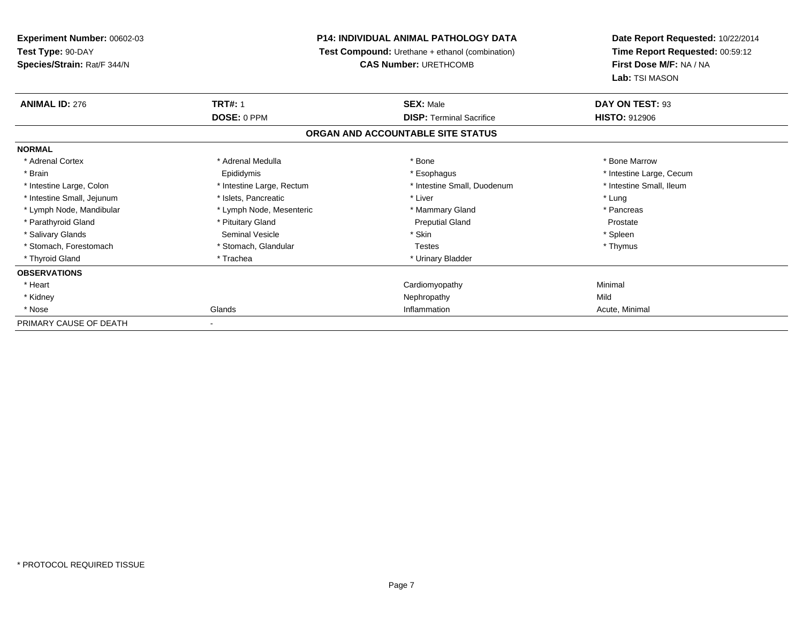# **P14: INDIVIDUAL ANIMAL PATHOLOGY DATA**

**Test Compound:** Urethane + ethanol (combination)

**CAS Number:** URETHCOMB

| <b>ANIMAL ID: 276</b>      | <b>TRT#: 1</b>            | <b>SEX: Male</b>                  | DAY ON TEST: 93          |
|----------------------------|---------------------------|-----------------------------------|--------------------------|
|                            | DOSE: 0 PPM               | <b>DISP:</b> Terminal Sacrifice   | <b>HISTO: 912906</b>     |
|                            |                           | ORGAN AND ACCOUNTABLE SITE STATUS |                          |
| <b>NORMAL</b>              |                           |                                   |                          |
| * Adrenal Cortex           | * Adrenal Medulla         | * Bone                            | * Bone Marrow            |
| * Brain                    | Epididymis                | * Esophagus                       | * Intestine Large, Cecum |
| * Intestine Large, Colon   | * Intestine Large, Rectum | * Intestine Small, Duodenum       | * Intestine Small, Ileum |
| * Intestine Small, Jejunum | * Islets, Pancreatic      | * Liver                           | * Lung                   |
| * Lymph Node, Mandibular   | * Lymph Node, Mesenteric  | * Mammary Gland                   | * Pancreas               |
| * Parathyroid Gland        | * Pituitary Gland         | <b>Preputial Gland</b>            | Prostate                 |
| * Salivary Glands          | <b>Seminal Vesicle</b>    | * Skin                            | * Spleen                 |
| * Stomach, Forestomach     | * Stomach, Glandular      | Testes                            | * Thymus                 |
| * Thyroid Gland            | * Trachea                 | * Urinary Bladder                 |                          |
| <b>OBSERVATIONS</b>        |                           |                                   |                          |
| * Heart                    |                           | Cardiomyopathy                    | Minimal                  |
| * Kidney                   |                           | Nephropathy                       | Mild                     |
| * Nose                     | Glands                    | Inflammation                      | Acute, Minimal           |
| PRIMARY CAUSE OF DEATH     | ٠                         |                                   |                          |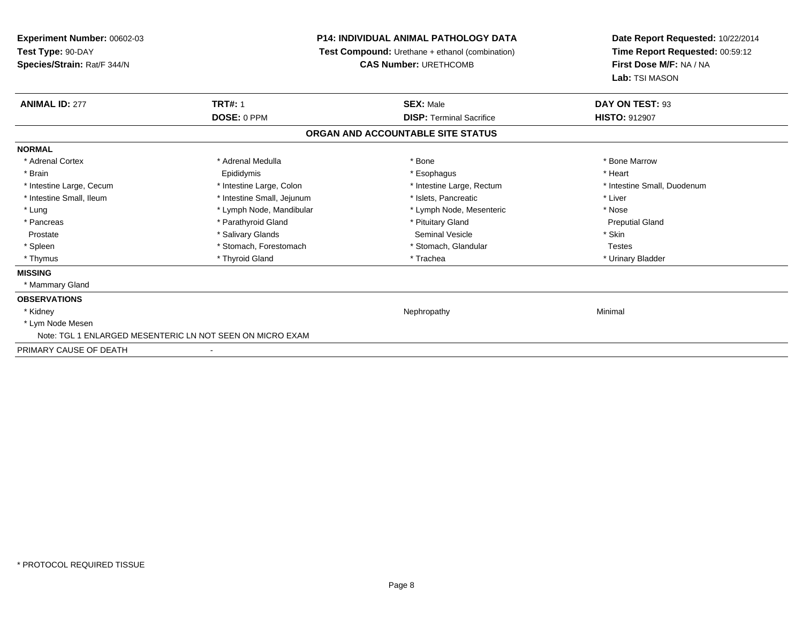# **P14: INDIVIDUAL ANIMAL PATHOLOGY DATA**

**Test Compound:** Urethane + ethanol (combination)

**CAS Number:** URETHCOMB

| <b>ANIMAL ID: 277</b>    | <b>TRT#: 1</b>                                            | <b>SEX: Male</b>                  | DAY ON TEST: 93             |  |
|--------------------------|-----------------------------------------------------------|-----------------------------------|-----------------------------|--|
|                          | DOSE: 0 PPM                                               | <b>DISP: Terminal Sacrifice</b>   | <b>HISTO: 912907</b>        |  |
|                          |                                                           | ORGAN AND ACCOUNTABLE SITE STATUS |                             |  |
| <b>NORMAL</b>            |                                                           |                                   |                             |  |
| * Adrenal Cortex         | * Adrenal Medulla                                         | * Bone                            | * Bone Marrow               |  |
| * Brain                  | Epididymis                                                | * Esophagus                       | * Heart                     |  |
| * Intestine Large, Cecum | * Intestine Large, Colon                                  | * Intestine Large, Rectum         | * Intestine Small, Duodenum |  |
| * Intestine Small, Ileum | * Intestine Small, Jejunum                                | * Islets, Pancreatic              | * Liver                     |  |
| * Lung                   | * Lymph Node, Mandibular                                  | * Lymph Node, Mesenteric          | * Nose                      |  |
| * Pancreas               | * Parathyroid Gland                                       | * Pituitary Gland                 | <b>Preputial Gland</b>      |  |
| Prostate                 | * Salivary Glands                                         | Seminal Vesicle                   | * Skin                      |  |
| * Spleen                 | * Stomach, Forestomach                                    | * Stomach, Glandular              | <b>Testes</b>               |  |
| * Thymus                 | * Thyroid Gland                                           | * Trachea                         | * Urinary Bladder           |  |
| <b>MISSING</b>           |                                                           |                                   |                             |  |
| * Mammary Gland          |                                                           |                                   |                             |  |
| <b>OBSERVATIONS</b>      |                                                           |                                   |                             |  |
| * Kidney                 |                                                           | Nephropathy                       | Minimal                     |  |
| * Lym Node Mesen         |                                                           |                                   |                             |  |
|                          | Note: TGL 1 ENLARGED MESENTERIC LN NOT SEEN ON MICRO EXAM |                                   |                             |  |
| PRIMARY CAUSE OF DEATH   |                                                           |                                   |                             |  |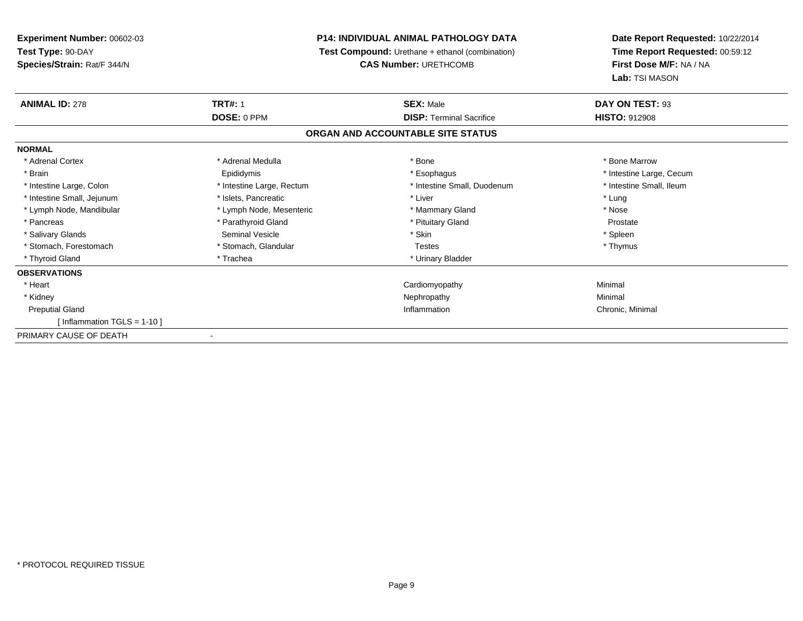# **P14: INDIVIDUAL ANIMAL PATHOLOGY DATA**

**Test Compound:** Urethane + ethanol (combination)

**CAS Number:** URETHCOMB

| <b>ANIMAL ID: 278</b>         | <b>TRT#: 1</b>            | <b>SEX: Male</b>                  | DAY ON TEST: 93          |
|-------------------------------|---------------------------|-----------------------------------|--------------------------|
|                               | DOSE: 0 PPM               | <b>DISP: Terminal Sacrifice</b>   | <b>HISTO: 912908</b>     |
|                               |                           | ORGAN AND ACCOUNTABLE SITE STATUS |                          |
| <b>NORMAL</b>                 |                           |                                   |                          |
| * Adrenal Cortex              | * Adrenal Medulla         | * Bone                            | * Bone Marrow            |
| * Brain                       | Epididymis                | * Esophagus                       | * Intestine Large, Cecum |
| * Intestine Large, Colon      | * Intestine Large, Rectum | * Intestine Small, Duodenum       | * Intestine Small, Ileum |
| * Intestine Small, Jejunum    | * Islets, Pancreatic      | * Liver                           | * Lung                   |
| * Lymph Node, Mandibular      | * Lymph Node, Mesenteric  | * Mammary Gland                   | * Nose                   |
| * Pancreas                    | * Parathyroid Gland       | * Pituitary Gland                 | Prostate                 |
| * Salivary Glands             | <b>Seminal Vesicle</b>    | * Skin                            | * Spleen                 |
| * Stomach, Forestomach        | * Stomach, Glandular      | <b>Testes</b>                     | * Thymus                 |
| * Thyroid Gland               | * Trachea                 | * Urinary Bladder                 |                          |
| <b>OBSERVATIONS</b>           |                           |                                   |                          |
| * Heart                       |                           | Cardiomyopathy                    | Minimal                  |
| * Kidney                      |                           | Nephropathy                       | Minimal                  |
| <b>Preputial Gland</b>        |                           | Inflammation                      | Chronic, Minimal         |
| [Inflammation TGLS = $1-10$ ] |                           |                                   |                          |
| PRIMARY CAUSE OF DEATH        | ۰                         |                                   |                          |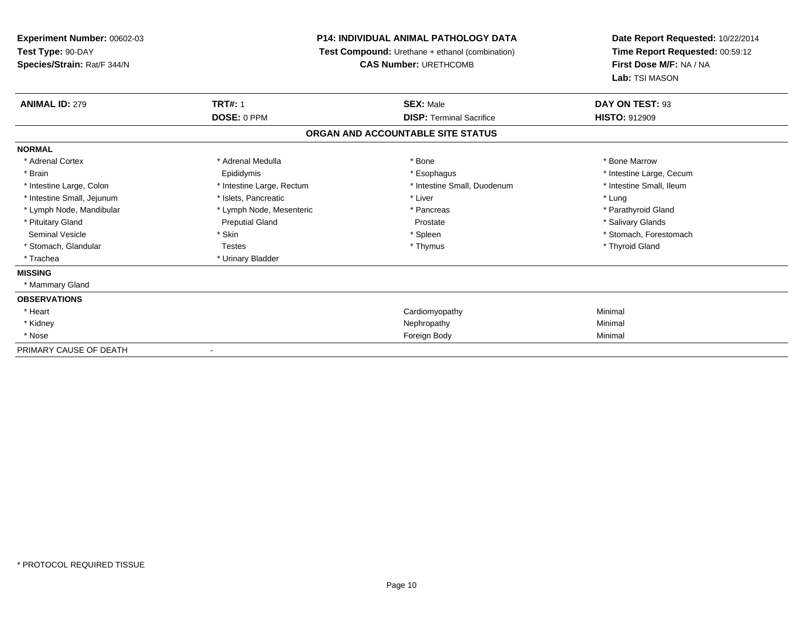# **P14: INDIVIDUAL ANIMAL PATHOLOGY DATA**

**Test Compound:** Urethane + ethanol (combination)

**CAS Number:** URETHCOMB

| <b>ANIMAL ID: 279</b>      | <b>TRT#: 1</b>            | <b>SEX: Male</b>                  | DAY ON TEST: 93          |  |
|----------------------------|---------------------------|-----------------------------------|--------------------------|--|
|                            | DOSE: 0 PPM               | <b>DISP: Terminal Sacrifice</b>   | <b>HISTO: 912909</b>     |  |
|                            |                           | ORGAN AND ACCOUNTABLE SITE STATUS |                          |  |
| <b>NORMAL</b>              |                           |                                   |                          |  |
| * Adrenal Cortex           | * Adrenal Medulla         | * Bone                            | * Bone Marrow            |  |
| * Brain                    | Epididymis                | * Esophagus                       | * Intestine Large, Cecum |  |
| * Intestine Large, Colon   | * Intestine Large, Rectum | * Intestine Small, Duodenum       | * Intestine Small, Ileum |  |
| * Intestine Small, Jejunum | * Islets, Pancreatic      | * Liver                           | * Lung                   |  |
| * Lymph Node, Mandibular   | * Lymph Node, Mesenteric  | * Pancreas                        | * Parathyroid Gland      |  |
| * Pituitary Gland          | <b>Preputial Gland</b>    | Prostate                          | * Salivary Glands        |  |
| <b>Seminal Vesicle</b>     | * Skin                    | * Spleen                          | * Stomach, Forestomach   |  |
| * Stomach, Glandular       | <b>Testes</b>             | * Thymus                          | * Thyroid Gland          |  |
| * Trachea                  | * Urinary Bladder         |                                   |                          |  |
| <b>MISSING</b>             |                           |                                   |                          |  |
| * Mammary Gland            |                           |                                   |                          |  |
| <b>OBSERVATIONS</b>        |                           |                                   |                          |  |
| * Heart                    |                           | Cardiomyopathy                    | Minimal                  |  |
| * Kidney                   |                           | Nephropathy                       | Minimal                  |  |
| * Nose                     |                           | Foreign Body                      | Minimal                  |  |
| PRIMARY CAUSE OF DEATH     |                           |                                   |                          |  |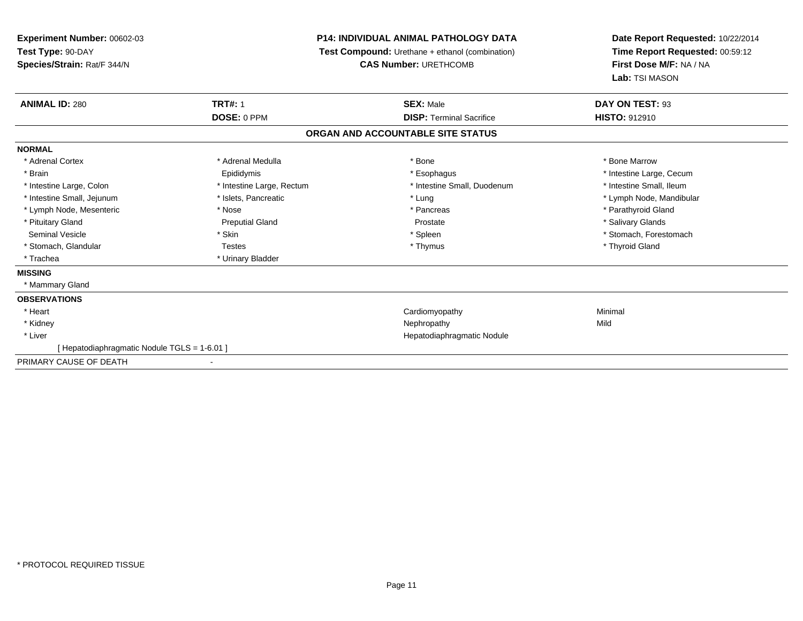# **P14: INDIVIDUAL ANIMAL PATHOLOGY DATA**

**Test Compound:** Urethane + ethanol (combination)

**CAS Number:** URETHCOMB

| <b>ANIMAL ID: 280</b>                        | <b>TRT#: 1</b>            | <b>SEX: Male</b>                  | DAY ON TEST: 93          |  |
|----------------------------------------------|---------------------------|-----------------------------------|--------------------------|--|
|                                              | DOSE: 0 PPM               | <b>DISP: Terminal Sacrifice</b>   | HISTO: 912910            |  |
|                                              |                           | ORGAN AND ACCOUNTABLE SITE STATUS |                          |  |
| <b>NORMAL</b>                                |                           |                                   |                          |  |
| * Adrenal Cortex                             | * Adrenal Medulla         | * Bone                            | * Bone Marrow            |  |
| * Brain                                      | Epididymis                | * Esophagus                       | * Intestine Large, Cecum |  |
| * Intestine Large, Colon                     | * Intestine Large, Rectum | * Intestine Small, Duodenum       | * Intestine Small, Ileum |  |
| * Intestine Small, Jejunum                   | * Islets, Pancreatic      | * Lung                            | * Lymph Node, Mandibular |  |
| * Lymph Node, Mesenteric                     | * Nose                    | * Pancreas                        | * Parathyroid Gland      |  |
| * Pituitary Gland                            | <b>Preputial Gland</b>    | Prostate                          | * Salivary Glands        |  |
| Seminal Vesicle                              | * Skin                    | * Spleen                          | * Stomach, Forestomach   |  |
| * Stomach, Glandular                         | <b>Testes</b>             | * Thymus                          | * Thyroid Gland          |  |
| * Trachea                                    | * Urinary Bladder         |                                   |                          |  |
| <b>MISSING</b>                               |                           |                                   |                          |  |
| * Mammary Gland                              |                           |                                   |                          |  |
| <b>OBSERVATIONS</b>                          |                           |                                   |                          |  |
| * Heart                                      |                           | Cardiomyopathy                    | Minimal                  |  |
| * Kidney                                     |                           | Nephropathy                       | Mild                     |  |
| * Liver                                      |                           | Hepatodiaphragmatic Nodule        |                          |  |
| [ Hepatodiaphragmatic Nodule TGLS = 1-6.01 ] |                           |                                   |                          |  |
| PRIMARY CAUSE OF DEATH                       | $\overline{\phantom{a}}$  |                                   |                          |  |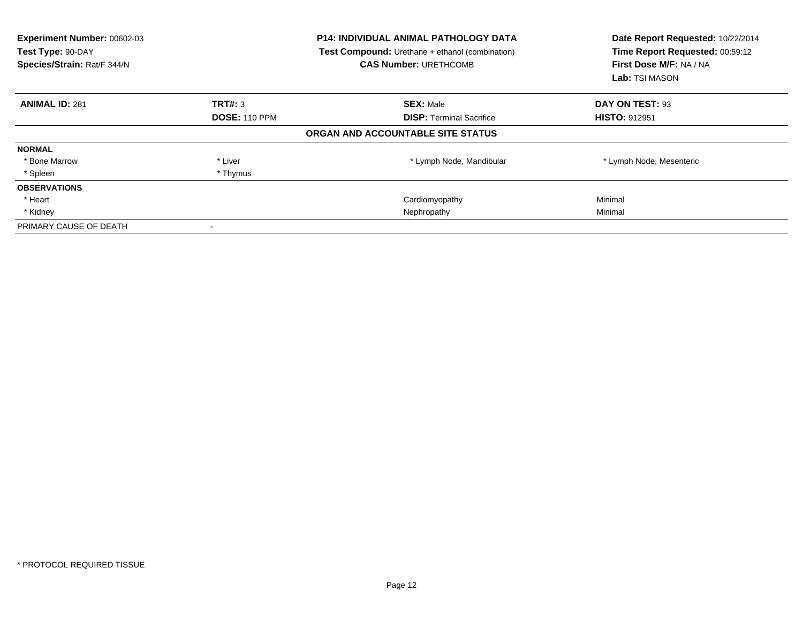| <b>Experiment Number: 00602-03</b><br>Test Type: 90-DAY<br>Species/Strain: Rat/F 344/N |                      | <b>P14: INDIVIDUAL ANIMAL PATHOLOGY DATA</b><br>Test Compound: Urethane + ethanol (combination)<br><b>CAS Number: URETHCOMB</b> | Date Report Requested: 10/22/2014<br>Time Report Requested: 00:59:12<br>First Dose M/F: NA / NA<br>Lab: TSI MASON |
|----------------------------------------------------------------------------------------|----------------------|---------------------------------------------------------------------------------------------------------------------------------|-------------------------------------------------------------------------------------------------------------------|
| <b>ANIMAL ID: 281</b>                                                                  | TRT#: 3              | <b>SEX: Male</b>                                                                                                                | DAY ON TEST: 93                                                                                                   |
|                                                                                        | <b>DOSE: 110 PPM</b> | <b>DISP:</b> Terminal Sacrifice                                                                                                 | <b>HISTO: 912951</b>                                                                                              |
|                                                                                        |                      | ORGAN AND ACCOUNTABLE SITE STATUS                                                                                               |                                                                                                                   |
| <b>NORMAL</b>                                                                          |                      |                                                                                                                                 |                                                                                                                   |
| * Bone Marrow                                                                          | * Liver              | * Lymph Node, Mandibular                                                                                                        | * Lymph Node, Mesenteric                                                                                          |
| * Spleen                                                                               | * Thymus             |                                                                                                                                 |                                                                                                                   |
| <b>OBSERVATIONS</b>                                                                    |                      |                                                                                                                                 |                                                                                                                   |
| * Heart                                                                                |                      | Cardiomyopathy                                                                                                                  | Minimal                                                                                                           |
| * Kidney                                                                               |                      | Nephropathy                                                                                                                     | Minimal                                                                                                           |
| PRIMARY CAUSE OF DEATH                                                                 |                      |                                                                                                                                 |                                                                                                                   |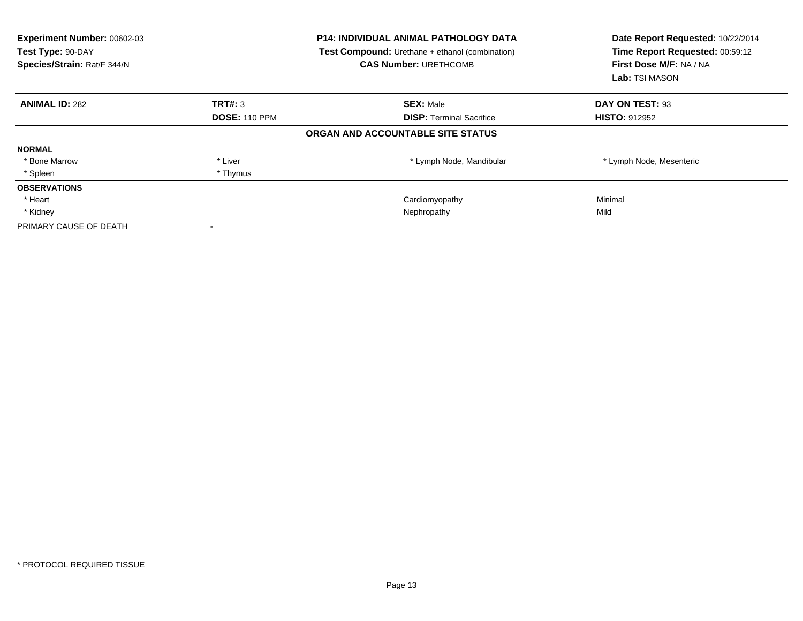| <b>Experiment Number: 00602-03</b><br>Test Type: 90-DAY<br>Species/Strain: Rat/F 344/N |                      | <b>P14: INDIVIDUAL ANIMAL PATHOLOGY DATA</b><br>Test Compound: Urethane + ethanol (combination)<br><b>CAS Number: URETHCOMB</b> | Date Report Requested: 10/22/2014<br>Time Report Requested: 00:59:12<br>First Dose M/F: NA / NA<br><b>Lab:</b> TSI MASON |
|----------------------------------------------------------------------------------------|----------------------|---------------------------------------------------------------------------------------------------------------------------------|--------------------------------------------------------------------------------------------------------------------------|
| <b>ANIMAL ID: 282</b>                                                                  | TRT#: 3              | <b>SEX: Male</b>                                                                                                                | DAY ON TEST: 93                                                                                                          |
|                                                                                        | <b>DOSE: 110 PPM</b> | <b>DISP:</b> Terminal Sacrifice                                                                                                 | <b>HISTO: 912952</b>                                                                                                     |
|                                                                                        |                      | ORGAN AND ACCOUNTABLE SITE STATUS                                                                                               |                                                                                                                          |
| <b>NORMAL</b>                                                                          |                      |                                                                                                                                 |                                                                                                                          |
| * Bone Marrow                                                                          | * Liver              | * Lymph Node, Mandibular                                                                                                        | * Lymph Node, Mesenteric                                                                                                 |
| * Spleen                                                                               | * Thymus             |                                                                                                                                 |                                                                                                                          |
| <b>OBSERVATIONS</b>                                                                    |                      |                                                                                                                                 |                                                                                                                          |
| * Heart                                                                                |                      | Cardiomyopathy                                                                                                                  | Minimal                                                                                                                  |
| * Kidney                                                                               |                      | Nephropathy                                                                                                                     | Mild                                                                                                                     |
| PRIMARY CAUSE OF DEATH                                                                 |                      |                                                                                                                                 |                                                                                                                          |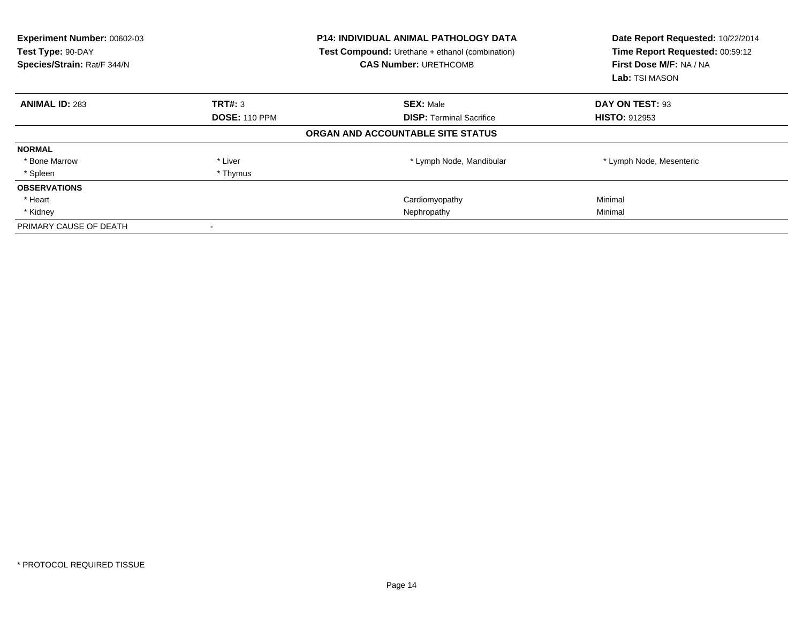| <b>Experiment Number: 00602-03</b><br>Test Type: 90-DAY<br>Species/Strain: Rat/F 344/N |                      | <b>P14: INDIVIDUAL ANIMAL PATHOLOGY DATA</b><br>Test Compound: Urethane + ethanol (combination)<br><b>CAS Number: URETHCOMB</b> | Date Report Requested: 10/22/2014<br>Time Report Requested: 00:59:12<br>First Dose M/F: NA / NA<br>Lab: TSI MASON |
|----------------------------------------------------------------------------------------|----------------------|---------------------------------------------------------------------------------------------------------------------------------|-------------------------------------------------------------------------------------------------------------------|
| <b>ANIMAL ID: 283</b>                                                                  | TRT#: 3              | <b>SEX: Male</b>                                                                                                                | DAY ON TEST: 93                                                                                                   |
|                                                                                        | <b>DOSE: 110 PPM</b> | <b>DISP:</b> Terminal Sacrifice                                                                                                 | <b>HISTO: 912953</b>                                                                                              |
|                                                                                        |                      | ORGAN AND ACCOUNTABLE SITE STATUS                                                                                               |                                                                                                                   |
| <b>NORMAL</b>                                                                          |                      |                                                                                                                                 |                                                                                                                   |
| * Bone Marrow                                                                          | * Liver              | * Lymph Node, Mandibular                                                                                                        | * Lymph Node, Mesenteric                                                                                          |
| * Spleen                                                                               | * Thymus             |                                                                                                                                 |                                                                                                                   |
| <b>OBSERVATIONS</b>                                                                    |                      |                                                                                                                                 |                                                                                                                   |
| * Heart                                                                                |                      | Cardiomyopathy                                                                                                                  | Minimal                                                                                                           |
| * Kidney                                                                               |                      | Nephropathy                                                                                                                     | Minimal                                                                                                           |
| PRIMARY CAUSE OF DEATH                                                                 |                      |                                                                                                                                 |                                                                                                                   |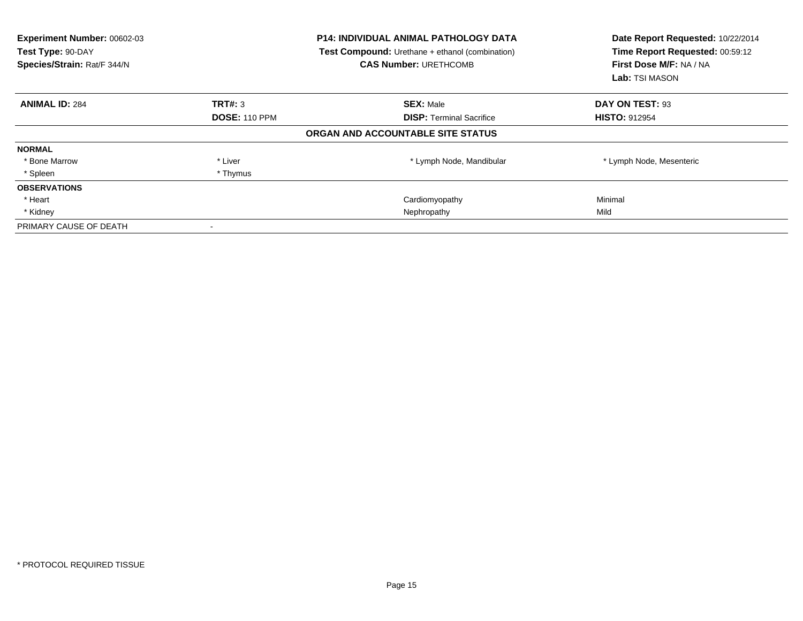| <b>Experiment Number: 00602-03</b><br>Test Type: 90-DAY<br>Species/Strain: Rat/F 344/N |                      | <b>P14: INDIVIDUAL ANIMAL PATHOLOGY DATA</b><br>Test Compound: Urethane + ethanol (combination)<br><b>CAS Number: URETHCOMB</b> | Date Report Requested: 10/22/2014<br>Time Report Requested: 00:59:12<br>First Dose M/F: NA / NA<br><b>Lab:</b> TSI MASON |
|----------------------------------------------------------------------------------------|----------------------|---------------------------------------------------------------------------------------------------------------------------------|--------------------------------------------------------------------------------------------------------------------------|
| <b>ANIMAL ID: 284</b>                                                                  | TRT#: 3              | <b>SEX: Male</b>                                                                                                                | DAY ON TEST: 93                                                                                                          |
|                                                                                        | <b>DOSE: 110 PPM</b> | <b>DISP:</b> Terminal Sacrifice                                                                                                 | <b>HISTO: 912954</b>                                                                                                     |
|                                                                                        |                      | ORGAN AND ACCOUNTABLE SITE STATUS                                                                                               |                                                                                                                          |
| <b>NORMAL</b>                                                                          |                      |                                                                                                                                 |                                                                                                                          |
| * Bone Marrow                                                                          | * Liver              | * Lymph Node, Mandibular                                                                                                        | * Lymph Node, Mesenteric                                                                                                 |
| * Spleen                                                                               | * Thymus             |                                                                                                                                 |                                                                                                                          |
| <b>OBSERVATIONS</b>                                                                    |                      |                                                                                                                                 |                                                                                                                          |
| * Heart                                                                                |                      | Cardiomyopathy                                                                                                                  | Minimal                                                                                                                  |
| * Kidney                                                                               |                      | Nephropathy                                                                                                                     | Mild                                                                                                                     |
| PRIMARY CAUSE OF DEATH                                                                 |                      |                                                                                                                                 |                                                                                                                          |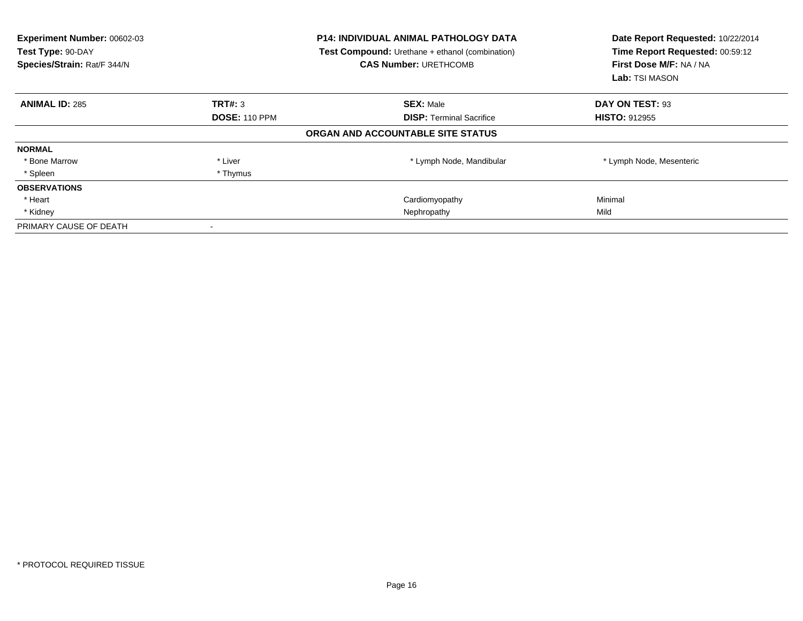| <b>Experiment Number: 00602-03</b><br>Test Type: 90-DAY<br>Species/Strain: Rat/F 344/N |                      | <b>P14: INDIVIDUAL ANIMAL PATHOLOGY DATA</b><br>Test Compound: Urethane + ethanol (combination)<br><b>CAS Number: URETHCOMB</b> | Date Report Requested: 10/22/2014<br>Time Report Requested: 00:59:12<br>First Dose M/F: NA / NA<br><b>Lab:</b> TSI MASON |
|----------------------------------------------------------------------------------------|----------------------|---------------------------------------------------------------------------------------------------------------------------------|--------------------------------------------------------------------------------------------------------------------------|
| <b>ANIMAL ID: 285</b>                                                                  | TRT#: 3              | <b>SEX: Male</b>                                                                                                                | DAY ON TEST: 93                                                                                                          |
|                                                                                        | <b>DOSE: 110 PPM</b> | <b>DISP:</b> Terminal Sacrifice                                                                                                 | <b>HISTO: 912955</b>                                                                                                     |
|                                                                                        |                      | ORGAN AND ACCOUNTABLE SITE STATUS                                                                                               |                                                                                                                          |
| <b>NORMAL</b>                                                                          |                      |                                                                                                                                 |                                                                                                                          |
| * Bone Marrow                                                                          | * Liver              | * Lymph Node, Mandibular                                                                                                        | * Lymph Node, Mesenteric                                                                                                 |
| * Spleen                                                                               | * Thymus             |                                                                                                                                 |                                                                                                                          |
| <b>OBSERVATIONS</b>                                                                    |                      |                                                                                                                                 |                                                                                                                          |
| * Heart                                                                                |                      | Cardiomyopathy                                                                                                                  | Minimal                                                                                                                  |
| * Kidney                                                                               |                      | Nephropathy                                                                                                                     | Mild                                                                                                                     |
| PRIMARY CAUSE OF DEATH                                                                 |                      |                                                                                                                                 |                                                                                                                          |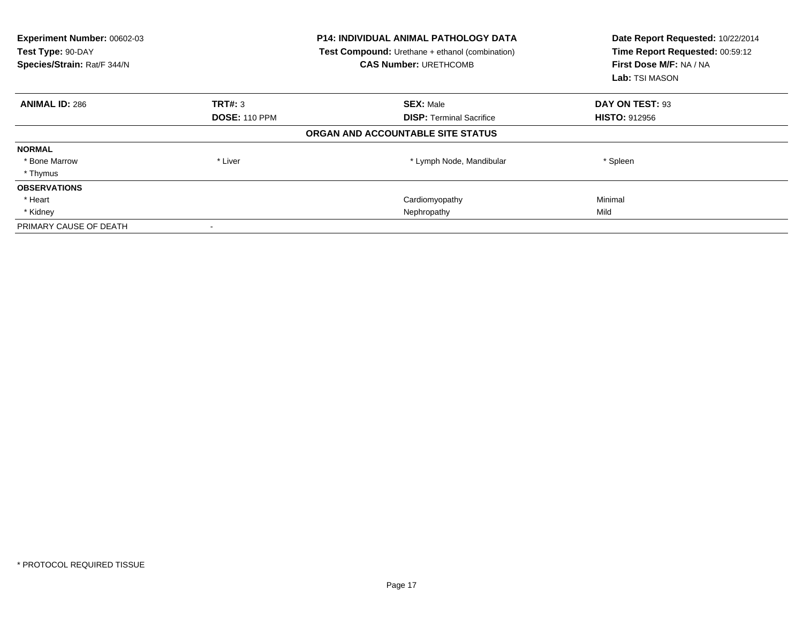| Experiment Number: 00602-03<br>Test Type: 90-DAY<br>Species/Strain: Rat/F 344/N |                      | <b>P14: INDIVIDUAL ANIMAL PATHOLOGY DATA</b><br><b>Test Compound:</b> Urethane + ethanol (combination)<br><b>CAS Number: URETHCOMB</b> | Date Report Requested: 10/22/2014<br>Time Report Requested: 00:59:12<br>First Dose M/F: NA / NA<br>Lab: TSI MASON |
|---------------------------------------------------------------------------------|----------------------|----------------------------------------------------------------------------------------------------------------------------------------|-------------------------------------------------------------------------------------------------------------------|
| <b>ANIMAL ID: 286</b>                                                           | TRT#: 3              | <b>SEX: Male</b>                                                                                                                       | DAY ON TEST: 93                                                                                                   |
|                                                                                 | <b>DOSE: 110 PPM</b> | <b>DISP:</b> Terminal Sacrifice                                                                                                        | <b>HISTO: 912956</b>                                                                                              |
|                                                                                 |                      | ORGAN AND ACCOUNTABLE SITE STATUS                                                                                                      |                                                                                                                   |
| <b>NORMAL</b>                                                                   |                      |                                                                                                                                        |                                                                                                                   |
| * Bone Marrow                                                                   | * Liver              | * Lymph Node, Mandibular                                                                                                               | * Spleen                                                                                                          |
| * Thymus                                                                        |                      |                                                                                                                                        |                                                                                                                   |
| <b>OBSERVATIONS</b>                                                             |                      |                                                                                                                                        |                                                                                                                   |
| * Heart                                                                         |                      | Cardiomyopathy                                                                                                                         | Minimal                                                                                                           |
| * Kidney                                                                        |                      | Nephropathy                                                                                                                            | Mild                                                                                                              |
| PRIMARY CAUSE OF DEATH                                                          |                      |                                                                                                                                        |                                                                                                                   |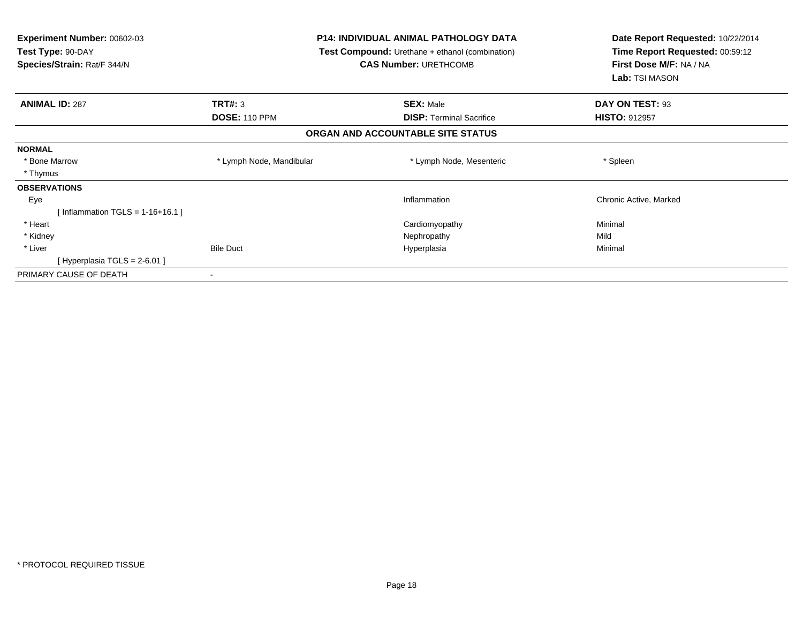| Experiment Number: 00602-03<br>Test Type: 90-DAY<br>Species/Strain: Rat/F 344/N | <b>P14: INDIVIDUAL ANIMAL PATHOLOGY DATA</b><br><b>Test Compound:</b> Urethane + ethanol (combination)<br><b>CAS Number: URETHCOMB</b> |                                   | Date Report Requested: 10/22/2014<br>Time Report Requested: 00:59:12<br>First Dose M/F: NA / NA<br>Lab: TSI MASON |
|---------------------------------------------------------------------------------|----------------------------------------------------------------------------------------------------------------------------------------|-----------------------------------|-------------------------------------------------------------------------------------------------------------------|
| <b>ANIMAL ID: 287</b>                                                           | TRT#: 3                                                                                                                                | <b>SEX: Male</b>                  | DAY ON TEST: 93                                                                                                   |
|                                                                                 | <b>DOSE: 110 PPM</b>                                                                                                                   | <b>DISP: Terminal Sacrifice</b>   | <b>HISTO: 912957</b>                                                                                              |
|                                                                                 |                                                                                                                                        | ORGAN AND ACCOUNTABLE SITE STATUS |                                                                                                                   |
| <b>NORMAL</b>                                                                   |                                                                                                                                        |                                   |                                                                                                                   |
| * Bone Marrow                                                                   | * Lymph Node, Mandibular                                                                                                               | * Lymph Node, Mesenteric          | * Spleen                                                                                                          |
| * Thymus                                                                        |                                                                                                                                        |                                   |                                                                                                                   |
| <b>OBSERVATIONS</b>                                                             |                                                                                                                                        |                                   |                                                                                                                   |
| Eye                                                                             |                                                                                                                                        | Inflammation                      | Chronic Active, Marked                                                                                            |
| [Inflammation TGLS = $1-16+16.1$ ]                                              |                                                                                                                                        |                                   |                                                                                                                   |
| * Heart                                                                         |                                                                                                                                        | Cardiomyopathy                    | Minimal                                                                                                           |
| * Kidney                                                                        |                                                                                                                                        | Nephropathy                       | Mild                                                                                                              |
| * Liver                                                                         | <b>Bile Duct</b>                                                                                                                       | Hyperplasia                       | Minimal                                                                                                           |
| [Hyperplasia TGLS = $2-6.01$ ]                                                  |                                                                                                                                        |                                   |                                                                                                                   |
| PRIMARY CAUSE OF DEATH                                                          |                                                                                                                                        |                                   |                                                                                                                   |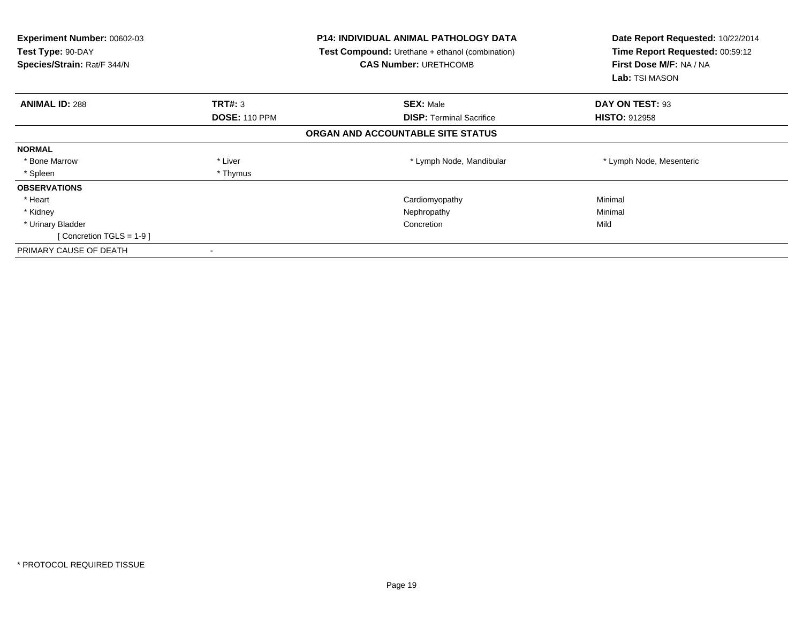| Experiment Number: 00602-03<br>Test Type: 90-DAY<br>Species/Strain: Rat/F 344/N |                      | <b>P14: INDIVIDUAL ANIMAL PATHOLOGY DATA</b><br>Test Compound: Urethane + ethanol (combination)<br><b>CAS Number: URETHCOMB</b> | Date Report Requested: 10/22/2014<br>Time Report Requested: 00:59:12<br>First Dose M/F: NA / NA<br>Lab: TSI MASON |
|---------------------------------------------------------------------------------|----------------------|---------------------------------------------------------------------------------------------------------------------------------|-------------------------------------------------------------------------------------------------------------------|
| <b>ANIMAL ID: 288</b>                                                           | TRT#: 3              | <b>SEX: Male</b>                                                                                                                | DAY ON TEST: 93                                                                                                   |
|                                                                                 | <b>DOSE: 110 PPM</b> | <b>DISP:</b> Terminal Sacrifice                                                                                                 | <b>HISTO: 912958</b>                                                                                              |
|                                                                                 |                      | ORGAN AND ACCOUNTABLE SITE STATUS                                                                                               |                                                                                                                   |
| <b>NORMAL</b>                                                                   |                      |                                                                                                                                 |                                                                                                                   |
| * Bone Marrow                                                                   | * Liver              | * Lymph Node, Mandibular                                                                                                        | * Lymph Node, Mesenteric                                                                                          |
| * Spleen                                                                        | * Thymus             |                                                                                                                                 |                                                                                                                   |
| <b>OBSERVATIONS</b>                                                             |                      |                                                                                                                                 |                                                                                                                   |
| * Heart                                                                         |                      | Cardiomyopathy                                                                                                                  | Minimal                                                                                                           |
| * Kidney                                                                        |                      | Nephropathy                                                                                                                     | Minimal                                                                                                           |
| * Urinary Bladder                                                               |                      | Concretion                                                                                                                      | Mild                                                                                                              |
| [Concretion TGLS = $1-9$ ]                                                      |                      |                                                                                                                                 |                                                                                                                   |
| PRIMARY CAUSE OF DEATH                                                          |                      |                                                                                                                                 |                                                                                                                   |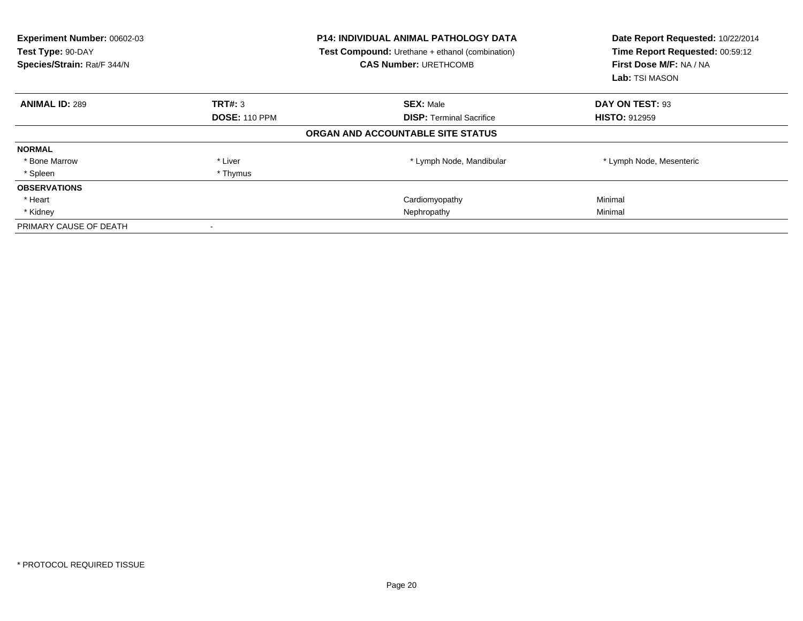| <b>Experiment Number: 00602-03</b><br>Test Type: 90-DAY<br>Species/Strain: Rat/F 344/N |                      | <b>P14: INDIVIDUAL ANIMAL PATHOLOGY DATA</b><br>Test Compound: Urethane + ethanol (combination)<br><b>CAS Number: URETHCOMB</b> | Date Report Requested: 10/22/2014<br>Time Report Requested: 00:59:12<br>First Dose M/F: NA / NA<br>Lab: TSI MASON |
|----------------------------------------------------------------------------------------|----------------------|---------------------------------------------------------------------------------------------------------------------------------|-------------------------------------------------------------------------------------------------------------------|
| <b>ANIMAL ID: 289</b>                                                                  | TRT#: 3              | <b>SEX: Male</b>                                                                                                                | DAY ON TEST: 93                                                                                                   |
|                                                                                        | <b>DOSE: 110 PPM</b> | <b>DISP:</b> Terminal Sacrifice                                                                                                 | <b>HISTO: 912959</b>                                                                                              |
|                                                                                        |                      | ORGAN AND ACCOUNTABLE SITE STATUS                                                                                               |                                                                                                                   |
| <b>NORMAL</b>                                                                          |                      |                                                                                                                                 |                                                                                                                   |
| * Bone Marrow                                                                          | * Liver              | * Lymph Node, Mandibular                                                                                                        | * Lymph Node, Mesenteric                                                                                          |
| * Spleen                                                                               | * Thymus             |                                                                                                                                 |                                                                                                                   |
| <b>OBSERVATIONS</b>                                                                    |                      |                                                                                                                                 |                                                                                                                   |
| * Heart                                                                                |                      | Cardiomyopathy                                                                                                                  | Minimal                                                                                                           |
| * Kidney                                                                               |                      | Nephropathy                                                                                                                     | Minimal                                                                                                           |
| PRIMARY CAUSE OF DEATH                                                                 |                      |                                                                                                                                 |                                                                                                                   |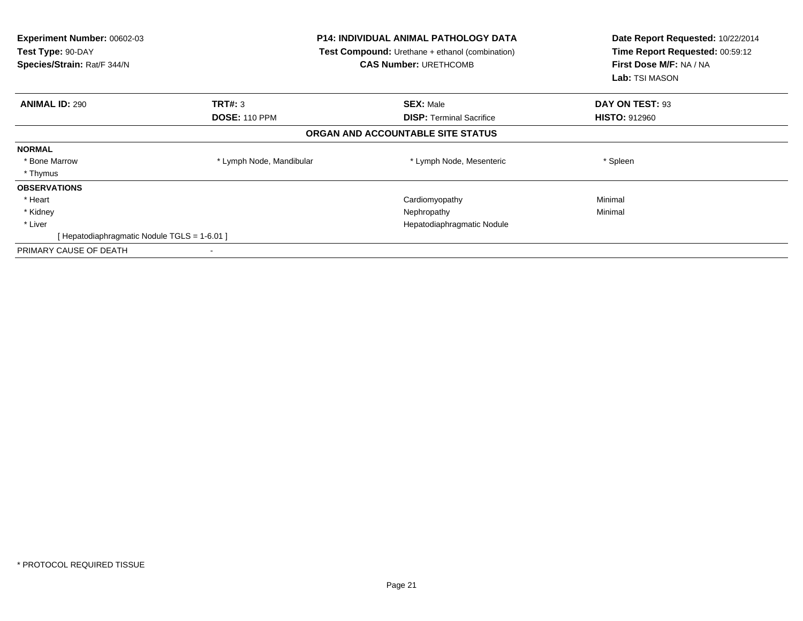| Experiment Number: 00602-03<br>Test Type: 90-DAY<br>Species/Strain: Rat/F 344/N | <b>P14: INDIVIDUAL ANIMAL PATHOLOGY DATA</b><br><b>Test Compound:</b> Urethane + ethanol (combination)<br><b>CAS Number: URETHCOMB</b> |                                   | Date Report Requested: 10/22/2014<br>Time Report Requested: 00:59:12<br>First Dose M/F: NA / NA<br><b>Lab:</b> TSI MASON |
|---------------------------------------------------------------------------------|----------------------------------------------------------------------------------------------------------------------------------------|-----------------------------------|--------------------------------------------------------------------------------------------------------------------------|
| <b>ANIMAL ID: 290</b>                                                           | <b>TRT#: 3</b>                                                                                                                         | <b>SEX: Male</b>                  | DAY ON TEST: 93                                                                                                          |
|                                                                                 | <b>DOSE: 110 PPM</b>                                                                                                                   | <b>DISP:</b> Terminal Sacrifice   | <b>HISTO: 912960</b>                                                                                                     |
|                                                                                 |                                                                                                                                        | ORGAN AND ACCOUNTABLE SITE STATUS |                                                                                                                          |
| <b>NORMAL</b>                                                                   |                                                                                                                                        |                                   |                                                                                                                          |
| * Bone Marrow                                                                   | * Lymph Node, Mandibular                                                                                                               | * Lymph Node, Mesenteric          | * Spleen                                                                                                                 |
| * Thymus                                                                        |                                                                                                                                        |                                   |                                                                                                                          |
| <b>OBSERVATIONS</b>                                                             |                                                                                                                                        |                                   |                                                                                                                          |
| * Heart                                                                         |                                                                                                                                        | Cardiomyopathy                    | Minimal                                                                                                                  |
| * Kidney                                                                        |                                                                                                                                        | Nephropathy                       | Minimal                                                                                                                  |
| * Liver                                                                         |                                                                                                                                        | Hepatodiaphragmatic Nodule        |                                                                                                                          |
| [ Hepatodiaphragmatic Nodule TGLS = 1-6.01 ]                                    |                                                                                                                                        |                                   |                                                                                                                          |
| PRIMARY CAUSE OF DEATH                                                          |                                                                                                                                        |                                   |                                                                                                                          |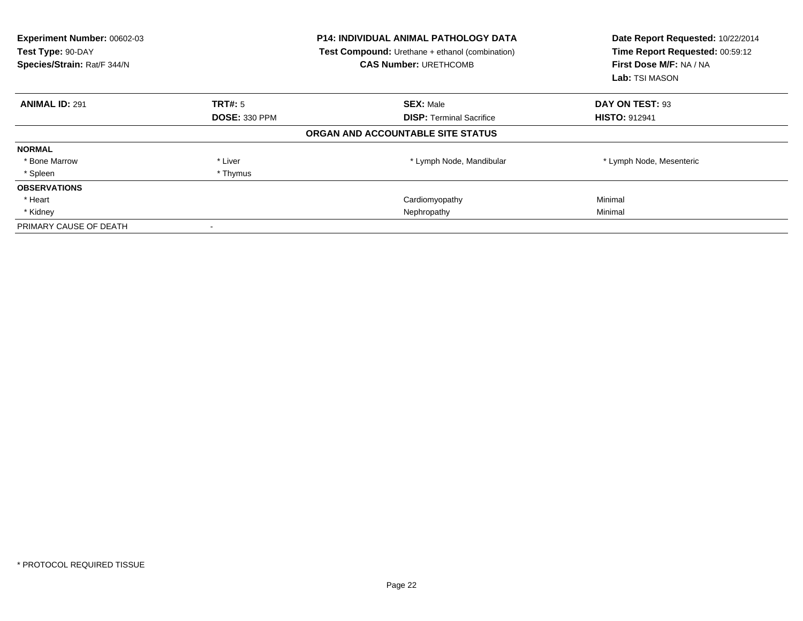| Experiment Number: 00602-03<br>Test Type: 90-DAY<br>Species/Strain: Rat/F 344/N |                      | <b>P14: INDIVIDUAL ANIMAL PATHOLOGY DATA</b><br><b>Test Compound:</b> Urethane + ethanol (combination)<br><b>CAS Number: URETHCOMB</b> | Date Report Requested: 10/22/2014<br>Time Report Requested: 00:59:12<br>First Dose M/F: NA / NA<br><b>Lab:</b> TSI MASON |
|---------------------------------------------------------------------------------|----------------------|----------------------------------------------------------------------------------------------------------------------------------------|--------------------------------------------------------------------------------------------------------------------------|
| <b>ANIMAL ID: 291</b>                                                           | <b>TRT#:</b> 5       | <b>SEX: Male</b>                                                                                                                       | DAY ON TEST: 93                                                                                                          |
|                                                                                 | <b>DOSE: 330 PPM</b> | <b>DISP:</b> Terminal Sacrifice                                                                                                        | <b>HISTO: 912941</b>                                                                                                     |
|                                                                                 |                      | ORGAN AND ACCOUNTABLE SITE STATUS                                                                                                      |                                                                                                                          |
| <b>NORMAL</b>                                                                   |                      |                                                                                                                                        |                                                                                                                          |
| * Bone Marrow                                                                   | * Liver              | * Lymph Node, Mandibular                                                                                                               | * Lymph Node, Mesenteric                                                                                                 |
| * Spleen                                                                        | * Thymus             |                                                                                                                                        |                                                                                                                          |
| <b>OBSERVATIONS</b>                                                             |                      |                                                                                                                                        |                                                                                                                          |
| * Heart                                                                         |                      | Cardiomyopathy                                                                                                                         | Minimal                                                                                                                  |
| * Kidney                                                                        |                      | Nephropathy                                                                                                                            | Minimal                                                                                                                  |
| PRIMARY CAUSE OF DEATH                                                          |                      |                                                                                                                                        |                                                                                                                          |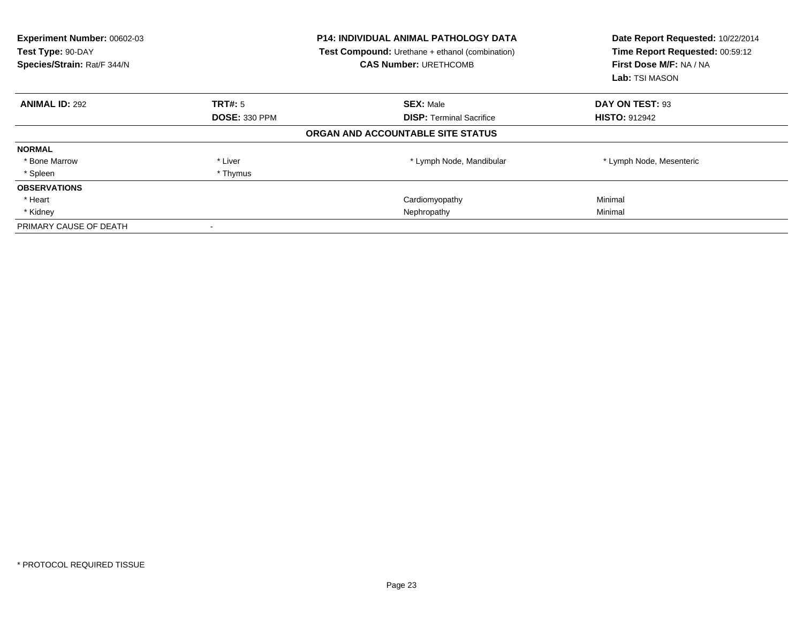| Experiment Number: 00602-03<br>Test Type: 90-DAY<br>Species/Strain: Rat/F 344/N |                      | <b>P14: INDIVIDUAL ANIMAL PATHOLOGY DATA</b><br><b>Test Compound:</b> Urethane + ethanol (combination)<br><b>CAS Number: URETHCOMB</b> | Date Report Requested: 10/22/2014<br>Time Report Requested: 00:59:12<br>First Dose M/F: NA / NA<br><b>Lab:</b> TSI MASON |
|---------------------------------------------------------------------------------|----------------------|----------------------------------------------------------------------------------------------------------------------------------------|--------------------------------------------------------------------------------------------------------------------------|
| <b>ANIMAL ID: 292</b>                                                           | <b>TRT#:</b> 5       | <b>SEX: Male</b>                                                                                                                       | DAY ON TEST: 93                                                                                                          |
|                                                                                 | <b>DOSE: 330 PPM</b> | <b>DISP:</b> Terminal Sacrifice                                                                                                        | <b>HISTO: 912942</b>                                                                                                     |
|                                                                                 |                      | ORGAN AND ACCOUNTABLE SITE STATUS                                                                                                      |                                                                                                                          |
| <b>NORMAL</b>                                                                   |                      |                                                                                                                                        |                                                                                                                          |
| * Bone Marrow                                                                   | * Liver              | * Lymph Node, Mandibular                                                                                                               | * Lymph Node, Mesenteric                                                                                                 |
| * Spleen                                                                        | * Thymus             |                                                                                                                                        |                                                                                                                          |
| <b>OBSERVATIONS</b>                                                             |                      |                                                                                                                                        |                                                                                                                          |
| * Heart                                                                         |                      | Cardiomyopathy                                                                                                                         | Minimal                                                                                                                  |
| * Kidney                                                                        |                      | Nephropathy                                                                                                                            | Minimal                                                                                                                  |
| PRIMARY CAUSE OF DEATH                                                          |                      |                                                                                                                                        |                                                                                                                          |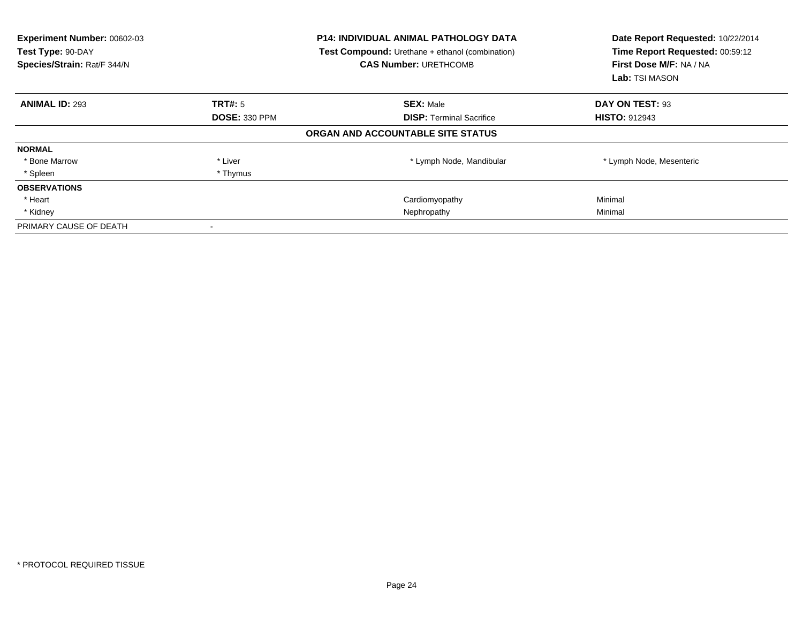| Experiment Number: 00602-03<br>Test Type: 90-DAY<br>Species/Strain: Rat/F 344/N |                      | <b>P14: INDIVIDUAL ANIMAL PATHOLOGY DATA</b><br><b>Test Compound:</b> Urethane + ethanol (combination)<br><b>CAS Number: URETHCOMB</b> | Date Report Requested: 10/22/2014<br>Time Report Requested: 00:59:12<br>First Dose M/F: NA / NA<br>Lab: TSI MASON |
|---------------------------------------------------------------------------------|----------------------|----------------------------------------------------------------------------------------------------------------------------------------|-------------------------------------------------------------------------------------------------------------------|
| <b>ANIMAL ID: 293</b>                                                           | TRT#: 5              | <b>SEX: Male</b>                                                                                                                       | DAY ON TEST: 93                                                                                                   |
|                                                                                 | <b>DOSE: 330 PPM</b> | <b>DISP:</b> Terminal Sacrifice                                                                                                        | <b>HISTO: 912943</b>                                                                                              |
|                                                                                 |                      | ORGAN AND ACCOUNTABLE SITE STATUS                                                                                                      |                                                                                                                   |
| <b>NORMAL</b>                                                                   |                      |                                                                                                                                        |                                                                                                                   |
| * Bone Marrow                                                                   | * Liver              | * Lymph Node, Mandibular                                                                                                               | * Lymph Node, Mesenteric                                                                                          |
| * Spleen                                                                        | * Thymus             |                                                                                                                                        |                                                                                                                   |
| <b>OBSERVATIONS</b>                                                             |                      |                                                                                                                                        |                                                                                                                   |
| * Heart                                                                         |                      | Cardiomyopathy                                                                                                                         | Minimal                                                                                                           |
| * Kidney                                                                        |                      | Nephropathy                                                                                                                            | Minimal                                                                                                           |
| PRIMARY CAUSE OF DEATH                                                          |                      |                                                                                                                                        |                                                                                                                   |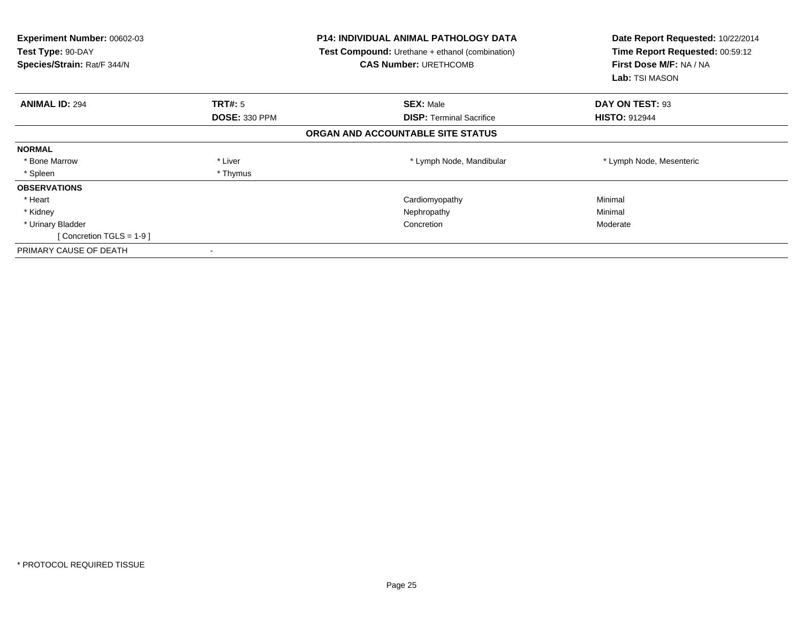| Experiment Number: 00602-03<br>Test Type: 90-DAY<br>Species/Strain: Rat/F 344/N |                      | P14: INDIVIDUAL ANIMAL PATHOLOGY DATA<br>Test Compound: Urethane + ethanol (combination)<br><b>CAS Number: URETHCOMB</b> | Date Report Requested: 10/22/2014<br>Time Report Requested: 00:59:12<br>First Dose M/F: NA / NA<br>Lab: TSI MASON |
|---------------------------------------------------------------------------------|----------------------|--------------------------------------------------------------------------------------------------------------------------|-------------------------------------------------------------------------------------------------------------------|
| <b>ANIMAL ID: 294</b>                                                           | TRT#: 5              | <b>SEX: Male</b>                                                                                                         | DAY ON TEST: 93                                                                                                   |
|                                                                                 | <b>DOSE: 330 PPM</b> | <b>DISP:</b> Terminal Sacrifice                                                                                          | <b>HISTO: 912944</b>                                                                                              |
|                                                                                 |                      | ORGAN AND ACCOUNTABLE SITE STATUS                                                                                        |                                                                                                                   |
| <b>NORMAL</b>                                                                   |                      |                                                                                                                          |                                                                                                                   |
| * Bone Marrow                                                                   | * Liver              | * Lymph Node, Mandibular                                                                                                 | * Lymph Node, Mesenteric                                                                                          |
| * Spleen                                                                        | * Thymus             |                                                                                                                          |                                                                                                                   |
| <b>OBSERVATIONS</b>                                                             |                      |                                                                                                                          |                                                                                                                   |
| * Heart                                                                         |                      | Cardiomyopathy                                                                                                           | Minimal                                                                                                           |
| * Kidney                                                                        |                      | Nephropathy                                                                                                              | Minimal                                                                                                           |
| * Urinary Bladder                                                               |                      | Concretion                                                                                                               | Moderate                                                                                                          |
| [Concretion TGLS = $1-9$ ]                                                      |                      |                                                                                                                          |                                                                                                                   |
| PRIMARY CAUSE OF DEATH                                                          |                      |                                                                                                                          |                                                                                                                   |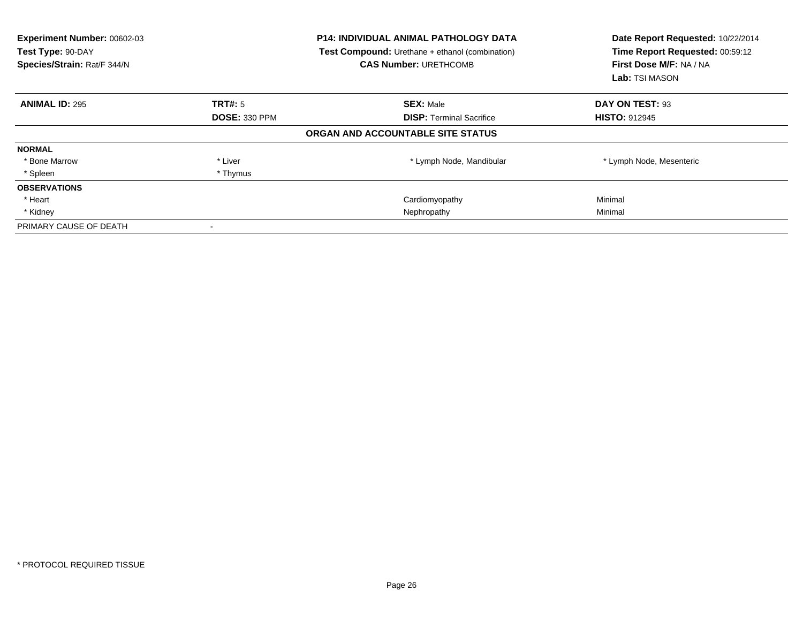| Experiment Number: 00602-03<br>Test Type: 90-DAY<br>Species/Strain: Rat/F 344/N |                      | <b>P14: INDIVIDUAL ANIMAL PATHOLOGY DATA</b><br><b>Test Compound:</b> Urethane + ethanol (combination)<br><b>CAS Number: URETHCOMB</b> | Date Report Requested: 10/22/2014<br>Time Report Requested: 00:59:12<br>First Dose M/F: NA / NA<br><b>Lab:</b> TSI MASON |
|---------------------------------------------------------------------------------|----------------------|----------------------------------------------------------------------------------------------------------------------------------------|--------------------------------------------------------------------------------------------------------------------------|
| <b>ANIMAL ID: 295</b>                                                           | <b>TRT#:</b> 5       | <b>SEX: Male</b>                                                                                                                       | DAY ON TEST: 93                                                                                                          |
|                                                                                 | <b>DOSE: 330 PPM</b> | <b>DISP:</b> Terminal Sacrifice                                                                                                        | <b>HISTO: 912945</b>                                                                                                     |
|                                                                                 |                      | ORGAN AND ACCOUNTABLE SITE STATUS                                                                                                      |                                                                                                                          |
| <b>NORMAL</b>                                                                   |                      |                                                                                                                                        |                                                                                                                          |
| * Bone Marrow                                                                   | * Liver              | * Lymph Node, Mandibular                                                                                                               | * Lymph Node, Mesenteric                                                                                                 |
| * Spleen                                                                        | * Thymus             |                                                                                                                                        |                                                                                                                          |
| <b>OBSERVATIONS</b>                                                             |                      |                                                                                                                                        |                                                                                                                          |
| * Heart                                                                         |                      | Cardiomyopathy                                                                                                                         | Minimal                                                                                                                  |
| * Kidney                                                                        |                      | Nephropathy                                                                                                                            | Minimal                                                                                                                  |
| PRIMARY CAUSE OF DEATH                                                          |                      |                                                                                                                                        |                                                                                                                          |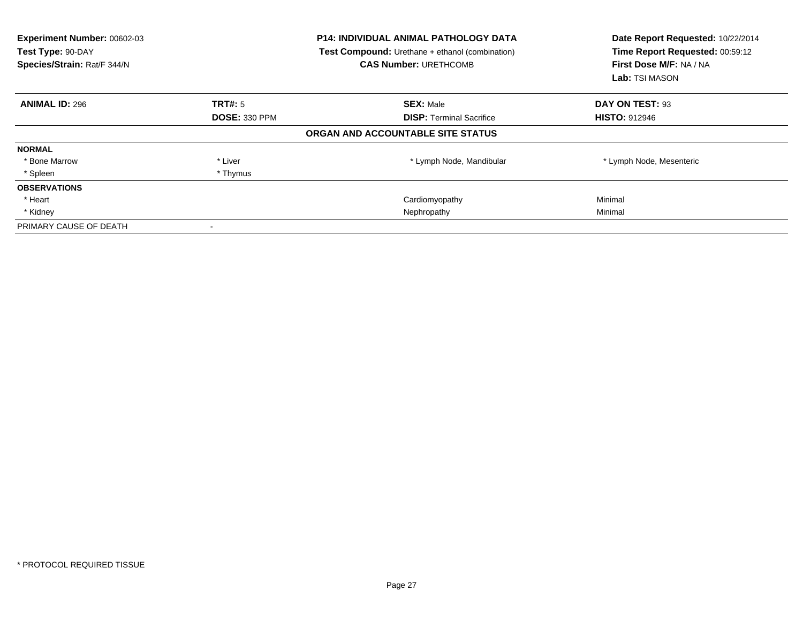| <b>Experiment Number: 00602-03</b><br>Test Type: 90-DAY<br>Species/Strain: Rat/F 344/N |                      | P14: INDIVIDUAL ANIMAL PATHOLOGY DATA<br>Test Compound: Urethane + ethanol (combination)<br><b>CAS Number: URETHCOMB</b> | Date Report Requested: 10/22/2014<br>Time Report Requested: 00:59:12<br>First Dose M/F: NA / NA<br><b>Lab:</b> TSI MASON |
|----------------------------------------------------------------------------------------|----------------------|--------------------------------------------------------------------------------------------------------------------------|--------------------------------------------------------------------------------------------------------------------------|
| <b>ANIMAL ID: 296</b>                                                                  | <b>TRT#: 5</b>       | <b>SEX: Male</b>                                                                                                         | DAY ON TEST: 93                                                                                                          |
|                                                                                        | <b>DOSE: 330 PPM</b> | <b>DISP:</b> Terminal Sacrifice                                                                                          | <b>HISTO: 912946</b>                                                                                                     |
|                                                                                        |                      | ORGAN AND ACCOUNTABLE SITE STATUS                                                                                        |                                                                                                                          |
| <b>NORMAL</b>                                                                          |                      |                                                                                                                          |                                                                                                                          |
| * Bone Marrow                                                                          | * Liver              | * Lymph Node, Mandibular                                                                                                 | * Lymph Node, Mesenteric                                                                                                 |
| * Spleen                                                                               | * Thymus             |                                                                                                                          |                                                                                                                          |
| <b>OBSERVATIONS</b>                                                                    |                      |                                                                                                                          |                                                                                                                          |
| * Heart                                                                                |                      | Cardiomyopathy                                                                                                           | Minimal                                                                                                                  |
| * Kidney                                                                               |                      | Nephropathy                                                                                                              | Minimal                                                                                                                  |
| PRIMARY CAUSE OF DEATH                                                                 |                      |                                                                                                                          |                                                                                                                          |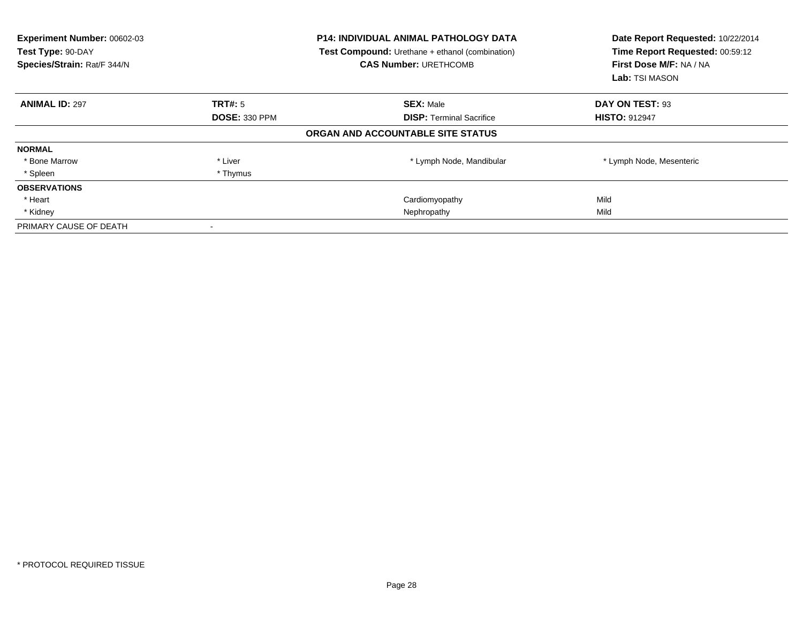| <b>Experiment Number: 00602-03</b><br>Test Type: 90-DAY<br>Species/Strain: Rat/F 344/N |                      | <b>P14: INDIVIDUAL ANIMAL PATHOLOGY DATA</b><br>Test Compound: Urethane + ethanol (combination)<br><b>CAS Number: URETHCOMB</b> | Date Report Requested: 10/22/2014<br>Time Report Requested: 00:59:12<br>First Dose M/F: NA / NA<br>Lab: TSI MASON |  |
|----------------------------------------------------------------------------------------|----------------------|---------------------------------------------------------------------------------------------------------------------------------|-------------------------------------------------------------------------------------------------------------------|--|
| <b>ANIMAL ID: 297</b>                                                                  | TRT#: 5              | <b>SEX: Male</b>                                                                                                                | DAY ON TEST: 93                                                                                                   |  |
|                                                                                        | <b>DOSE: 330 PPM</b> | <b>DISP:</b> Terminal Sacrifice                                                                                                 | <b>HISTO: 912947</b>                                                                                              |  |
|                                                                                        |                      | ORGAN AND ACCOUNTABLE SITE STATUS                                                                                               |                                                                                                                   |  |
| <b>NORMAL</b>                                                                          |                      |                                                                                                                                 |                                                                                                                   |  |
| * Bone Marrow                                                                          | * Liver              | * Lymph Node, Mandibular                                                                                                        | * Lymph Node, Mesenteric                                                                                          |  |
| * Spleen                                                                               | * Thymus             |                                                                                                                                 |                                                                                                                   |  |
| <b>OBSERVATIONS</b>                                                                    |                      |                                                                                                                                 |                                                                                                                   |  |
| * Heart                                                                                |                      | Cardiomyopathy                                                                                                                  | Mild                                                                                                              |  |
| * Kidney                                                                               |                      | Nephropathy                                                                                                                     | Mild                                                                                                              |  |
| PRIMARY CAUSE OF DEATH                                                                 |                      |                                                                                                                                 |                                                                                                                   |  |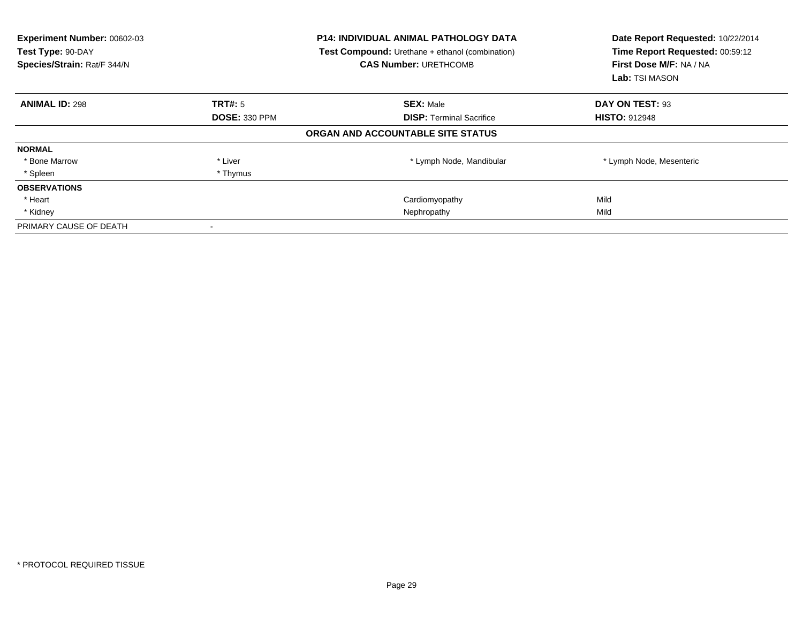| <b>Experiment Number: 00602-03</b><br>Test Type: 90-DAY<br>Species/Strain: Rat/F 344/N |                      | P14: INDIVIDUAL ANIMAL PATHOLOGY DATA<br>Test Compound: Urethane + ethanol (combination)<br><b>CAS Number: URETHCOMB</b> | Date Report Requested: 10/22/2014<br>Time Report Requested: 00:59:12<br>First Dose M/F: NA / NA<br><b>Lab:</b> TSI MASON |
|----------------------------------------------------------------------------------------|----------------------|--------------------------------------------------------------------------------------------------------------------------|--------------------------------------------------------------------------------------------------------------------------|
| <b>ANIMAL ID: 298</b>                                                                  | <b>TRT#: 5</b>       | <b>SEX: Male</b>                                                                                                         | DAY ON TEST: 93                                                                                                          |
|                                                                                        | <b>DOSE: 330 PPM</b> | <b>DISP:</b> Terminal Sacrifice                                                                                          | <b>HISTO: 912948</b>                                                                                                     |
|                                                                                        |                      | ORGAN AND ACCOUNTABLE SITE STATUS                                                                                        |                                                                                                                          |
| <b>NORMAL</b>                                                                          |                      |                                                                                                                          |                                                                                                                          |
| * Bone Marrow                                                                          | * Liver              | * Lymph Node, Mandibular                                                                                                 | * Lymph Node, Mesenteric                                                                                                 |
| * Spleen                                                                               | * Thymus             |                                                                                                                          |                                                                                                                          |
| <b>OBSERVATIONS</b>                                                                    |                      |                                                                                                                          |                                                                                                                          |
| * Heart                                                                                |                      | Cardiomyopathy                                                                                                           | Mild                                                                                                                     |
| * Kidney                                                                               |                      | Nephropathy                                                                                                              | Mild                                                                                                                     |
| PRIMARY CAUSE OF DEATH                                                                 |                      |                                                                                                                          |                                                                                                                          |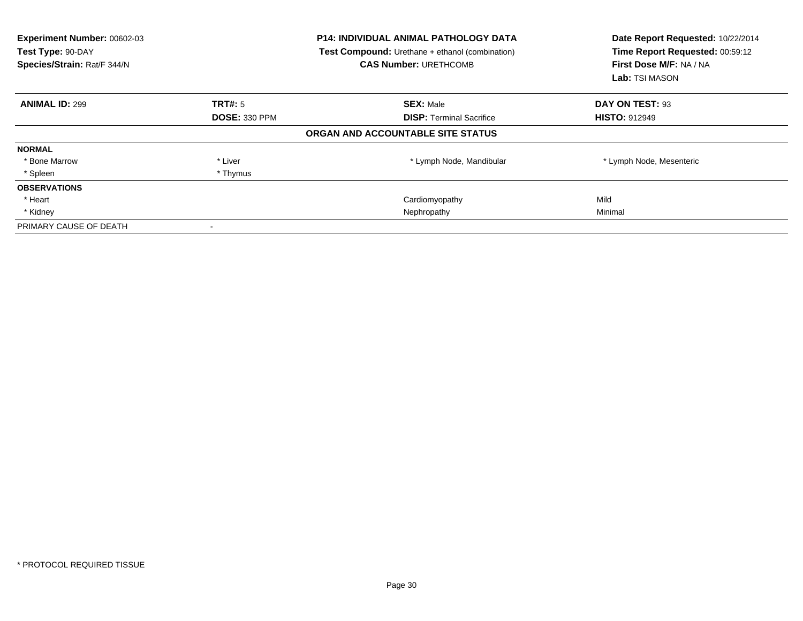| Experiment Number: 00602-03<br>Test Type: 90-DAY<br>Species/Strain: Rat/F 344/N |                      | <b>P14: INDIVIDUAL ANIMAL PATHOLOGY DATA</b><br><b>Test Compound:</b> Urethane + ethanol (combination)<br><b>CAS Number: URETHCOMB</b> | Date Report Requested: 10/22/2014<br>Time Report Requested: 00:59:12<br>First Dose M/F: NA / NA<br>Lab: TSI MASON |
|---------------------------------------------------------------------------------|----------------------|----------------------------------------------------------------------------------------------------------------------------------------|-------------------------------------------------------------------------------------------------------------------|
| <b>ANIMAL ID: 299</b>                                                           | <b>TRT#: 5</b>       | <b>SEX: Male</b>                                                                                                                       | DAY ON TEST: 93                                                                                                   |
|                                                                                 | <b>DOSE: 330 PPM</b> | <b>DISP:</b> Terminal Sacrifice                                                                                                        | <b>HISTO: 912949</b>                                                                                              |
|                                                                                 |                      | ORGAN AND ACCOUNTABLE SITE STATUS                                                                                                      |                                                                                                                   |
| <b>NORMAL</b>                                                                   |                      |                                                                                                                                        |                                                                                                                   |
| * Bone Marrow                                                                   | * Liver              | * Lymph Node, Mandibular                                                                                                               | * Lymph Node, Mesenteric                                                                                          |
| * Spleen                                                                        | * Thymus             |                                                                                                                                        |                                                                                                                   |
| <b>OBSERVATIONS</b>                                                             |                      |                                                                                                                                        |                                                                                                                   |
| * Heart                                                                         |                      | Cardiomyopathy                                                                                                                         | Mild                                                                                                              |
| * Kidney                                                                        |                      | Nephropathy                                                                                                                            | Minimal                                                                                                           |
| PRIMARY CAUSE OF DEATH                                                          |                      |                                                                                                                                        |                                                                                                                   |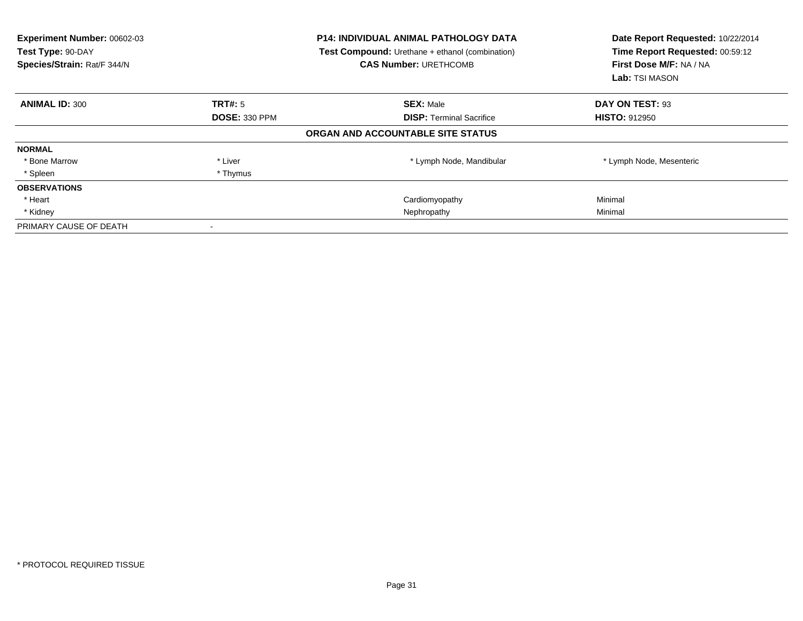| Experiment Number: 00602-03<br>Test Type: 90-DAY<br>Species/Strain: Rat/F 344/N |                      | <b>P14: INDIVIDUAL ANIMAL PATHOLOGY DATA</b><br><b>Test Compound:</b> Urethane + ethanol (combination)<br><b>CAS Number: URETHCOMB</b> | Date Report Requested: 10/22/2014<br>Time Report Requested: 00:59:12<br>First Dose M/F: NA / NA<br>Lab: TSI MASON |
|---------------------------------------------------------------------------------|----------------------|----------------------------------------------------------------------------------------------------------------------------------------|-------------------------------------------------------------------------------------------------------------------|
| <b>ANIMAL ID: 300</b>                                                           | <b>TRT#:</b> 5       | <b>SEX: Male</b>                                                                                                                       | DAY ON TEST: 93                                                                                                   |
|                                                                                 | <b>DOSE: 330 PPM</b> | <b>DISP:</b> Terminal Sacrifice                                                                                                        | <b>HISTO: 912950</b>                                                                                              |
|                                                                                 |                      | ORGAN AND ACCOUNTABLE SITE STATUS                                                                                                      |                                                                                                                   |
| <b>NORMAL</b>                                                                   |                      |                                                                                                                                        |                                                                                                                   |
| * Bone Marrow                                                                   | * Liver              | * Lymph Node, Mandibular                                                                                                               | * Lymph Node, Mesenteric                                                                                          |
| * Spleen                                                                        | * Thymus             |                                                                                                                                        |                                                                                                                   |
| <b>OBSERVATIONS</b>                                                             |                      |                                                                                                                                        |                                                                                                                   |
| * Heart                                                                         |                      | Cardiomyopathy                                                                                                                         | Minimal                                                                                                           |
| * Kidney                                                                        |                      | Nephropathy                                                                                                                            | Minimal                                                                                                           |
| PRIMARY CAUSE OF DEATH                                                          |                      |                                                                                                                                        |                                                                                                                   |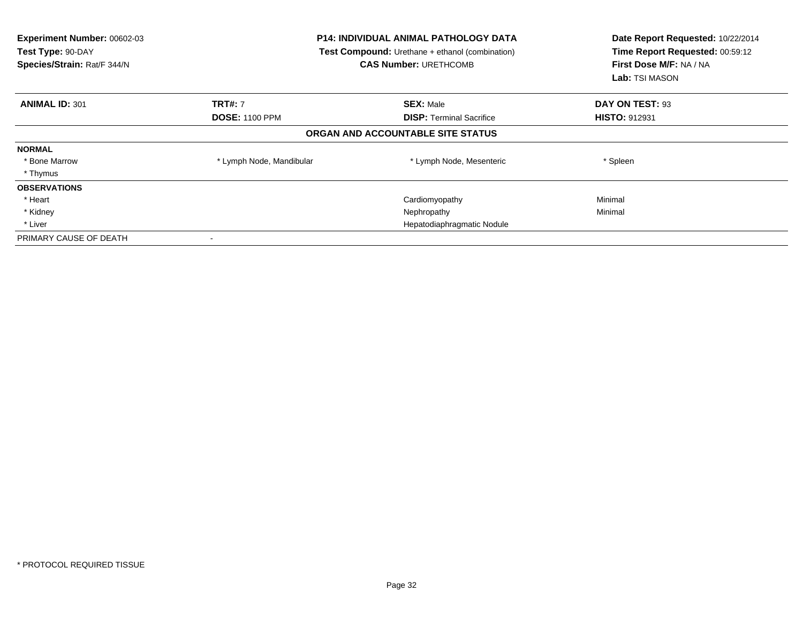| Experiment Number: 00602-03<br>Test Type: 90-DAY<br>Species/Strain: Rat/F 344/N | <b>P14: INDIVIDUAL ANIMAL PATHOLOGY DATA</b><br><b>Test Compound:</b> Urethane + ethanol (combination)<br><b>CAS Number: URETHCOMB</b> |                                   | Date Report Requested: 10/22/2014<br>Time Report Requested: 00:59:12<br>First Dose M/F: NA / NA<br><b>Lab:</b> TSI MASON |
|---------------------------------------------------------------------------------|----------------------------------------------------------------------------------------------------------------------------------------|-----------------------------------|--------------------------------------------------------------------------------------------------------------------------|
| <b>ANIMAL ID: 301</b>                                                           | <b>TRT#: 7</b>                                                                                                                         | <b>SEX: Male</b>                  | DAY ON TEST: 93                                                                                                          |
|                                                                                 | <b>DOSE: 1100 PPM</b>                                                                                                                  | <b>DISP:</b> Terminal Sacrifice   | <b>HISTO: 912931</b>                                                                                                     |
|                                                                                 |                                                                                                                                        | ORGAN AND ACCOUNTABLE SITE STATUS |                                                                                                                          |
| <b>NORMAL</b>                                                                   |                                                                                                                                        |                                   |                                                                                                                          |
| * Bone Marrow                                                                   | * Lymph Node, Mandibular                                                                                                               | * Lymph Node, Mesenteric          | * Spleen                                                                                                                 |
| * Thymus                                                                        |                                                                                                                                        |                                   |                                                                                                                          |
| <b>OBSERVATIONS</b>                                                             |                                                                                                                                        |                                   |                                                                                                                          |
| * Heart                                                                         |                                                                                                                                        | Cardiomyopathy                    | Minimal                                                                                                                  |
| * Kidney                                                                        |                                                                                                                                        | Nephropathy                       | Minimal                                                                                                                  |
| * Liver                                                                         | Hepatodiaphragmatic Nodule                                                                                                             |                                   |                                                                                                                          |
| PRIMARY CAUSE OF DEATH                                                          |                                                                                                                                        |                                   |                                                                                                                          |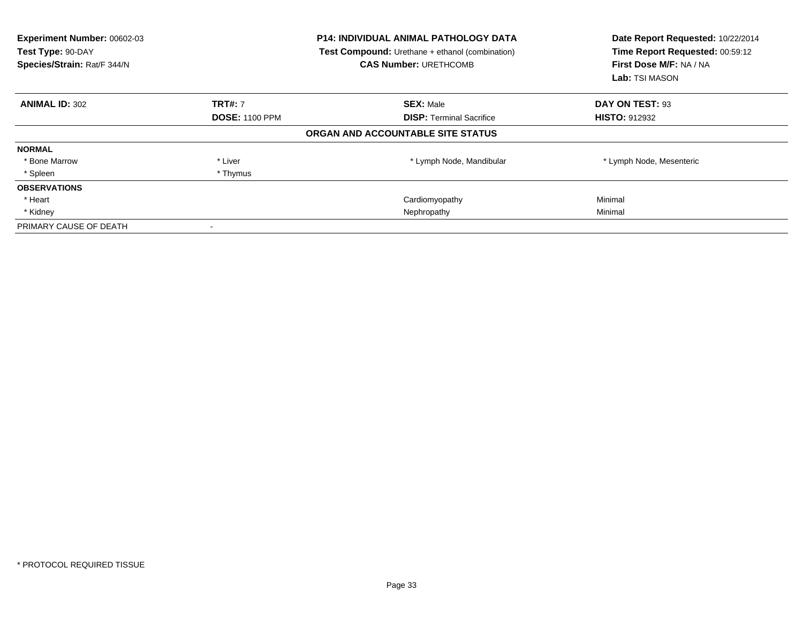| Experiment Number: 00602-03<br>Test Type: 90-DAY<br>Species/Strain: Rat/F 344/N |                       | <b>P14: INDIVIDUAL ANIMAL PATHOLOGY DATA</b><br><b>Test Compound:</b> Urethane + ethanol (combination)<br><b>CAS Number: URETHCOMB</b> | Date Report Requested: 10/22/2014<br>Time Report Requested: 00:59:12<br>First Dose M/F: NA / NA<br>Lab: TSI MASON |
|---------------------------------------------------------------------------------|-----------------------|----------------------------------------------------------------------------------------------------------------------------------------|-------------------------------------------------------------------------------------------------------------------|
| <b>ANIMAL ID: 302</b>                                                           | <b>TRT#: 7</b>        | <b>SEX: Male</b>                                                                                                                       | DAY ON TEST: 93                                                                                                   |
|                                                                                 | <b>DOSE: 1100 PPM</b> | <b>DISP:</b> Terminal Sacrifice                                                                                                        | <b>HISTO: 912932</b>                                                                                              |
|                                                                                 |                       | ORGAN AND ACCOUNTABLE SITE STATUS                                                                                                      |                                                                                                                   |
| <b>NORMAL</b>                                                                   |                       |                                                                                                                                        |                                                                                                                   |
| * Bone Marrow                                                                   | * Liver               | * Lymph Node, Mandibular                                                                                                               | * Lymph Node, Mesenteric                                                                                          |
| * Spleen                                                                        | * Thymus              |                                                                                                                                        |                                                                                                                   |
| <b>OBSERVATIONS</b>                                                             |                       |                                                                                                                                        |                                                                                                                   |
| * Heart                                                                         |                       | Cardiomyopathy                                                                                                                         | Minimal                                                                                                           |
| * Kidney                                                                        |                       | Nephropathy                                                                                                                            | Minimal                                                                                                           |
| PRIMARY CAUSE OF DEATH                                                          |                       |                                                                                                                                        |                                                                                                                   |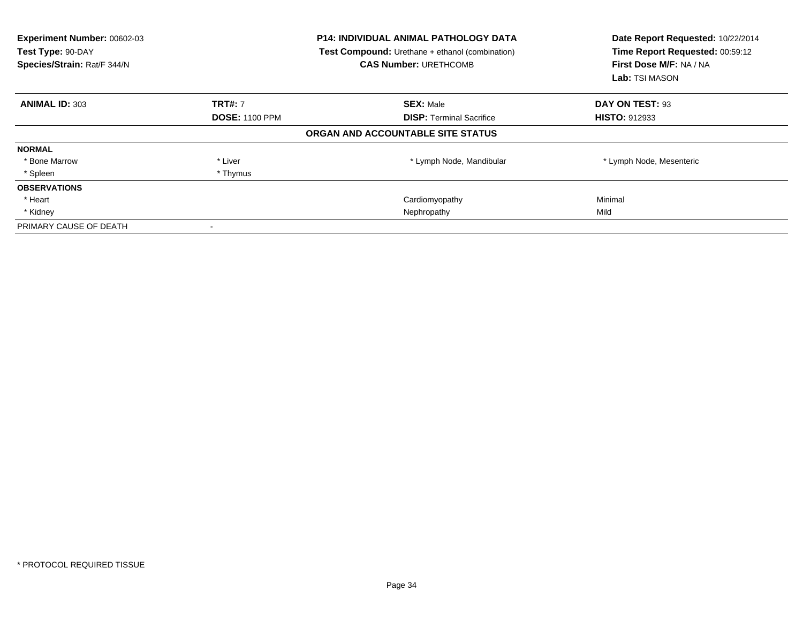| <b>Experiment Number: 00602-03</b><br>Test Type: 90-DAY<br>Species/Strain: Rat/F 344/N |                       | P14: INDIVIDUAL ANIMAL PATHOLOGY DATA<br>Test Compound: Urethane + ethanol (combination)<br><b>CAS Number: URETHCOMB</b> | Date Report Requested: 10/22/2014<br>Time Report Requested: 00:59:12<br>First Dose M/F: NA / NA<br><b>Lab:</b> TSI MASON |
|----------------------------------------------------------------------------------------|-----------------------|--------------------------------------------------------------------------------------------------------------------------|--------------------------------------------------------------------------------------------------------------------------|
| <b>ANIMAL ID: 303</b>                                                                  | <b>TRT#: 7</b>        | <b>SEX: Male</b>                                                                                                         | DAY ON TEST: 93                                                                                                          |
|                                                                                        | <b>DOSE: 1100 PPM</b> | <b>DISP:</b> Terminal Sacrifice                                                                                          | <b>HISTO: 912933</b>                                                                                                     |
|                                                                                        |                       | ORGAN AND ACCOUNTABLE SITE STATUS                                                                                        |                                                                                                                          |
| <b>NORMAL</b>                                                                          |                       |                                                                                                                          |                                                                                                                          |
| * Bone Marrow                                                                          | * Liver               | * Lymph Node, Mandibular                                                                                                 | * Lymph Node, Mesenteric                                                                                                 |
| * Spleen                                                                               | * Thymus              |                                                                                                                          |                                                                                                                          |
| <b>OBSERVATIONS</b>                                                                    |                       |                                                                                                                          |                                                                                                                          |
| * Heart                                                                                |                       | Cardiomyopathy                                                                                                           | Minimal                                                                                                                  |
| * Kidney                                                                               |                       | Nephropathy                                                                                                              | Mild                                                                                                                     |
| PRIMARY CAUSE OF DEATH                                                                 |                       |                                                                                                                          |                                                                                                                          |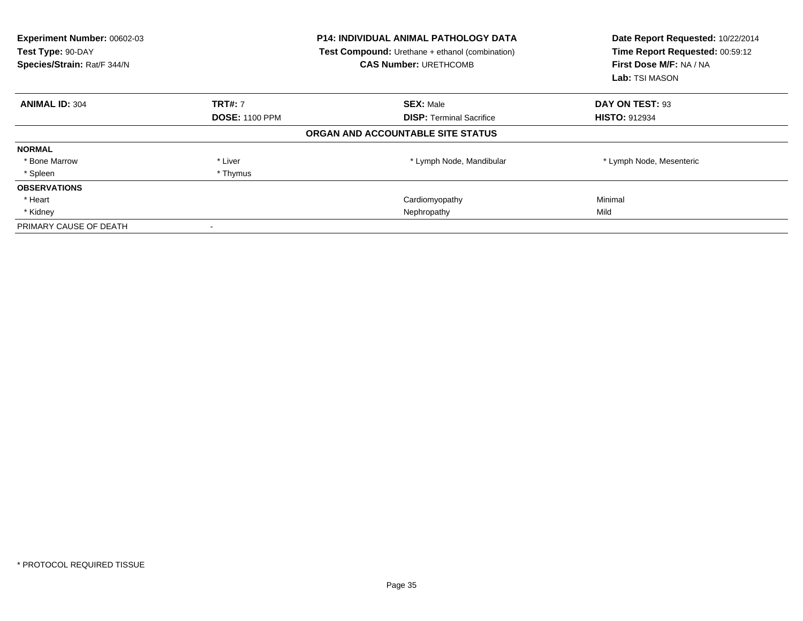| Experiment Number: 00602-03<br>Test Type: 90-DAY<br>Species/Strain: Rat/F 344/N |                       | <b>P14: INDIVIDUAL ANIMAL PATHOLOGY DATA</b><br><b>Test Compound:</b> Urethane + ethanol (combination)<br><b>CAS Number: URETHCOMB</b> | Date Report Requested: 10/22/2014<br>Time Report Requested: 00:59:12<br>First Dose M/F: NA / NA<br><b>Lab:</b> TSI MASON |
|---------------------------------------------------------------------------------|-----------------------|----------------------------------------------------------------------------------------------------------------------------------------|--------------------------------------------------------------------------------------------------------------------------|
| <b>ANIMAL ID: 304</b>                                                           | <b>TRT#: 7</b>        | <b>SEX: Male</b>                                                                                                                       | DAY ON TEST: 93                                                                                                          |
|                                                                                 | <b>DOSE: 1100 PPM</b> | <b>DISP:</b> Terminal Sacrifice                                                                                                        | <b>HISTO: 912934</b>                                                                                                     |
|                                                                                 |                       | ORGAN AND ACCOUNTABLE SITE STATUS                                                                                                      |                                                                                                                          |
| <b>NORMAL</b>                                                                   |                       |                                                                                                                                        |                                                                                                                          |
| * Bone Marrow                                                                   | * Liver               | * Lymph Node, Mandibular                                                                                                               | * Lymph Node, Mesenteric                                                                                                 |
| * Spleen                                                                        | * Thymus              |                                                                                                                                        |                                                                                                                          |
| <b>OBSERVATIONS</b>                                                             |                       |                                                                                                                                        |                                                                                                                          |
| * Heart                                                                         |                       | Cardiomyopathy                                                                                                                         | Minimal                                                                                                                  |
| * Kidney                                                                        |                       | Nephropathy                                                                                                                            | Mild                                                                                                                     |
| PRIMARY CAUSE OF DEATH                                                          |                       |                                                                                                                                        |                                                                                                                          |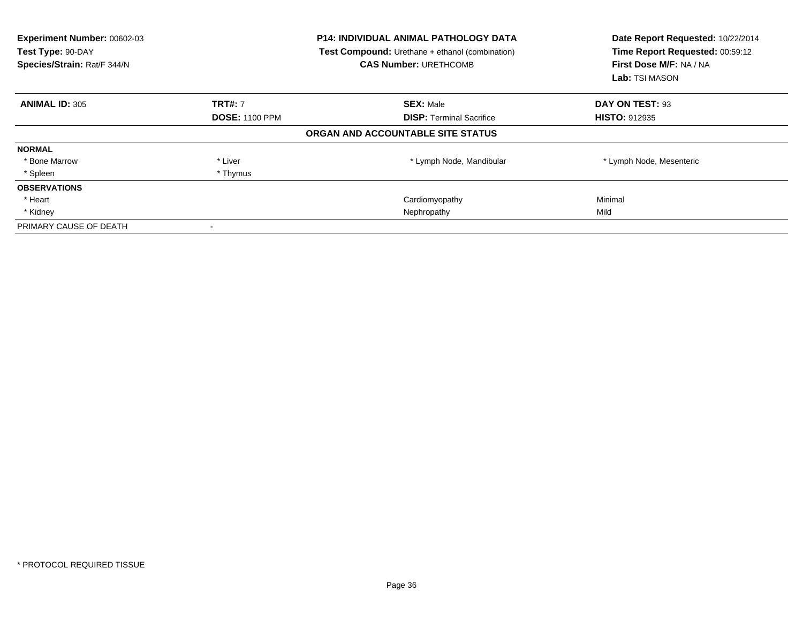| Experiment Number: 00602-03<br>Test Type: 90-DAY<br>Species/Strain: Rat/F 344/N |                       | <b>P14: INDIVIDUAL ANIMAL PATHOLOGY DATA</b><br><b>Test Compound:</b> Urethane + ethanol (combination)<br><b>CAS Number: URETHCOMB</b> | Date Report Requested: 10/22/2014<br>Time Report Requested: 00:59:12<br>First Dose M/F: NA / NA<br>Lab: TSI MASON |  |
|---------------------------------------------------------------------------------|-----------------------|----------------------------------------------------------------------------------------------------------------------------------------|-------------------------------------------------------------------------------------------------------------------|--|
| <b>ANIMAL ID: 305</b>                                                           | <b>TRT#: 7</b>        | <b>SEX: Male</b>                                                                                                                       | DAY ON TEST: 93                                                                                                   |  |
|                                                                                 | <b>DOSE: 1100 PPM</b> | <b>DISP:</b> Terminal Sacrifice                                                                                                        | <b>HISTO: 912935</b>                                                                                              |  |
|                                                                                 |                       | ORGAN AND ACCOUNTABLE SITE STATUS                                                                                                      |                                                                                                                   |  |
| <b>NORMAL</b>                                                                   |                       |                                                                                                                                        |                                                                                                                   |  |
| * Bone Marrow                                                                   | * Liver               | * Lymph Node, Mandibular                                                                                                               | * Lymph Node, Mesenteric                                                                                          |  |
| * Spleen                                                                        | * Thymus              |                                                                                                                                        |                                                                                                                   |  |
| <b>OBSERVATIONS</b>                                                             |                       |                                                                                                                                        |                                                                                                                   |  |
| * Heart                                                                         |                       | Cardiomyopathy                                                                                                                         | Minimal                                                                                                           |  |
| * Kidney                                                                        |                       | Nephropathy                                                                                                                            | Mild                                                                                                              |  |
| PRIMARY CAUSE OF DEATH                                                          |                       |                                                                                                                                        |                                                                                                                   |  |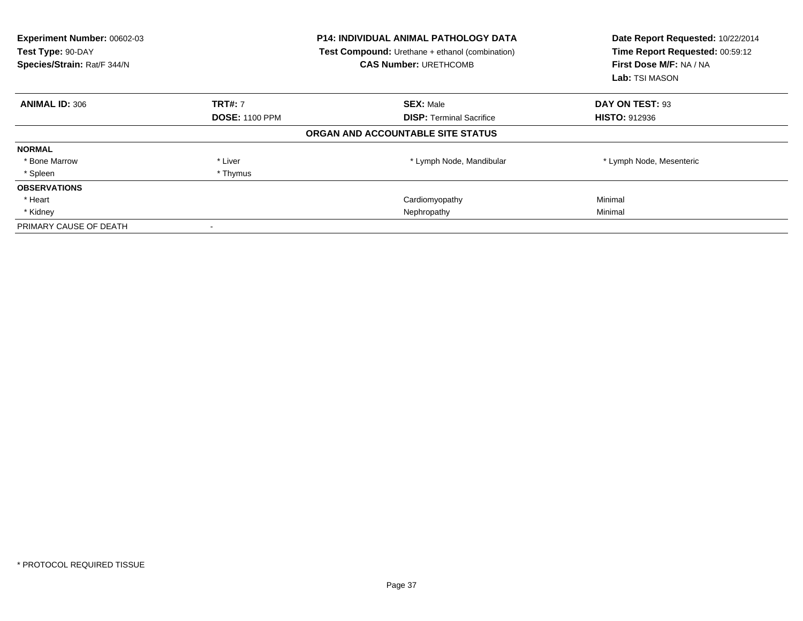| <b>Experiment Number: 00602-03</b><br>Test Type: 90-DAY<br>Species/Strain: Rat/F 344/N |                       | <b>P14: INDIVIDUAL ANIMAL PATHOLOGY DATA</b><br>Test Compound: Urethane + ethanol (combination)<br><b>CAS Number: URETHCOMB</b> | Date Report Requested: 10/22/2014<br>Time Report Requested: 00:59:12<br>First Dose M/F: NA / NA<br>Lab: TSI MASON |
|----------------------------------------------------------------------------------------|-----------------------|---------------------------------------------------------------------------------------------------------------------------------|-------------------------------------------------------------------------------------------------------------------|
| <b>ANIMAL ID: 306</b>                                                                  | <b>TRT#: 7</b>        | <b>SEX: Male</b>                                                                                                                | DAY ON TEST: 93                                                                                                   |
|                                                                                        | <b>DOSE: 1100 PPM</b> | <b>DISP:</b> Terminal Sacrifice                                                                                                 | <b>HISTO: 912936</b>                                                                                              |
|                                                                                        |                       | ORGAN AND ACCOUNTABLE SITE STATUS                                                                                               |                                                                                                                   |
| <b>NORMAL</b>                                                                          |                       |                                                                                                                                 |                                                                                                                   |
| * Bone Marrow                                                                          | * Liver               | * Lymph Node, Mandibular                                                                                                        | * Lymph Node, Mesenteric                                                                                          |
| * Spleen                                                                               | * Thymus              |                                                                                                                                 |                                                                                                                   |
| <b>OBSERVATIONS</b>                                                                    |                       |                                                                                                                                 |                                                                                                                   |
| * Heart                                                                                |                       | Cardiomyopathy                                                                                                                  | Minimal                                                                                                           |
| * Kidney                                                                               |                       | Nephropathy                                                                                                                     | Minimal                                                                                                           |
| PRIMARY CAUSE OF DEATH                                                                 |                       |                                                                                                                                 |                                                                                                                   |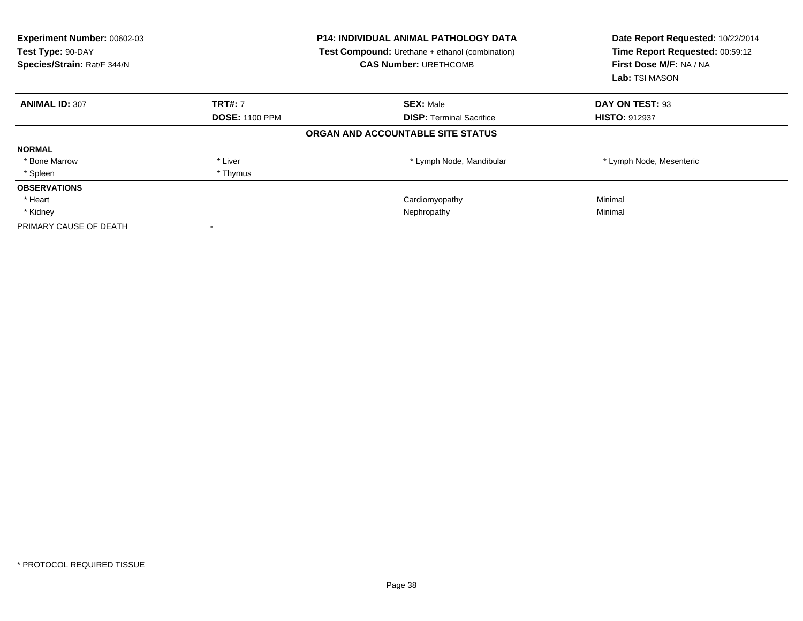| Experiment Number: 00602-03<br>Test Type: 90-DAY<br>Species/Strain: Rat/F 344/N |                       | <b>P14: INDIVIDUAL ANIMAL PATHOLOGY DATA</b><br><b>Test Compound:</b> Urethane + ethanol (combination)<br><b>CAS Number: URETHCOMB</b> | Date Report Requested: 10/22/2014<br>Time Report Requested: 00:59:12<br>First Dose M/F: NA / NA<br>Lab: TSI MASON |
|---------------------------------------------------------------------------------|-----------------------|----------------------------------------------------------------------------------------------------------------------------------------|-------------------------------------------------------------------------------------------------------------------|
| <b>ANIMAL ID: 307</b>                                                           | <b>TRT#: 7</b>        | <b>SEX: Male</b>                                                                                                                       | DAY ON TEST: 93                                                                                                   |
|                                                                                 | <b>DOSE: 1100 PPM</b> | <b>DISP:</b> Terminal Sacrifice                                                                                                        | <b>HISTO: 912937</b>                                                                                              |
|                                                                                 |                       | ORGAN AND ACCOUNTABLE SITE STATUS                                                                                                      |                                                                                                                   |
| <b>NORMAL</b>                                                                   |                       |                                                                                                                                        |                                                                                                                   |
| * Bone Marrow                                                                   | * Liver               | * Lymph Node, Mandibular                                                                                                               | * Lymph Node, Mesenteric                                                                                          |
| * Spleen                                                                        | * Thymus              |                                                                                                                                        |                                                                                                                   |
| <b>OBSERVATIONS</b>                                                             |                       |                                                                                                                                        |                                                                                                                   |
| * Heart                                                                         |                       | Cardiomyopathy                                                                                                                         | Minimal                                                                                                           |
| * Kidney                                                                        |                       | Nephropathy                                                                                                                            | Minimal                                                                                                           |
| PRIMARY CAUSE OF DEATH                                                          |                       |                                                                                                                                        |                                                                                                                   |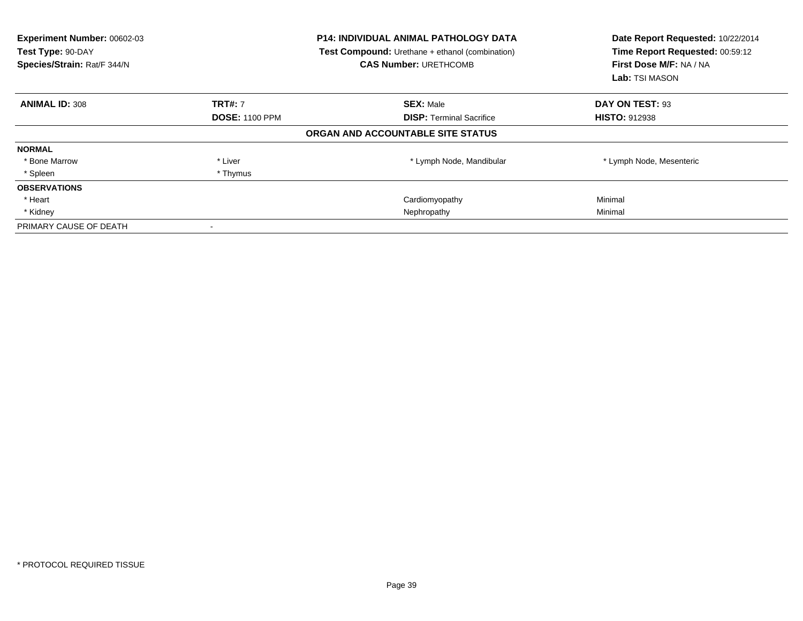| <b>Experiment Number: 00602-03</b><br>Test Type: 90-DAY<br>Species/Strain: Rat/F 344/N |                       | <b>P14: INDIVIDUAL ANIMAL PATHOLOGY DATA</b><br>Test Compound: Urethane + ethanol (combination)<br><b>CAS Number: URETHCOMB</b> | Date Report Requested: 10/22/2014<br>Time Report Requested: 00:59:12<br>First Dose M/F: NA / NA<br>Lab: TSI MASON |
|----------------------------------------------------------------------------------------|-----------------------|---------------------------------------------------------------------------------------------------------------------------------|-------------------------------------------------------------------------------------------------------------------|
| <b>ANIMAL ID: 308</b>                                                                  | <b>TRT#: 7</b>        | <b>SEX: Male</b>                                                                                                                | DAY ON TEST: 93                                                                                                   |
|                                                                                        | <b>DOSE: 1100 PPM</b> | <b>DISP:</b> Terminal Sacrifice                                                                                                 | <b>HISTO: 912938</b>                                                                                              |
|                                                                                        |                       | ORGAN AND ACCOUNTABLE SITE STATUS                                                                                               |                                                                                                                   |
| <b>NORMAL</b>                                                                          |                       |                                                                                                                                 |                                                                                                                   |
| * Bone Marrow                                                                          | * Liver               | * Lymph Node, Mandibular                                                                                                        | * Lymph Node, Mesenteric                                                                                          |
| * Spleen                                                                               | * Thymus              |                                                                                                                                 |                                                                                                                   |
| <b>OBSERVATIONS</b>                                                                    |                       |                                                                                                                                 |                                                                                                                   |
| * Heart                                                                                |                       | Cardiomyopathy                                                                                                                  | Minimal                                                                                                           |
| * Kidney                                                                               |                       | Nephropathy                                                                                                                     | Minimal                                                                                                           |
| PRIMARY CAUSE OF DEATH                                                                 |                       |                                                                                                                                 |                                                                                                                   |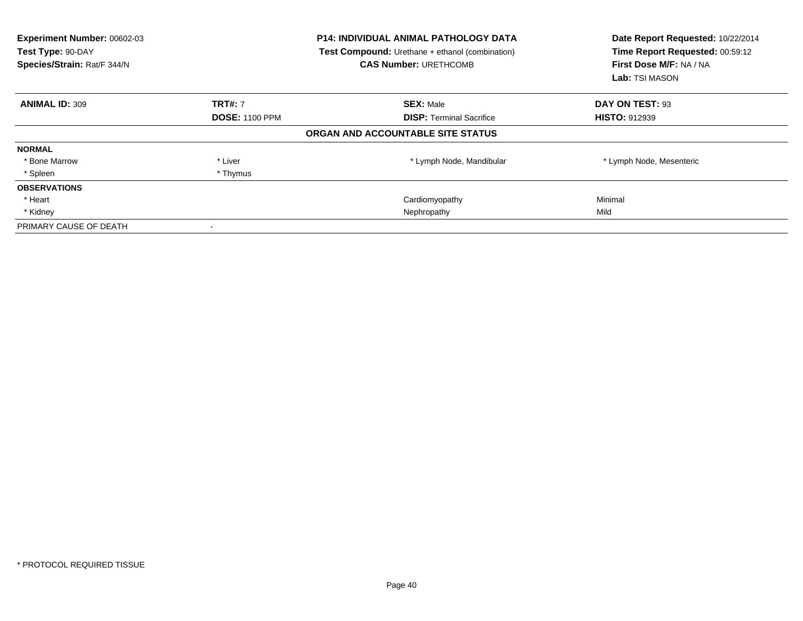| <b>Experiment Number: 00602-03</b><br>Test Type: 90-DAY<br>Species/Strain: Rat/F 344/N | <b>P14: INDIVIDUAL ANIMAL PATHOLOGY DATA</b><br>Test Compound: Urethane + ethanol (combination)<br><b>CAS Number: URETHCOMB</b> |                                   |                          |  | Date Report Requested: 10/22/2014<br>Time Report Requested: 00:59:12<br>First Dose M/F: NA / NA<br><b>Lab:</b> TSI MASON |
|----------------------------------------------------------------------------------------|---------------------------------------------------------------------------------------------------------------------------------|-----------------------------------|--------------------------|--|--------------------------------------------------------------------------------------------------------------------------|
| <b>ANIMAL ID: 309</b>                                                                  | <b>TRT#: 7</b>                                                                                                                  | <b>SEX: Male</b>                  | DAY ON TEST: 93          |  |                                                                                                                          |
|                                                                                        | <b>DOSE: 1100 PPM</b>                                                                                                           | <b>DISP:</b> Terminal Sacrifice   | <b>HISTO: 912939</b>     |  |                                                                                                                          |
|                                                                                        |                                                                                                                                 | ORGAN AND ACCOUNTABLE SITE STATUS |                          |  |                                                                                                                          |
| <b>NORMAL</b>                                                                          |                                                                                                                                 |                                   |                          |  |                                                                                                                          |
| * Bone Marrow                                                                          | * Liver                                                                                                                         | * Lymph Node, Mandibular          | * Lymph Node, Mesenteric |  |                                                                                                                          |
| * Spleen                                                                               | * Thymus                                                                                                                        |                                   |                          |  |                                                                                                                          |
| <b>OBSERVATIONS</b>                                                                    |                                                                                                                                 |                                   |                          |  |                                                                                                                          |
| * Heart                                                                                |                                                                                                                                 | Cardiomyopathy                    | Minimal                  |  |                                                                                                                          |
| * Kidney                                                                               |                                                                                                                                 | Nephropathy                       | Mild                     |  |                                                                                                                          |
| PRIMARY CAUSE OF DEATH                                                                 |                                                                                                                                 |                                   |                          |  |                                                                                                                          |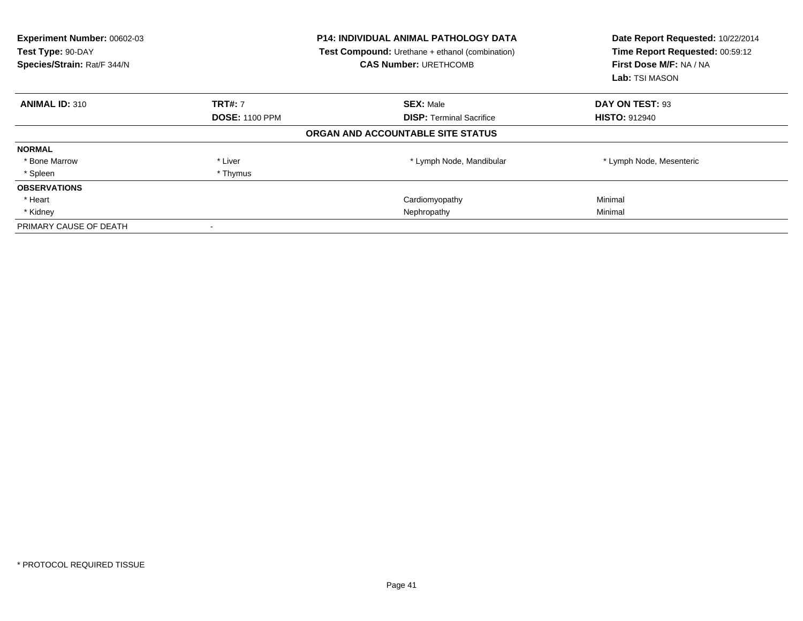| Experiment Number: 00602-03<br>Test Type: 90-DAY<br>Species/Strain: Rat/F 344/N |                       | <b>P14: INDIVIDUAL ANIMAL PATHOLOGY DATA</b><br><b>Test Compound:</b> Urethane + ethanol (combination)<br><b>CAS Number: URETHCOMB</b> | Date Report Requested: 10/22/2014<br>Time Report Requested: 00:59:12<br>First Dose M/F: NA / NA<br><b>Lab:</b> TSI MASON |
|---------------------------------------------------------------------------------|-----------------------|----------------------------------------------------------------------------------------------------------------------------------------|--------------------------------------------------------------------------------------------------------------------------|
| <b>ANIMAL ID: 310</b>                                                           | <b>TRT#: 7</b>        | <b>SEX: Male</b>                                                                                                                       | DAY ON TEST: 93                                                                                                          |
|                                                                                 | <b>DOSE: 1100 PPM</b> | <b>DISP: Terminal Sacrifice</b>                                                                                                        | <b>HISTO: 912940</b>                                                                                                     |
|                                                                                 |                       | ORGAN AND ACCOUNTABLE SITE STATUS                                                                                                      |                                                                                                                          |
| <b>NORMAL</b>                                                                   |                       |                                                                                                                                        |                                                                                                                          |
| * Bone Marrow                                                                   | * Liver               | * Lymph Node, Mandibular                                                                                                               | * Lymph Node, Mesenteric                                                                                                 |
| * Spleen                                                                        | * Thymus              |                                                                                                                                        |                                                                                                                          |
| <b>OBSERVATIONS</b>                                                             |                       |                                                                                                                                        |                                                                                                                          |
| * Heart                                                                         |                       | Cardiomyopathy                                                                                                                         | Minimal                                                                                                                  |
| * Kidney                                                                        |                       | Nephropathy                                                                                                                            | Minimal                                                                                                                  |
| PRIMARY CAUSE OF DEATH                                                          |                       |                                                                                                                                        |                                                                                                                          |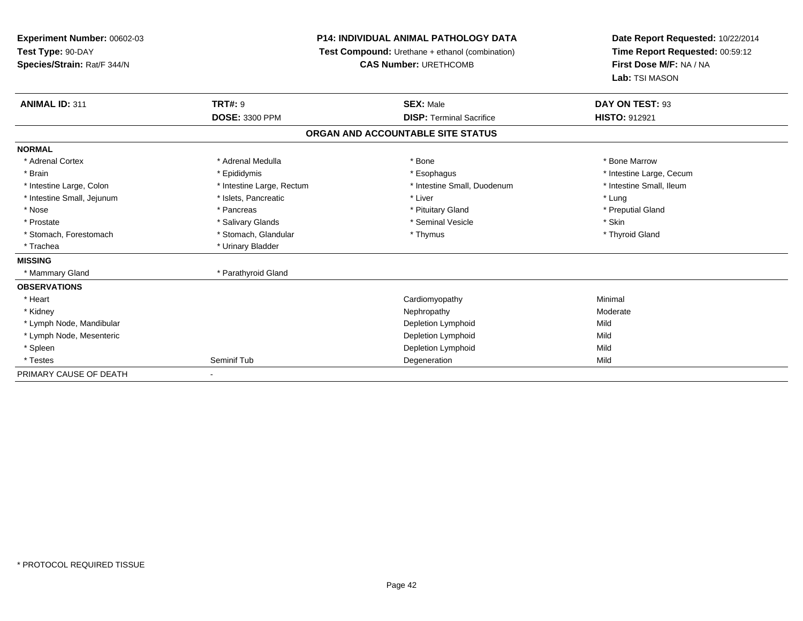# **P14: INDIVIDUAL ANIMAL PATHOLOGY DATA**

**Test Compound:** Urethane + ethanol (combination)

**CAS Number:** URETHCOMB

| <b>ANIMAL ID: 311</b>      | <b>TRT#: 9</b>            | <b>SEX: Male</b>                  | DAY ON TEST: 93          |
|----------------------------|---------------------------|-----------------------------------|--------------------------|
|                            | DOSE: 3300 PPM            | <b>DISP: Terminal Sacrifice</b>   | <b>HISTO: 912921</b>     |
|                            |                           | ORGAN AND ACCOUNTABLE SITE STATUS |                          |
| <b>NORMAL</b>              |                           |                                   |                          |
| * Adrenal Cortex           | * Adrenal Medulla         | * Bone                            | * Bone Marrow            |
| * Brain                    | * Epididymis              | * Esophagus                       | * Intestine Large, Cecum |
| * Intestine Large, Colon   | * Intestine Large, Rectum | * Intestine Small, Duodenum       | * Intestine Small, Ileum |
| * Intestine Small, Jejunum | * Islets, Pancreatic      | * Liver                           | * Lung                   |
| * Nose                     | * Pancreas                | * Pituitary Gland                 | * Preputial Gland        |
| * Prostate                 | * Salivary Glands         | * Seminal Vesicle                 | * Skin                   |
| * Stomach, Forestomach     | * Stomach, Glandular      | * Thymus                          | * Thyroid Gland          |
| * Trachea                  | * Urinary Bladder         |                                   |                          |
| <b>MISSING</b>             |                           |                                   |                          |
| * Mammary Gland            | * Parathyroid Gland       |                                   |                          |
| <b>OBSERVATIONS</b>        |                           |                                   |                          |
| * Heart                    |                           | Cardiomyopathy                    | Minimal                  |
| * Kidney                   |                           | Nephropathy                       | Moderate                 |
| * Lymph Node, Mandibular   |                           | Depletion Lymphoid                | Mild                     |
| * Lymph Node, Mesenteric   |                           | Depletion Lymphoid                | Mild                     |
| * Spleen                   |                           | Depletion Lymphoid                | Mild                     |
| * Testes                   | Seminif Tub               | Degeneration                      | Mild                     |
| PRIMARY CAUSE OF DEATH     | $\overline{\phantom{0}}$  |                                   |                          |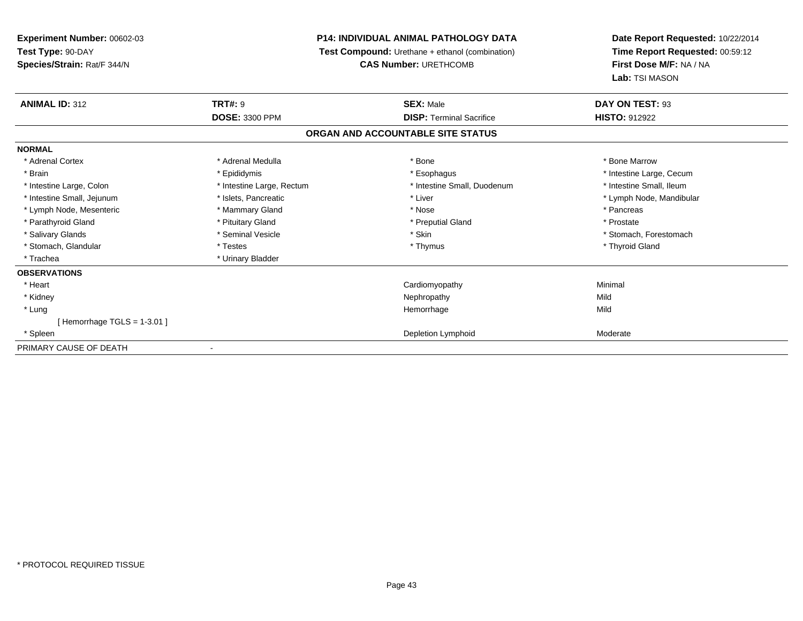# **P14: INDIVIDUAL ANIMAL PATHOLOGY DATA**

**Test Compound:** Urethane + ethanol (combination)

**CAS Number:** URETHCOMB

| <b>ANIMAL ID: 312</b>         | <b>TRT#: 9</b>            | <b>SEX: Male</b>                  | DAY ON TEST: 93          |
|-------------------------------|---------------------------|-----------------------------------|--------------------------|
|                               | <b>DOSE: 3300 PPM</b>     | <b>DISP: Terminal Sacrifice</b>   | <b>HISTO: 912922</b>     |
|                               |                           | ORGAN AND ACCOUNTABLE SITE STATUS |                          |
| <b>NORMAL</b>                 |                           |                                   |                          |
| * Adrenal Cortex              | * Adrenal Medulla         | * Bone                            | * Bone Marrow            |
| * Brain                       | * Epididymis              | * Esophagus                       | * Intestine Large, Cecum |
| * Intestine Large, Colon      | * Intestine Large, Rectum | * Intestine Small, Duodenum       | * Intestine Small, Ileum |
| * Intestine Small, Jejunum    | * Islets, Pancreatic      | * Liver                           | * Lymph Node, Mandibular |
| * Lymph Node, Mesenteric      | * Mammary Gland           | * Nose                            | * Pancreas               |
| * Parathyroid Gland           | * Pituitary Gland         | * Preputial Gland                 | * Prostate               |
| * Salivary Glands             | * Seminal Vesicle         | * Skin                            | * Stomach, Forestomach   |
| * Stomach, Glandular          | * Testes                  | * Thymus                          | * Thyroid Gland          |
| * Trachea                     | * Urinary Bladder         |                                   |                          |
| <b>OBSERVATIONS</b>           |                           |                                   |                          |
| * Heart                       |                           | Cardiomyopathy                    | Minimal                  |
| * Kidney                      |                           | Nephropathy                       | Mild                     |
| * Lung                        |                           | Hemorrhage                        | Mild                     |
| [Hemorrhage TGLS = $1-3.01$ ] |                           |                                   |                          |
| * Spleen                      |                           | Depletion Lymphoid                | Moderate                 |
| PRIMARY CAUSE OF DEATH        |                           |                                   |                          |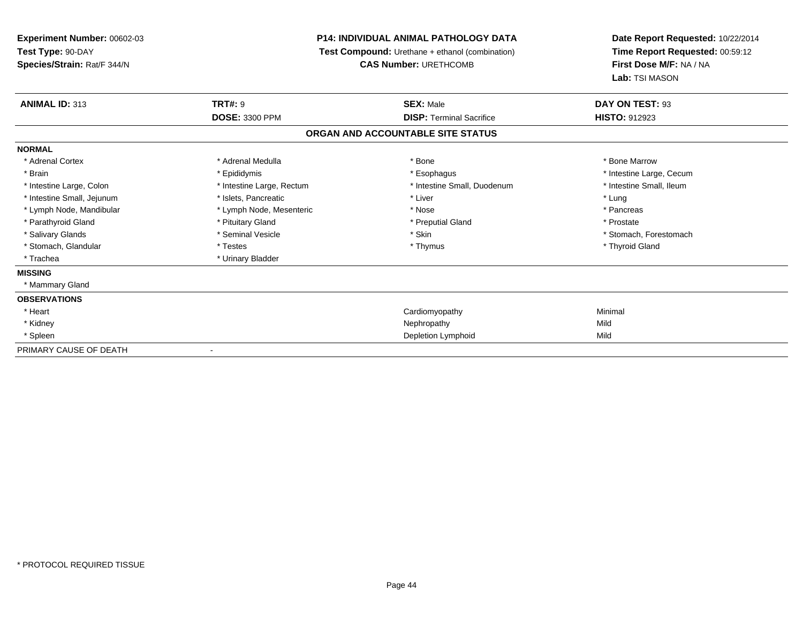# **P14: INDIVIDUAL ANIMAL PATHOLOGY DATA**

**Test Compound:** Urethane + ethanol (combination)

**CAS Number:** URETHCOMB

| <b>ANIMAL ID: 313</b>      | <b>TRT#: 9</b>            | <b>SEX: Male</b>                  | DAY ON TEST: 93          |  |
|----------------------------|---------------------------|-----------------------------------|--------------------------|--|
|                            | <b>DOSE: 3300 PPM</b>     | <b>DISP: Terminal Sacrifice</b>   | <b>HISTO: 912923</b>     |  |
|                            |                           | ORGAN AND ACCOUNTABLE SITE STATUS |                          |  |
| <b>NORMAL</b>              |                           |                                   |                          |  |
| * Adrenal Cortex           | * Adrenal Medulla         | * Bone                            | * Bone Marrow            |  |
| * Brain                    | * Epididymis              | * Esophagus                       | * Intestine Large, Cecum |  |
| * Intestine Large, Colon   | * Intestine Large, Rectum | * Intestine Small, Duodenum       | * Intestine Small, Ileum |  |
| * Intestine Small, Jejunum | * Islets, Pancreatic      | * Liver                           | * Lung                   |  |
| * Lymph Node, Mandibular   | * Lymph Node, Mesenteric  | * Nose                            | * Pancreas               |  |
| * Parathyroid Gland        | * Pituitary Gland         | * Preputial Gland                 | * Prostate               |  |
| * Salivary Glands          | * Seminal Vesicle         | * Skin                            | * Stomach, Forestomach   |  |
| * Stomach, Glandular       | * Testes                  | * Thymus                          | * Thyroid Gland          |  |
| * Trachea                  | * Urinary Bladder         |                                   |                          |  |
| <b>MISSING</b>             |                           |                                   |                          |  |
| * Mammary Gland            |                           |                                   |                          |  |
| <b>OBSERVATIONS</b>        |                           |                                   |                          |  |
| * Heart                    |                           | Cardiomyopathy                    | Minimal                  |  |
| * Kidney                   |                           | Nephropathy                       | Mild                     |  |
| * Spleen                   |                           | Depletion Lymphoid                | Mild                     |  |
| PRIMARY CAUSE OF DEATH     | ۰                         |                                   |                          |  |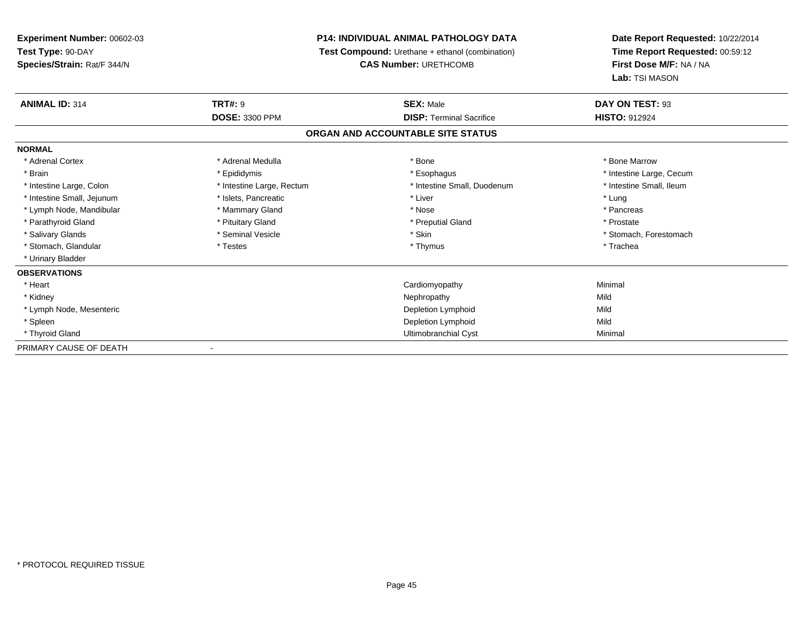# **P14: INDIVIDUAL ANIMAL PATHOLOGY DATA**

**Test Compound:** Urethane + ethanol (combination)

**CAS Number:** URETHCOMB

| <b>ANIMAL ID: 314</b>      | <b>TRT#: 9</b>            | <b>SEX: Male</b>                  | DAY ON TEST: 93          |  |
|----------------------------|---------------------------|-----------------------------------|--------------------------|--|
|                            | <b>DOSE: 3300 PPM</b>     | <b>DISP: Terminal Sacrifice</b>   | HISTO: 912924            |  |
|                            |                           | ORGAN AND ACCOUNTABLE SITE STATUS |                          |  |
| <b>NORMAL</b>              |                           |                                   |                          |  |
| * Adrenal Cortex           | * Adrenal Medulla         | * Bone                            | * Bone Marrow            |  |
| * Brain                    | * Epididymis              | * Esophagus                       | * Intestine Large, Cecum |  |
| * Intestine Large, Colon   | * Intestine Large, Rectum | * Intestine Small, Duodenum       | * Intestine Small, Ileum |  |
| * Intestine Small, Jejunum | * Islets, Pancreatic      | * Liver                           | * Lung                   |  |
| * Lymph Node, Mandibular   | * Mammary Gland           | * Nose                            | * Pancreas               |  |
| * Parathyroid Gland        | * Pituitary Gland         | * Preputial Gland                 | * Prostate               |  |
| * Salivary Glands          | * Seminal Vesicle         | * Skin                            | * Stomach, Forestomach   |  |
| * Stomach, Glandular       | * Testes                  | * Thymus                          | * Trachea                |  |
| * Urinary Bladder          |                           |                                   |                          |  |
| <b>OBSERVATIONS</b>        |                           |                                   |                          |  |
| * Heart                    |                           | Cardiomyopathy                    | Minimal                  |  |
| * Kidney                   |                           | Nephropathy                       | Mild                     |  |
| * Lymph Node, Mesenteric   |                           | Depletion Lymphoid                | Mild                     |  |
| * Spleen                   |                           | Depletion Lymphoid                | Mild                     |  |
| * Thyroid Gland            |                           | Ultimobranchial Cyst              | Minimal                  |  |
| PRIMARY CAUSE OF DEATH     |                           |                                   |                          |  |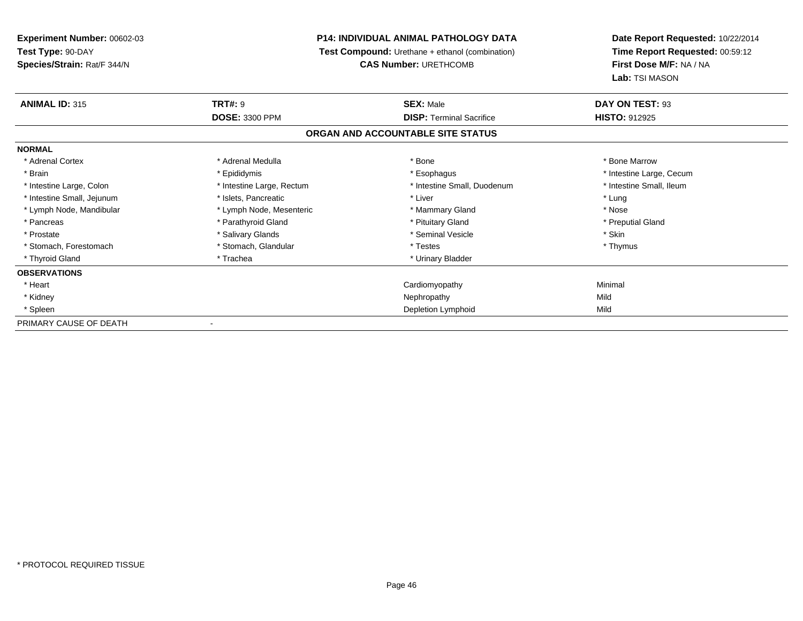# **P14: INDIVIDUAL ANIMAL PATHOLOGY DATA**

**Test Compound:** Urethane + ethanol (combination)

**CAS Number:** URETHCOMB

| <b>ANIMAL ID: 315</b>      | <b>TRT#: 9</b>            | <b>SEX: Male</b>                  | DAY ON TEST: 93          |
|----------------------------|---------------------------|-----------------------------------|--------------------------|
|                            | <b>DOSE: 3300 PPM</b>     | <b>DISP:</b> Terminal Sacrifice   | <b>HISTO: 912925</b>     |
|                            |                           | ORGAN AND ACCOUNTABLE SITE STATUS |                          |
| <b>NORMAL</b>              |                           |                                   |                          |
| * Adrenal Cortex           | * Adrenal Medulla         | * Bone                            | * Bone Marrow            |
| * Brain                    | * Epididymis              | * Esophagus                       | * Intestine Large, Cecum |
| * Intestine Large, Colon   | * Intestine Large, Rectum | * Intestine Small, Duodenum       | * Intestine Small, Ileum |
| * Intestine Small, Jejunum | * Islets, Pancreatic      | * Liver                           | * Lung                   |
| * Lymph Node, Mandibular   | * Lymph Node, Mesenteric  | * Mammary Gland                   | * Nose                   |
| * Pancreas                 | * Parathyroid Gland       | * Pituitary Gland                 | * Preputial Gland        |
| * Prostate                 | * Salivary Glands         | * Seminal Vesicle                 | * Skin                   |
| * Stomach, Forestomach     | * Stomach, Glandular      | * Testes                          | * Thymus                 |
| * Thyroid Gland            | * Trachea                 | * Urinary Bladder                 |                          |
| <b>OBSERVATIONS</b>        |                           |                                   |                          |
| * Heart                    |                           | Cardiomyopathy                    | Minimal                  |
| * Kidney                   |                           | Nephropathy                       | Mild                     |
| * Spleen                   |                           | Depletion Lymphoid                | Mild                     |
| PRIMARY CAUSE OF DEATH     |                           |                                   |                          |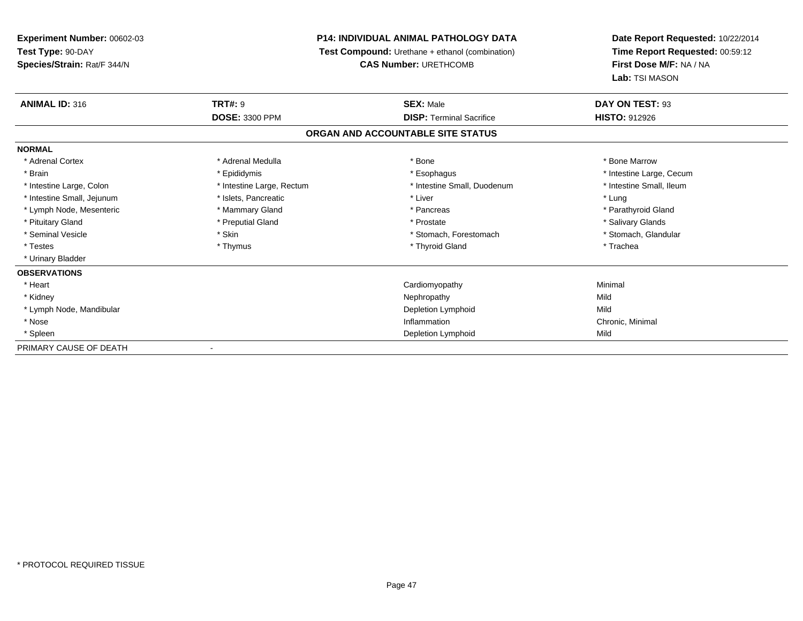# **P14: INDIVIDUAL ANIMAL PATHOLOGY DATA**

**Test Compound:** Urethane + ethanol (combination)

**CAS Number:** URETHCOMB

| <b>ANIMAL ID: 316</b>      | <b>TRT#: 9</b>            | <b>SEX: Male</b>                  | DAY ON TEST: 93          |
|----------------------------|---------------------------|-----------------------------------|--------------------------|
|                            | <b>DOSE: 3300 PPM</b>     | <b>DISP: Terminal Sacrifice</b>   | <b>HISTO: 912926</b>     |
|                            |                           | ORGAN AND ACCOUNTABLE SITE STATUS |                          |
| <b>NORMAL</b>              |                           |                                   |                          |
| * Adrenal Cortex           | * Adrenal Medulla         | * Bone                            | * Bone Marrow            |
| * Brain                    | * Epididymis              | * Esophagus                       | * Intestine Large, Cecum |
| * Intestine Large, Colon   | * Intestine Large, Rectum | * Intestine Small, Duodenum       | * Intestine Small, Ileum |
| * Intestine Small, Jejunum | * Islets, Pancreatic      | * Liver                           | * Lung                   |
| * Lymph Node, Mesenteric   | * Mammary Gland           | * Pancreas                        | * Parathyroid Gland      |
| * Pituitary Gland          | * Preputial Gland         | * Prostate                        | * Salivary Glands        |
| * Seminal Vesicle          | * Skin                    | * Stomach, Forestomach            | * Stomach, Glandular     |
| * Testes                   | * Thymus                  | * Thyroid Gland                   | * Trachea                |
| * Urinary Bladder          |                           |                                   |                          |
| <b>OBSERVATIONS</b>        |                           |                                   |                          |
| * Heart                    |                           | Cardiomyopathy                    | Minimal                  |
| * Kidney                   |                           | Nephropathy                       | Mild                     |
| * Lymph Node, Mandibular   |                           | Depletion Lymphoid                | Mild                     |
| * Nose                     |                           | Inflammation                      | Chronic, Minimal         |
| * Spleen                   |                           | Depletion Lymphoid                | Mild                     |
| PRIMARY CAUSE OF DEATH     |                           |                                   |                          |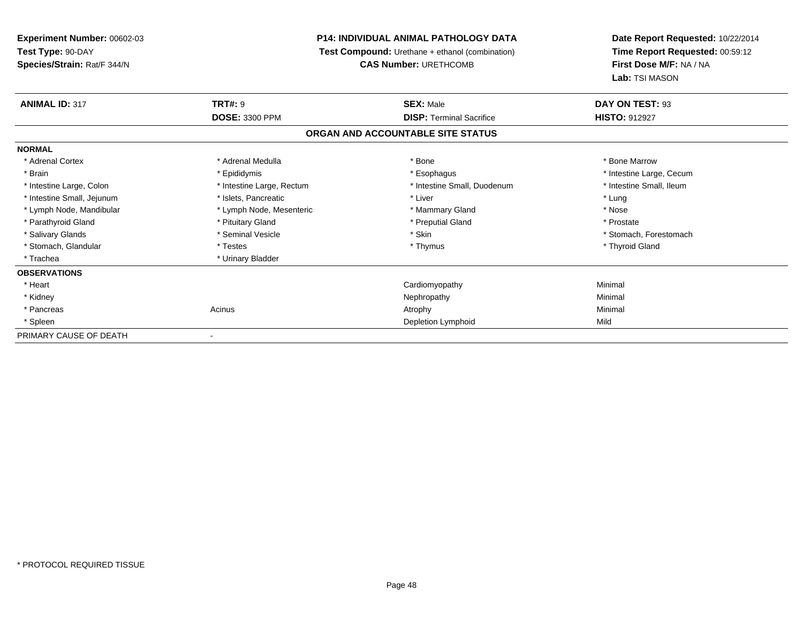# **P14: INDIVIDUAL ANIMAL PATHOLOGY DATA**

**Test Compound:** Urethane + ethanol (combination)

**CAS Number:** URETHCOMB

| <b>ANIMAL ID: 317</b>      | <b>TRT#: 9</b>            | <b>SEX: Male</b>                  | DAY ON TEST: 93          |  |
|----------------------------|---------------------------|-----------------------------------|--------------------------|--|
|                            | <b>DOSE: 3300 PPM</b>     | <b>DISP: Terminal Sacrifice</b>   | <b>HISTO: 912927</b>     |  |
|                            |                           | ORGAN AND ACCOUNTABLE SITE STATUS |                          |  |
| <b>NORMAL</b>              |                           |                                   |                          |  |
| * Adrenal Cortex           | * Adrenal Medulla         | * Bone                            | * Bone Marrow            |  |
| * Brain                    | * Epididymis              | * Esophagus                       | * Intestine Large, Cecum |  |
| * Intestine Large, Colon   | * Intestine Large, Rectum | * Intestine Small, Duodenum       | * Intestine Small, Ileum |  |
| * Intestine Small, Jejunum | * Islets, Pancreatic      | * Liver                           | * Lung                   |  |
| * Lymph Node, Mandibular   | * Lymph Node, Mesenteric  | * Mammary Gland                   | * Nose                   |  |
| * Parathyroid Gland        | * Pituitary Gland         | * Preputial Gland                 | * Prostate               |  |
| * Salivary Glands          | * Seminal Vesicle         | * Skin                            | * Stomach, Forestomach   |  |
| * Stomach, Glandular       | * Testes                  | * Thymus                          | * Thyroid Gland          |  |
| * Trachea                  | * Urinary Bladder         |                                   |                          |  |
| <b>OBSERVATIONS</b>        |                           |                                   |                          |  |
| * Heart                    |                           | Cardiomyopathy                    | Minimal                  |  |
| * Kidney                   |                           | Nephropathy                       | Minimal                  |  |
| * Pancreas                 | Acinus                    | Atrophy                           | Minimal                  |  |
| * Spleen                   |                           | Depletion Lymphoid                | Mild                     |  |
| PRIMARY CAUSE OF DEATH     | ۰                         |                                   |                          |  |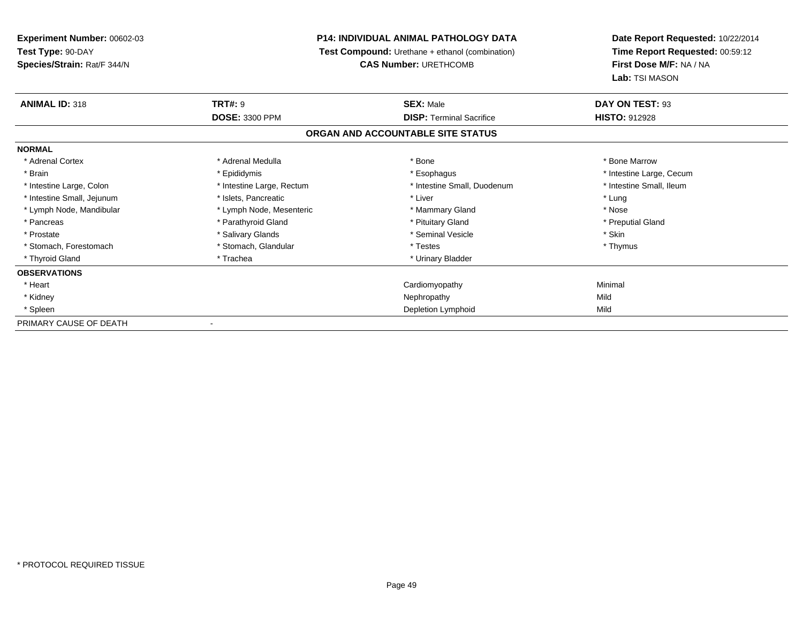# **P14: INDIVIDUAL ANIMAL PATHOLOGY DATA**

**Test Compound:** Urethane + ethanol (combination)

**CAS Number:** URETHCOMB

| <b>ANIMAL ID: 318</b>      | <b>TRT#: 9</b>            | <b>SEX: Male</b>                  | DAY ON TEST: 93          |
|----------------------------|---------------------------|-----------------------------------|--------------------------|
|                            | <b>DOSE: 3300 PPM</b>     | <b>DISP: Terminal Sacrifice</b>   | <b>HISTO: 912928</b>     |
|                            |                           | ORGAN AND ACCOUNTABLE SITE STATUS |                          |
| <b>NORMAL</b>              |                           |                                   |                          |
| * Adrenal Cortex           | * Adrenal Medulla         | * Bone                            | * Bone Marrow            |
| * Brain                    | * Epididymis              | * Esophagus                       | * Intestine Large, Cecum |
| * Intestine Large, Colon   | * Intestine Large, Rectum | * Intestine Small, Duodenum       | * Intestine Small, Ileum |
| * Intestine Small, Jejunum | * Islets, Pancreatic      | * Liver                           | * Lung                   |
| * Lymph Node, Mandibular   | * Lymph Node, Mesenteric  | * Mammary Gland                   | * Nose                   |
| * Pancreas                 | * Parathyroid Gland       | * Pituitary Gland                 | * Preputial Gland        |
| * Prostate                 | * Salivary Glands         | * Seminal Vesicle                 | * Skin                   |
| * Stomach, Forestomach     | * Stomach, Glandular      | * Testes                          | * Thymus                 |
| * Thyroid Gland            | * Trachea                 | * Urinary Bladder                 |                          |
| <b>OBSERVATIONS</b>        |                           |                                   |                          |
| * Heart                    |                           | Cardiomyopathy                    | Minimal                  |
| * Kidney                   |                           | Nephropathy                       | Mild                     |
| * Spleen                   |                           | Depletion Lymphoid                | Mild                     |
| PRIMARY CAUSE OF DEATH     | $\overline{\phantom{a}}$  |                                   |                          |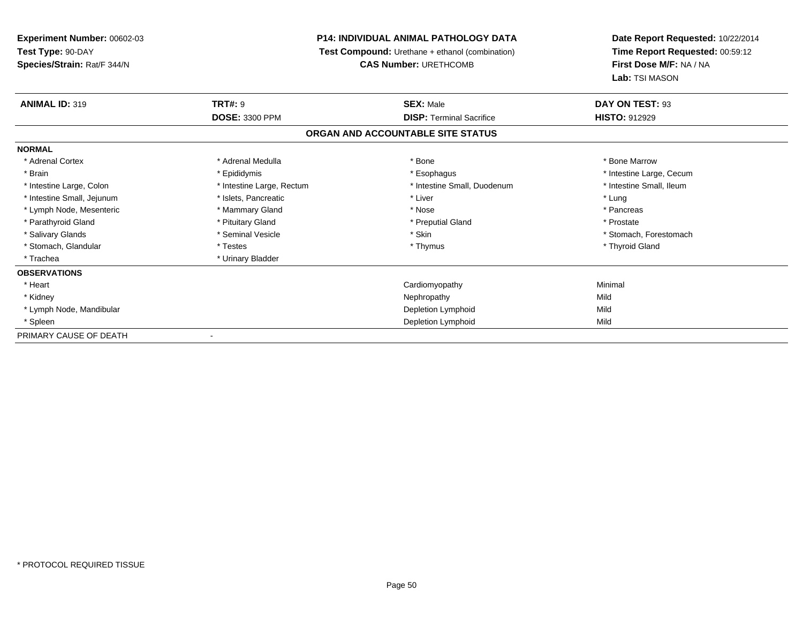# **P14: INDIVIDUAL ANIMAL PATHOLOGY DATA**

**Test Compound:** Urethane + ethanol (combination)

**CAS Number:** URETHCOMB

| <b>ANIMAL ID: 319</b>      | <b>TRT#: 9</b>            | <b>SEX: Male</b>                  | DAY ON TEST: 93          |
|----------------------------|---------------------------|-----------------------------------|--------------------------|
|                            | <b>DOSE: 3300 PPM</b>     | <b>DISP:</b> Terminal Sacrifice   | <b>HISTO: 912929</b>     |
|                            |                           | ORGAN AND ACCOUNTABLE SITE STATUS |                          |
| <b>NORMAL</b>              |                           |                                   |                          |
| * Adrenal Cortex           | * Adrenal Medulla         | * Bone                            | * Bone Marrow            |
| * Brain                    | * Epididymis              | * Esophagus                       | * Intestine Large, Cecum |
| * Intestine Large, Colon   | * Intestine Large, Rectum | * Intestine Small, Duodenum       | * Intestine Small, Ileum |
| * Intestine Small, Jejunum | * Islets, Pancreatic      | * Liver                           | * Lung                   |
| * Lymph Node, Mesenteric   | * Mammary Gland           | * Nose                            | * Pancreas               |
| * Parathyroid Gland        | * Pituitary Gland         | * Preputial Gland                 | * Prostate               |
| * Salivary Glands          | * Seminal Vesicle         | * Skin                            | * Stomach, Forestomach   |
| * Stomach, Glandular       | * Testes                  | * Thymus                          | * Thyroid Gland          |
| * Trachea                  | * Urinary Bladder         |                                   |                          |
| <b>OBSERVATIONS</b>        |                           |                                   |                          |
| * Heart                    |                           | Cardiomyopathy                    | Minimal                  |
| * Kidney                   |                           | Nephropathy                       | Mild                     |
| * Lymph Node, Mandibular   |                           | Depletion Lymphoid                | Mild                     |
| * Spleen                   |                           | Depletion Lymphoid                | Mild                     |
| PRIMARY CAUSE OF DEATH     |                           |                                   |                          |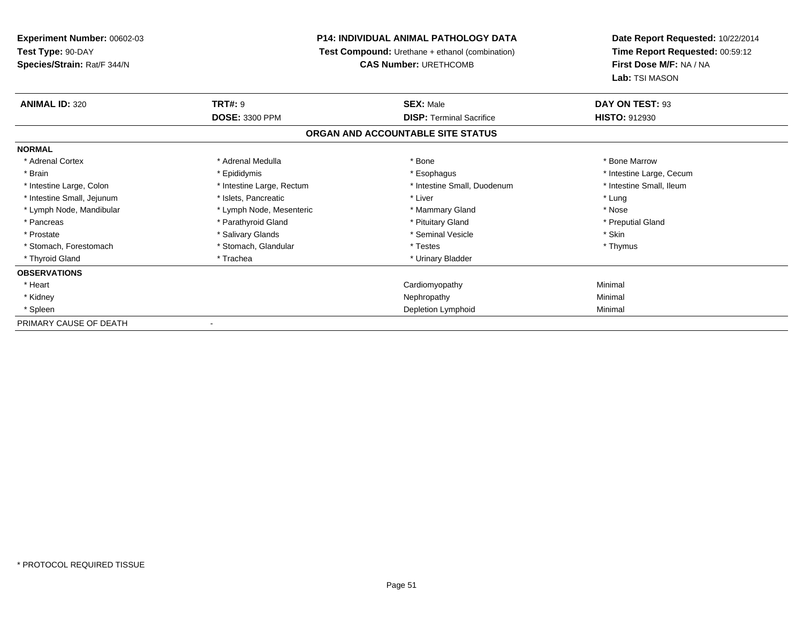# **P14: INDIVIDUAL ANIMAL PATHOLOGY DATA**

**Test Compound:** Urethane + ethanol (combination)

**CAS Number:** URETHCOMB

| <b>ANIMAL ID: 320</b>      | <b>TRT#: 9</b>            | <b>SEX: Male</b>                  | DAY ON TEST: 93          |
|----------------------------|---------------------------|-----------------------------------|--------------------------|
|                            | <b>DOSE: 3300 PPM</b>     | <b>DISP:</b> Terminal Sacrifice   | <b>HISTO: 912930</b>     |
|                            |                           | ORGAN AND ACCOUNTABLE SITE STATUS |                          |
| <b>NORMAL</b>              |                           |                                   |                          |
| * Adrenal Cortex           | * Adrenal Medulla         | * Bone                            | * Bone Marrow            |
| * Brain                    | * Epididymis              | * Esophagus                       | * Intestine Large, Cecum |
| * Intestine Large, Colon   | * Intestine Large, Rectum | * Intestine Small, Duodenum       | * Intestine Small, Ileum |
| * Intestine Small, Jejunum | * Islets, Pancreatic      | * Liver                           | * Lung                   |
| * Lymph Node, Mandibular   | * Lymph Node, Mesenteric  | * Mammary Gland                   | * Nose                   |
| * Pancreas                 | * Parathyroid Gland       | * Pituitary Gland                 | * Preputial Gland        |
| * Prostate                 | * Salivary Glands         | * Seminal Vesicle                 | * Skin                   |
| * Stomach, Forestomach     | * Stomach, Glandular      | * Testes                          | * Thymus                 |
| * Thyroid Gland            | * Trachea                 | * Urinary Bladder                 |                          |
| <b>OBSERVATIONS</b>        |                           |                                   |                          |
| * Heart                    |                           | Cardiomyopathy                    | Minimal                  |
| * Kidney                   |                           | Nephropathy                       | Minimal                  |
| * Spleen                   |                           | Depletion Lymphoid                | Minimal                  |
| PRIMARY CAUSE OF DEATH     |                           |                                   |                          |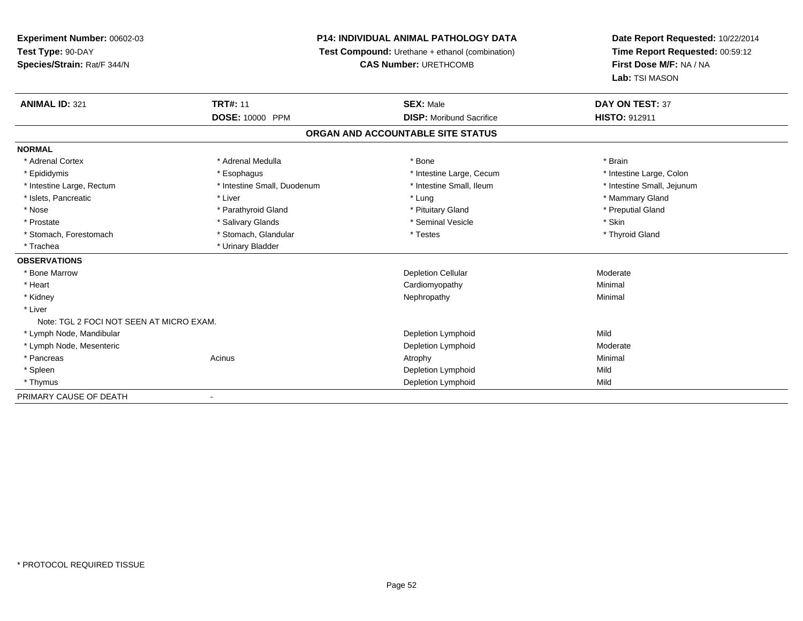# **P14: INDIVIDUAL ANIMAL PATHOLOGY DATA**

**Test Compound:** Urethane + ethanol (combination)

**CAS Number:** URETHCOMB

| <b>ANIMAL ID: 321</b>                    | <b>TRT#: 11</b>             | <b>SEX: Male</b>                  | <b>DAY ON TEST: 37</b>     |
|------------------------------------------|-----------------------------|-----------------------------------|----------------------------|
|                                          | <b>DOSE: 10000 PPM</b>      | <b>DISP:</b> Moribund Sacrifice   | HISTO: 912911              |
|                                          |                             | ORGAN AND ACCOUNTABLE SITE STATUS |                            |
| <b>NORMAL</b>                            |                             |                                   |                            |
| * Adrenal Cortex                         | * Adrenal Medulla           | * Bone                            | * Brain                    |
| * Epididymis                             | * Esophagus                 | * Intestine Large, Cecum          | * Intestine Large, Colon   |
| * Intestine Large, Rectum                | * Intestine Small, Duodenum | * Intestine Small, Ileum          | * Intestine Small, Jejunum |
| * Islets, Pancreatic                     | * Liver                     | * Lung                            | * Mammary Gland            |
| * Nose                                   | * Parathyroid Gland         | * Pituitary Gland                 | * Preputial Gland          |
| * Prostate                               | * Salivary Glands           | * Seminal Vesicle                 | * Skin                     |
| * Stomach, Forestomach                   | * Stomach, Glandular        | * Testes                          | * Thyroid Gland            |
| * Trachea                                | * Urinary Bladder           |                                   |                            |
| <b>OBSERVATIONS</b>                      |                             |                                   |                            |
| * Bone Marrow                            |                             | <b>Depletion Cellular</b>         | Moderate                   |
| * Heart                                  |                             | Cardiomyopathy                    | Minimal                    |
| * Kidney                                 |                             | Nephropathy                       | Minimal                    |
| * Liver                                  |                             |                                   |                            |
| Note: TGL 2 FOCI NOT SEEN AT MICRO EXAM. |                             |                                   |                            |
| * Lymph Node, Mandibular                 |                             | Depletion Lymphoid                | Mild                       |
| * Lymph Node, Mesenteric                 |                             | Depletion Lymphoid                | Moderate                   |
| * Pancreas                               | Acinus                      | Atrophy                           | Minimal                    |
| * Spleen                                 |                             | Depletion Lymphoid                | Mild                       |
| * Thymus                                 |                             | Depletion Lymphoid                | Mild                       |
| PRIMARY CAUSE OF DEATH                   | $\overline{\phantom{a}}$    |                                   |                            |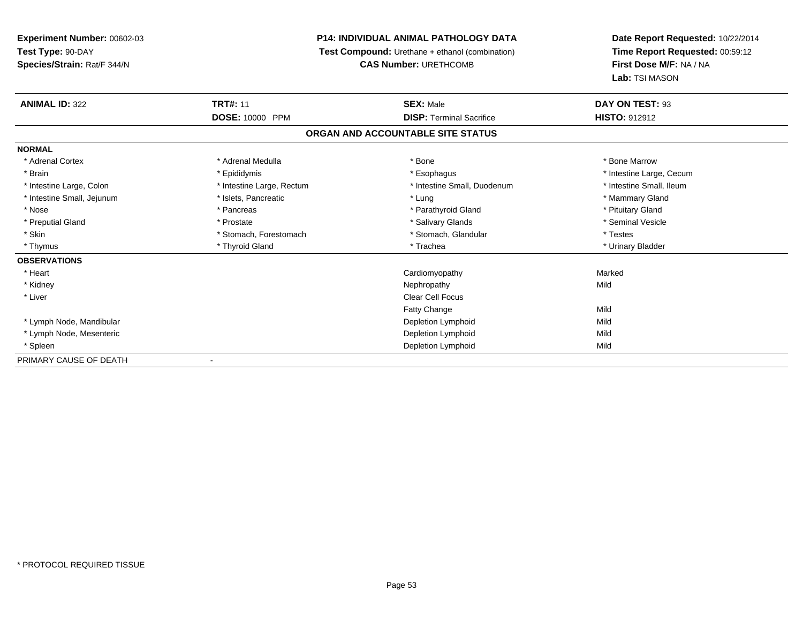# **P14: INDIVIDUAL ANIMAL PATHOLOGY DATA**

**Test Compound:** Urethane + ethanol (combination)

**CAS Number:** URETHCOMB

| <b>ANIMAL ID: 322</b>      | <b>TRT#: 11</b>           | <b>SEX: Male</b>                  | DAY ON TEST: 93          |  |
|----------------------------|---------------------------|-----------------------------------|--------------------------|--|
|                            | DOSE: 10000 PPM           | <b>DISP: Terminal Sacrifice</b>   | <b>HISTO: 912912</b>     |  |
|                            |                           | ORGAN AND ACCOUNTABLE SITE STATUS |                          |  |
| <b>NORMAL</b>              |                           |                                   |                          |  |
| * Adrenal Cortex           | * Adrenal Medulla         | * Bone                            | * Bone Marrow            |  |
| * Brain                    | * Epididymis              | * Esophagus                       | * Intestine Large, Cecum |  |
| * Intestine Large, Colon   | * Intestine Large, Rectum | * Intestine Small, Duodenum       | * Intestine Small, Ileum |  |
| * Intestine Small, Jejunum | * Islets, Pancreatic      | * Lung                            | * Mammary Gland          |  |
| * Nose                     | * Pancreas                | * Parathyroid Gland               | * Pituitary Gland        |  |
| * Preputial Gland          | * Prostate                | * Salivary Glands                 | * Seminal Vesicle        |  |
| * Skin                     | * Stomach, Forestomach    | * Stomach, Glandular              | * Testes                 |  |
| * Thymus                   | * Thyroid Gland           | * Trachea                         | * Urinary Bladder        |  |
| <b>OBSERVATIONS</b>        |                           |                                   |                          |  |
| * Heart                    |                           | Cardiomyopathy                    | Marked                   |  |
| * Kidney                   |                           | Nephropathy                       | Mild                     |  |
| * Liver                    |                           | <b>Clear Cell Focus</b>           |                          |  |
|                            |                           | Fatty Change                      | Mild                     |  |
| * Lymph Node, Mandibular   |                           | Depletion Lymphoid                | Mild                     |  |
| * Lymph Node, Mesenteric   |                           | Depletion Lymphoid                | Mild                     |  |
| * Spleen                   |                           | Depletion Lymphoid                | Mild                     |  |
| PRIMARY CAUSE OF DEATH     |                           |                                   |                          |  |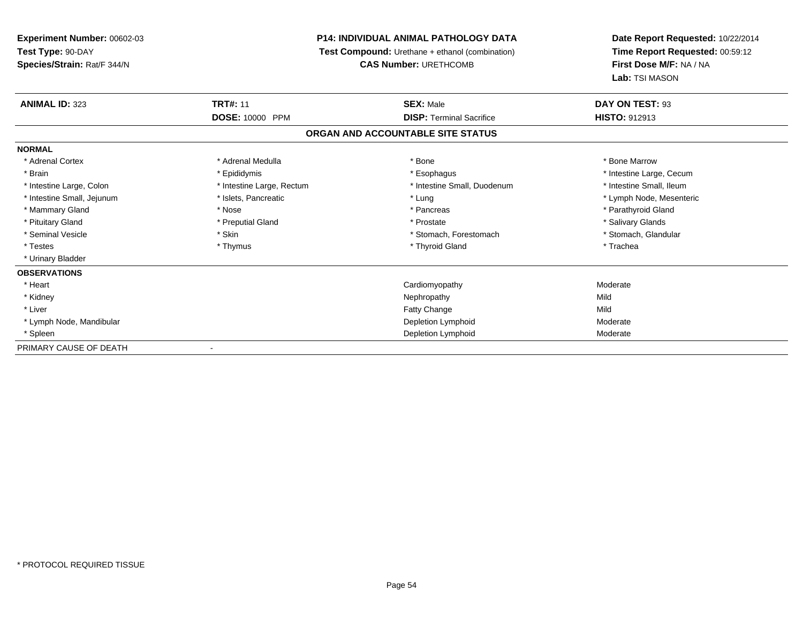# **P14: INDIVIDUAL ANIMAL PATHOLOGY DATA**

**Test Compound:** Urethane + ethanol (combination)

**CAS Number:** URETHCOMB

| <b>ANIMAL ID: 323</b>      | <b>TRT#: 11</b><br><b>DOSE: 10000 PPM</b> | <b>SEX: Male</b><br><b>DISP: Terminal Sacrifice</b> | DAY ON TEST: 93          |
|----------------------------|-------------------------------------------|-----------------------------------------------------|--------------------------|
|                            |                                           |                                                     | <b>HISTO: 912913</b>     |
|                            |                                           | ORGAN AND ACCOUNTABLE SITE STATUS                   |                          |
| <b>NORMAL</b>              |                                           |                                                     |                          |
| * Adrenal Cortex           | * Adrenal Medulla                         | * Bone                                              | * Bone Marrow            |
| * Brain                    | * Epididymis                              | * Esophagus                                         | * Intestine Large, Cecum |
| * Intestine Large, Colon   | * Intestine Large, Rectum                 | * Intestine Small, Duodenum                         | * Intestine Small, Ileum |
| * Intestine Small, Jejunum | * Islets, Pancreatic                      | * Lung                                              | * Lymph Node, Mesenteric |
| * Mammary Gland            | * Nose                                    | * Pancreas                                          | * Parathyroid Gland      |
| * Pituitary Gland          | * Preputial Gland                         | * Prostate                                          | * Salivary Glands        |
| * Seminal Vesicle          | * Skin                                    | * Stomach, Forestomach                              | * Stomach, Glandular     |
| * Testes                   | * Thymus                                  | * Thyroid Gland                                     | * Trachea                |
| * Urinary Bladder          |                                           |                                                     |                          |
| <b>OBSERVATIONS</b>        |                                           |                                                     |                          |
| * Heart                    |                                           | Cardiomyopathy                                      | Moderate                 |
| * Kidney                   |                                           | Nephropathy                                         | Mild                     |
| * Liver                    |                                           | <b>Fatty Change</b>                                 | Mild                     |
| * Lymph Node, Mandibular   |                                           | Depletion Lymphoid                                  | Moderate                 |
| * Spleen                   |                                           | Depletion Lymphoid                                  | Moderate                 |
| PRIMARY CAUSE OF DEATH     |                                           |                                                     |                          |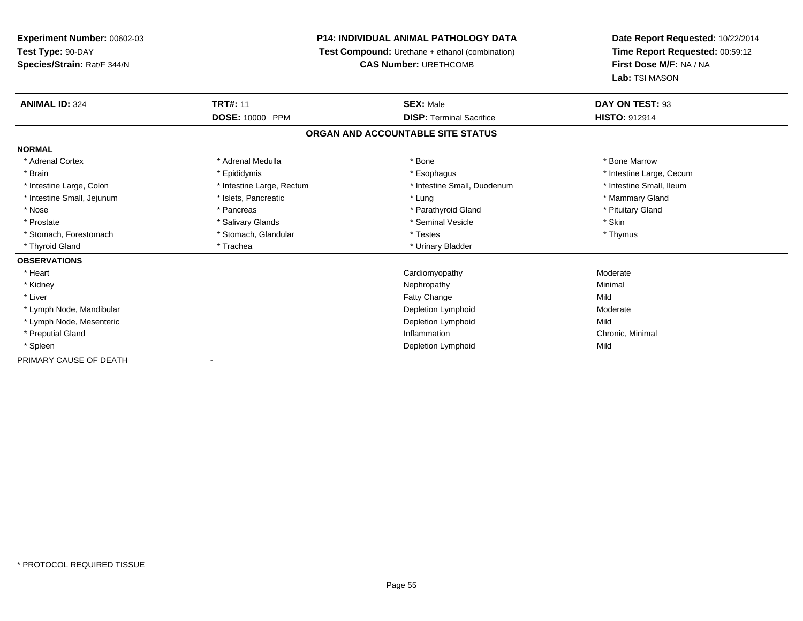# **P14: INDIVIDUAL ANIMAL PATHOLOGY DATA**

**Test Compound:** Urethane + ethanol (combination)

**CAS Number:** URETHCOMB

| <b>ANIMAL ID: 324</b>      | <b>TRT#: 11</b>           | <b>SEX: Male</b>                  | DAY ON TEST: 93          |  |
|----------------------------|---------------------------|-----------------------------------|--------------------------|--|
|                            | DOSE: 10000 PPM           | <b>DISP: Terminal Sacrifice</b>   | HISTO: 912914            |  |
|                            |                           | ORGAN AND ACCOUNTABLE SITE STATUS |                          |  |
| <b>NORMAL</b>              |                           |                                   |                          |  |
| * Adrenal Cortex           | * Adrenal Medulla         | * Bone                            | * Bone Marrow            |  |
| * Brain                    | * Epididymis              | * Esophagus                       | * Intestine Large, Cecum |  |
| * Intestine Large, Colon   | * Intestine Large, Rectum | * Intestine Small, Duodenum       | * Intestine Small, Ileum |  |
| * Intestine Small, Jejunum | * Islets, Pancreatic      | * Lung                            | * Mammary Gland          |  |
| * Nose                     | * Pancreas                | * Parathyroid Gland               | * Pituitary Gland        |  |
| * Prostate                 | * Salivary Glands         | * Seminal Vesicle                 | * Skin                   |  |
| * Stomach, Forestomach     | * Stomach, Glandular      | * Testes                          | * Thymus                 |  |
| * Thyroid Gland            | * Trachea                 | * Urinary Bladder                 |                          |  |
| <b>OBSERVATIONS</b>        |                           |                                   |                          |  |
| * Heart                    |                           | Cardiomyopathy                    | Moderate                 |  |
| * Kidney                   |                           | Nephropathy                       | Minimal                  |  |
| * Liver                    |                           | Fatty Change                      | Mild                     |  |
| * Lymph Node, Mandibular   |                           | Depletion Lymphoid                | Moderate                 |  |
| * Lymph Node, Mesenteric   |                           | Depletion Lymphoid                | Mild                     |  |
| * Preputial Gland          |                           | Inflammation                      | Chronic, Minimal         |  |
| * Spleen                   |                           | Depletion Lymphoid                | Mild                     |  |
| PRIMARY CAUSE OF DEATH     |                           |                                   |                          |  |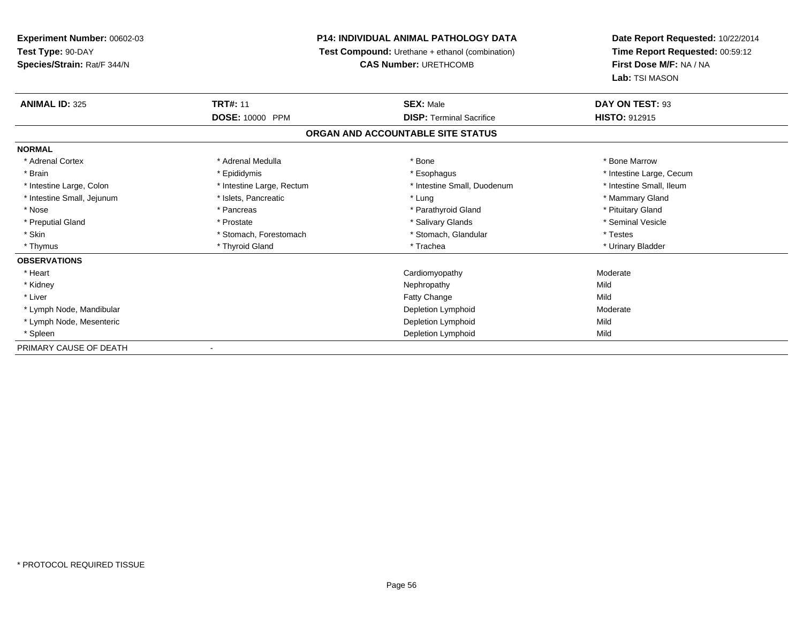# **P14: INDIVIDUAL ANIMAL PATHOLOGY DATA**

**Test Compound:** Urethane + ethanol (combination)

**CAS Number:** URETHCOMB

| <b>ANIMAL ID: 325</b>      | <b>TRT#: 11</b>           | <b>SEX: Male</b>                  | DAY ON TEST: 93          |
|----------------------------|---------------------------|-----------------------------------|--------------------------|
|                            | <b>DOSE: 10000 PPM</b>    | <b>DISP: Terminal Sacrifice</b>   | <b>HISTO: 912915</b>     |
|                            |                           | ORGAN AND ACCOUNTABLE SITE STATUS |                          |
| <b>NORMAL</b>              |                           |                                   |                          |
| * Adrenal Cortex           | * Adrenal Medulla         | * Bone                            | * Bone Marrow            |
| * Brain                    | * Epididymis              | * Esophagus                       | * Intestine Large, Cecum |
| * Intestine Large, Colon   | * Intestine Large, Rectum | * Intestine Small, Duodenum       | * Intestine Small, Ileum |
| * Intestine Small, Jejunum | * Islets, Pancreatic      | * Lung                            | * Mammary Gland          |
| * Nose                     | * Pancreas                | * Parathyroid Gland               | * Pituitary Gland        |
| * Preputial Gland          | * Prostate                | * Salivary Glands                 | * Seminal Vesicle        |
| * Skin                     | * Stomach, Forestomach    | * Stomach, Glandular              | * Testes                 |
| * Thymus                   | * Thyroid Gland           | * Trachea                         | * Urinary Bladder        |
| <b>OBSERVATIONS</b>        |                           |                                   |                          |
| * Heart                    |                           | Cardiomyopathy                    | Moderate                 |
| * Kidney                   |                           | Nephropathy                       | Mild                     |
| * Liver                    |                           | <b>Fatty Change</b>               | Mild                     |
| * Lymph Node, Mandibular   |                           | Depletion Lymphoid                | Moderate                 |
| * Lymph Node, Mesenteric   |                           | Depletion Lymphoid                | Mild                     |
| * Spleen                   |                           | Depletion Lymphoid                | Mild                     |
| PRIMARY CAUSE OF DEATH     |                           |                                   |                          |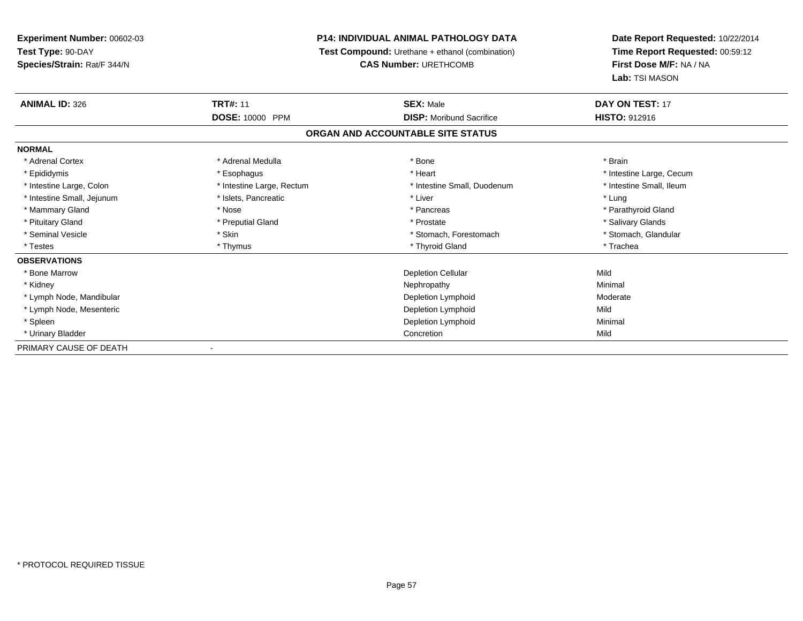# **P14: INDIVIDUAL ANIMAL PATHOLOGY DATA**

**Test Compound:** Urethane + ethanol (combination)

**CAS Number:** URETHCOMB

| <b>ANIMAL ID: 326</b>      | <b>TRT#: 11</b>           | <b>SEX: Male</b>                  | DAY ON TEST: 17          |  |
|----------------------------|---------------------------|-----------------------------------|--------------------------|--|
|                            | <b>DOSE: 10000 PPM</b>    | <b>DISP:</b> Moribund Sacrifice   | <b>HISTO: 912916</b>     |  |
|                            |                           | ORGAN AND ACCOUNTABLE SITE STATUS |                          |  |
| <b>NORMAL</b>              |                           |                                   |                          |  |
| * Adrenal Cortex           | * Adrenal Medulla         | * Bone                            | * Brain                  |  |
| * Epididymis               | * Esophagus               | * Heart                           | * Intestine Large, Cecum |  |
| * Intestine Large, Colon   | * Intestine Large, Rectum | * Intestine Small, Duodenum       | * Intestine Small, Ileum |  |
| * Intestine Small, Jejunum | * Islets, Pancreatic      | * Liver                           | * Lung                   |  |
| * Mammary Gland            | * Nose                    | * Pancreas                        | * Parathyroid Gland      |  |
| * Pituitary Gland          | * Preputial Gland         | * Prostate                        | * Salivary Glands        |  |
| * Seminal Vesicle          | * Skin                    | * Stomach, Forestomach            | * Stomach, Glandular     |  |
| * Testes                   | * Thymus                  | * Thyroid Gland                   | * Trachea                |  |
| <b>OBSERVATIONS</b>        |                           |                                   |                          |  |
| * Bone Marrow              |                           | <b>Depletion Cellular</b>         | Mild                     |  |
| * Kidney                   |                           | Nephropathy                       | Minimal                  |  |
| * Lymph Node, Mandibular   |                           | Depletion Lymphoid                | Moderate                 |  |
| * Lymph Node, Mesenteric   |                           | Depletion Lymphoid                | Mild                     |  |
| * Spleen                   |                           | Depletion Lymphoid                | Minimal                  |  |
| * Urinary Bladder          |                           | Concretion                        | Mild                     |  |
| PRIMARY CAUSE OF DEATH     |                           |                                   |                          |  |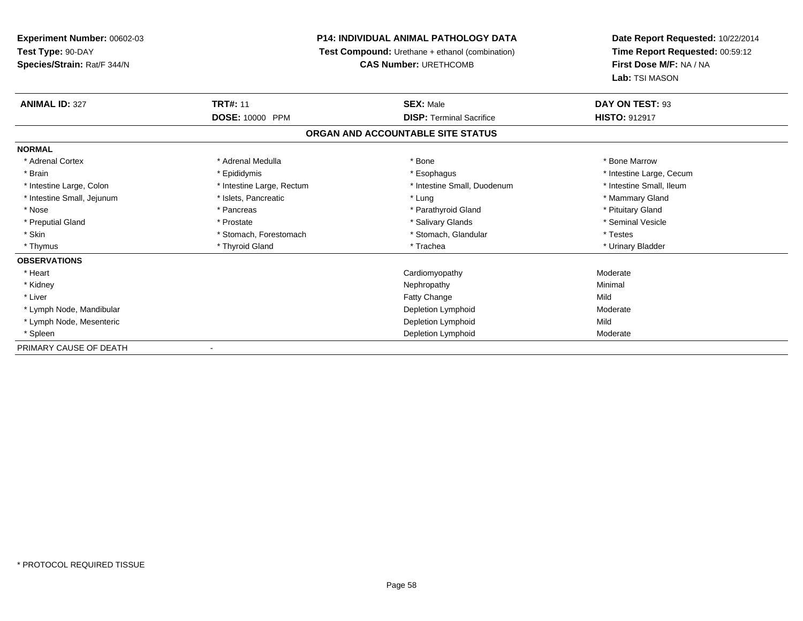# **P14: INDIVIDUAL ANIMAL PATHOLOGY DATA**

**Test Compound:** Urethane + ethanol (combination)

**CAS Number:** URETHCOMB

| <b>ANIMAL ID: 327</b>      | <b>TRT#: 11</b>           | <b>SEX: Male</b>                  | DAY ON TEST: 93          |
|----------------------------|---------------------------|-----------------------------------|--------------------------|
|                            | <b>DOSE: 10000 PPM</b>    | <b>DISP: Terminal Sacrifice</b>   | <b>HISTO: 912917</b>     |
|                            |                           | ORGAN AND ACCOUNTABLE SITE STATUS |                          |
| <b>NORMAL</b>              |                           |                                   |                          |
| * Adrenal Cortex           | * Adrenal Medulla         | * Bone                            | * Bone Marrow            |
| * Brain                    | * Epididymis              | * Esophagus                       | * Intestine Large, Cecum |
| * Intestine Large, Colon   | * Intestine Large, Rectum | * Intestine Small, Duodenum       | * Intestine Small, Ileum |
| * Intestine Small, Jejunum | * Islets, Pancreatic      | * Lung                            | * Mammary Gland          |
| * Nose                     | * Pancreas                | * Parathyroid Gland               | * Pituitary Gland        |
| * Preputial Gland          | * Prostate                | * Salivary Glands                 | * Seminal Vesicle        |
| * Skin                     | * Stomach, Forestomach    | * Stomach, Glandular              | * Testes                 |
| * Thymus                   | * Thyroid Gland           | * Trachea                         | * Urinary Bladder        |
| <b>OBSERVATIONS</b>        |                           |                                   |                          |
| * Heart                    |                           | Cardiomyopathy                    | Moderate                 |
| * Kidney                   |                           | Nephropathy                       | Minimal                  |
| * Liver                    |                           | Fatty Change                      | Mild                     |
| * Lymph Node, Mandibular   |                           | Depletion Lymphoid                | Moderate                 |
| * Lymph Node, Mesenteric   |                           | Depletion Lymphoid                | Mild                     |
| * Spleen                   |                           | Depletion Lymphoid                | Moderate                 |
| PRIMARY CAUSE OF DEATH     |                           |                                   |                          |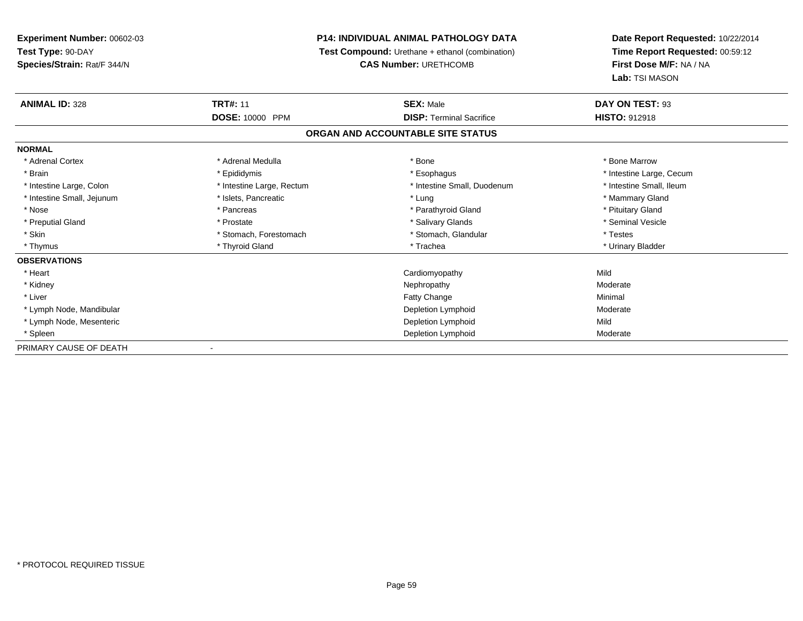# **P14: INDIVIDUAL ANIMAL PATHOLOGY DATA**

**Test Compound:** Urethane + ethanol (combination)

**CAS Number:** URETHCOMB

| <b>ANIMAL ID: 328</b>      | <b>TRT#: 11</b><br><b>DOSE: 10000 PPM</b> | <b>SEX: Male</b><br><b>DISP: Terminal Sacrifice</b> | DAY ON TEST: 93          |
|----------------------------|-------------------------------------------|-----------------------------------------------------|--------------------------|
|                            |                                           |                                                     | <b>HISTO: 912918</b>     |
|                            |                                           | ORGAN AND ACCOUNTABLE SITE STATUS                   |                          |
| <b>NORMAL</b>              |                                           |                                                     |                          |
| * Adrenal Cortex           | * Adrenal Medulla                         | * Bone                                              | * Bone Marrow            |
| * Brain                    | * Epididymis                              | * Esophagus                                         | * Intestine Large, Cecum |
| * Intestine Large, Colon   | * Intestine Large, Rectum                 | * Intestine Small, Duodenum                         | * Intestine Small, Ileum |
| * Intestine Small, Jejunum | * Islets, Pancreatic                      | * Lung                                              | * Mammary Gland          |
| * Nose                     | * Pancreas                                | * Parathyroid Gland                                 | * Pituitary Gland        |
| * Preputial Gland          | * Prostate                                | * Salivary Glands                                   | * Seminal Vesicle        |
| * Skin                     | * Stomach, Forestomach                    | * Stomach, Glandular                                | * Testes                 |
| * Thymus                   | * Thyroid Gland                           | * Trachea                                           | * Urinary Bladder        |
| <b>OBSERVATIONS</b>        |                                           |                                                     |                          |
| * Heart                    |                                           | Cardiomyopathy                                      | Mild                     |
| * Kidney                   |                                           | Nephropathy                                         | Moderate                 |
| * Liver                    |                                           | Fatty Change                                        | Minimal                  |
| * Lymph Node, Mandibular   |                                           | Depletion Lymphoid                                  | Moderate                 |
| * Lymph Node, Mesenteric   |                                           | Depletion Lymphoid                                  | Mild                     |
| * Spleen                   |                                           | Depletion Lymphoid                                  | Moderate                 |
| PRIMARY CAUSE OF DEATH     |                                           |                                                     |                          |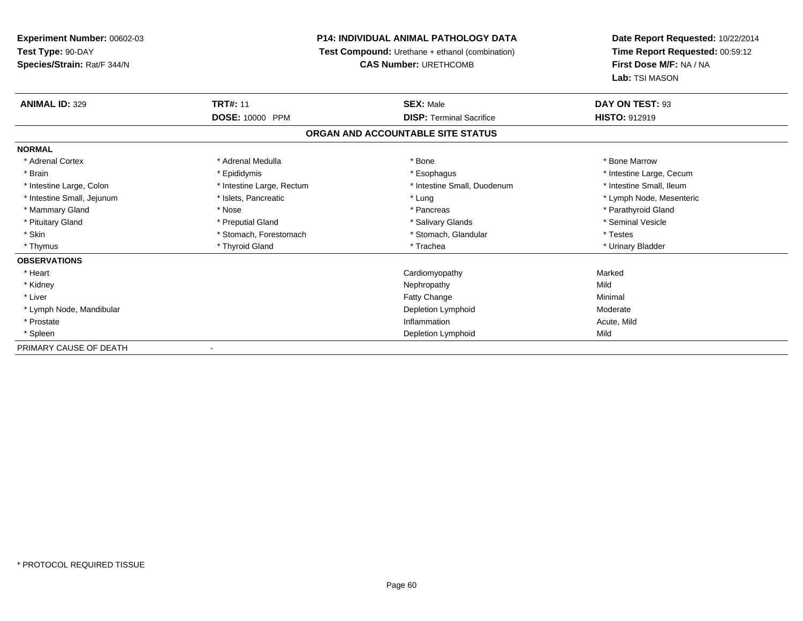# **P14: INDIVIDUAL ANIMAL PATHOLOGY DATA**

**Test Compound:** Urethane + ethanol (combination)

**CAS Number:** URETHCOMB

| <b>ANIMAL ID: 329</b>      | <b>TRT#: 11</b><br><b>DOSE: 10000 PPM</b> | <b>SEX: Male</b><br><b>DISP:</b> Terminal Sacrifice | DAY ON TEST: 93          |
|----------------------------|-------------------------------------------|-----------------------------------------------------|--------------------------|
|                            |                                           |                                                     | <b>HISTO: 912919</b>     |
|                            |                                           | ORGAN AND ACCOUNTABLE SITE STATUS                   |                          |
| <b>NORMAL</b>              |                                           |                                                     |                          |
| * Adrenal Cortex           | * Adrenal Medulla                         | * Bone                                              | * Bone Marrow            |
| * Brain                    | * Epididymis                              | * Esophagus                                         | * Intestine Large, Cecum |
| * Intestine Large, Colon   | * Intestine Large, Rectum                 | * Intestine Small, Duodenum                         | * Intestine Small, Ileum |
| * Intestine Small, Jejunum | * Islets, Pancreatic                      | * Lung                                              | * Lymph Node, Mesenteric |
| * Mammary Gland            | * Nose                                    | * Pancreas                                          | * Parathyroid Gland      |
| * Pituitary Gland          | * Preputial Gland                         | * Salivary Glands                                   | * Seminal Vesicle        |
| * Skin                     | * Stomach, Forestomach                    | * Stomach, Glandular                                | * Testes                 |
| * Thymus                   | * Thyroid Gland                           | * Trachea                                           | * Urinary Bladder        |
| <b>OBSERVATIONS</b>        |                                           |                                                     |                          |
| * Heart                    |                                           | Cardiomyopathy                                      | Marked                   |
| * Kidney                   |                                           | Nephropathy                                         | Mild                     |
| * Liver                    |                                           | <b>Fatty Change</b>                                 | Minimal                  |
| * Lymph Node, Mandibular   |                                           | Depletion Lymphoid                                  | Moderate                 |
| * Prostate                 |                                           | Inflammation                                        | Acute, Mild              |
| * Spleen                   |                                           | Depletion Lymphoid                                  | Mild                     |
| PRIMARY CAUSE OF DEATH     |                                           |                                                     |                          |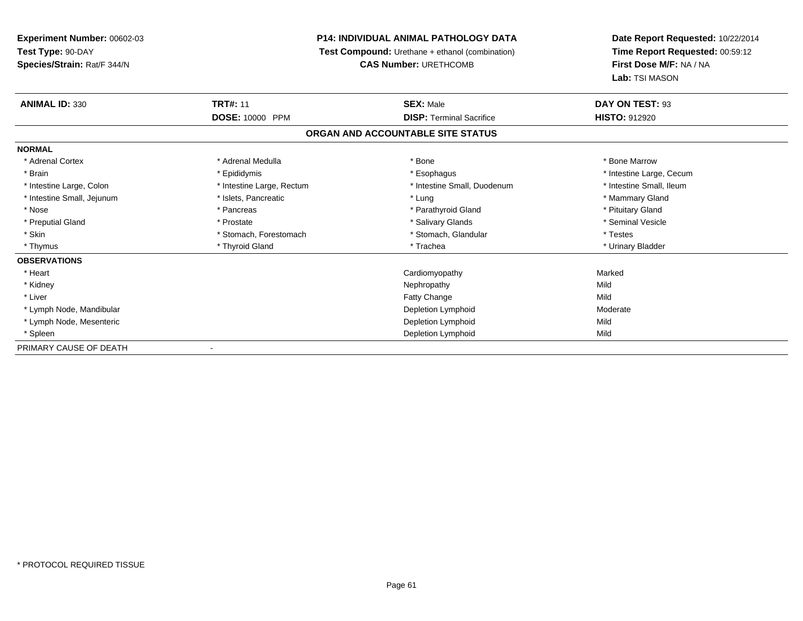# **P14: INDIVIDUAL ANIMAL PATHOLOGY DATA**

**Test Compound:** Urethane + ethanol (combination)

**CAS Number:** URETHCOMB

| <b>ANIMAL ID: 330</b>      | <b>TRT#: 11</b>           | <b>SEX: Male</b>                  | DAY ON TEST: 93          |  |
|----------------------------|---------------------------|-----------------------------------|--------------------------|--|
|                            | DOSE: 10000 PPM           | <b>DISP: Terminal Sacrifice</b>   | <b>HISTO: 912920</b>     |  |
|                            |                           | ORGAN AND ACCOUNTABLE SITE STATUS |                          |  |
| <b>NORMAL</b>              |                           |                                   |                          |  |
| * Adrenal Cortex           | * Adrenal Medulla         | * Bone                            | * Bone Marrow            |  |
| * Brain                    | * Epididymis              | * Esophagus                       | * Intestine Large, Cecum |  |
| * Intestine Large, Colon   | * Intestine Large, Rectum | * Intestine Small, Duodenum       | * Intestine Small, Ileum |  |
| * Intestine Small, Jejunum | * Islets, Pancreatic      | * Lung                            | * Mammary Gland          |  |
| * Nose                     | * Pancreas                | * Parathyroid Gland               | * Pituitary Gland        |  |
| * Preputial Gland          | * Prostate                | * Salivary Glands                 | * Seminal Vesicle        |  |
| * Skin                     | * Stomach, Forestomach    | * Stomach, Glandular              | * Testes                 |  |
| * Thymus                   | * Thyroid Gland           | * Trachea                         | * Urinary Bladder        |  |
| <b>OBSERVATIONS</b>        |                           |                                   |                          |  |
| * Heart                    |                           | Cardiomyopathy                    | Marked                   |  |
| * Kidney                   |                           | Nephropathy                       | Mild                     |  |
| * Liver                    |                           | <b>Fatty Change</b>               | Mild                     |  |
| * Lymph Node, Mandibular   |                           | Depletion Lymphoid                | Moderate                 |  |
| * Lymph Node, Mesenteric   |                           | Depletion Lymphoid                | Mild                     |  |
| * Spleen                   |                           | Depletion Lymphoid                | Mild                     |  |
| PRIMARY CAUSE OF DEATH     |                           |                                   |                          |  |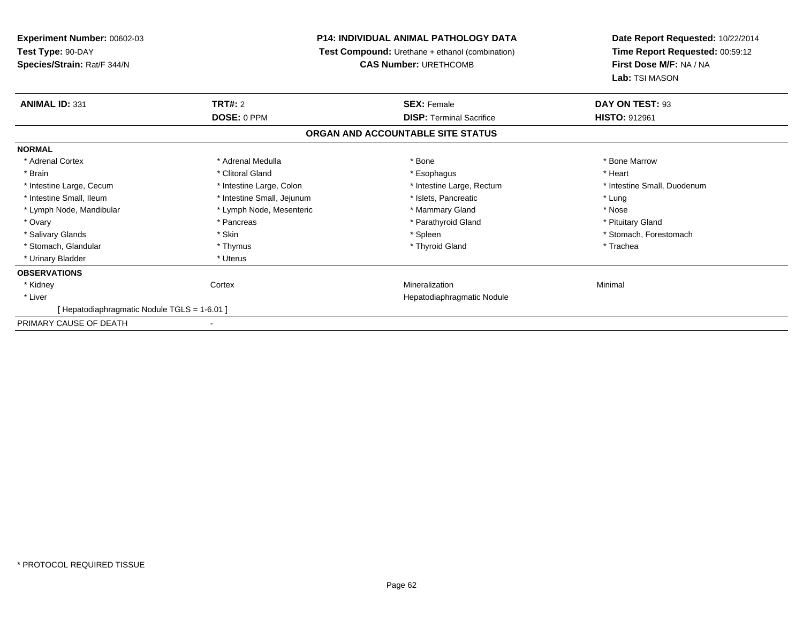| <b>Experiment Number: 00602-03</b>         |                            | <b>P14: INDIVIDUAL ANIMAL PATHOLOGY DATA</b>    | Date Report Requested: 10/22/2014 |
|--------------------------------------------|----------------------------|-------------------------------------------------|-----------------------------------|
| Test Type: 90-DAY                          |                            | Test Compound: Urethane + ethanol (combination) | Time Report Requested: 00:59:12   |
| Species/Strain: Rat/F 344/N                |                            | <b>CAS Number: URETHCOMB</b>                    | First Dose M/F: NA / NA           |
|                                            |                            |                                                 | Lab: TSI MASON                    |
| <b>ANIMAL ID: 331</b>                      | TRT#: 2                    | <b>SEX: Female</b>                              | DAY ON TEST: 93                   |
|                                            | DOSE: 0 PPM                | <b>DISP: Terminal Sacrifice</b>                 | <b>HISTO: 912961</b>              |
|                                            |                            | ORGAN AND ACCOUNTABLE SITE STATUS               |                                   |
| <b>NORMAL</b>                              |                            |                                                 |                                   |
| * Adrenal Cortex                           | * Adrenal Medulla          | * Bone                                          | * Bone Marrow                     |
| * Brain                                    | * Clitoral Gland           | * Esophagus                                     | * Heart                           |
| * Intestine Large, Cecum                   | * Intestine Large, Colon   | * Intestine Large, Rectum                       | * Intestine Small, Duodenum       |
| * Intestine Small, Ileum                   | * Intestine Small, Jejunum | * Islets, Pancreatic                            | * Lung                            |
| * Lymph Node, Mandibular                   | * Lymph Node, Mesenteric   | * Mammary Gland                                 | * Nose                            |
| * Ovary                                    | * Pancreas                 | * Parathyroid Gland                             | * Pituitary Gland                 |
| * Salivary Glands                          | * Skin                     | * Spleen                                        | * Stomach, Forestomach            |
| * Stomach, Glandular                       | * Thymus                   | * Thyroid Gland                                 | * Trachea                         |
| * Urinary Bladder                          | * Uterus                   |                                                 |                                   |
| <b>OBSERVATIONS</b>                        |                            |                                                 |                                   |
| * Kidney                                   | Cortex                     | Mineralization                                  | Minimal                           |
| * Liver                                    |                            | Hepatodiaphragmatic Nodule                      |                                   |
| [Hepatodiaphragmatic Nodule TGLS = 1-6.01] |                            |                                                 |                                   |
| PRIMARY CAUSE OF DEATH                     |                            |                                                 |                                   |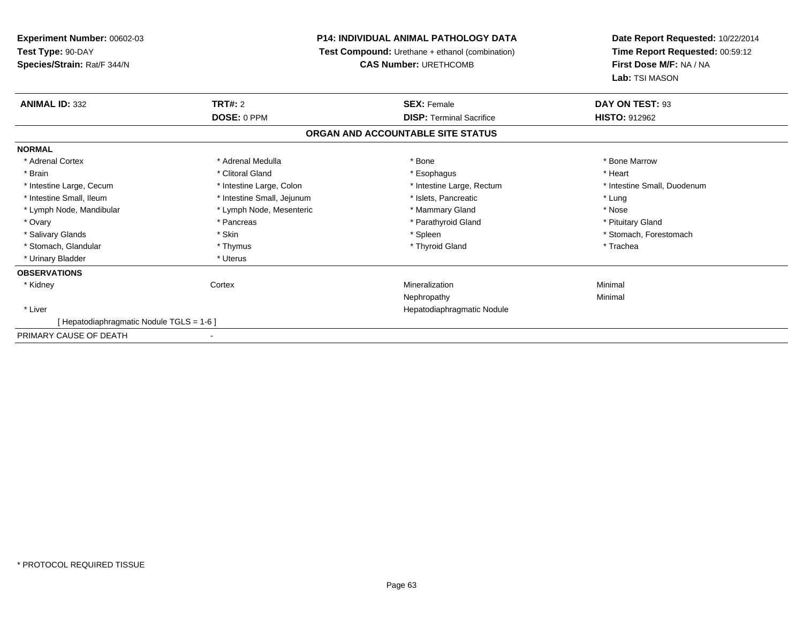| <b>Experiment Number: 00602-03</b>               |                                                                                        | <b>P14: INDIVIDUAL ANIMAL PATHOLOGY DATA</b> | Date Report Requested: 10/22/2014<br>Time Report Requested: 00:59:12<br>First Dose M/F: NA / NA<br>Lab: TSI MASON |
|--------------------------------------------------|----------------------------------------------------------------------------------------|----------------------------------------------|-------------------------------------------------------------------------------------------------------------------|
| Test Type: 90-DAY<br>Species/Strain: Rat/F 344/N | <b>Test Compound:</b> Urethane + ethanol (combination)<br><b>CAS Number: URETHCOMB</b> |                                              |                                                                                                                   |
| <b>ANIMAL ID: 332</b>                            | TRT#: 2                                                                                | <b>SEX: Female</b>                           | DAY ON TEST: 93                                                                                                   |
|                                                  | DOSE: 0 PPM                                                                            | <b>DISP: Terminal Sacrifice</b>              | <b>HISTO: 912962</b>                                                                                              |
|                                                  |                                                                                        | ORGAN AND ACCOUNTABLE SITE STATUS            |                                                                                                                   |
| <b>NORMAL</b>                                    |                                                                                        |                                              |                                                                                                                   |
| * Adrenal Cortex                                 | * Adrenal Medulla                                                                      | * Bone                                       | * Bone Marrow                                                                                                     |
| * Brain                                          | * Clitoral Gland                                                                       | * Esophagus                                  | * Heart                                                                                                           |
| * Intestine Large, Cecum                         | * Intestine Large, Colon                                                               | * Intestine Large, Rectum                    | * Intestine Small, Duodenum                                                                                       |
| * Intestine Small, Ileum                         | * Intestine Small, Jejunum                                                             | * Islets. Pancreatic                         | * Lung                                                                                                            |
| * Lymph Node, Mandibular                         | * Lymph Node, Mesenteric                                                               | * Mammary Gland                              | * Nose                                                                                                            |
| * Ovary                                          | * Pancreas                                                                             | * Parathyroid Gland                          | * Pituitary Gland                                                                                                 |
| * Salivary Glands                                | * Skin                                                                                 | * Spleen                                     | * Stomach, Forestomach                                                                                            |
| * Stomach, Glandular                             | * Thymus                                                                               | * Thyroid Gland                              | * Trachea                                                                                                         |
| * Urinary Bladder                                | * Uterus                                                                               |                                              |                                                                                                                   |
| <b>OBSERVATIONS</b>                              |                                                                                        |                                              |                                                                                                                   |
| * Kidney                                         | Cortex                                                                                 | Mineralization                               | Minimal                                                                                                           |
|                                                  |                                                                                        | Nephropathy                                  | Minimal                                                                                                           |
| * Liver                                          |                                                                                        | Hepatodiaphragmatic Nodule                   |                                                                                                                   |
| [Hepatodiaphragmatic Nodule TGLS = 1-6]          |                                                                                        |                                              |                                                                                                                   |
| PRIMARY CAUSE OF DEATH                           |                                                                                        |                                              |                                                                                                                   |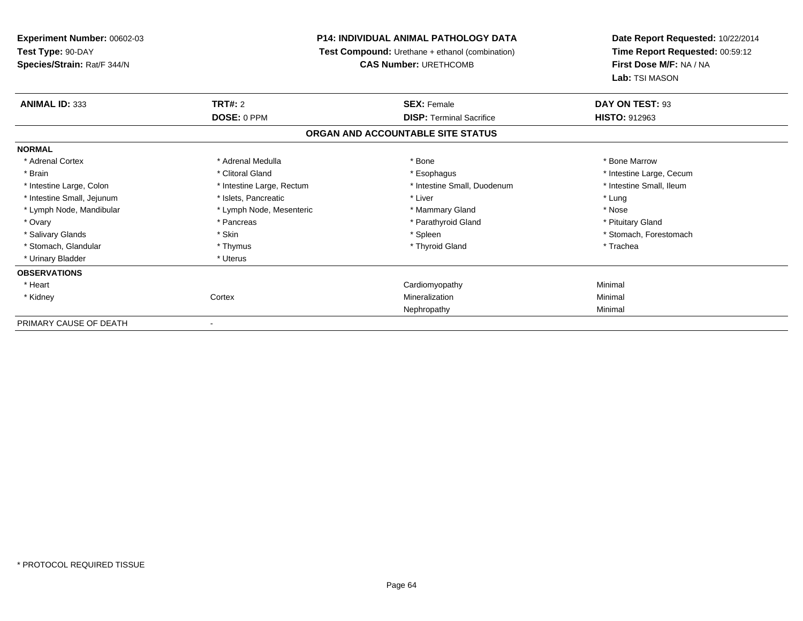| Experiment Number: 00602-03                      |                                                                                 | <b>P14: INDIVIDUAL ANIMAL PATHOLOGY DATA</b> | Date Report Requested: 10/22/2014<br>Time Report Requested: 00:59:12<br>First Dose M/F: NA / NA<br>Lab: TSI MASON |
|--------------------------------------------------|---------------------------------------------------------------------------------|----------------------------------------------|-------------------------------------------------------------------------------------------------------------------|
| Test Type: 90-DAY<br>Species/Strain: Rat/F 344/N | Test Compound: Urethane + ethanol (combination)<br><b>CAS Number: URETHCOMB</b> |                                              |                                                                                                                   |
| <b>ANIMAL ID: 333</b>                            | <b>TRT#: 2</b>                                                                  | <b>SEX: Female</b>                           | DAY ON TEST: 93                                                                                                   |
|                                                  | DOSE: 0 PPM                                                                     | <b>DISP: Terminal Sacrifice</b>              | HISTO: 912963                                                                                                     |
|                                                  |                                                                                 | ORGAN AND ACCOUNTABLE SITE STATUS            |                                                                                                                   |
| <b>NORMAL</b>                                    |                                                                                 |                                              |                                                                                                                   |
| * Adrenal Cortex                                 | * Adrenal Medulla                                                               | * Bone                                       | * Bone Marrow                                                                                                     |
| * Brain                                          | * Clitoral Gland                                                                | * Esophagus                                  | * Intestine Large, Cecum                                                                                          |
| * Intestine Large, Colon                         | * Intestine Large, Rectum                                                       | * Intestine Small, Duodenum                  | * Intestine Small, Ileum                                                                                          |
| * Intestine Small, Jejunum                       | * Islets, Pancreatic                                                            | * Liver                                      | * Lung                                                                                                            |
| * Lymph Node, Mandibular                         | * Lymph Node, Mesenteric                                                        | * Mammary Gland                              | * Nose                                                                                                            |
| * Ovary                                          | * Pancreas                                                                      | * Parathyroid Gland                          | * Pituitary Gland                                                                                                 |
| * Salivary Glands                                | * Skin                                                                          | * Spleen                                     | * Stomach, Forestomach                                                                                            |
| * Stomach, Glandular                             | * Thymus                                                                        | * Thyroid Gland                              | * Trachea                                                                                                         |
| * Urinary Bladder                                | * Uterus                                                                        |                                              |                                                                                                                   |
| <b>OBSERVATIONS</b>                              |                                                                                 |                                              |                                                                                                                   |
| * Heart                                          |                                                                                 | Cardiomyopathy                               | Minimal                                                                                                           |
| * Kidney                                         | Cortex                                                                          | Mineralization                               | Minimal                                                                                                           |
|                                                  |                                                                                 | Nephropathy                                  | Minimal                                                                                                           |
| PRIMARY CAUSE OF DEATH                           |                                                                                 |                                              |                                                                                                                   |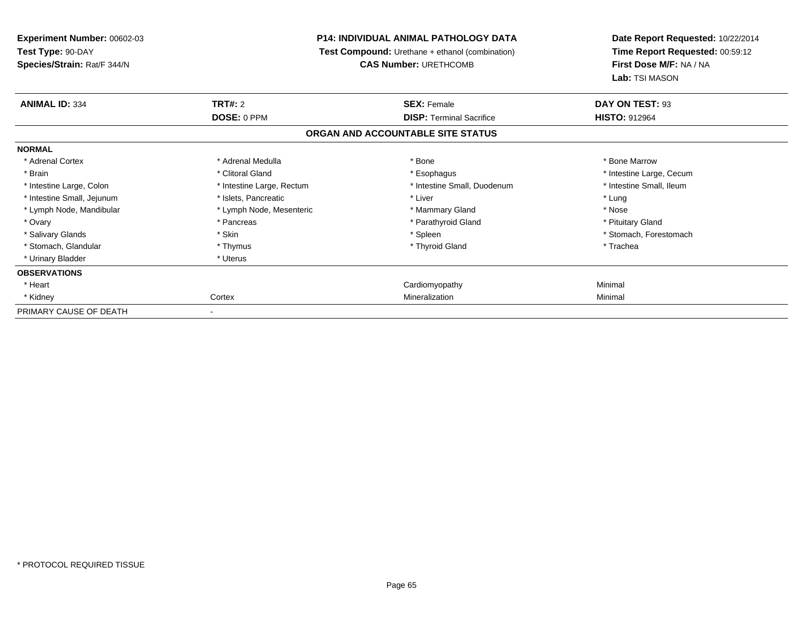| Experiment Number: 00602-03<br>Test Type: 90-DAY<br>Species/Strain: Rat/F 344/N | <b>P14: INDIVIDUAL ANIMAL PATHOLOGY DATA</b><br><b>Test Compound:</b> Urethane + ethanol (combination)<br><b>CAS Number: URETHCOMB</b> |                                                       | Date Report Requested: 10/22/2014<br>Time Report Requested: 00:59:12<br>First Dose M/F: NA / NA |  |
|---------------------------------------------------------------------------------|----------------------------------------------------------------------------------------------------------------------------------------|-------------------------------------------------------|-------------------------------------------------------------------------------------------------|--|
| <b>ANIMAL ID: 334</b>                                                           | <b>TRT#: 2</b><br>DOSE: 0 PPM                                                                                                          | <b>SEX: Female</b><br><b>DISP: Terminal Sacrifice</b> | Lab: TSI MASON<br>DAY ON TEST: 93<br><b>HISTO: 912964</b>                                       |  |
|                                                                                 |                                                                                                                                        | ORGAN AND ACCOUNTABLE SITE STATUS                     |                                                                                                 |  |
| <b>NORMAL</b>                                                                   |                                                                                                                                        |                                                       |                                                                                                 |  |
| * Adrenal Cortex                                                                | * Adrenal Medulla                                                                                                                      | * Bone                                                | * Bone Marrow                                                                                   |  |
| * Brain                                                                         | * Clitoral Gland                                                                                                                       | * Esophagus                                           | * Intestine Large, Cecum                                                                        |  |
| * Intestine Large, Colon                                                        | * Intestine Large, Rectum                                                                                                              | * Intestine Small, Duodenum                           | * Intestine Small, Ileum                                                                        |  |
| * Intestine Small, Jejunum                                                      | * Islets, Pancreatic                                                                                                                   | * Liver                                               | * Lung                                                                                          |  |
| * Lymph Node, Mandibular                                                        | * Lymph Node, Mesenteric                                                                                                               | * Mammary Gland                                       | * Nose                                                                                          |  |
| * Ovary                                                                         | * Pancreas                                                                                                                             | * Parathyroid Gland                                   | * Pituitary Gland                                                                               |  |
| * Salivary Glands                                                               | * Skin                                                                                                                                 | * Spleen                                              | * Stomach, Forestomach                                                                          |  |
| * Stomach, Glandular                                                            | * Thymus                                                                                                                               | * Thyroid Gland                                       | * Trachea                                                                                       |  |
| * Urinary Bladder                                                               | * Uterus                                                                                                                               |                                                       |                                                                                                 |  |
| <b>OBSERVATIONS</b>                                                             |                                                                                                                                        |                                                       |                                                                                                 |  |
| * Heart                                                                         |                                                                                                                                        | Cardiomyopathy                                        | Minimal                                                                                         |  |
| * Kidney                                                                        | Cortex                                                                                                                                 | Mineralization                                        | Minimal                                                                                         |  |
| PRIMARY CAUSE OF DEATH                                                          |                                                                                                                                        |                                                       |                                                                                                 |  |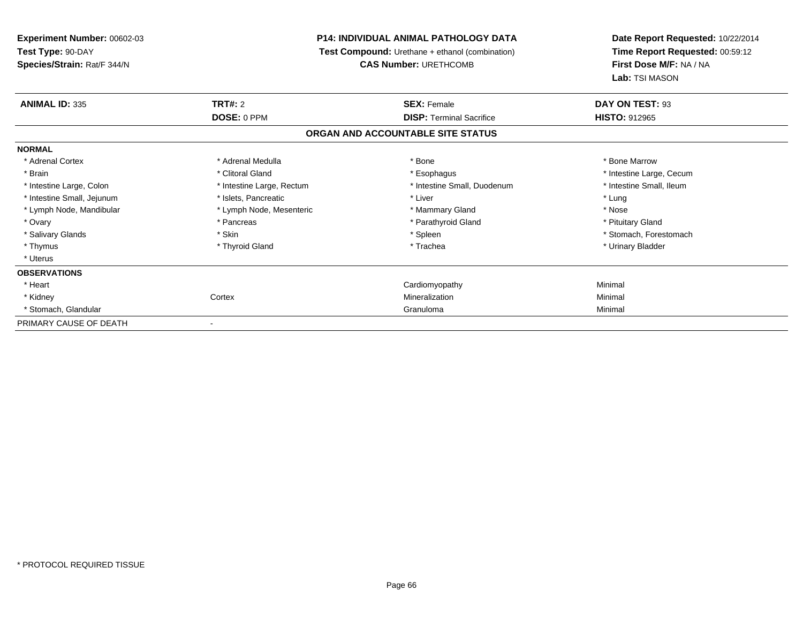**Experiment Number:** 00602-03**Test Type:** 90-DAY **Species/Strain:** Rat/F 344/N**P14: INDIVIDUAL ANIMAL PATHOLOGY DATA Test Compound:** Urethane + ethanol (combination)**CAS Number:** URETHCOMB**Date Report Requested:** 10/22/2014**Time Report Requested:** 00:59:12**First Dose M/F:** NA / NA**Lab:** TSI MASON**ANIMAL ID:** 335**TRT#:** 2 **SEX:** Female **DAY ON TEST:** 93 **DOSE:** 0 PPM**DISP:** Terminal Sacrifice **HISTO:** 912965 **ORGAN AND ACCOUNTABLE SITE STATUSNORMAL**\* Adrenal Cortex \* Adrenal Medulla \* Adrenal Medulla \* Bone \* Bone \* Bone \* Bone \* Bone Marrow \* Brain \* Alternation of the state of the state of the state of the state of the state of the state of the state of the state of the state of the state of the state of the state of the state of the state of the state of th \* Intestine Small, Ileum \* Intestine Large, Colon \* Intestine Large, Rectum \* Intestine Small, Duodenum \* Intestine Small, Duodenum \* Intestine Small, Jejunum \* The matches of the state of the state of the state of the state of the state of the state of the state of the state of the state of the state of the state of the state of the state of the state \* Nose \* Lymph Node, Mandibular \* Lymph Node, Mesenteric \* Mammary Gland \* Mammary Gland \* Pituitary Gland \* Ovary \* Pancreas \* Pancreas \* Pancreas \* Parathyroid Gland \* Parathyroid Gland \* Salivary Glands \* The stomach \* Skin \* Spleen \* Spleen \* Stomach, Forestomach \* Stomach, Forestomach \* Stomach, Forestomach \* Thymus \* Thyroid Gland \* Trachea \* Urinary Bladder \* \* Uterus**OBSERVATIONS** \* Heart Cardiomyopathy Minimal \* Kidneyy which is a context of the Cortext of the Cortext of the Cortext of the Mineralization n Minimal \* Stomach, Glandularr and the contract of the contract of the contract of the contract of the contract of the contract of the contract of the contract of the contract of the contract of the contract of the contract of the contract of the cont Granuloma Minimal PRIMARY CAUSE OF DEATH-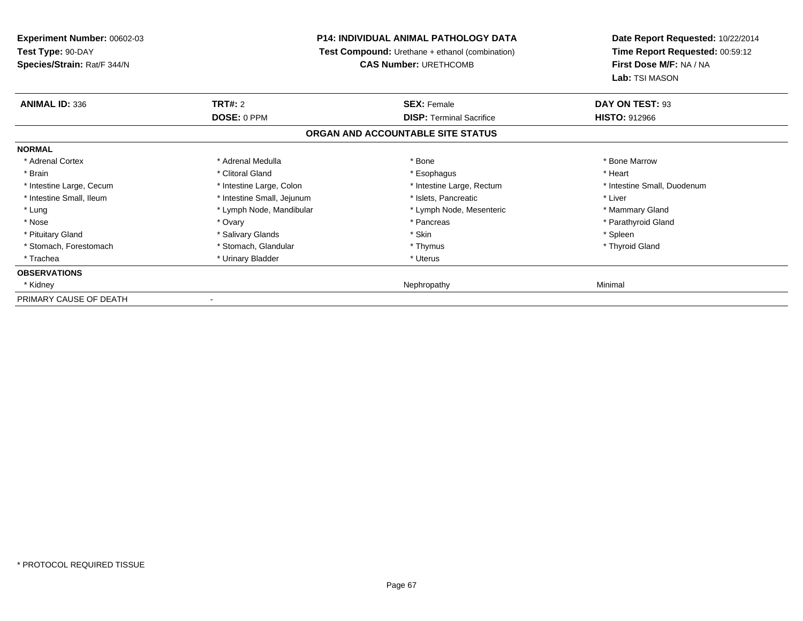**Experiment Number:** 00602-03**Test Type:** 90-DAY **Species/Strain:** Rat/F 344/N**P14: INDIVIDUAL ANIMAL PATHOLOGY DATA Test Compound:** Urethane + ethanol (combination)**CAS Number:** URETHCOMB**Date Report Requested:** 10/22/2014**Time Report Requested:** 00:59:12**First Dose M/F:** NA / NA**Lab:** TSI MASON**ANIMAL ID:** 336**TRT#:** 2 **SEX:** Female **DAY ON TEST:** 93 **DOSE:** 0 PPM**DISP:** Terminal Sacrifice **HISTO:** 912966 **ORGAN AND ACCOUNTABLE SITE STATUSNORMAL**\* Adrenal Cortex \* Adrenal Medulla \* Adrenal Medulla \* Bone \* Bone \* Bone \* Bone \* Bone Marrow \* Brain \* Alternative of the state of the state of the state of the state of the state of the state of the state of the state of the state of the state of the state of the state of the state of the state of the state of th \* Intestine Large, Cecum \* Intestine Large, Colon \* Intestine Large, Rectum \* Intestine Small, Duodenum \* Intestine Small, Ileum \* Thestine Small, Jejunum \* Islets, Pancreatic \* Liver \* Liver \* Lung **\* Lymph Node, Mandibular \*** Lymph Node, Mesenteric \* Mammary Gland \* Mammary Gland \* Parathyroid Gland \* Nose \* Ovary \* Pancreas \* Parathyroid Gland \* Pituitary Gland \* The state of the state of the state of the state of the state of the state of the state of the state of the state of the state of the state of the state of the state of the state of the state of the sta \* Thyroid Gland \* Stomach, Forestomach \* Thymus \* Stomach, Glandular \* Thymus \* Thymus \* Thymus \* Thymus \* Thymus \* Thymus \* Thymus \* Thymus \* Thymus \* Thymus \* Thymus \* Thymus \* Thymus \* Thymus \* Thymus \* Thymus \* Thymus \* Thymus \* Thymu \* Trachea \* Urinary Bladder \* Urinary Bladder \* Urinary Bladder \* Urinary Bladder \* Urinary Planet \* Urinary Planet \* Urinary Planet \* Urinary Planet \* Urinary Planet \* Urinary Planet \* Urinary Planet \* Urinary Planet \* Ur **OBSERVATIONS** \* Kidneyy and the control of the control of the control of the control of the control of the control of the control of the control of the control of the control of the control of the control of the control of the control of the co PRIMARY CAUSE OF DEATH-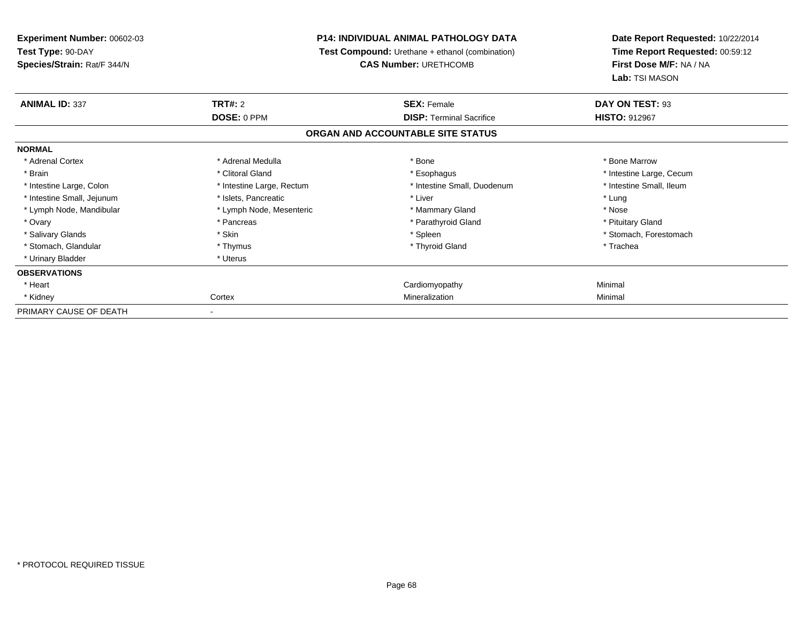| Experiment Number: 00602-03<br>Test Type: 90-DAY<br>Species/Strain: Rat/F 344/N | <b>P14: INDIVIDUAL ANIMAL PATHOLOGY DATA</b><br><b>Test Compound:</b> Urethane + ethanol (combination)<br><b>CAS Number: URETHCOMB</b> |                                                       | Date Report Requested: 10/22/2014<br>Time Report Requested: 00:59:12<br>First Dose M/F: NA / NA<br>Lab: TSI MASON |  |
|---------------------------------------------------------------------------------|----------------------------------------------------------------------------------------------------------------------------------------|-------------------------------------------------------|-------------------------------------------------------------------------------------------------------------------|--|
| <b>ANIMAL ID: 337</b>                                                           | <b>TRT#: 2</b><br>DOSE: 0 PPM                                                                                                          | <b>SEX: Female</b><br><b>DISP: Terminal Sacrifice</b> | DAY ON TEST: 93<br><b>HISTO: 912967</b>                                                                           |  |
|                                                                                 |                                                                                                                                        | ORGAN AND ACCOUNTABLE SITE STATUS                     |                                                                                                                   |  |
| <b>NORMAL</b>                                                                   |                                                                                                                                        |                                                       |                                                                                                                   |  |
| * Adrenal Cortex                                                                | * Adrenal Medulla                                                                                                                      | * Bone                                                | * Bone Marrow                                                                                                     |  |
| * Brain                                                                         | * Clitoral Gland                                                                                                                       | * Esophagus                                           | * Intestine Large, Cecum                                                                                          |  |
| * Intestine Large, Colon                                                        | * Intestine Large, Rectum                                                                                                              | * Intestine Small, Duodenum                           | * Intestine Small, Ileum                                                                                          |  |
| * Intestine Small, Jejunum                                                      | * Islets, Pancreatic                                                                                                                   | * Liver                                               | * Lung                                                                                                            |  |
| * Lymph Node, Mandibular                                                        | * Lymph Node, Mesenteric                                                                                                               | * Mammary Gland                                       | * Nose                                                                                                            |  |
| * Ovary                                                                         | * Pancreas                                                                                                                             | * Parathyroid Gland                                   | * Pituitary Gland                                                                                                 |  |
| * Salivary Glands                                                               | * Skin                                                                                                                                 | * Spleen                                              | * Stomach, Forestomach                                                                                            |  |
| * Stomach, Glandular                                                            | * Thymus                                                                                                                               | * Thyroid Gland                                       | * Trachea                                                                                                         |  |
| * Urinary Bladder                                                               | * Uterus                                                                                                                               |                                                       |                                                                                                                   |  |
| <b>OBSERVATIONS</b>                                                             |                                                                                                                                        |                                                       |                                                                                                                   |  |
| * Heart                                                                         |                                                                                                                                        | Cardiomyopathy                                        | Minimal                                                                                                           |  |
| * Kidney                                                                        | Cortex                                                                                                                                 | Mineralization                                        | Minimal                                                                                                           |  |
| PRIMARY CAUSE OF DEATH                                                          |                                                                                                                                        |                                                       |                                                                                                                   |  |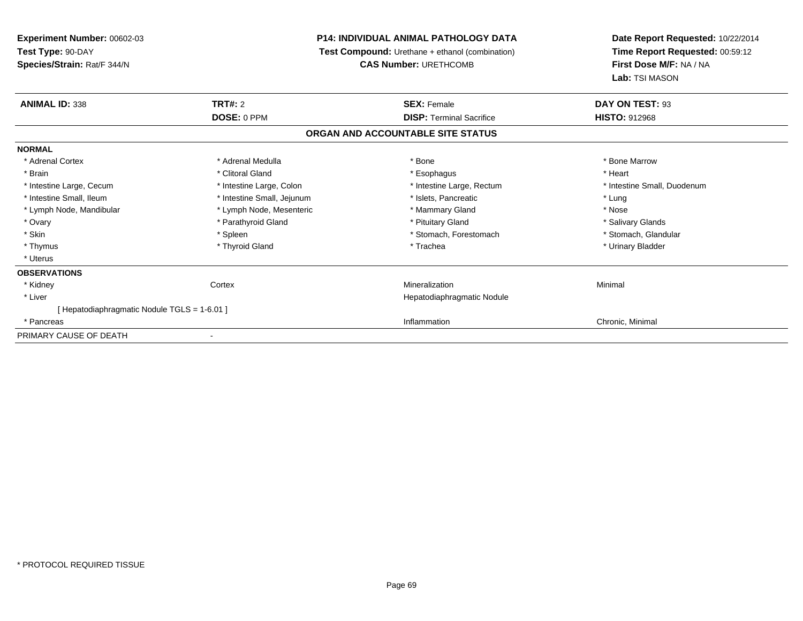| Experiment Number: 00602-03                  |                                                        | <b>P14: INDIVIDUAL ANIMAL PATHOLOGY DATA</b> | Date Report Requested: 10/22/2014 |
|----------------------------------------------|--------------------------------------------------------|----------------------------------------------|-----------------------------------|
| Test Type: 90-DAY                            | <b>Test Compound:</b> Urethane + ethanol (combination) |                                              | Time Report Requested: 00:59:12   |
| Species/Strain: Rat/F 344/N                  |                                                        | <b>CAS Number: URETHCOMB</b>                 | First Dose M/F: NA / NA           |
|                                              |                                                        |                                              | Lab: TSI MASON                    |
| <b>ANIMAL ID: 338</b>                        | TRT#: 2                                                | <b>SEX: Female</b>                           | DAY ON TEST: 93                   |
|                                              | DOSE: 0 PPM                                            | <b>DISP: Terminal Sacrifice</b>              | <b>HISTO: 912968</b>              |
|                                              |                                                        | ORGAN AND ACCOUNTABLE SITE STATUS            |                                   |
| <b>NORMAL</b>                                |                                                        |                                              |                                   |
| * Adrenal Cortex                             | * Adrenal Medulla                                      | * Bone                                       | * Bone Marrow                     |
| * Brain                                      | * Clitoral Gland                                       | * Esophagus                                  | * Heart                           |
| * Intestine Large, Cecum                     | * Intestine Large, Colon                               | * Intestine Large, Rectum                    | * Intestine Small, Duodenum       |
| * Intestine Small, Ileum                     | * Intestine Small, Jejunum                             | * Islets, Pancreatic                         | * Lung                            |
| * Lymph Node, Mandibular                     | * Lymph Node, Mesenteric                               | * Mammary Gland                              | * Nose                            |
| * Ovary                                      | * Parathyroid Gland                                    | * Pituitary Gland                            | * Salivary Glands                 |
| * Skin                                       | * Spleen                                               | * Stomach, Forestomach                       | * Stomach, Glandular              |
| * Thymus                                     | * Thyroid Gland                                        | * Trachea                                    | * Urinary Bladder                 |
| * Uterus                                     |                                                        |                                              |                                   |
| <b>OBSERVATIONS</b>                          |                                                        |                                              |                                   |
| * Kidney                                     | Cortex                                                 | Mineralization                               | Minimal                           |
| * Liver                                      |                                                        | Hepatodiaphragmatic Nodule                   |                                   |
| [ Hepatodiaphragmatic Nodule TGLS = 1-6.01 ] |                                                        |                                              |                                   |
| * Pancreas                                   |                                                        | Inflammation                                 | Chronic, Minimal                  |
| PRIMARY CAUSE OF DEATH                       |                                                        |                                              |                                   |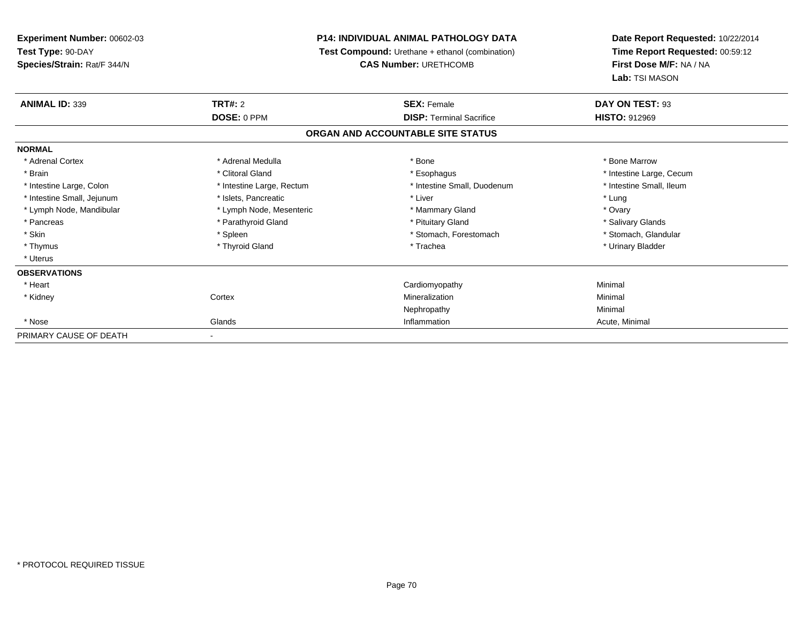**Experiment Number:** 00602-03**Test Type:** 90-DAY **Species/Strain:** Rat/F 344/N**P14: INDIVIDUAL ANIMAL PATHOLOGY DATA Test Compound:** Urethane + ethanol (combination)**CAS Number:** URETHCOMB**Date Report Requested:** 10/22/2014**Time Report Requested:** 00:59:12**First Dose M/F:** NA / NA**Lab:** TSI MASON**ANIMAL ID:** 339**TRT#:** 2 **SEX:** Female **DAY ON TEST:** 93 **DOSE:** 0 PPM**DISP:** Terminal Sacrifice **HISTO:** 912969 **ORGAN AND ACCOUNTABLE SITE STATUSNORMAL**\* Adrenal Cortex \* Adrenal Medulla \* Adrenal Medulla \* Bone \* Bone \* Bone \* Bone \* Bone Marrow \* Brain \* Alternation of the state of the state of the state of the state of the state of the state of the state of the state of the state of the state of the state of the state of the state of the state of the state of th \* Intestine Small, Ileum \* Intestine Large, Colon \* Intestine Large, Rectum \* Intestine Small, Duodenum \* Intestine Small, Duodenum \* Intestine Small, Jejunum \* The matches of the state of the state of the state of the state of the state of the state of the state of the state of the state of the state of the state of the state of the state of the state \* Ovary \* Lymph Node, Mandibular \* Lymph Node, Mesenteric \* Mammary Gland \* Mammary Gland \* Salivary Glands \* Pancreas \* And the section of the section of the section of the section of the section of the section of the section of the section of the section of the section of the section of the section of the section of the sectio \* Stomach, Glandular \* Skin \* Spleen \* Spleen \* Spleen \* Stomach, Forestomach \* Stomach, Suite and the storage \* Stomach, Glandular \* Thymus \* Thyroid Gland \* Trachea \* Urinary Bladder \* \* Uterus**OBSERVATIONS** \* Heart Cardiomyopathy Minimal \* Kidneyy which is a context of the Cortext of the Cortext of the Cortext of the Mineralization n Minimal Nephropathyy the contract of the Minimal Minimal Section 1996 and the contract of the Minimal Section 1997 and the contract of the contract of the contract of the contract of the contract of the contract of the contract of the contra \* Nosee and the Glands Control of the Glands of the Glands of the Minimal of the Minimal of the Minimal of the Minimal of the Minimal of the Minimal of the Minimal of the Minimal of the Minimal of the Minimal of the Minimal of t PRIMARY CAUSE OF DEATH-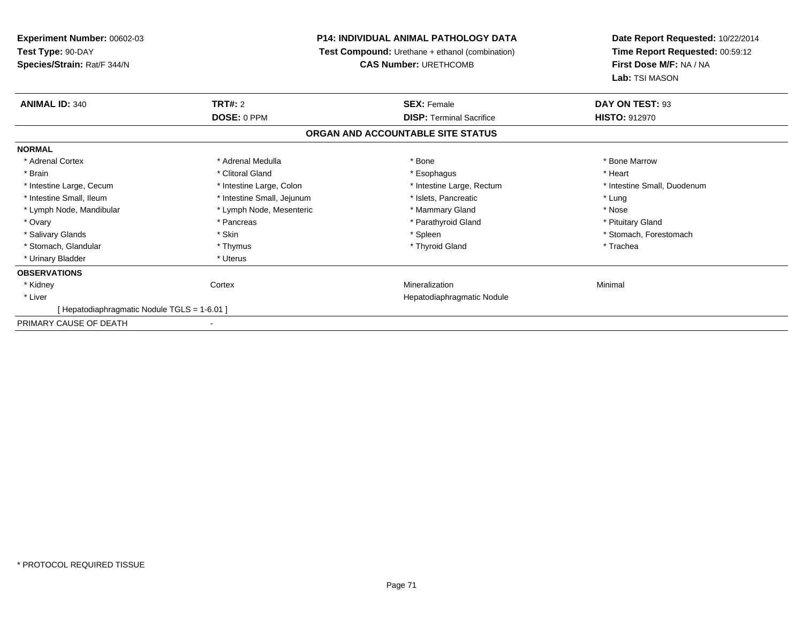| <b>Experiment Number: 00602-03</b>         |                            | <b>P14: INDIVIDUAL ANIMAL PATHOLOGY DATA</b>    | Date Report Requested: 10/22/2014 |
|--------------------------------------------|----------------------------|-------------------------------------------------|-----------------------------------|
| Test Type: 90-DAY                          |                            | Test Compound: Urethane + ethanol (combination) | Time Report Requested: 00:59:12   |
| Species/Strain: Rat/F 344/N                |                            | <b>CAS Number: URETHCOMB</b>                    | First Dose M/F: NA / NA           |
|                                            |                            |                                                 | Lab: TSI MASON                    |
| <b>ANIMAL ID: 340</b><br>TRT#: 2           |                            | <b>SEX: Female</b>                              | DAY ON TEST: 93                   |
|                                            | DOSE: 0 PPM                | <b>DISP: Terminal Sacrifice</b>                 | <b>HISTO: 912970</b>              |
|                                            |                            | ORGAN AND ACCOUNTABLE SITE STATUS               |                                   |
| <b>NORMAL</b>                              |                            |                                                 |                                   |
| * Adrenal Cortex                           | * Adrenal Medulla          | * Bone                                          | * Bone Marrow                     |
| * Brain                                    | * Clitoral Gland           | * Esophagus                                     | * Heart                           |
| * Intestine Large, Cecum                   | * Intestine Large, Colon   | * Intestine Large, Rectum                       | * Intestine Small, Duodenum       |
| * Intestine Small, Ileum                   | * Intestine Small, Jejunum | * Islets, Pancreatic                            | * Lung                            |
| * Lymph Node, Mandibular                   | * Lymph Node, Mesenteric   | * Mammary Gland                                 | * Nose                            |
| * Ovary                                    | * Pancreas                 | * Parathyroid Gland                             | * Pituitary Gland                 |
| * Skin<br>* Salivary Glands                |                            | * Spleen                                        | * Stomach, Forestomach            |
| * Stomach, Glandular                       | * Thymus                   | * Thyroid Gland                                 | * Trachea                         |
| * Urinary Bladder                          | * Uterus                   |                                                 |                                   |
| <b>OBSERVATIONS</b>                        |                            |                                                 |                                   |
| * Kidney<br>Cortex                         |                            | Mineralization                                  | Minimal                           |
| * Liver                                    |                            | Hepatodiaphragmatic Nodule                      |                                   |
| [Hepatodiaphragmatic Nodule TGLS = 1-6.01] |                            |                                                 |                                   |
| PRIMARY CAUSE OF DEATH                     |                            |                                                 |                                   |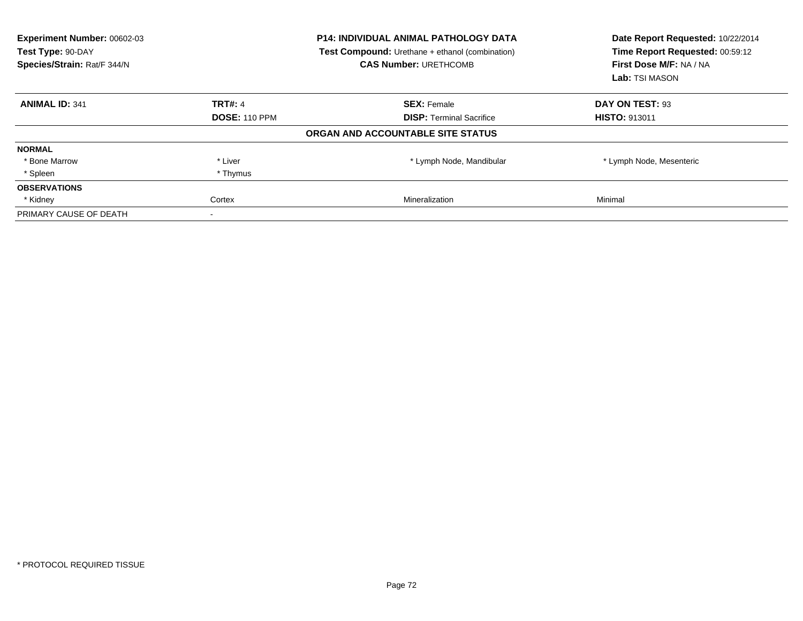| Experiment Number: 00602-03<br>Test Type: 90-DAY<br>Species/Strain: Rat/F 344/N |                      | <b>P14: INDIVIDUAL ANIMAL PATHOLOGY DATA</b><br><b>Test Compound:</b> Urethane + ethanol (combination)<br><b>CAS Number: URETHCOMB</b> | Date Report Requested: 10/22/2014<br>Time Report Requested: 00:59:12<br>First Dose M/F: NA / NA<br>Lab: TSI MASON |
|---------------------------------------------------------------------------------|----------------------|----------------------------------------------------------------------------------------------------------------------------------------|-------------------------------------------------------------------------------------------------------------------|
| <b>ANIMAL ID: 341</b>                                                           | <b>TRT#: 4</b>       | <b>SEX: Female</b>                                                                                                                     | DAY ON TEST: 93                                                                                                   |
|                                                                                 | <b>DOSE: 110 PPM</b> | <b>DISP:</b> Terminal Sacrifice                                                                                                        | <b>HISTO: 913011</b>                                                                                              |
|                                                                                 |                      | ORGAN AND ACCOUNTABLE SITE STATUS                                                                                                      |                                                                                                                   |
| <b>NORMAL</b>                                                                   |                      |                                                                                                                                        |                                                                                                                   |
| * Bone Marrow                                                                   | * Liver              | * Lymph Node, Mandibular                                                                                                               | * Lymph Node, Mesenteric                                                                                          |
| * Spleen                                                                        | * Thymus             |                                                                                                                                        |                                                                                                                   |
| <b>OBSERVATIONS</b>                                                             |                      |                                                                                                                                        |                                                                                                                   |
| * Kidney                                                                        | Cortex               | <b>Mineralization</b>                                                                                                                  | Minimal                                                                                                           |
| PRIMARY CAUSE OF DEATH                                                          |                      |                                                                                                                                        |                                                                                                                   |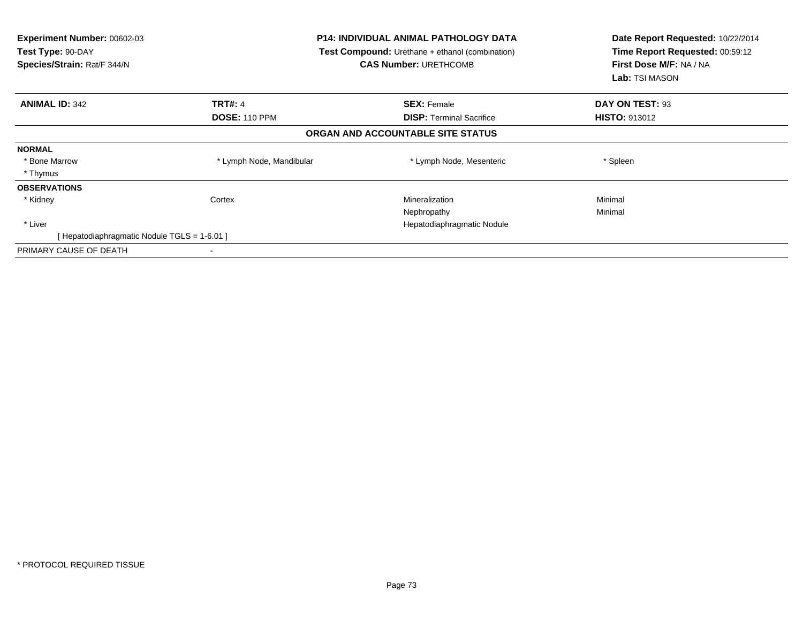| Experiment Number: 00602-03<br>Test Type: 90-DAY<br>Species/Strain: Rat/F 344/N |                          | <b>P14: INDIVIDUAL ANIMAL PATHOLOGY DATA</b><br><b>Test Compound:</b> Urethane + ethanol (combination)<br><b>CAS Number: URETHCOMB</b> | Date Report Requested: 10/22/2014<br>Time Report Requested: 00:59:12<br>First Dose M/F: NA / NA<br><b>Lab:</b> TSI MASON |
|---------------------------------------------------------------------------------|--------------------------|----------------------------------------------------------------------------------------------------------------------------------------|--------------------------------------------------------------------------------------------------------------------------|
| <b>ANIMAL ID: 342</b>                                                           | <b>TRT#: 4</b>           | <b>SEX: Female</b>                                                                                                                     | DAY ON TEST: 93                                                                                                          |
|                                                                                 | <b>DOSE: 110 PPM</b>     | <b>DISP:</b> Terminal Sacrifice                                                                                                        | <b>HISTO: 913012</b>                                                                                                     |
|                                                                                 |                          | ORGAN AND ACCOUNTABLE SITE STATUS                                                                                                      |                                                                                                                          |
| <b>NORMAL</b>                                                                   |                          |                                                                                                                                        |                                                                                                                          |
| * Bone Marrow                                                                   | * Lymph Node, Mandibular | * Lymph Node, Mesenteric                                                                                                               | * Spleen                                                                                                                 |
| * Thymus                                                                        |                          |                                                                                                                                        |                                                                                                                          |
| <b>OBSERVATIONS</b>                                                             |                          |                                                                                                                                        |                                                                                                                          |
| * Kidney                                                                        | Cortex                   | Mineralization                                                                                                                         | Minimal                                                                                                                  |
|                                                                                 |                          | Nephropathy                                                                                                                            | Minimal                                                                                                                  |
| * Liver                                                                         |                          | Hepatodiaphragmatic Nodule                                                                                                             |                                                                                                                          |
| [ Hepatodiaphragmatic Nodule TGLS = 1-6.01 ]                                    |                          |                                                                                                                                        |                                                                                                                          |
| PRIMARY CAUSE OF DEATH                                                          |                          |                                                                                                                                        |                                                                                                                          |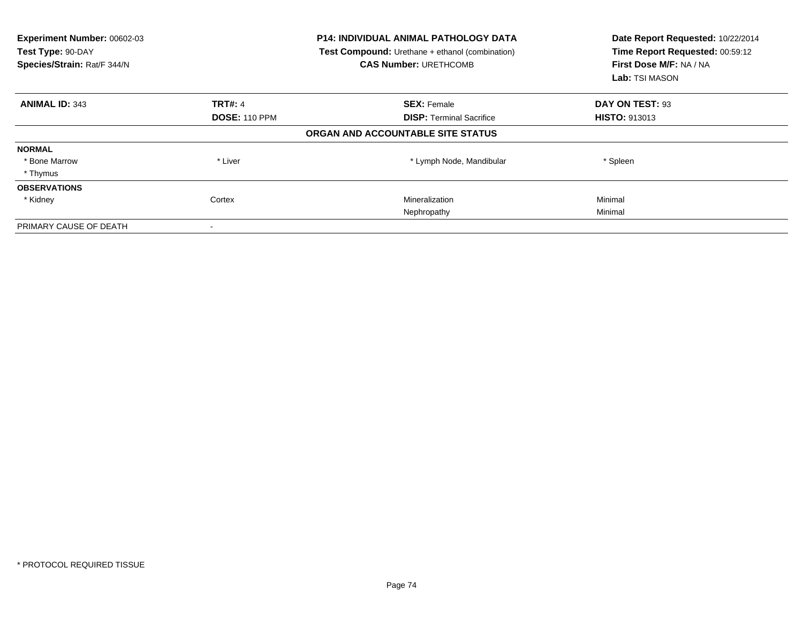| Experiment Number: 00602-03<br>Test Type: 90-DAY<br>Species/Strain: Rat/F 344/N |                      | <b>P14: INDIVIDUAL ANIMAL PATHOLOGY DATA</b><br><b>Test Compound:</b> Urethane + ethanol (combination)<br><b>CAS Number: URETHCOMB</b> | Date Report Requested: 10/22/2014<br>Time Report Requested: 00:59:12<br>First Dose M/F: NA / NA<br>Lab: TSI MASON |
|---------------------------------------------------------------------------------|----------------------|----------------------------------------------------------------------------------------------------------------------------------------|-------------------------------------------------------------------------------------------------------------------|
| <b>ANIMAL ID: 343</b>                                                           | <b>TRT#: 4</b>       | <b>SEX: Female</b>                                                                                                                     | DAY ON TEST: 93                                                                                                   |
|                                                                                 | <b>DOSE: 110 PPM</b> | <b>DISP:</b> Terminal Sacrifice                                                                                                        | <b>HISTO: 913013</b>                                                                                              |
|                                                                                 |                      | ORGAN AND ACCOUNTABLE SITE STATUS                                                                                                      |                                                                                                                   |
| <b>NORMAL</b>                                                                   |                      |                                                                                                                                        |                                                                                                                   |
| * Bone Marrow                                                                   | * Liver              | * Lymph Node, Mandibular                                                                                                               | * Spleen                                                                                                          |
| * Thymus                                                                        |                      |                                                                                                                                        |                                                                                                                   |
| <b>OBSERVATIONS</b>                                                             |                      |                                                                                                                                        |                                                                                                                   |
| * Kidney                                                                        | Cortex               | Mineralization                                                                                                                         | Minimal                                                                                                           |
|                                                                                 |                      | Nephropathy                                                                                                                            | Minimal                                                                                                           |
| PRIMARY CAUSE OF DEATH                                                          |                      |                                                                                                                                        |                                                                                                                   |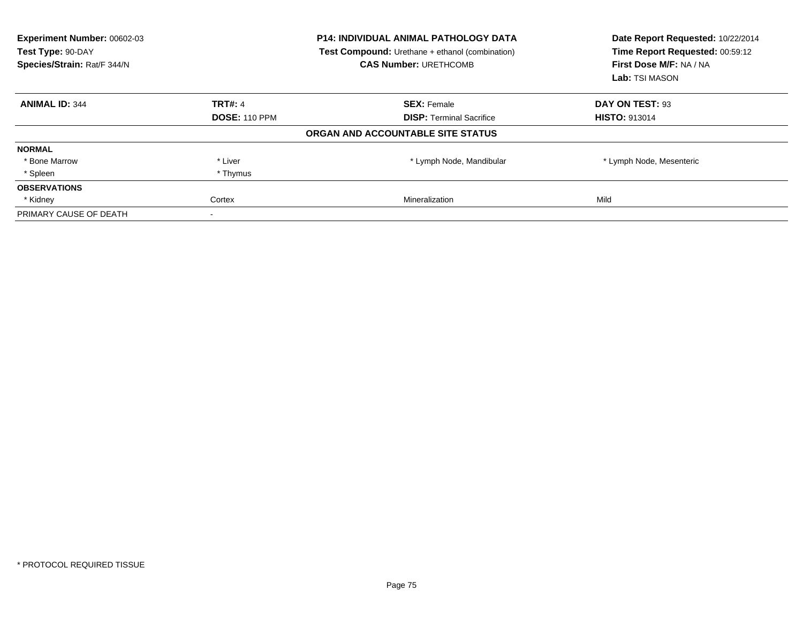| Experiment Number: 00602-03<br><b>P14: INDIVIDUAL ANIMAL PATHOLOGY DATA</b><br>Test Type: 90-DAY<br><b>Test Compound:</b> Urethane + ethanol (combination)<br>Species/Strain: Rat/F 344/N<br><b>CAS Number: URETHCOMB</b> |                      |                                   | Date Report Requested: 10/22/2014<br>Time Report Requested: 00:59:12<br>First Dose M/F: NA / NA<br>Lab: TSI MASON |
|---------------------------------------------------------------------------------------------------------------------------------------------------------------------------------------------------------------------------|----------------------|-----------------------------------|-------------------------------------------------------------------------------------------------------------------|
| <b>ANIMAL ID: 344</b>                                                                                                                                                                                                     | <b>TRT#: 4</b>       | <b>SEX: Female</b>                | DAY ON TEST: 93                                                                                                   |
|                                                                                                                                                                                                                           | <b>DOSE: 110 PPM</b> | <b>DISP:</b> Terminal Sacrifice   | <b>HISTO: 913014</b>                                                                                              |
|                                                                                                                                                                                                                           |                      | ORGAN AND ACCOUNTABLE SITE STATUS |                                                                                                                   |
| <b>NORMAL</b>                                                                                                                                                                                                             |                      |                                   |                                                                                                                   |
| * Bone Marrow                                                                                                                                                                                                             | * Liver              | * Lymph Node, Mandibular          | * Lymph Node, Mesenteric                                                                                          |
| * Spleen                                                                                                                                                                                                                  | * Thymus             |                                   |                                                                                                                   |
| <b>OBSERVATIONS</b>                                                                                                                                                                                                       |                      |                                   |                                                                                                                   |
| * Kidney                                                                                                                                                                                                                  | Cortex               | <b>Mineralization</b>             | Mild                                                                                                              |
| PRIMARY CAUSE OF DEATH                                                                                                                                                                                                    |                      |                                   |                                                                                                                   |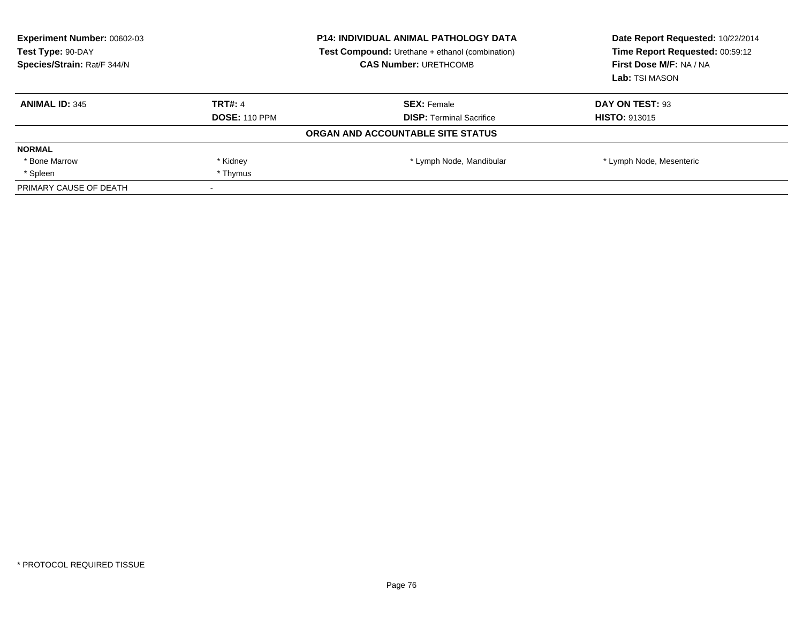| <b>Experiment Number: 00602-03</b><br>Test Type: 90-DAY<br>Species/Strain: Rat/F 344/N | <b>P14: INDIVIDUAL ANIMAL PATHOLOGY DATA</b><br><b>Test Compound:</b> Urethane + ethanol (combination)<br><b>CAS Number: URETHCOMB</b> |                                   | Date Report Requested: 10/22/2014<br>Time Report Requested: 00:59:12<br>First Dose M/F: NA / NA<br>Lab: TSI MASON |
|----------------------------------------------------------------------------------------|----------------------------------------------------------------------------------------------------------------------------------------|-----------------------------------|-------------------------------------------------------------------------------------------------------------------|
| <b>ANIMAL ID: 345</b>                                                                  | TRT#: 4                                                                                                                                | <b>SEX: Female</b>                | DAY ON TEST: 93                                                                                                   |
|                                                                                        | <b>DOSE: 110 PPM</b>                                                                                                                   | <b>DISP:</b> Terminal Sacrifice   | <b>HISTO: 913015</b>                                                                                              |
|                                                                                        |                                                                                                                                        | ORGAN AND ACCOUNTABLE SITE STATUS |                                                                                                                   |
| <b>NORMAL</b>                                                                          |                                                                                                                                        |                                   |                                                                                                                   |
| * Bone Marrow                                                                          | * Kidney                                                                                                                               | * Lymph Node, Mandibular          | * Lymph Node, Mesenteric                                                                                          |
| * Spleen                                                                               | * Thymus                                                                                                                               |                                   |                                                                                                                   |
| PRIMARY CAUSE OF DEATH                                                                 |                                                                                                                                        |                                   |                                                                                                                   |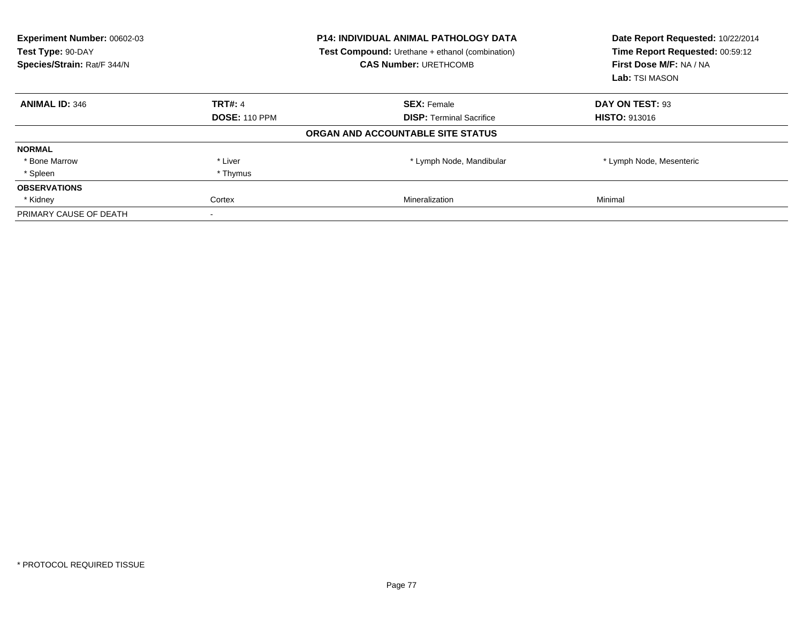| Experiment Number: 00602-03<br><b>P14: INDIVIDUAL ANIMAL PATHOLOGY DATA</b><br>Test Type: 90-DAY<br><b>Test Compound:</b> Urethane + ethanol (combination)<br>Species/Strain: Rat/F 344/N<br><b>CAS Number: URETHCOMB</b> |                      |                                   | Date Report Requested: 10/22/2014<br>Time Report Requested: 00:59:12<br>First Dose M/F: NA / NA<br>Lab: TSI MASON |
|---------------------------------------------------------------------------------------------------------------------------------------------------------------------------------------------------------------------------|----------------------|-----------------------------------|-------------------------------------------------------------------------------------------------------------------|
| <b>ANIMAL ID: 346</b>                                                                                                                                                                                                     | <b>TRT#: 4</b>       | <b>SEX: Female</b>                | DAY ON TEST: 93                                                                                                   |
|                                                                                                                                                                                                                           | <b>DOSE: 110 PPM</b> | <b>DISP:</b> Terminal Sacrifice   | <b>HISTO: 913016</b>                                                                                              |
|                                                                                                                                                                                                                           |                      | ORGAN AND ACCOUNTABLE SITE STATUS |                                                                                                                   |
| <b>NORMAL</b>                                                                                                                                                                                                             |                      |                                   |                                                                                                                   |
| * Bone Marrow                                                                                                                                                                                                             | * Liver              | * Lymph Node, Mandibular          | * Lymph Node, Mesenteric                                                                                          |
| * Spleen                                                                                                                                                                                                                  | * Thymus             |                                   |                                                                                                                   |
| <b>OBSERVATIONS</b>                                                                                                                                                                                                       |                      |                                   |                                                                                                                   |
| * Kidney                                                                                                                                                                                                                  | Cortex               | <b>Mineralization</b>             | Minimal                                                                                                           |
| PRIMARY CAUSE OF DEATH                                                                                                                                                                                                    |                      |                                   |                                                                                                                   |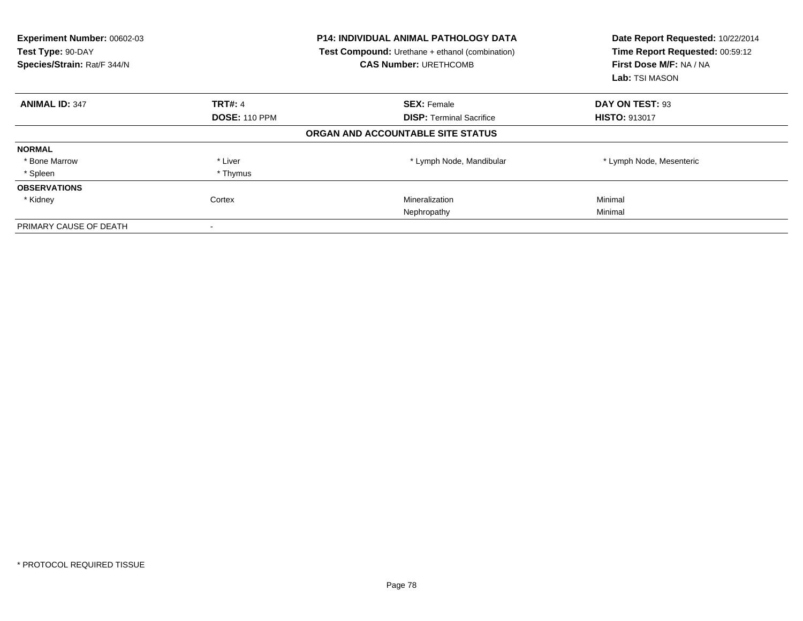| Experiment Number: 00602-03<br>Test Type: 90-DAY<br>Species/Strain: Rat/F 344/N | <b>P14: INDIVIDUAL ANIMAL PATHOLOGY DATA</b><br><b>Test Compound:</b> Urethane + ethanol (combination)<br><b>CAS Number: URETHCOMB</b> |                                   | Date Report Requested: 10/22/2014<br>Time Report Requested: 00:59:12<br>First Dose M/F: NA / NA<br>Lab: TSI MASON |
|---------------------------------------------------------------------------------|----------------------------------------------------------------------------------------------------------------------------------------|-----------------------------------|-------------------------------------------------------------------------------------------------------------------|
| <b>ANIMAL ID: 347</b>                                                           | <b>TRT#: 4</b>                                                                                                                         | <b>SEX: Female</b>                | DAY ON TEST: 93                                                                                                   |
|                                                                                 | <b>DOSE: 110 PPM</b>                                                                                                                   | <b>DISP:</b> Terminal Sacrifice   | <b>HISTO: 913017</b>                                                                                              |
|                                                                                 |                                                                                                                                        | ORGAN AND ACCOUNTABLE SITE STATUS |                                                                                                                   |
| <b>NORMAL</b>                                                                   |                                                                                                                                        |                                   |                                                                                                                   |
| * Bone Marrow                                                                   | * Liver                                                                                                                                | * Lymph Node, Mandibular          | * Lymph Node, Mesenteric                                                                                          |
| * Spleen                                                                        | * Thymus                                                                                                                               |                                   |                                                                                                                   |
| <b>OBSERVATIONS</b>                                                             |                                                                                                                                        |                                   |                                                                                                                   |
| * Kidney                                                                        | Cortex                                                                                                                                 | Mineralization                    | Minimal                                                                                                           |
|                                                                                 |                                                                                                                                        | Nephropathy                       | Minimal                                                                                                           |
| PRIMARY CAUSE OF DEATH                                                          |                                                                                                                                        |                                   |                                                                                                                   |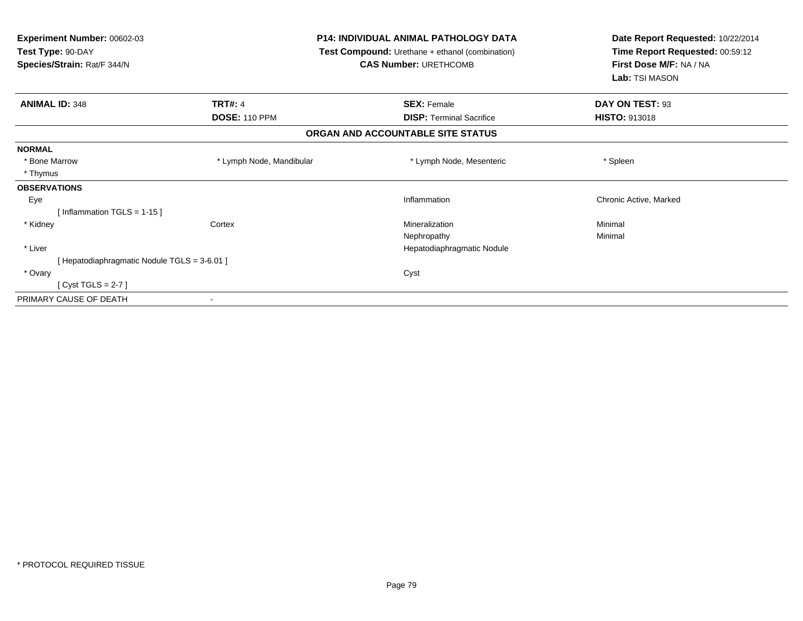| <b>Experiment Number: 00602-03</b><br>Test Type: 90-DAY<br>Species/Strain: Rat/F 344/N |                          | <b>P14: INDIVIDUAL ANIMAL PATHOLOGY DATA</b><br>Test Compound: Urethane + ethanol (combination)<br><b>CAS Number: URETHCOMB</b> | Date Report Requested: 10/22/2014<br>Time Report Requested: 00:59:12<br>First Dose M/F: NA / NA<br>Lab: TSI MASON |
|----------------------------------------------------------------------------------------|--------------------------|---------------------------------------------------------------------------------------------------------------------------------|-------------------------------------------------------------------------------------------------------------------|
| <b>ANIMAL ID: 348</b>                                                                  | <b>TRT#: 4</b>           | <b>SEX: Female</b>                                                                                                              | DAY ON TEST: 93                                                                                                   |
|                                                                                        | <b>DOSE: 110 PPM</b>     | <b>DISP:</b> Terminal Sacrifice                                                                                                 | <b>HISTO: 913018</b>                                                                                              |
|                                                                                        |                          | ORGAN AND ACCOUNTABLE SITE STATUS                                                                                               |                                                                                                                   |
| <b>NORMAL</b>                                                                          |                          |                                                                                                                                 |                                                                                                                   |
| * Bone Marrow                                                                          | * Lymph Node, Mandibular | * Lymph Node, Mesenteric                                                                                                        | * Spleen                                                                                                          |
| * Thymus                                                                               |                          |                                                                                                                                 |                                                                                                                   |
| <b>OBSERVATIONS</b>                                                                    |                          |                                                                                                                                 |                                                                                                                   |
| Eye                                                                                    |                          | Inflammation                                                                                                                    | Chronic Active, Marked                                                                                            |
| [Inflammation TGLS = $1-15$ ]                                                          |                          |                                                                                                                                 |                                                                                                                   |
| * Kidney                                                                               | Cortex                   | Mineralization                                                                                                                  | Minimal                                                                                                           |
|                                                                                        |                          | Nephropathy                                                                                                                     | Minimal                                                                                                           |
| * Liver                                                                                |                          | Hepatodiaphragmatic Nodule                                                                                                      |                                                                                                                   |
| [Hepatodiaphragmatic Nodule TGLS = 3-6.01]                                             |                          |                                                                                                                                 |                                                                                                                   |
| * Ovary                                                                                |                          | Cyst                                                                                                                            |                                                                                                                   |
| [Cyst TGLS = $2-7$ ]                                                                   |                          |                                                                                                                                 |                                                                                                                   |
| PRIMARY CAUSE OF DEATH                                                                 |                          |                                                                                                                                 |                                                                                                                   |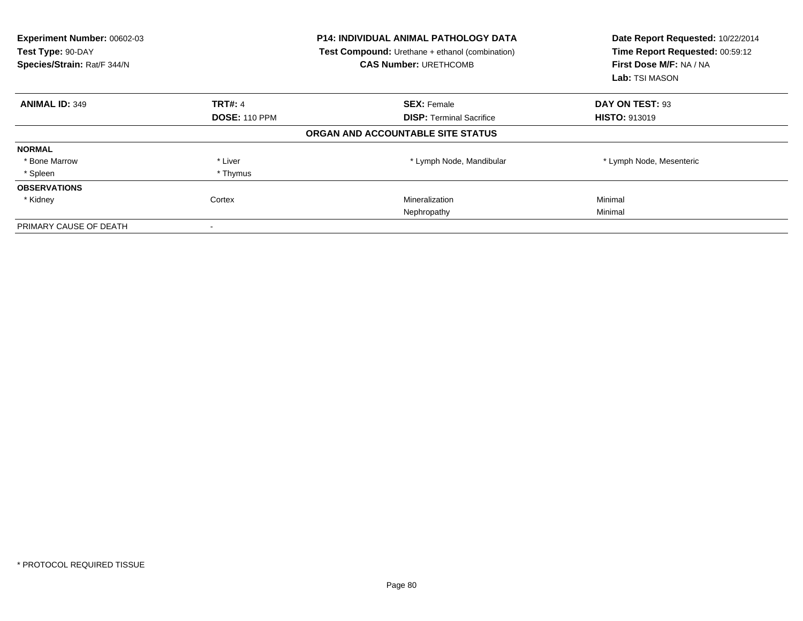| Experiment Number: 00602-03<br>Test Type: 90-DAY<br>Species/Strain: Rat/F 344/N | <b>P14: INDIVIDUAL ANIMAL PATHOLOGY DATA</b><br><b>Test Compound:</b> Urethane + ethanol (combination)<br><b>CAS Number: URETHCOMB</b> |                                   | Date Report Requested: 10/22/2014<br>Time Report Requested: 00:59:12<br>First Dose M/F: NA / NA<br>Lab: TSI MASON |
|---------------------------------------------------------------------------------|----------------------------------------------------------------------------------------------------------------------------------------|-----------------------------------|-------------------------------------------------------------------------------------------------------------------|
| <b>ANIMAL ID: 349</b>                                                           | <b>TRT#: 4</b>                                                                                                                         | <b>SEX: Female</b>                | DAY ON TEST: 93                                                                                                   |
|                                                                                 | <b>DOSE: 110 PPM</b>                                                                                                                   | <b>DISP:</b> Terminal Sacrifice   | <b>HISTO: 913019</b>                                                                                              |
|                                                                                 |                                                                                                                                        | ORGAN AND ACCOUNTABLE SITE STATUS |                                                                                                                   |
| <b>NORMAL</b>                                                                   |                                                                                                                                        |                                   |                                                                                                                   |
| * Bone Marrow                                                                   | * Liver                                                                                                                                | * Lymph Node, Mandibular          | * Lymph Node, Mesenteric                                                                                          |
| * Spleen                                                                        | * Thymus                                                                                                                               |                                   |                                                                                                                   |
| <b>OBSERVATIONS</b>                                                             |                                                                                                                                        |                                   |                                                                                                                   |
| * Kidney                                                                        | Cortex                                                                                                                                 | Mineralization                    | Minimal                                                                                                           |
|                                                                                 |                                                                                                                                        | Nephropathy                       | Minimal                                                                                                           |
| PRIMARY CAUSE OF DEATH                                                          |                                                                                                                                        |                                   |                                                                                                                   |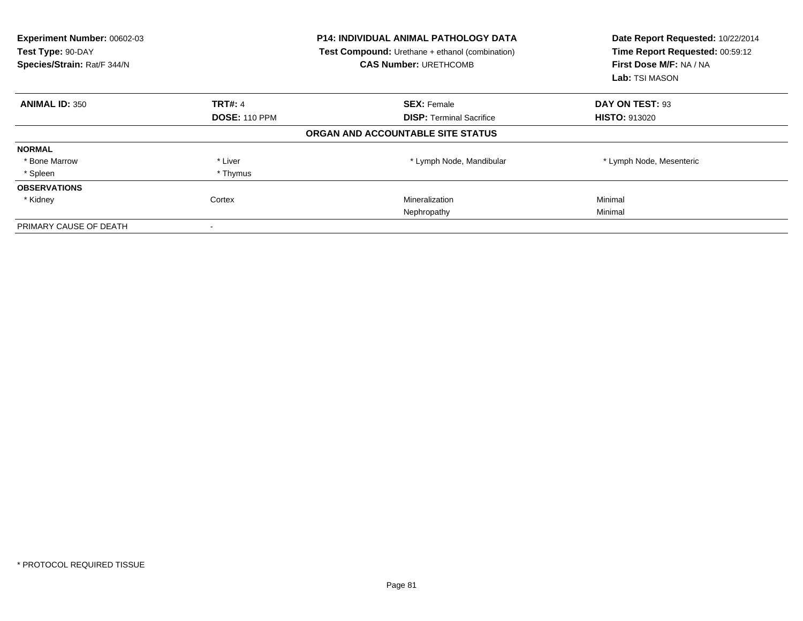| Experiment Number: 00602-03<br>Test Type: 90-DAY<br>Species/Strain: Rat/F 344/N | <b>P14: INDIVIDUAL ANIMAL PATHOLOGY DATA</b><br><b>Test Compound:</b> Urethane + ethanol (combination)<br><b>CAS Number: URETHCOMB</b> |                                   | Date Report Requested: 10/22/2014<br>Time Report Requested: 00:59:12<br>First Dose M/F: NA / NA<br>Lab: TSI MASON |
|---------------------------------------------------------------------------------|----------------------------------------------------------------------------------------------------------------------------------------|-----------------------------------|-------------------------------------------------------------------------------------------------------------------|
| <b>ANIMAL ID: 350</b>                                                           | <b>TRT#: 4</b>                                                                                                                         | <b>SEX: Female</b>                | DAY ON TEST: 93                                                                                                   |
|                                                                                 | <b>DOSE: 110 PPM</b>                                                                                                                   | <b>DISP:</b> Terminal Sacrifice   | <b>HISTO: 913020</b>                                                                                              |
|                                                                                 |                                                                                                                                        | ORGAN AND ACCOUNTABLE SITE STATUS |                                                                                                                   |
| <b>NORMAL</b>                                                                   |                                                                                                                                        |                                   |                                                                                                                   |
| * Bone Marrow                                                                   | * Liver                                                                                                                                | * Lymph Node, Mandibular          | * Lymph Node, Mesenteric                                                                                          |
| * Spleen                                                                        | * Thymus                                                                                                                               |                                   |                                                                                                                   |
| <b>OBSERVATIONS</b>                                                             |                                                                                                                                        |                                   |                                                                                                                   |
| * Kidney                                                                        | Cortex                                                                                                                                 | Mineralization                    | Minimal                                                                                                           |
|                                                                                 |                                                                                                                                        | Nephropathy                       | Minimal                                                                                                           |
| PRIMARY CAUSE OF DEATH                                                          |                                                                                                                                        |                                   |                                                                                                                   |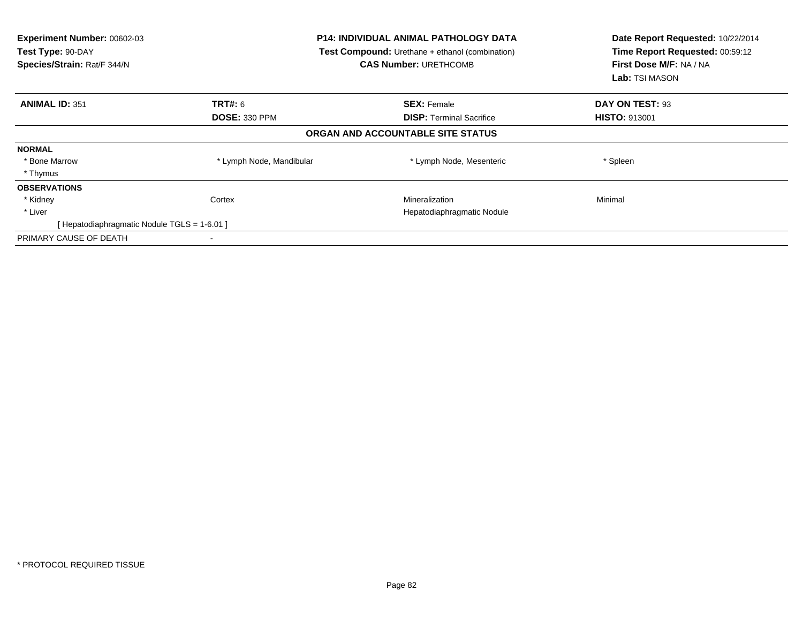| Experiment Number: 00602-03<br>Test Type: 90-DAY<br>Species/Strain: Rat/F 344/N | <b>P14: INDIVIDUAL ANIMAL PATHOLOGY DATA</b><br>Test Compound: Urethane + ethanol (combination)<br><b>CAS Number: URETHCOMB</b> |                                   | Date Report Requested: 10/22/2014<br>Time Report Requested: 00:59:12<br>First Dose M/F: NA / NA<br>Lab: TSI MASON |
|---------------------------------------------------------------------------------|---------------------------------------------------------------------------------------------------------------------------------|-----------------------------------|-------------------------------------------------------------------------------------------------------------------|
| <b>ANIMAL ID: 351</b>                                                           | <b>TRT#: 6</b>                                                                                                                  | <b>SEX: Female</b>                | DAY ON TEST: 93                                                                                                   |
|                                                                                 | <b>DOSE: 330 PPM</b>                                                                                                            | <b>DISP:</b> Terminal Sacrifice   | <b>HISTO: 913001</b>                                                                                              |
|                                                                                 |                                                                                                                                 | ORGAN AND ACCOUNTABLE SITE STATUS |                                                                                                                   |
| <b>NORMAL</b>                                                                   |                                                                                                                                 |                                   |                                                                                                                   |
| * Bone Marrow                                                                   | * Lymph Node, Mandibular                                                                                                        | * Lymph Node, Mesenteric          | * Spleen                                                                                                          |
| * Thymus                                                                        |                                                                                                                                 |                                   |                                                                                                                   |
| <b>OBSERVATIONS</b>                                                             |                                                                                                                                 |                                   |                                                                                                                   |
| * Kidney                                                                        | Cortex                                                                                                                          | Mineralization                    | Minimal                                                                                                           |
| * Liver                                                                         |                                                                                                                                 | Hepatodiaphragmatic Nodule        |                                                                                                                   |
| [ Hepatodiaphragmatic Nodule TGLS = 1-6.01 ]                                    |                                                                                                                                 |                                   |                                                                                                                   |
| PRIMARY CAUSE OF DEATH                                                          |                                                                                                                                 |                                   |                                                                                                                   |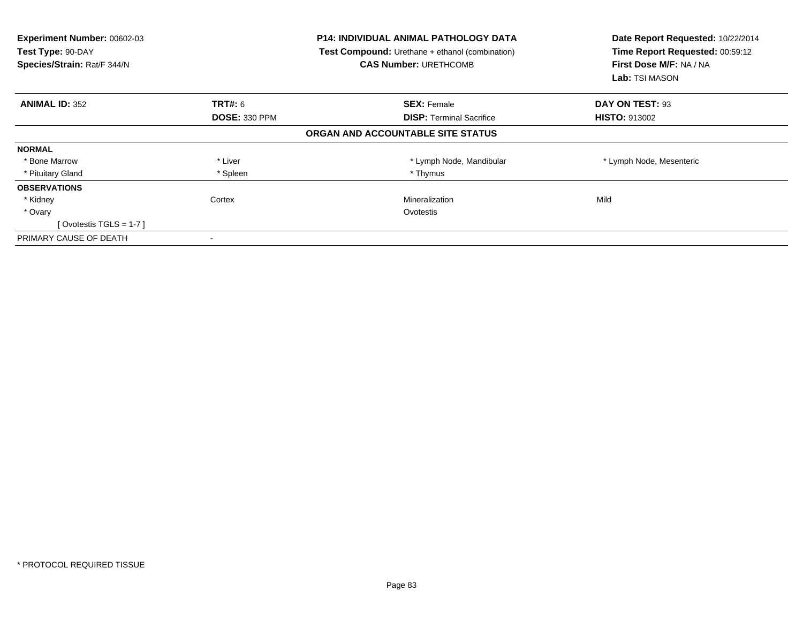| Experiment Number: 00602-03<br>Test Type: 90-DAY<br>Species/Strain: Rat/F 344/N | <b>P14: INDIVIDUAL ANIMAL PATHOLOGY DATA</b><br><b>Test Compound:</b> Urethane + ethanol (combination)<br><b>CAS Number: URETHCOMB</b> |                                   | Date Report Requested: 10/22/2014<br>Time Report Requested: 00:59:12<br>First Dose M/F: NA / NA<br>Lab: TSI MASON |
|---------------------------------------------------------------------------------|----------------------------------------------------------------------------------------------------------------------------------------|-----------------------------------|-------------------------------------------------------------------------------------------------------------------|
| <b>ANIMAL ID: 352</b>                                                           | TRT#: 6                                                                                                                                | <b>SEX: Female</b>                | DAY ON TEST: 93                                                                                                   |
|                                                                                 | <b>DOSE: 330 PPM</b>                                                                                                                   | <b>DISP:</b> Terminal Sacrifice   | <b>HISTO: 913002</b>                                                                                              |
|                                                                                 |                                                                                                                                        | ORGAN AND ACCOUNTABLE SITE STATUS |                                                                                                                   |
| <b>NORMAL</b>                                                                   |                                                                                                                                        |                                   |                                                                                                                   |
| * Bone Marrow                                                                   | * Liver                                                                                                                                | * Lymph Node, Mandibular          | * Lymph Node, Mesenteric                                                                                          |
| * Pituitary Gland                                                               | * Spleen                                                                                                                               | * Thymus                          |                                                                                                                   |
| <b>OBSERVATIONS</b>                                                             |                                                                                                                                        |                                   |                                                                                                                   |
| * Kidney                                                                        | Cortex                                                                                                                                 | Mineralization                    | Mild                                                                                                              |
| * Ovary                                                                         |                                                                                                                                        | Ovotestis                         |                                                                                                                   |
| [Ovotestis TGLS = $1-7$ ]                                                       |                                                                                                                                        |                                   |                                                                                                                   |
| PRIMARY CAUSE OF DEATH                                                          |                                                                                                                                        |                                   |                                                                                                                   |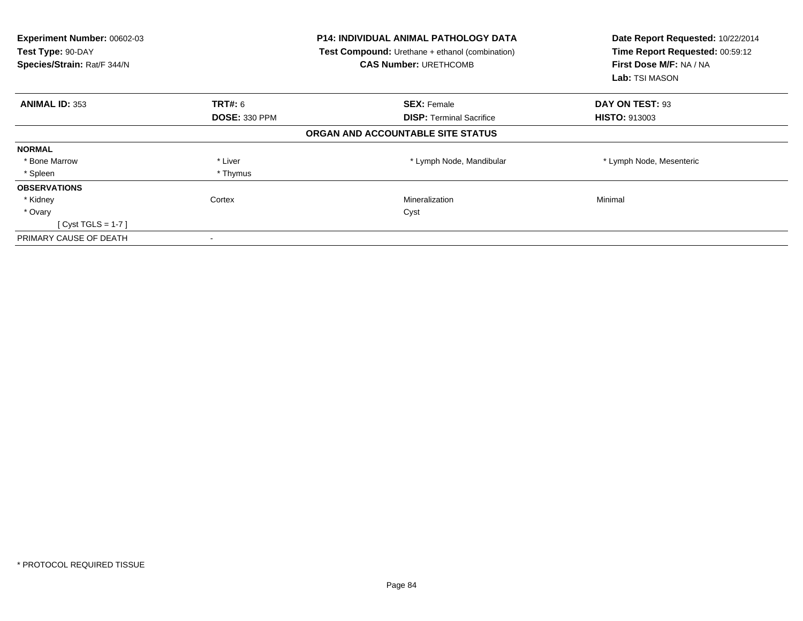| Experiment Number: 00602-03<br>Test Type: 90-DAY<br>Species/Strain: Rat/F 344/N |                      | <b>P14: INDIVIDUAL ANIMAL PATHOLOGY DATA</b><br><b>Test Compound:</b> Urethane + ethanol (combination)<br><b>CAS Number: URETHCOMB</b> | Date Report Requested: 10/22/2014<br>Time Report Requested: 00:59:12<br>First Dose M/F: NA / NA<br><b>Lab:</b> TSI MASON |
|---------------------------------------------------------------------------------|----------------------|----------------------------------------------------------------------------------------------------------------------------------------|--------------------------------------------------------------------------------------------------------------------------|
| <b>ANIMAL ID: 353</b>                                                           | <b>TRT#: 6</b>       | <b>SEX: Female</b>                                                                                                                     | DAY ON TEST: 93                                                                                                          |
|                                                                                 | <b>DOSE: 330 PPM</b> | <b>DISP: Terminal Sacrifice</b>                                                                                                        | <b>HISTO: 913003</b>                                                                                                     |
|                                                                                 |                      | ORGAN AND ACCOUNTABLE SITE STATUS                                                                                                      |                                                                                                                          |
| <b>NORMAL</b>                                                                   |                      |                                                                                                                                        |                                                                                                                          |
| * Bone Marrow                                                                   | * Liver              | * Lymph Node, Mandibular                                                                                                               | * Lymph Node, Mesenteric                                                                                                 |
| * Spleen                                                                        | * Thymus             |                                                                                                                                        |                                                                                                                          |
| <b>OBSERVATIONS</b>                                                             |                      |                                                                                                                                        |                                                                                                                          |
| * Kidney                                                                        | Cortex               | Mineralization                                                                                                                         | Minimal                                                                                                                  |
| * Ovary                                                                         |                      | Cyst                                                                                                                                   |                                                                                                                          |
| [Cyst TGLS = $1-7$ ]                                                            |                      |                                                                                                                                        |                                                                                                                          |
| PRIMARY CAUSE OF DEATH                                                          |                      |                                                                                                                                        |                                                                                                                          |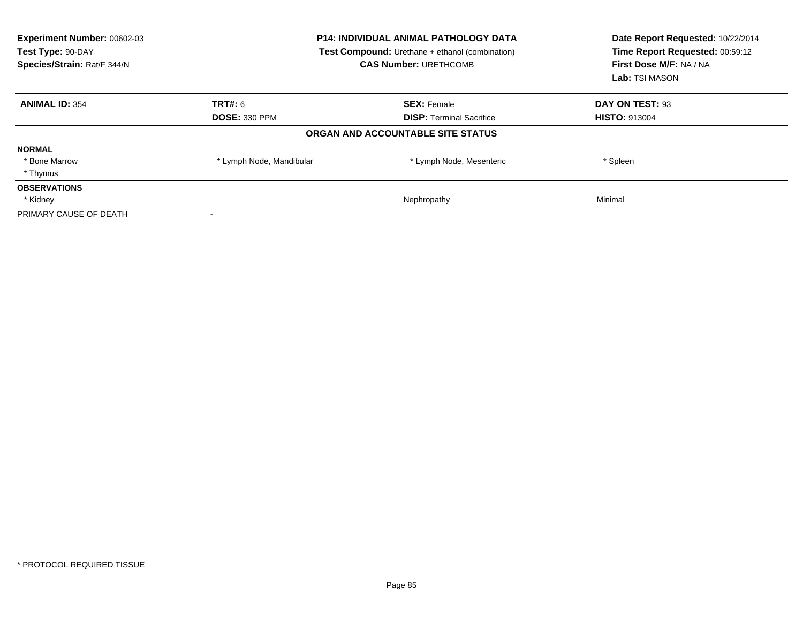| Experiment Number: 00602-03<br>Test Type: 90-DAY<br>Species/Strain: Rat/F 344/N | <b>P14: INDIVIDUAL ANIMAL PATHOLOGY DATA</b><br>Test Compound: Urethane + ethanol (combination)<br><b>CAS Number: URETHCOMB</b> |                                   | Date Report Requested: 10/22/2014<br>Time Report Requested: 00:59:12<br>First Dose M/F: NA / NA<br>Lab: TSI MASON |  |
|---------------------------------------------------------------------------------|---------------------------------------------------------------------------------------------------------------------------------|-----------------------------------|-------------------------------------------------------------------------------------------------------------------|--|
| <b>ANIMAL ID: 354</b>                                                           | <b>TRT#: 6</b>                                                                                                                  | <b>SEX: Female</b>                | DAY ON TEST: 93                                                                                                   |  |
|                                                                                 | <b>DOSE: 330 PPM</b>                                                                                                            | <b>DISP:</b> Terminal Sacrifice   | <b>HISTO: 913004</b>                                                                                              |  |
|                                                                                 |                                                                                                                                 | ORGAN AND ACCOUNTABLE SITE STATUS |                                                                                                                   |  |
| <b>NORMAL</b>                                                                   |                                                                                                                                 |                                   |                                                                                                                   |  |
| * Bone Marrow                                                                   | * Lymph Node, Mandibular                                                                                                        | * Lymph Node, Mesenteric          | * Spleen                                                                                                          |  |
| * Thymus                                                                        |                                                                                                                                 |                                   |                                                                                                                   |  |
| <b>OBSERVATIONS</b>                                                             |                                                                                                                                 |                                   |                                                                                                                   |  |
| * Kidney                                                                        |                                                                                                                                 | Nephropathy                       | Minimal                                                                                                           |  |
| PRIMARY CAUSE OF DEATH                                                          |                                                                                                                                 |                                   |                                                                                                                   |  |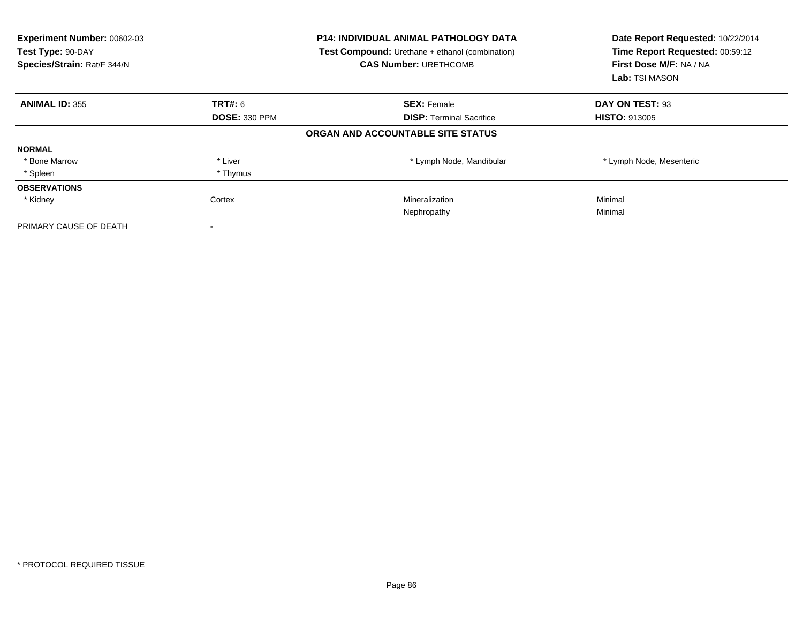| Experiment Number: 00602-03<br>Test Type: 90-DAY<br>Species/Strain: Rat/F 344/N |                      | <b>P14: INDIVIDUAL ANIMAL PATHOLOGY DATA</b><br><b>Test Compound:</b> Urethane + ethanol (combination)<br><b>CAS Number: URETHCOMB</b> | Date Report Requested: 10/22/2014<br>Time Report Requested: 00:59:12<br>First Dose M/F: NA / NA<br>Lab: TSI MASON |
|---------------------------------------------------------------------------------|----------------------|----------------------------------------------------------------------------------------------------------------------------------------|-------------------------------------------------------------------------------------------------------------------|
| <b>ANIMAL ID: 355</b>                                                           | <b>TRT#: 6</b>       | <b>SEX: Female</b>                                                                                                                     | DAY ON TEST: 93                                                                                                   |
|                                                                                 | <b>DOSE: 330 PPM</b> | <b>DISP:</b> Terminal Sacrifice                                                                                                        | <b>HISTO: 913005</b>                                                                                              |
|                                                                                 |                      | ORGAN AND ACCOUNTABLE SITE STATUS                                                                                                      |                                                                                                                   |
| <b>NORMAL</b>                                                                   |                      |                                                                                                                                        |                                                                                                                   |
| * Bone Marrow                                                                   | * Liver              | * Lymph Node, Mandibular                                                                                                               | * Lymph Node, Mesenteric                                                                                          |
| * Spleen                                                                        | * Thymus             |                                                                                                                                        |                                                                                                                   |
| <b>OBSERVATIONS</b>                                                             |                      |                                                                                                                                        |                                                                                                                   |
| * Kidney                                                                        | Cortex               | Mineralization                                                                                                                         | Minimal                                                                                                           |
|                                                                                 |                      | Nephropathy                                                                                                                            | Minimal                                                                                                           |
| PRIMARY CAUSE OF DEATH                                                          |                      |                                                                                                                                        |                                                                                                                   |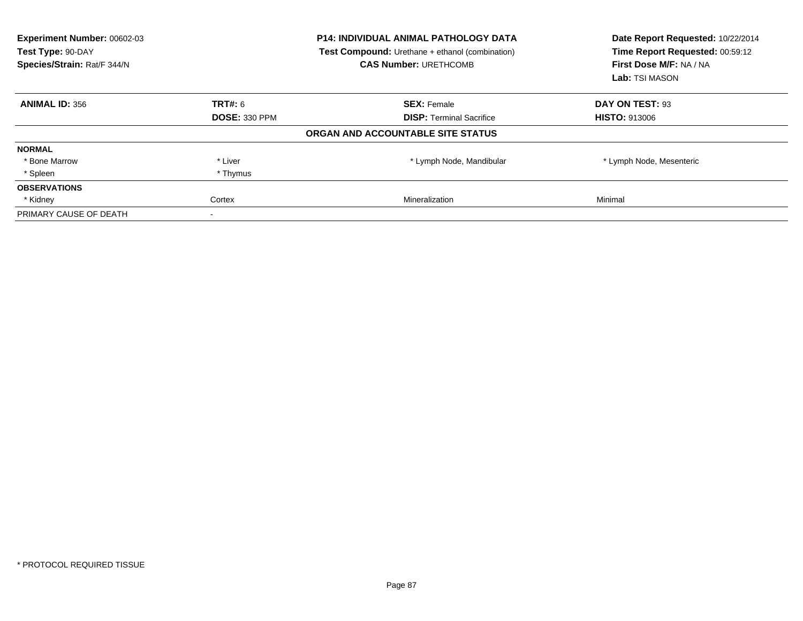| Experiment Number: 00602-03<br>Test Type: 90-DAY<br>Species/Strain: Rat/F 344/N |                      | <b>P14: INDIVIDUAL ANIMAL PATHOLOGY DATA</b><br><b>Test Compound:</b> Urethane + ethanol (combination)<br><b>CAS Number: URETHCOMB</b> | Date Report Requested: 10/22/2014<br>Time Report Requested: 00:59:12<br>First Dose M/F: NA / NA<br>Lab: TSI MASON |
|---------------------------------------------------------------------------------|----------------------|----------------------------------------------------------------------------------------------------------------------------------------|-------------------------------------------------------------------------------------------------------------------|
| <b>ANIMAL ID: 356</b>                                                           | TRT#: 6              | <b>SEX: Female</b>                                                                                                                     | DAY ON TEST: 93                                                                                                   |
|                                                                                 | <b>DOSE: 330 PPM</b> | <b>DISP:</b> Terminal Sacrifice                                                                                                        | <b>HISTO: 913006</b>                                                                                              |
|                                                                                 |                      | ORGAN AND ACCOUNTABLE SITE STATUS                                                                                                      |                                                                                                                   |
| <b>NORMAL</b>                                                                   |                      |                                                                                                                                        |                                                                                                                   |
| * Bone Marrow                                                                   | * Liver              | * Lymph Node, Mandibular                                                                                                               | * Lymph Node, Mesenteric                                                                                          |
| * Spleen                                                                        | * Thymus             |                                                                                                                                        |                                                                                                                   |
| <b>OBSERVATIONS</b>                                                             |                      |                                                                                                                                        |                                                                                                                   |
| * Kidney                                                                        | Cortex               | Mineralization                                                                                                                         | Minimal                                                                                                           |
| PRIMARY CAUSE OF DEATH                                                          |                      |                                                                                                                                        |                                                                                                                   |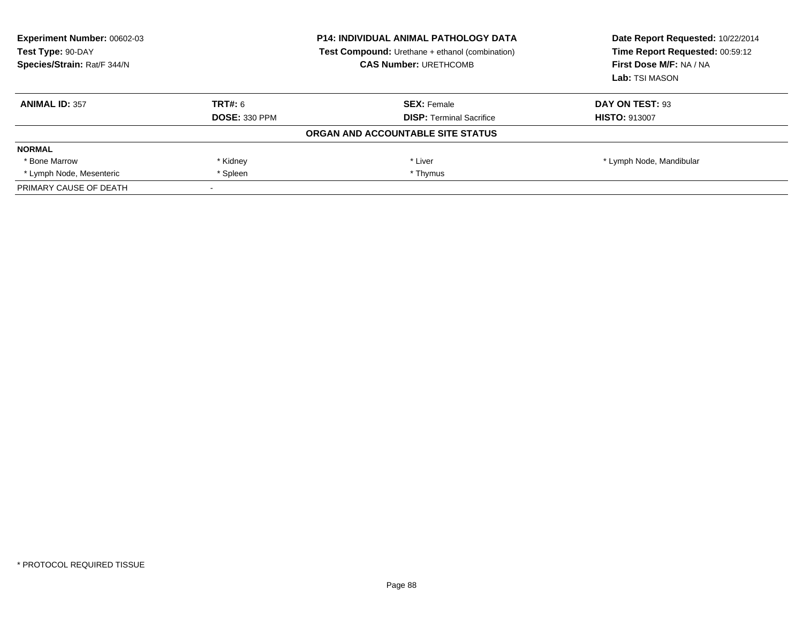| Experiment Number: 00602-03<br>Test Type: 90-DAY<br>Species/Strain: Rat/F 344/N |                      | <b>P14: INDIVIDUAL ANIMAL PATHOLOGY DATA</b><br><b>Test Compound:</b> Urethane + ethanol (combination)<br><b>CAS Number: URETHCOMB</b> | Date Report Requested: 10/22/2014<br>Time Report Requested: 00:59:12<br>First Dose M/F: NA / NA<br>Lab: TSI MASON |
|---------------------------------------------------------------------------------|----------------------|----------------------------------------------------------------------------------------------------------------------------------------|-------------------------------------------------------------------------------------------------------------------|
| <b>ANIMAL ID: 357</b>                                                           | TRT#: 6              | <b>SEX: Female</b>                                                                                                                     | DAY ON TEST: 93                                                                                                   |
|                                                                                 | <b>DOSE: 330 PPM</b> | <b>DISP:</b> Terminal Sacrifice                                                                                                        | <b>HISTO: 913007</b>                                                                                              |
|                                                                                 |                      | ORGAN AND ACCOUNTABLE SITE STATUS                                                                                                      |                                                                                                                   |
| <b>NORMAL</b>                                                                   |                      |                                                                                                                                        |                                                                                                                   |
| * Bone Marrow                                                                   | * Kidney             | * Liver                                                                                                                                | * Lymph Node, Mandibular                                                                                          |
| * Lymph Node, Mesenteric                                                        | * Spleen             | * Thymus                                                                                                                               |                                                                                                                   |
| PRIMARY CAUSE OF DEATH                                                          |                      |                                                                                                                                        |                                                                                                                   |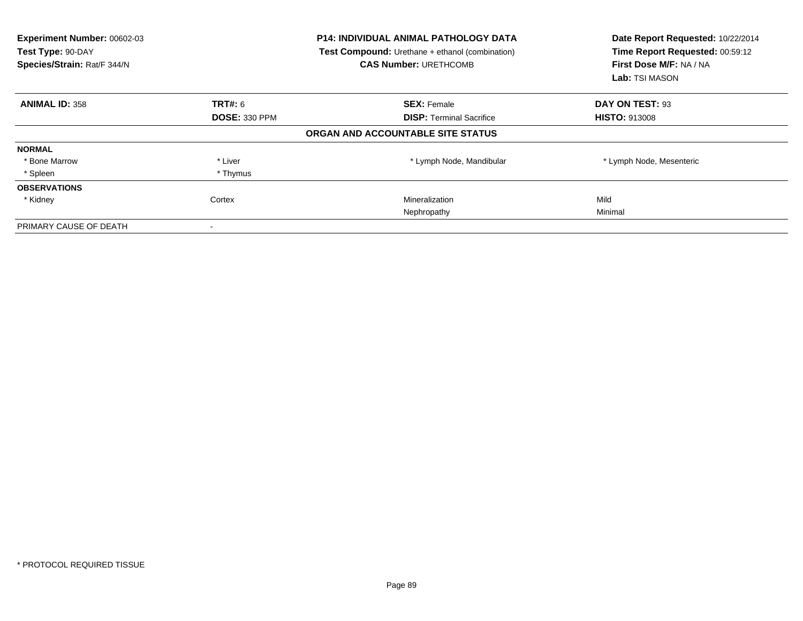| <b>Experiment Number: 00602-03</b><br>Test Type: 90-DAY<br>Species/Strain: Rat/F 344/N |                      | <b>P14: INDIVIDUAL ANIMAL PATHOLOGY DATA</b><br>Test Compound: Urethane + ethanol (combination)<br><b>CAS Number: URETHCOMB</b> | Date Report Requested: 10/22/2014<br>Time Report Requested: 00:59:12<br>First Dose M/F: NA / NA<br>Lab: TSI MASON |
|----------------------------------------------------------------------------------------|----------------------|---------------------------------------------------------------------------------------------------------------------------------|-------------------------------------------------------------------------------------------------------------------|
| <b>ANIMAL ID: 358</b>                                                                  | TRT#: 6              | <b>SEX: Female</b>                                                                                                              | DAY ON TEST: 93                                                                                                   |
|                                                                                        | <b>DOSE: 330 PPM</b> | <b>DISP:</b> Terminal Sacrifice                                                                                                 | <b>HISTO: 913008</b>                                                                                              |
|                                                                                        |                      | ORGAN AND ACCOUNTABLE SITE STATUS                                                                                               |                                                                                                                   |
| <b>NORMAL</b>                                                                          |                      |                                                                                                                                 |                                                                                                                   |
| * Bone Marrow                                                                          | * Liver              | * Lymph Node, Mandibular                                                                                                        | * Lymph Node, Mesenteric                                                                                          |
| * Spleen                                                                               | * Thymus             |                                                                                                                                 |                                                                                                                   |
| <b>OBSERVATIONS</b>                                                                    |                      |                                                                                                                                 |                                                                                                                   |
| * Kidney                                                                               | Cortex               | Mineralization                                                                                                                  | Mild                                                                                                              |
|                                                                                        |                      | Nephropathy                                                                                                                     | Minimal                                                                                                           |
| PRIMARY CAUSE OF DEATH                                                                 |                      |                                                                                                                                 |                                                                                                                   |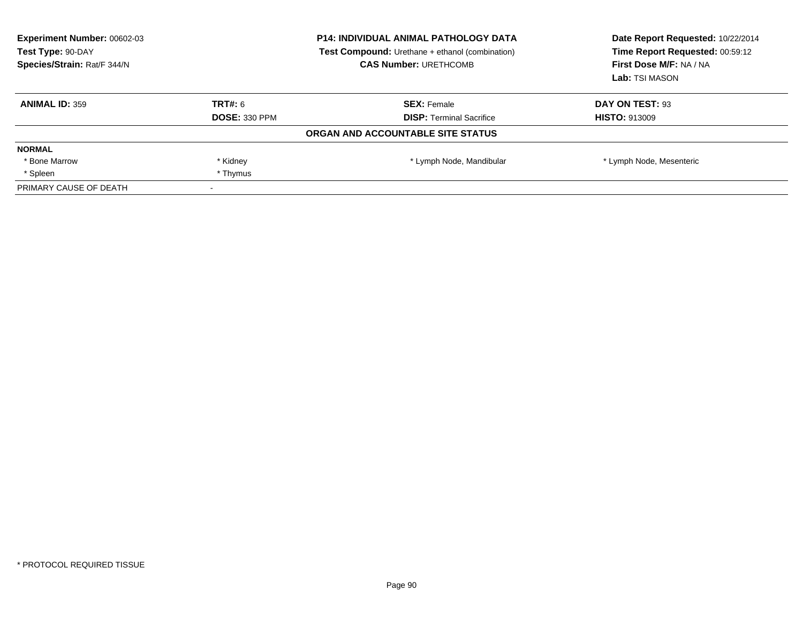| Experiment Number: 00602-03<br>Test Type: 90-DAY<br>Species/Strain: Rat/F 344/N |                      | <b>P14: INDIVIDUAL ANIMAL PATHOLOGY DATA</b><br><b>Test Compound:</b> Urethane + ethanol (combination)<br><b>CAS Number: URETHCOMB</b> | Date Report Requested: 10/22/2014<br>Time Report Requested: 00:59:12<br>First Dose M/F: NA / NA<br>Lab: TSI MASON |
|---------------------------------------------------------------------------------|----------------------|----------------------------------------------------------------------------------------------------------------------------------------|-------------------------------------------------------------------------------------------------------------------|
| <b>ANIMAL ID: 359</b>                                                           | TRT#: 6              | <b>SEX: Female</b>                                                                                                                     | DAY ON TEST: 93                                                                                                   |
|                                                                                 | <b>DOSE: 330 PPM</b> | <b>DISP:</b> Terminal Sacrifice                                                                                                        | <b>HISTO: 913009</b>                                                                                              |
|                                                                                 |                      | ORGAN AND ACCOUNTABLE SITE STATUS                                                                                                      |                                                                                                                   |
| <b>NORMAL</b>                                                                   |                      |                                                                                                                                        |                                                                                                                   |
| * Bone Marrow                                                                   | * Kidney             | * Lymph Node, Mandibular                                                                                                               | * Lymph Node, Mesenteric                                                                                          |
| * Spleen                                                                        | * Thymus             |                                                                                                                                        |                                                                                                                   |
| PRIMARY CAUSE OF DEATH                                                          |                      |                                                                                                                                        |                                                                                                                   |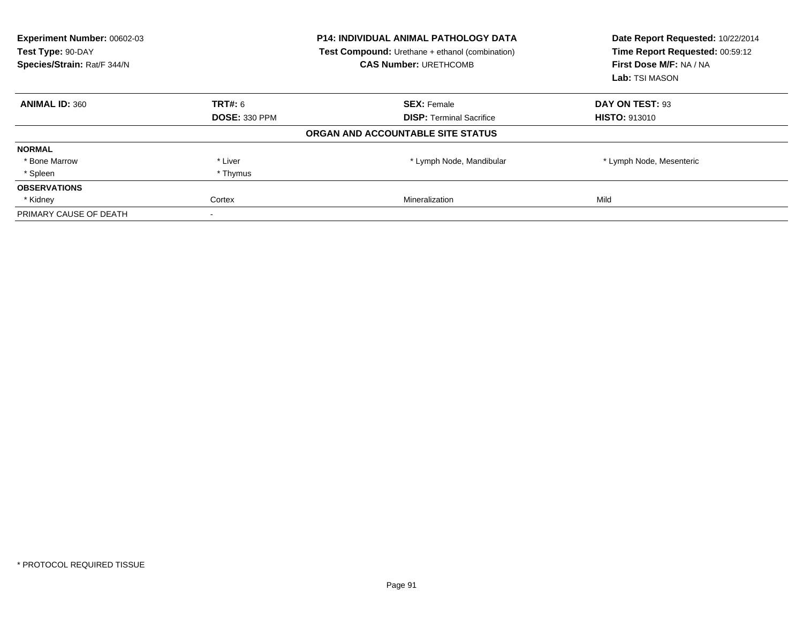| Experiment Number: 00602-03<br>Test Type: 90-DAY<br>Species/Strain: Rat/F 344/N |                      | <b>P14: INDIVIDUAL ANIMAL PATHOLOGY DATA</b><br><b>Test Compound:</b> Urethane + ethanol (combination)<br><b>CAS Number: URETHCOMB</b> | Date Report Requested: 10/22/2014<br>Time Report Requested: 00:59:12<br>First Dose M/F: NA / NA<br>Lab: TSI MASON |
|---------------------------------------------------------------------------------|----------------------|----------------------------------------------------------------------------------------------------------------------------------------|-------------------------------------------------------------------------------------------------------------------|
| <b>ANIMAL ID: 360</b>                                                           | <b>TRT#: 6</b>       | <b>SEX: Female</b>                                                                                                                     | DAY ON TEST: 93                                                                                                   |
|                                                                                 | <b>DOSE: 330 PPM</b> | <b>DISP:</b> Terminal Sacrifice                                                                                                        | <b>HISTO: 913010</b>                                                                                              |
|                                                                                 |                      | ORGAN AND ACCOUNTABLE SITE STATUS                                                                                                      |                                                                                                                   |
| <b>NORMAL</b>                                                                   |                      |                                                                                                                                        |                                                                                                                   |
| * Bone Marrow                                                                   | * Liver              | * Lymph Node, Mandibular                                                                                                               | * Lymph Node, Mesenteric                                                                                          |
| * Spleen                                                                        | * Thymus             |                                                                                                                                        |                                                                                                                   |
| <b>OBSERVATIONS</b>                                                             |                      |                                                                                                                                        |                                                                                                                   |
| * Kidney                                                                        | Cortex               | <b>Mineralization</b>                                                                                                                  | Mild                                                                                                              |
| PRIMARY CAUSE OF DEATH                                                          |                      |                                                                                                                                        |                                                                                                                   |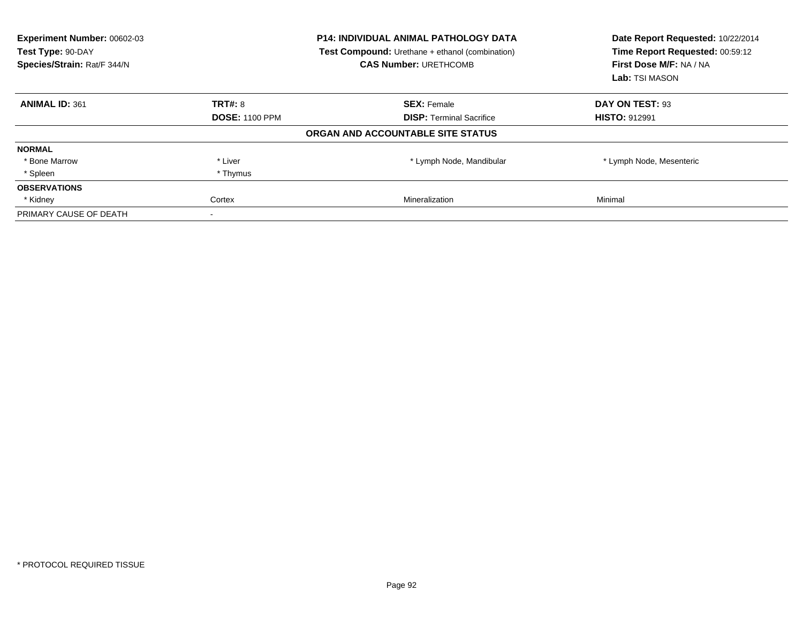| Experiment Number: 00602-03<br>Test Type: 90-DAY<br>Species/Strain: Rat/F 344/N |                       | <b>P14: INDIVIDUAL ANIMAL PATHOLOGY DATA</b><br><b>Test Compound:</b> Urethane + ethanol (combination)<br><b>CAS Number: URETHCOMB</b> | Date Report Requested: 10/22/2014<br>Time Report Requested: 00:59:12<br>First Dose M/F: NA / NA<br>Lab: TSI MASON |
|---------------------------------------------------------------------------------|-----------------------|----------------------------------------------------------------------------------------------------------------------------------------|-------------------------------------------------------------------------------------------------------------------|
| <b>ANIMAL ID: 361</b>                                                           | <b>TRT#: 8</b>        | <b>SEX: Female</b>                                                                                                                     | DAY ON TEST: 93                                                                                                   |
|                                                                                 | <b>DOSE: 1100 PPM</b> | <b>DISP:</b> Terminal Sacrifice                                                                                                        | <b>HISTO: 912991</b>                                                                                              |
|                                                                                 |                       | ORGAN AND ACCOUNTABLE SITE STATUS                                                                                                      |                                                                                                                   |
| <b>NORMAL</b>                                                                   |                       |                                                                                                                                        |                                                                                                                   |
| * Bone Marrow                                                                   | * Liver               | * Lymph Node, Mandibular                                                                                                               | * Lymph Node, Mesenteric                                                                                          |
| * Spleen                                                                        | * Thymus              |                                                                                                                                        |                                                                                                                   |
| <b>OBSERVATIONS</b>                                                             |                       |                                                                                                                                        |                                                                                                                   |
| * Kidney                                                                        | Cortex                | Mineralization                                                                                                                         | Minimal                                                                                                           |
| PRIMARY CAUSE OF DEATH                                                          |                       |                                                                                                                                        |                                                                                                                   |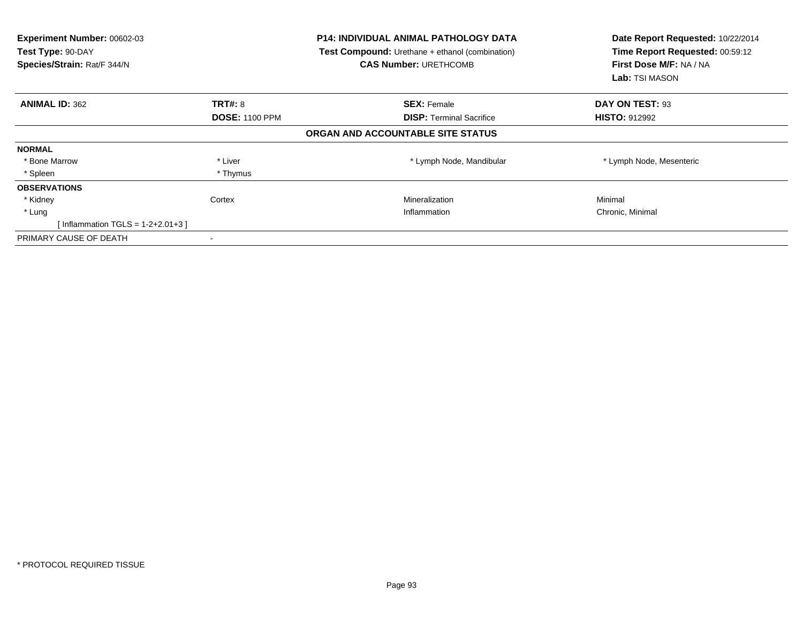| Experiment Number: 00602-03<br>Test Type: 90-DAY<br>Species/Strain: Rat/F 344/N |                       | <b>P14: INDIVIDUAL ANIMAL PATHOLOGY DATA</b><br>Test Compound: Urethane + ethanol (combination)<br><b>CAS Number: URETHCOMB</b> | Date Report Requested: 10/22/2014<br>Time Report Requested: 00:59:12<br>First Dose M/F: NA / NA<br><b>Lab:</b> TSI MASON |
|---------------------------------------------------------------------------------|-----------------------|---------------------------------------------------------------------------------------------------------------------------------|--------------------------------------------------------------------------------------------------------------------------|
| <b>ANIMAL ID: 362</b>                                                           | <b>TRT#: 8</b>        | <b>SEX: Female</b>                                                                                                              | DAY ON TEST: 93                                                                                                          |
|                                                                                 | <b>DOSE: 1100 PPM</b> | <b>DISP:</b> Terminal Sacrifice                                                                                                 | <b>HISTO: 912992</b>                                                                                                     |
|                                                                                 |                       | ORGAN AND ACCOUNTABLE SITE STATUS                                                                                               |                                                                                                                          |
| <b>NORMAL</b>                                                                   |                       |                                                                                                                                 |                                                                                                                          |
| * Bone Marrow                                                                   | * Liver               | * Lymph Node, Mandibular                                                                                                        | * Lymph Node, Mesenteric                                                                                                 |
| * Spleen                                                                        | * Thymus              |                                                                                                                                 |                                                                                                                          |
| <b>OBSERVATIONS</b>                                                             |                       |                                                                                                                                 |                                                                                                                          |
| * Kidney                                                                        | Cortex                | Mineralization                                                                                                                  | Minimal                                                                                                                  |
| * Lung                                                                          |                       | Inflammation                                                                                                                    | Chronic, Minimal                                                                                                         |
| [Inflammation TGLS = $1-2+2.01+3$ ]                                             |                       |                                                                                                                                 |                                                                                                                          |
| PRIMARY CAUSE OF DEATH                                                          |                       |                                                                                                                                 |                                                                                                                          |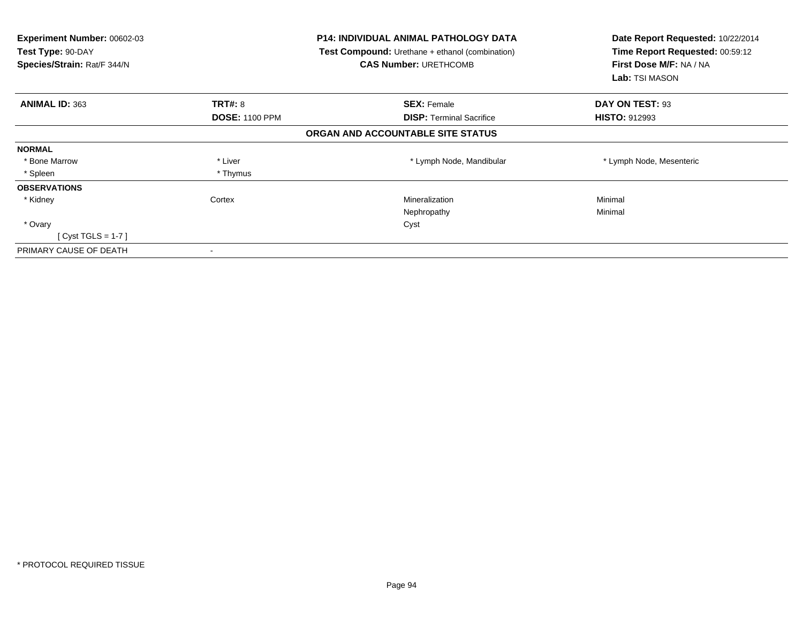| <b>Experiment Number: 00602-03</b><br>Test Type: 90-DAY<br>Species/Strain: Rat/F 344/N |                       | <b>P14: INDIVIDUAL ANIMAL PATHOLOGY DATA</b><br><b>Test Compound:</b> Urethane + ethanol (combination)<br><b>CAS Number: URETHCOMB</b> | Date Report Requested: 10/22/2014<br>Time Report Requested: 00:59:12<br>First Dose M/F: NA / NA<br>Lab: TSI MASON |
|----------------------------------------------------------------------------------------|-----------------------|----------------------------------------------------------------------------------------------------------------------------------------|-------------------------------------------------------------------------------------------------------------------|
| <b>ANIMAL ID: 363</b>                                                                  | TRT#: 8               | <b>SEX: Female</b>                                                                                                                     | DAY ON TEST: 93                                                                                                   |
|                                                                                        | <b>DOSE: 1100 PPM</b> | <b>DISP:</b> Terminal Sacrifice                                                                                                        | <b>HISTO: 912993</b>                                                                                              |
|                                                                                        |                       | ORGAN AND ACCOUNTABLE SITE STATUS                                                                                                      |                                                                                                                   |
| <b>NORMAL</b>                                                                          |                       |                                                                                                                                        |                                                                                                                   |
| * Bone Marrow                                                                          | * Liver               | * Lymph Node, Mandibular                                                                                                               | * Lymph Node, Mesenteric                                                                                          |
| * Spleen                                                                               | * Thymus              |                                                                                                                                        |                                                                                                                   |
| <b>OBSERVATIONS</b>                                                                    |                       |                                                                                                                                        |                                                                                                                   |
| * Kidney                                                                               | Cortex                | Mineralization                                                                                                                         | Minimal                                                                                                           |
|                                                                                        |                       | Nephropathy                                                                                                                            | Minimal                                                                                                           |
| * Ovary                                                                                |                       | Cyst                                                                                                                                   |                                                                                                                   |
| $[Cyst TGLS = 1-7]$                                                                    |                       |                                                                                                                                        |                                                                                                                   |
| PRIMARY CAUSE OF DEATH                                                                 |                       |                                                                                                                                        |                                                                                                                   |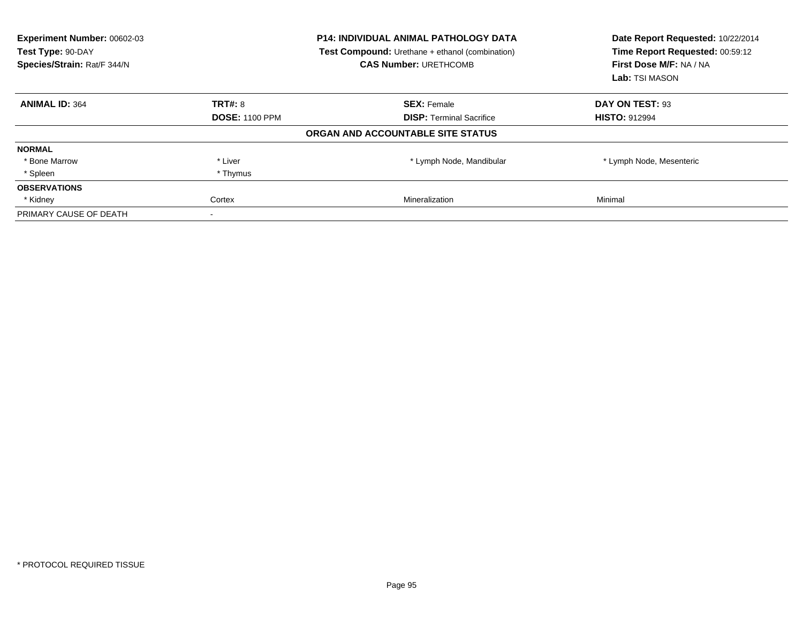| Experiment Number: 00602-03<br>Test Type: 90-DAY<br>Species/Strain: Rat/F 344/N |                       | <b>P14: INDIVIDUAL ANIMAL PATHOLOGY DATA</b><br><b>Test Compound:</b> Urethane + ethanol (combination)<br><b>CAS Number: URETHCOMB</b> | Date Report Requested: 10/22/2014<br>Time Report Requested: 00:59:12<br>First Dose M/F: NA / NA<br>Lab: TSI MASON |
|---------------------------------------------------------------------------------|-----------------------|----------------------------------------------------------------------------------------------------------------------------------------|-------------------------------------------------------------------------------------------------------------------|
| <b>ANIMAL ID: 364</b>                                                           | <b>TRT#: 8</b>        | <b>SEX: Female</b>                                                                                                                     | DAY ON TEST: 93                                                                                                   |
|                                                                                 | <b>DOSE: 1100 PPM</b> | <b>DISP:</b> Terminal Sacrifice                                                                                                        | <b>HISTO: 912994</b>                                                                                              |
|                                                                                 |                       | ORGAN AND ACCOUNTABLE SITE STATUS                                                                                                      |                                                                                                                   |
| <b>NORMAL</b>                                                                   |                       |                                                                                                                                        |                                                                                                                   |
| * Bone Marrow                                                                   | * Liver               | * Lymph Node, Mandibular                                                                                                               | * Lymph Node, Mesenteric                                                                                          |
| * Spleen                                                                        | * Thymus              |                                                                                                                                        |                                                                                                                   |
| <b>OBSERVATIONS</b>                                                             |                       |                                                                                                                                        |                                                                                                                   |
| * Kidney                                                                        | Cortex                | Mineralization                                                                                                                         | Minimal                                                                                                           |
| PRIMARY CAUSE OF DEATH                                                          |                       |                                                                                                                                        |                                                                                                                   |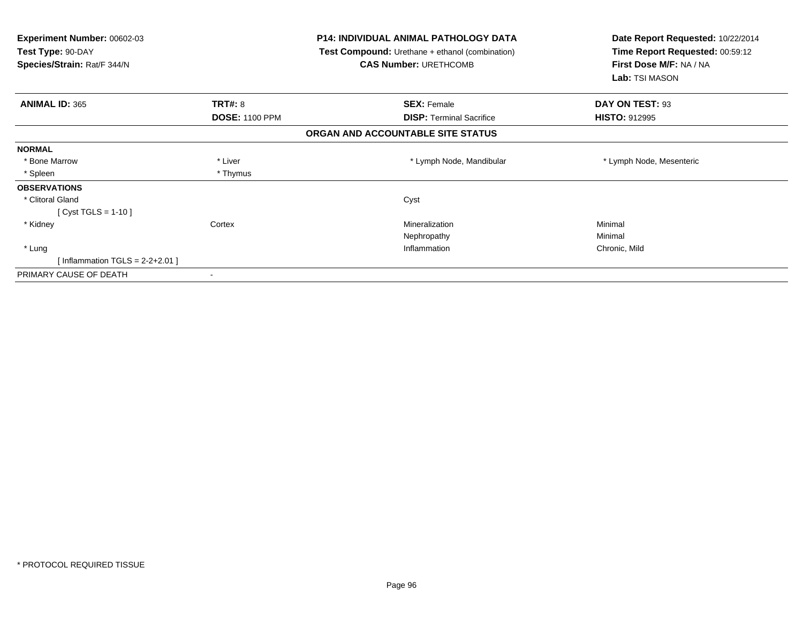| Experiment Number: 00602-03<br>Test Type: 90-DAY<br>Species/Strain: Rat/F 344/N |                       | <b>P14: INDIVIDUAL ANIMAL PATHOLOGY DATA</b><br>Test Compound: Urethane + ethanol (combination)<br><b>CAS Number: URETHCOMB</b> | Date Report Requested: 10/22/2014<br>Time Report Requested: 00:59:12<br>First Dose M/F: NA / NA<br>Lab: TSI MASON |
|---------------------------------------------------------------------------------|-----------------------|---------------------------------------------------------------------------------------------------------------------------------|-------------------------------------------------------------------------------------------------------------------|
| <b>ANIMAL ID: 365</b>                                                           | TRT#: 8               | <b>SEX: Female</b>                                                                                                              | DAY ON TEST: 93                                                                                                   |
|                                                                                 | <b>DOSE: 1100 PPM</b> | <b>DISP: Terminal Sacrifice</b>                                                                                                 | <b>HISTO: 912995</b>                                                                                              |
|                                                                                 |                       | ORGAN AND ACCOUNTABLE SITE STATUS                                                                                               |                                                                                                                   |
| <b>NORMAL</b>                                                                   |                       |                                                                                                                                 |                                                                                                                   |
| * Bone Marrow                                                                   | * Liver               | * Lymph Node, Mandibular                                                                                                        | * Lymph Node, Mesenteric                                                                                          |
| * Spleen                                                                        | * Thymus              |                                                                                                                                 |                                                                                                                   |
| <b>OBSERVATIONS</b>                                                             |                       |                                                                                                                                 |                                                                                                                   |
| * Clitoral Gland                                                                |                       | Cyst                                                                                                                            |                                                                                                                   |
| [ Cyst TGLS = 1-10 ]                                                            |                       |                                                                                                                                 |                                                                                                                   |
| * Kidney                                                                        | Cortex                | Mineralization                                                                                                                  | Minimal                                                                                                           |
|                                                                                 |                       | Nephropathy                                                                                                                     | Minimal                                                                                                           |
| * Lung                                                                          |                       | Inflammation                                                                                                                    | Chronic, Mild                                                                                                     |
| [Inflammation TGLS = $2-2+2.01$ ]                                               |                       |                                                                                                                                 |                                                                                                                   |
| PRIMARY CAUSE OF DEATH                                                          |                       |                                                                                                                                 |                                                                                                                   |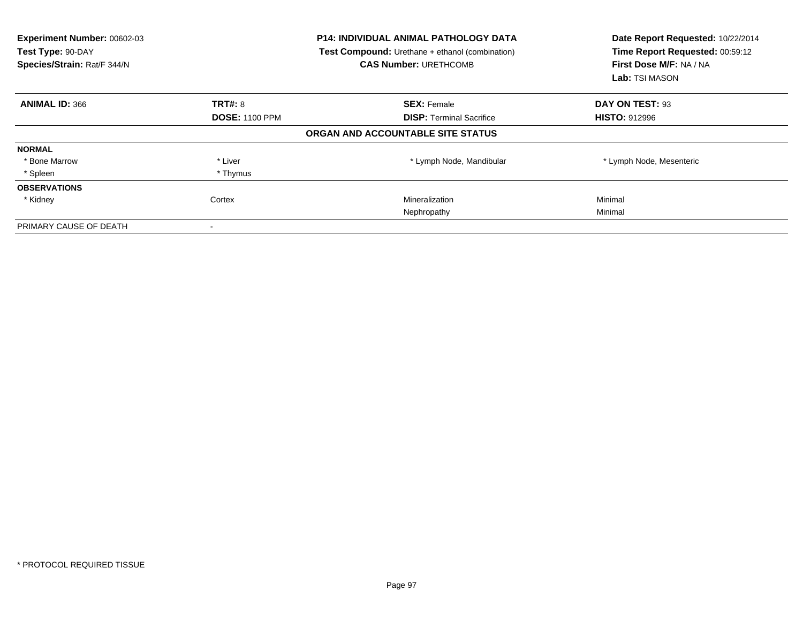| Experiment Number: 00602-03<br>Test Type: 90-DAY<br>Species/Strain: Rat/F 344/N |                       | <b>P14: INDIVIDUAL ANIMAL PATHOLOGY DATA</b><br><b>Test Compound:</b> Urethane + ethanol (combination)<br><b>CAS Number: URETHCOMB</b> | Date Report Requested: 10/22/2014<br>Time Report Requested: 00:59:12<br>First Dose M/F: NA / NA<br>Lab: TSI MASON |
|---------------------------------------------------------------------------------|-----------------------|----------------------------------------------------------------------------------------------------------------------------------------|-------------------------------------------------------------------------------------------------------------------|
| <b>ANIMAL ID: 366</b>                                                           | <b>TRT#: 8</b>        | <b>SEX: Female</b>                                                                                                                     | DAY ON TEST: 93                                                                                                   |
|                                                                                 | <b>DOSE: 1100 PPM</b> | <b>DISP:</b> Terminal Sacrifice                                                                                                        | <b>HISTO: 912996</b>                                                                                              |
|                                                                                 |                       | ORGAN AND ACCOUNTABLE SITE STATUS                                                                                                      |                                                                                                                   |
| <b>NORMAL</b>                                                                   |                       |                                                                                                                                        |                                                                                                                   |
| * Bone Marrow                                                                   | * Liver               | * Lymph Node, Mandibular                                                                                                               | * Lymph Node, Mesenteric                                                                                          |
| * Spleen                                                                        | * Thymus              |                                                                                                                                        |                                                                                                                   |
| <b>OBSERVATIONS</b>                                                             |                       |                                                                                                                                        |                                                                                                                   |
| * Kidney                                                                        | Cortex                | Mineralization                                                                                                                         | Minimal                                                                                                           |
|                                                                                 |                       | Nephropathy                                                                                                                            | Minimal                                                                                                           |
| PRIMARY CAUSE OF DEATH                                                          |                       |                                                                                                                                        |                                                                                                                   |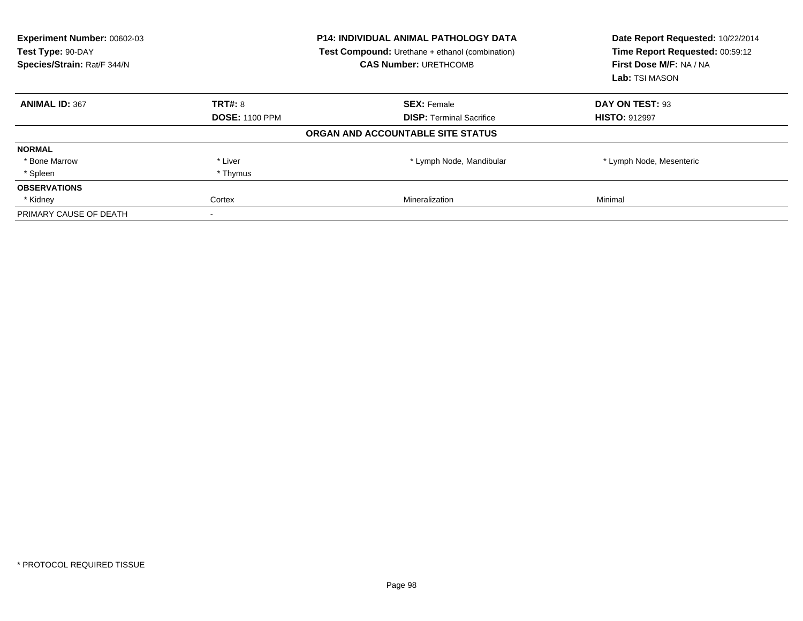| Experiment Number: 00602-03<br>Test Type: 90-DAY<br>Species/Strain: Rat/F 344/N |                       | <b>P14: INDIVIDUAL ANIMAL PATHOLOGY DATA</b><br><b>Test Compound:</b> Urethane + ethanol (combination)<br><b>CAS Number: URETHCOMB</b> | Date Report Requested: 10/22/2014<br>Time Report Requested: 00:59:12<br>First Dose M/F: NA / NA<br>Lab: TSI MASON |  |
|---------------------------------------------------------------------------------|-----------------------|----------------------------------------------------------------------------------------------------------------------------------------|-------------------------------------------------------------------------------------------------------------------|--|
| <b>ANIMAL ID: 367</b>                                                           | <b>TRT#: 8</b>        | <b>SEX: Female</b>                                                                                                                     | DAY ON TEST: 93                                                                                                   |  |
|                                                                                 | <b>DOSE: 1100 PPM</b> | <b>DISP:</b> Terminal Sacrifice                                                                                                        | <b>HISTO: 912997</b>                                                                                              |  |
|                                                                                 |                       | ORGAN AND ACCOUNTABLE SITE STATUS                                                                                                      |                                                                                                                   |  |
| <b>NORMAL</b>                                                                   |                       |                                                                                                                                        |                                                                                                                   |  |
| * Bone Marrow                                                                   | * Liver               | * Lymph Node, Mandibular                                                                                                               | * Lymph Node, Mesenteric                                                                                          |  |
| * Spleen                                                                        | * Thymus              |                                                                                                                                        |                                                                                                                   |  |
| <b>OBSERVATIONS</b>                                                             |                       |                                                                                                                                        |                                                                                                                   |  |
| * Kidney                                                                        | Cortex                | Mineralization                                                                                                                         | Minimal                                                                                                           |  |
| PRIMARY CAUSE OF DEATH                                                          |                       |                                                                                                                                        |                                                                                                                   |  |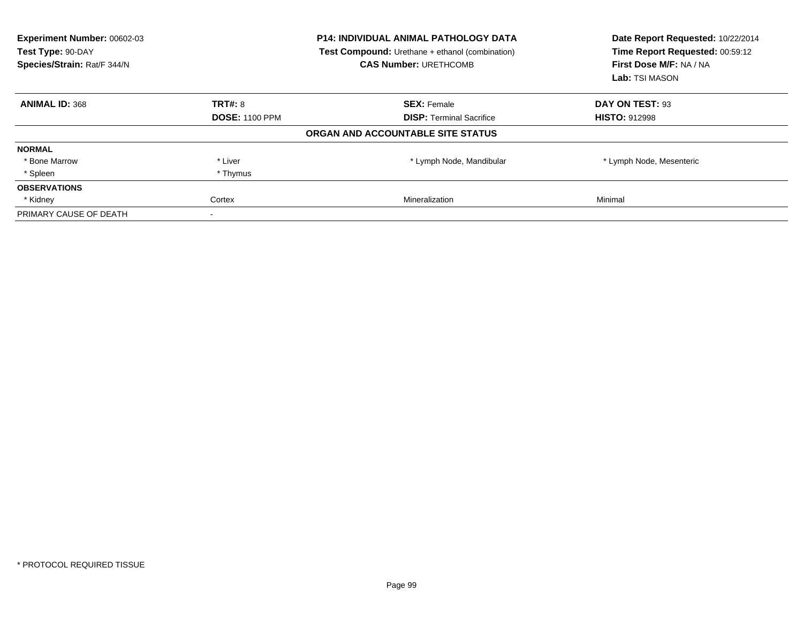| Experiment Number: 00602-03<br>Test Type: 90-DAY<br>Species/Strain: Rat/F 344/N |                       | <b>P14: INDIVIDUAL ANIMAL PATHOLOGY DATA</b><br><b>Test Compound:</b> Urethane + ethanol (combination)<br><b>CAS Number: URETHCOMB</b> | Date Report Requested: 10/22/2014<br>Time Report Requested: 00:59:12<br>First Dose M/F: NA / NA<br>Lab: TSI MASON |  |
|---------------------------------------------------------------------------------|-----------------------|----------------------------------------------------------------------------------------------------------------------------------------|-------------------------------------------------------------------------------------------------------------------|--|
| <b>ANIMAL ID: 368</b>                                                           | <b>TRT#: 8</b>        | <b>SEX: Female</b>                                                                                                                     | DAY ON TEST: 93                                                                                                   |  |
|                                                                                 | <b>DOSE: 1100 PPM</b> | <b>DISP:</b> Terminal Sacrifice                                                                                                        | <b>HISTO: 912998</b>                                                                                              |  |
|                                                                                 |                       | ORGAN AND ACCOUNTABLE SITE STATUS                                                                                                      |                                                                                                                   |  |
| <b>NORMAL</b>                                                                   |                       |                                                                                                                                        |                                                                                                                   |  |
| * Bone Marrow                                                                   | * Liver               | * Lymph Node, Mandibular                                                                                                               | * Lymph Node, Mesenteric                                                                                          |  |
| * Spleen                                                                        | * Thymus              |                                                                                                                                        |                                                                                                                   |  |
| <b>OBSERVATIONS</b>                                                             |                       |                                                                                                                                        |                                                                                                                   |  |
| * Kidney                                                                        | Cortex                | Mineralization                                                                                                                         | Minimal                                                                                                           |  |
| PRIMARY CAUSE OF DEATH                                                          |                       |                                                                                                                                        |                                                                                                                   |  |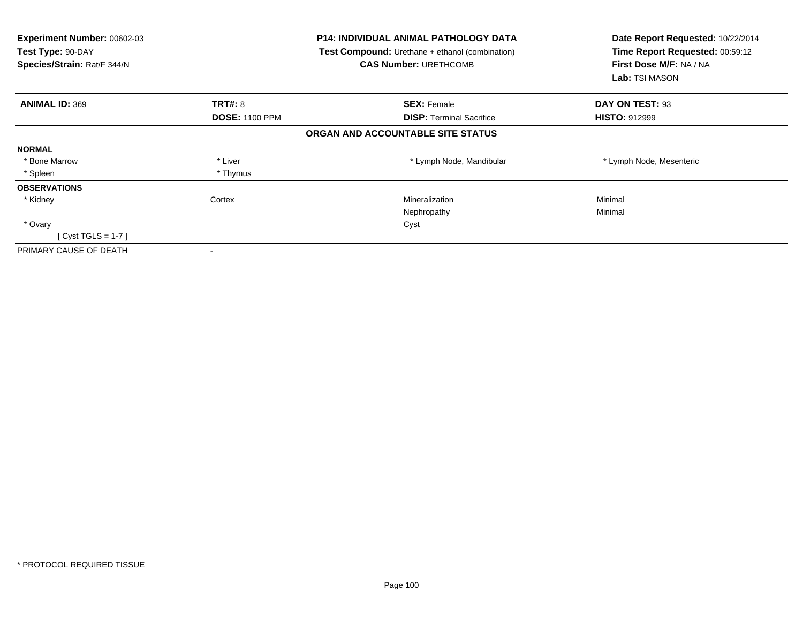| <b>Experiment Number: 00602-03</b><br>Test Type: 90-DAY<br>Species/Strain: Rat/F 344/N |                       | <b>P14: INDIVIDUAL ANIMAL PATHOLOGY DATA</b><br><b>Test Compound:</b> Urethane + ethanol (combination)<br><b>CAS Number: URETHCOMB</b> | Date Report Requested: 10/22/2014<br>Time Report Requested: 00:59:12<br>First Dose M/F: NA / NA<br>Lab: TSI MASON |
|----------------------------------------------------------------------------------------|-----------------------|----------------------------------------------------------------------------------------------------------------------------------------|-------------------------------------------------------------------------------------------------------------------|
| <b>ANIMAL ID: 369</b>                                                                  | TRT#: 8               | <b>SEX: Female</b>                                                                                                                     | DAY ON TEST: 93                                                                                                   |
|                                                                                        | <b>DOSE: 1100 PPM</b> | <b>DISP:</b> Terminal Sacrifice                                                                                                        | <b>HISTO: 912999</b>                                                                                              |
|                                                                                        |                       | ORGAN AND ACCOUNTABLE SITE STATUS                                                                                                      |                                                                                                                   |
| <b>NORMAL</b>                                                                          |                       |                                                                                                                                        |                                                                                                                   |
| * Bone Marrow                                                                          | * Liver               | * Lymph Node, Mandibular                                                                                                               | * Lymph Node, Mesenteric                                                                                          |
| * Spleen                                                                               | * Thymus              |                                                                                                                                        |                                                                                                                   |
| <b>OBSERVATIONS</b>                                                                    |                       |                                                                                                                                        |                                                                                                                   |
| * Kidney                                                                               | Cortex                | Mineralization                                                                                                                         | Minimal                                                                                                           |
|                                                                                        |                       | Nephropathy                                                                                                                            | Minimal                                                                                                           |
| * Ovary                                                                                |                       | Cyst                                                                                                                                   |                                                                                                                   |
| $[Cyst TGLS = 1-7]$                                                                    |                       |                                                                                                                                        |                                                                                                                   |
| PRIMARY CAUSE OF DEATH                                                                 |                       |                                                                                                                                        |                                                                                                                   |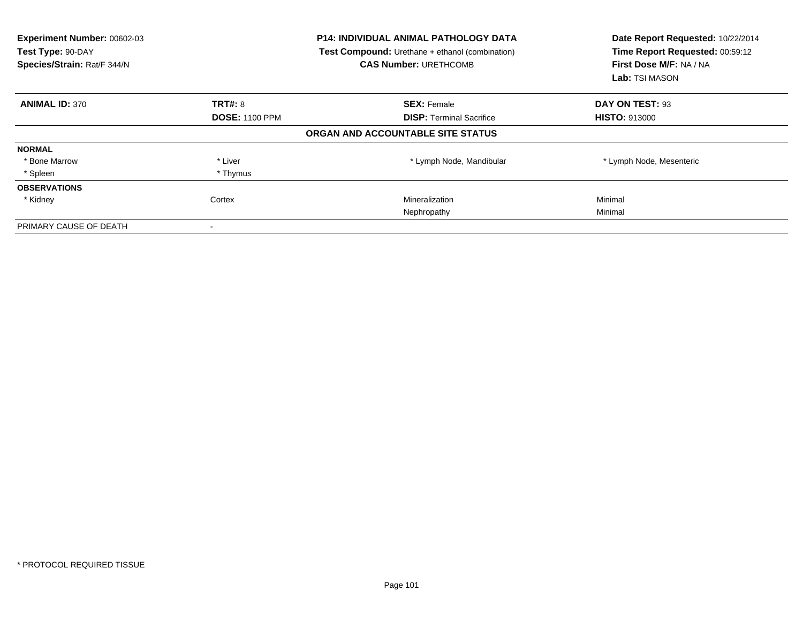| Experiment Number: 00602-03<br>Test Type: 90-DAY<br>Species/Strain: Rat/F 344/N |                       | <b>P14: INDIVIDUAL ANIMAL PATHOLOGY DATA</b><br><b>Test Compound:</b> Urethane + ethanol (combination)<br><b>CAS Number: URETHCOMB</b> | Date Report Requested: 10/22/2014<br>Time Report Requested: 00:59:12<br>First Dose M/F: NA / NA<br>Lab: TSI MASON |
|---------------------------------------------------------------------------------|-----------------------|----------------------------------------------------------------------------------------------------------------------------------------|-------------------------------------------------------------------------------------------------------------------|
| <b>ANIMAL ID: 370</b>                                                           | <b>TRT#: 8</b>        | <b>SEX: Female</b>                                                                                                                     | DAY ON TEST: 93                                                                                                   |
|                                                                                 | <b>DOSE: 1100 PPM</b> | <b>DISP:</b> Terminal Sacrifice                                                                                                        | <b>HISTO: 913000</b>                                                                                              |
|                                                                                 |                       | ORGAN AND ACCOUNTABLE SITE STATUS                                                                                                      |                                                                                                                   |
| <b>NORMAL</b>                                                                   |                       |                                                                                                                                        |                                                                                                                   |
| * Bone Marrow                                                                   | * Liver               | * Lymph Node, Mandibular                                                                                                               | * Lymph Node, Mesenteric                                                                                          |
| * Spleen                                                                        | * Thymus              |                                                                                                                                        |                                                                                                                   |
| <b>OBSERVATIONS</b>                                                             |                       |                                                                                                                                        |                                                                                                                   |
| * Kidney                                                                        | Cortex                | Mineralization                                                                                                                         | Minimal                                                                                                           |
|                                                                                 |                       | Nephropathy                                                                                                                            | Minimal                                                                                                           |
| PRIMARY CAUSE OF DEATH                                                          |                       |                                                                                                                                        |                                                                                                                   |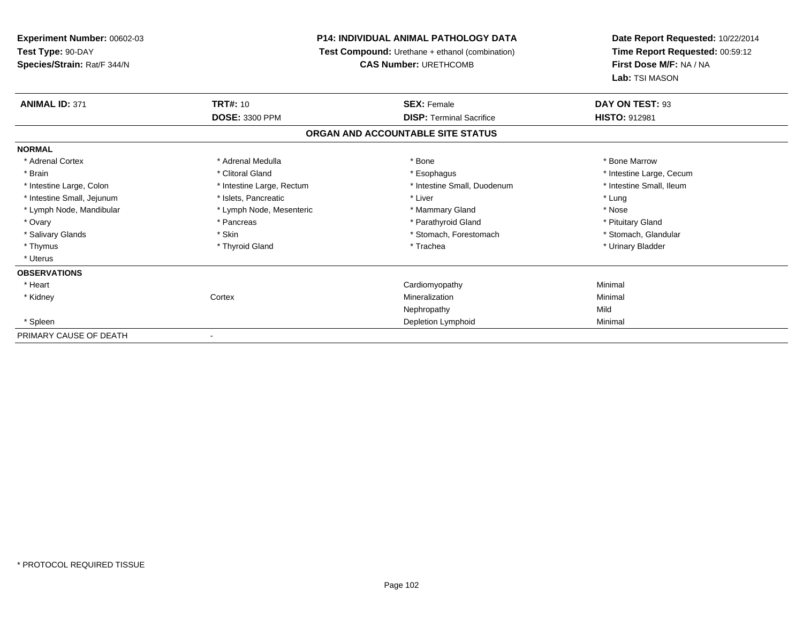**Experiment Number:** 00602-03**Test Type:** 90-DAY **Species/Strain:** Rat/F 344/N**P14: INDIVIDUAL ANIMAL PATHOLOGY DATA Test Compound:** Urethane + ethanol (combination)**CAS Number:** URETHCOMB**Date Report Requested:** 10/22/2014**Time Report Requested:** 00:59:12**First Dose M/F:** NA / NA**Lab:** TSI MASON**ANIMAL ID:** 371**TRT#:** 10 **SEX:** Female **DAY ON TEST:** 93 **DOSE:** 3300 PPM**DISP:** Terminal Sacrifice **HISTO:** 912981 **ORGAN AND ACCOUNTABLE SITE STATUSNORMAL**\* Adrenal Cortex \* Adrenal Medulla \* Adrenal Medulla \* Bone \* Bone \* Bone \* Bone \* Bone Marrow \* Brain \* Alternation of the state of the state of the state of the state of the state of the state of the state of the state of the state of the state of the state of the state of the state of the state of the state of th \* Intestine Small, Ileum \* Intestine Large, Colon \* Intestine Large, Rectum \* Intestine Small, Duodenum \* Intestine Small, Duodenum \* Intestine Small, Jejunum \* The matches of the state of the state of the state of the state of the state of the state of the state of the state of the state of the state of the state of the state of the state of the state \* Nose \* Lymph Node, Mandibular \* Lymph Node, Mesenteric \* Mammary Gland \* Mammary Gland \* Pituitary Gland \* Ovary \* Pancreas \* Pancreas \* Pancreas \* Parathyroid Gland \* Parathyroid Gland \* Stomach, Glandular \* Salivary Glands \* Stomach, Forestomach \* Skin \* Skin \* Stomach, Forestomach \* Stomach, Forestomach \* Thymus \* Thyroid Gland \* Trachea \* Urinary Bladder \* \* Uterus**OBSERVATIONS** \* Heart Cardiomyopathy Minimal \* Kidneyy which is a context of the Cortext of the Cortext of the Cortext of the Mineralization n Minimal Nephropathyy Mild Minimal \* Spleenn and the control of the control of the control of the control of the control of the control of the control of the control of the control of the control of the control of the control of the control of the control of the co PRIMARY CAUSE OF DEATH-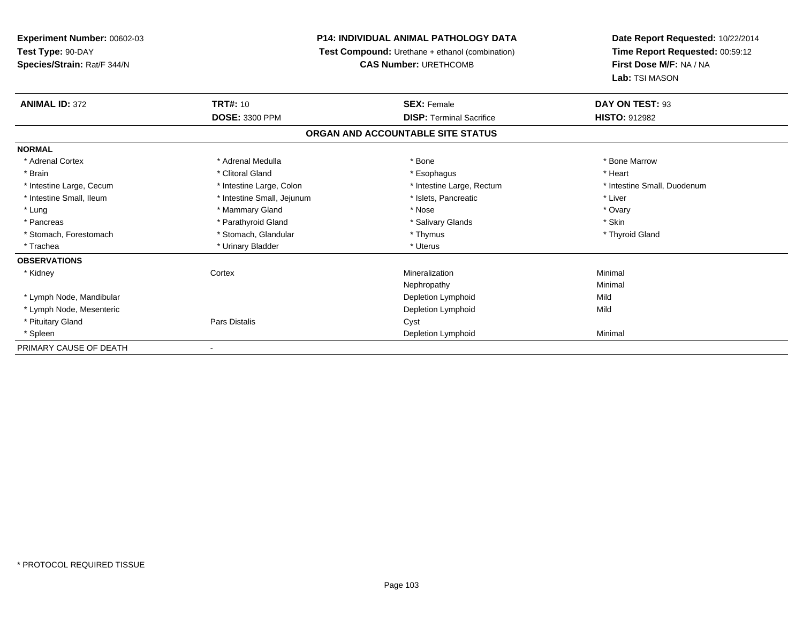**Experiment Number:** 00602-03**Test Type:** 90-DAY**Species/Strain:** Rat/F 344/N

## **P14: INDIVIDUAL ANIMAL PATHOLOGY DATA**

**Test Compound:** Urethane + ethanol (combination)

**CAS Number:** URETHCOMB

**Date Report Requested:** 10/22/2014 **Time Report Requested:** 00:59:12**First Dose M/F:** NA / NA**Lab:** TSI MASON

| <b>ANIMAL ID: 372</b>    | <b>TRT#: 10</b>            | <b>SEX: Female</b>                | DAY ON TEST: 93             |
|--------------------------|----------------------------|-----------------------------------|-----------------------------|
|                          | <b>DOSE: 3300 PPM</b>      | <b>DISP: Terminal Sacrifice</b>   | HISTO: 912982               |
|                          |                            | ORGAN AND ACCOUNTABLE SITE STATUS |                             |
| <b>NORMAL</b>            |                            |                                   |                             |
| * Adrenal Cortex         | * Adrenal Medulla          | * Bone                            | * Bone Marrow               |
| * Brain                  | * Clitoral Gland           | * Esophagus                       | * Heart                     |
| * Intestine Large, Cecum | * Intestine Large, Colon   | * Intestine Large, Rectum         | * Intestine Small, Duodenum |
| * Intestine Small, Ileum | * Intestine Small, Jejunum | * Islets, Pancreatic              | * Liver                     |
| * Lung                   | * Mammary Gland            | * Nose                            | * Ovary                     |
| * Pancreas               | * Parathyroid Gland        | * Salivary Glands                 | * Skin                      |
| * Stomach, Forestomach   | * Stomach, Glandular       | * Thymus                          | * Thyroid Gland             |
| * Trachea                | * Urinary Bladder          | * Uterus                          |                             |
| <b>OBSERVATIONS</b>      |                            |                                   |                             |
| * Kidney                 | Cortex                     | Mineralization                    | Minimal                     |
|                          |                            | Nephropathy                       | Minimal                     |
| * Lymph Node, Mandibular |                            | Depletion Lymphoid                | Mild                        |
| * Lymph Node, Mesenteric |                            | Depletion Lymphoid                | Mild                        |
| * Pituitary Gland        | Pars Distalis              | Cyst                              |                             |
| * Spleen                 |                            | Depletion Lymphoid                | Minimal                     |
| PRIMARY CAUSE OF DEATH   |                            |                                   |                             |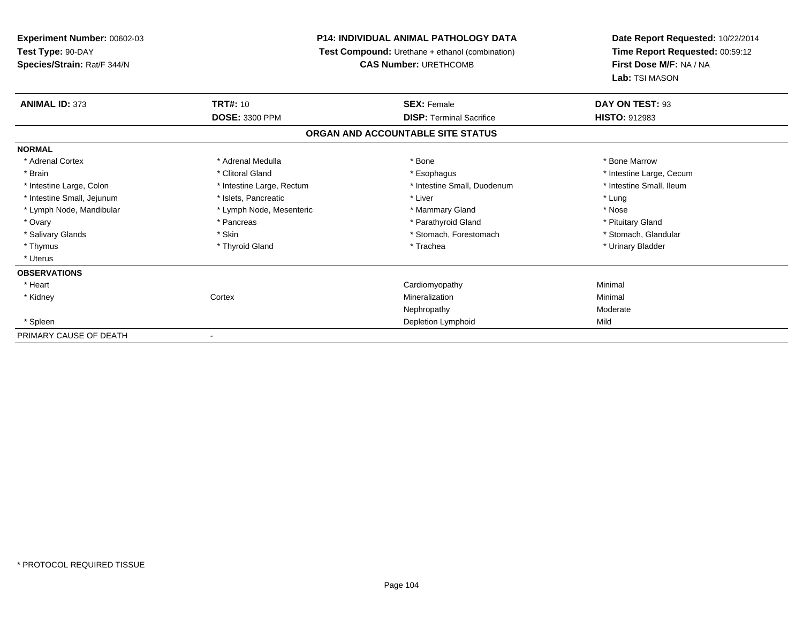**Experiment Number:** 00602-03**Test Type:** 90-DAY **Species/Strain:** Rat/F 344/N**P14: INDIVIDUAL ANIMAL PATHOLOGY DATA Test Compound:** Urethane + ethanol (combination)**CAS Number:** URETHCOMB**Date Report Requested:** 10/22/2014**Time Report Requested:** 00:59:12**First Dose M/F:** NA / NA**Lab:** TSI MASON**ANIMAL ID:** 373**TRT#:** 10 **SEX:** Female **DAY ON TEST:** 93 **DOSE:** 3300 PPM **DISP:** Terminal Sacrifice **HISTO:** <sup>912983</sup> **ORGAN AND ACCOUNTABLE SITE STATUSNORMAL**\* Adrenal Cortex \* Adrenal Medulla \* **Adrenal Medulla** \* Adrenal Medulla \* Bone \* Bone \* Bone Marrow \* Bone Marrow \* Brain \* Alternation of the state of the state of the state of the state of the state of the state of the state of the state of the state of the state of the state of the state of the state of the state of the state of th \* Intestine Small, Ileum \* Intestine Large, Colon \* Intestine Large, Rectum \* Intestine Small, Duodenum \* Intestine Small, Duodenum \* Intestine Small, Jejunum \* The matches of the state of the state of the state of the state of the state of the state of the state of the state of the state of the state of the state of the state of the state of the state \* Nose \* Lymph Node, Mandibular \* Lymph Node, Mesenteric \* Mammary Gland \* Mammary Gland \* Pituitary Gland \* Ovary \* Pancreas \* Pancreas \* Pancreas \* Parathyroid Gland \* Parathyroid Gland \* Stomach, Glandular \* Salivary Glands \* Stomach, Forestomach \* Skin \* Skin \* Stomach, Forestomach \* Stomach, Forestomach \* Thymus \* Thyroid Gland \* Trachea \* Urinary Bladder \* \* Uterus**OBSERVATIONS** \* Heart Cardiomyopathy Minimal \* Kidneyy which is a context of the Cortext of the Cortext of the Cortext of the Mineralization Mineralization **Minimal** Nephropathy Moderate \* Spleenn and Depletion Lymphoid Mild and September 2012 and Depletion Lymphoid Mild and September 2013 and Mild and S PRIMARY CAUSE OF DEATH-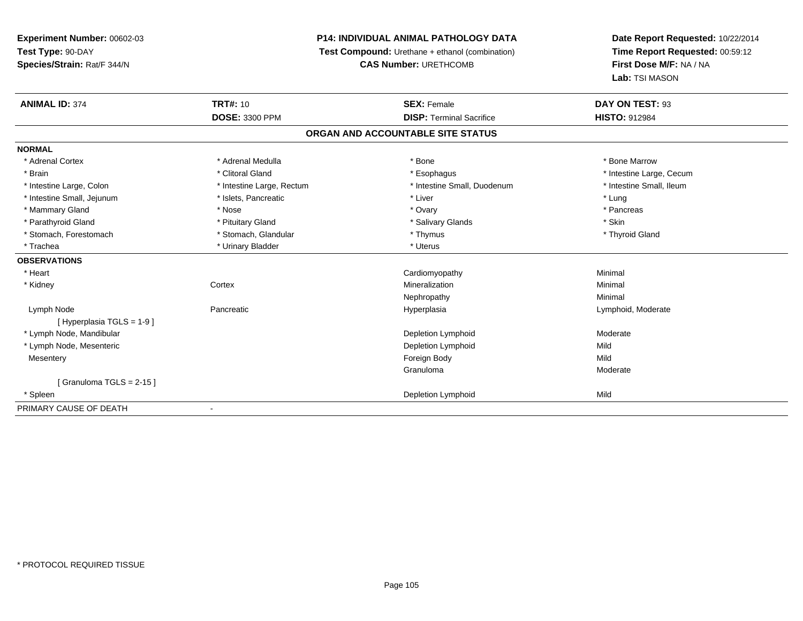**Experiment Number:** 00602-03**Test Type:** 90-DAY**Species/Strain:** Rat/F 344/N

## **P14: INDIVIDUAL ANIMAL PATHOLOGY DATA**

**Test Compound:** Urethane + ethanol (combination)

**CAS Number:** URETHCOMB

**Date Report Requested:** 10/22/2014 **Time Report Requested:** 00:59:12**First Dose M/F:** NA / NA**Lab:** TSI MASON

| <b>ANIMAL ID: 374</b>         | <b>TRT#: 10</b>           | <b>SEX: Female</b>                | DAY ON TEST: 93          |
|-------------------------------|---------------------------|-----------------------------------|--------------------------|
|                               | DOSE: 3300 PPM            | <b>DISP: Terminal Sacrifice</b>   | <b>HISTO: 912984</b>     |
|                               |                           | ORGAN AND ACCOUNTABLE SITE STATUS |                          |
| <b>NORMAL</b>                 |                           |                                   |                          |
| * Adrenal Cortex              | * Adrenal Medulla         | * Bone                            | * Bone Marrow            |
| * Brain                       | * Clitoral Gland          | * Esophagus                       | * Intestine Large, Cecum |
| * Intestine Large, Colon      | * Intestine Large, Rectum | * Intestine Small, Duodenum       | * Intestine Small, Ileum |
| * Intestine Small, Jejunum    | * Islets, Pancreatic      | * Liver                           | * Lung                   |
| * Mammary Gland               | * Nose                    | * Ovary                           | * Pancreas               |
| * Parathyroid Gland           | * Pituitary Gland         | * Salivary Glands                 | * Skin                   |
| * Stomach, Forestomach        | * Stomach, Glandular      | * Thymus                          | * Thyroid Gland          |
| * Trachea                     | * Urinary Bladder         | * Uterus                          |                          |
| <b>OBSERVATIONS</b>           |                           |                                   |                          |
| * Heart                       |                           | Cardiomyopathy                    | Minimal                  |
| * Kidney                      | Cortex                    | Mineralization                    | Minimal                  |
|                               |                           | Nephropathy                       | Minimal                  |
| Lymph Node                    | Pancreatic                | Hyperplasia                       | Lymphoid, Moderate       |
| [Hyperplasia TGLS = 1-9]      |                           |                                   |                          |
| * Lymph Node, Mandibular      |                           | Depletion Lymphoid                | Moderate                 |
| * Lymph Node, Mesenteric      |                           | Depletion Lymphoid                | Mild                     |
| Mesentery                     |                           | Foreign Body                      | Mild                     |
|                               |                           | Granuloma                         | Moderate                 |
| $[$ Granuloma TGLS = 2-15 $]$ |                           |                                   |                          |
| * Spleen                      |                           | Depletion Lymphoid                | Mild                     |
| PRIMARY CAUSE OF DEATH        |                           |                                   |                          |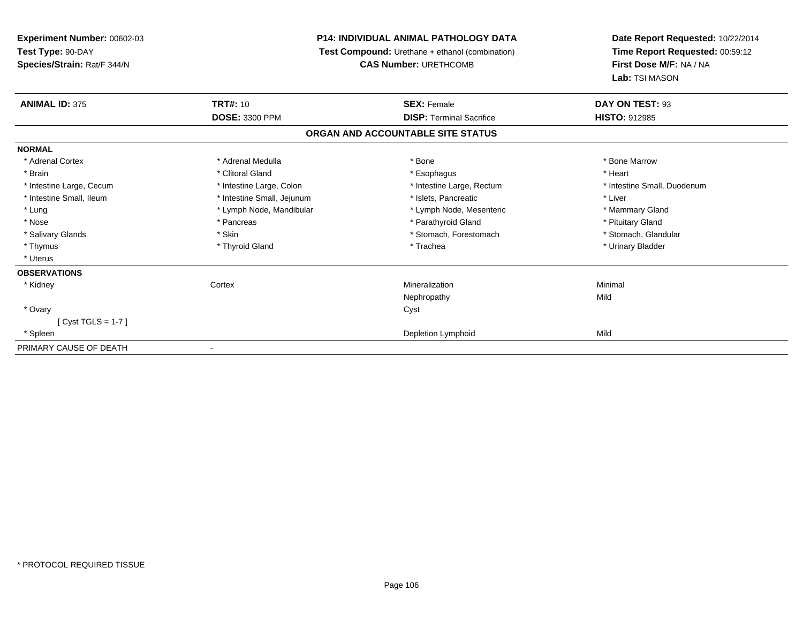| Experiment Number: 00602-03 |                                                 | <b>P14: INDIVIDUAL ANIMAL PATHOLOGY DATA</b> | Date Report Requested: 10/22/2014<br>Time Report Requested: 00:59:12 |
|-----------------------------|-------------------------------------------------|----------------------------------------------|----------------------------------------------------------------------|
| Test Type: 90-DAY           | Test Compound: Urethane + ethanol (combination) |                                              |                                                                      |
| Species/Strain: Rat/F 344/N |                                                 | <b>CAS Number: URETHCOMB</b>                 | First Dose M/F: NA / NA                                              |
|                             |                                                 |                                              | Lab: TSI MASON                                                       |
| <b>ANIMAL ID: 375</b>       | <b>TRT#: 10</b>                                 | <b>SEX: Female</b>                           | DAY ON TEST: 93                                                      |
|                             | <b>DOSE: 3300 PPM</b>                           | <b>DISP: Terminal Sacrifice</b>              | <b>HISTO: 912985</b>                                                 |
|                             |                                                 | ORGAN AND ACCOUNTABLE SITE STATUS            |                                                                      |
| <b>NORMAL</b>               |                                                 |                                              |                                                                      |
| * Adrenal Cortex            | * Adrenal Medulla                               | * Bone                                       | * Bone Marrow                                                        |
| * Brain                     | * Clitoral Gland                                | * Esophagus                                  | * Heart                                                              |
| * Intestine Large, Cecum    | * Intestine Large, Colon                        | * Intestine Large, Rectum                    | * Intestine Small, Duodenum                                          |
| * Intestine Small, Ileum    | * Intestine Small, Jejunum                      | * Islets, Pancreatic                         | * Liver                                                              |
| * Lung                      | * Lymph Node, Mandibular                        | * Lymph Node, Mesenteric                     | * Mammary Gland                                                      |
| * Nose                      | * Pancreas                                      | * Parathyroid Gland                          | * Pituitary Gland                                                    |
| * Salivary Glands           | * Skin                                          | * Stomach, Forestomach                       | * Stomach, Glandular                                                 |
| * Thymus                    | * Thyroid Gland                                 | * Trachea                                    | * Urinary Bladder                                                    |
| * Uterus                    |                                                 |                                              |                                                                      |
| <b>OBSERVATIONS</b>         |                                                 |                                              |                                                                      |
| * Kidney                    | Cortex                                          | Mineralization                               | Minimal                                                              |
|                             |                                                 | Nephropathy                                  | Mild                                                                 |
| * Ovary                     |                                                 | Cyst                                         |                                                                      |
| [Cyst TGLS = $1-7$ ]        |                                                 |                                              |                                                                      |
| * Spleen                    |                                                 | Depletion Lymphoid                           | Mild                                                                 |
| PRIMARY CAUSE OF DEATH      |                                                 |                                              |                                                                      |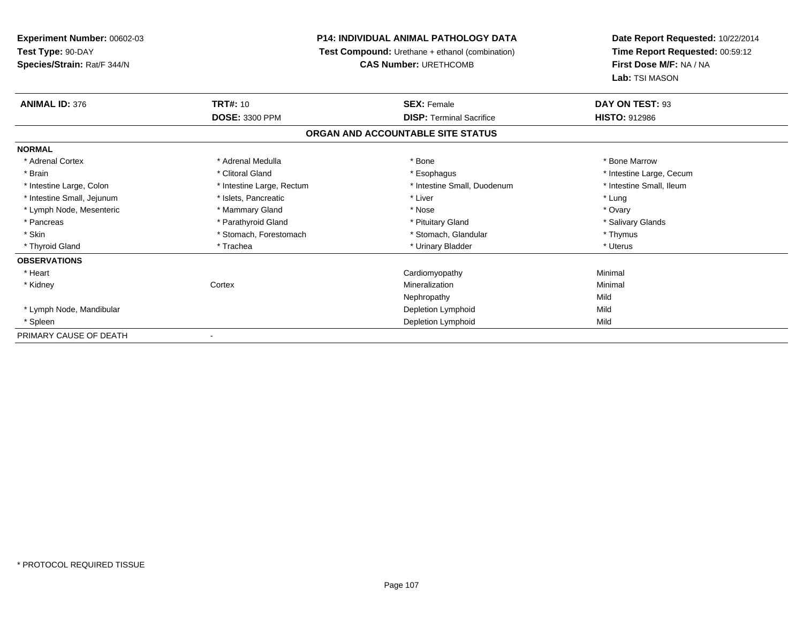**Experiment Number:** 00602-03**Test Type:** 90-DAY**Species/Strain:** Rat/F 344/N

## **P14: INDIVIDUAL ANIMAL PATHOLOGY DATA**

**Test Compound:** Urethane + ethanol (combination)

**CAS Number:** URETHCOMB

**Date Report Requested:** 10/22/2014 **Time Report Requested:** 00:59:12**First Dose M/F:** NA / NA**Lab:** TSI MASON

| <b>ANIMAL ID: 376</b>      | <b>TRT#: 10</b>           | <b>SEX: Female</b>                | DAY ON TEST: 93          |
|----------------------------|---------------------------|-----------------------------------|--------------------------|
|                            | <b>DOSE: 3300 PPM</b>     | <b>DISP:</b> Terminal Sacrifice   | <b>HISTO: 912986</b>     |
|                            |                           | ORGAN AND ACCOUNTABLE SITE STATUS |                          |
| <b>NORMAL</b>              |                           |                                   |                          |
| * Adrenal Cortex           | * Adrenal Medulla         | * Bone                            | * Bone Marrow            |
| * Brain                    | * Clitoral Gland          | * Esophagus                       | * Intestine Large, Cecum |
| * Intestine Large, Colon   | * Intestine Large, Rectum | * Intestine Small, Duodenum       | * Intestine Small, Ileum |
| * Intestine Small, Jejunum | * Islets, Pancreatic      | * Liver                           | * Lung                   |
| * Lymph Node, Mesenteric   | * Mammary Gland           | * Nose                            | * Ovary                  |
| * Pancreas                 | * Parathyroid Gland       | * Pituitary Gland                 | * Salivary Glands        |
| * Skin                     | * Stomach, Forestomach    | * Stomach, Glandular              | * Thymus                 |
| * Thyroid Gland            | * Trachea                 | * Urinary Bladder                 | * Uterus                 |
| <b>OBSERVATIONS</b>        |                           |                                   |                          |
| * Heart                    |                           | Cardiomyopathy                    | Minimal                  |
| * Kidney                   | Cortex                    | Mineralization                    | Minimal                  |
|                            |                           | Nephropathy                       | Mild                     |
| * Lymph Node, Mandibular   |                           | Depletion Lymphoid                | Mild                     |
| * Spleen                   |                           | Depletion Lymphoid                | Mild                     |
| PRIMARY CAUSE OF DEATH     |                           |                                   |                          |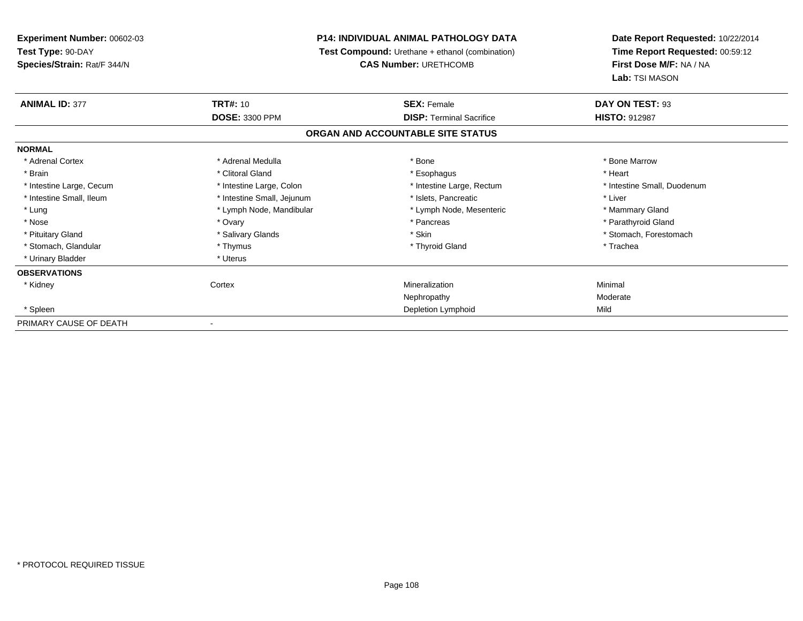**Experiment Number:** 00602-03**Test Type:** 90-DAY **Species/Strain:** Rat/F 344/N**P14: INDIVIDUAL ANIMAL PATHOLOGY DATA Test Compound:** Urethane + ethanol (combination)**CAS Number:** URETHCOMB**Date Report Requested:** 10/22/2014**Time Report Requested:** 00:59:12**First Dose M/F:** NA / NA**Lab:** TSI MASON**ANIMAL ID:** 377**TRT#:** 10 **SEX:** Female **DAY ON TEST:** 93 **DOSE:** 3300 PPM**DISP:** Terminal Sacrifice **HISTO:** 912987 **ORGAN AND ACCOUNTABLE SITE STATUSNORMAL**\* Adrenal Cortex \* Adrenal Medulla \* Adrenal Medulla \* Bone \* Bone \* Bone \* Bone \* Bone Marrow \* Brain \* Alternative of the state of the state of the state of the state of the state of the state of the state of the state of the state of the state of the state of the state of the state of the state of the state of th \* Intestine Large, Cecum \* Intestine Large, Colon \* Intestine Large, Rectum \* Intestine Small, Duodenum \* Intestine Small, Ileum \* Intestine Small, Jejunum \* Islets, Pancreatic \* Liver\* Lung **\* Lymph Node, Mandibular \*** Lymph Node, Mesenteric \* Mammary Gland \* Mammary Gland \* Parathyroid Gland \* Nose \* Ovary \* Pancreas \* Parathyroid Gland \* Pituitary Gland \* \* Salivary Glands \* Salivary Glands \* Skin \* \* Skin \* \* Stomach, Forestomach \* Stomach, Glandular \* Thymus \* Thymus \* The store and the store and the store and the store and the store and the store and the store and the store and the store and the store and the store and the store and the store and \* Urinary Bladder \* Uterus **OBSERVATIONS** \* Kidneyy which is a context of the Cortext of the Cortext of the Cortext of the Mineralization n Minimal Nephropathy Moderate \* Spleenn and Depletion Lymphoid Mild and September 2012 and Depletion Lymphoid Mild and September 2013 and Mild and S PRIMARY CAUSE OF DEATH-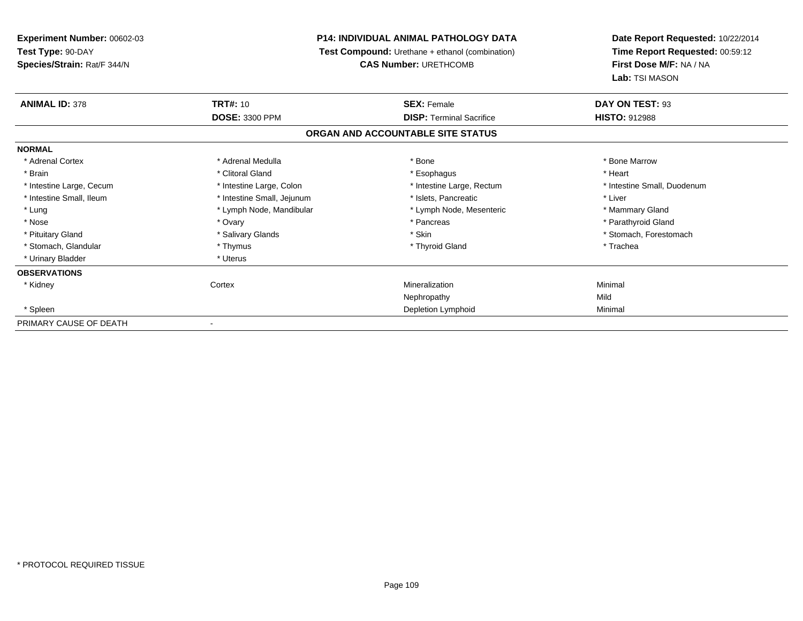**Experiment Number:** 00602-03**Test Type:** 90-DAY **Species/Strain:** Rat/F 344/N**P14: INDIVIDUAL ANIMAL PATHOLOGY DATA Test Compound:** Urethane + ethanol (combination)**CAS Number:** URETHCOMB**Date Report Requested:** 10/22/2014**Time Report Requested:** 00:59:12**First Dose M/F:** NA / NA**Lab:** TSI MASON**ANIMAL ID:** 378**TRT#:** 10 **SEX:** Female **DAY ON TEST:** 93 **DOSE:** 3300 PPM**DISP:** Terminal Sacrifice **HISTO:** 912988 **ORGAN AND ACCOUNTABLE SITE STATUSNORMAL**\* Adrenal Cortex \* Adrenal Medulla \* Adrenal Medulla \* Bone \* Bone \* Bone \* Bone \* Bone Marrow \* Brain \* Alternative of the state of the state of the state of the state of the state of the state of the state of the state of the state of the state of the state of the state of the state of the state of the state of th \* Intestine Large, Cecum \* Intestine Large, Colon \* Intestine Large, Rectum \* Intestine Small, Duodenum \* Intestine Small, Ileum \* Intestine Small, Jejunum \* Islets, Pancreatic \* Liver\* Lung **\* Lymph Node, Mandibular \*** Lymph Node, Mesenteric \* Mammary Gland \* Mammary Gland \* Parathyroid Gland \* Nose \* Ovary \* Pancreas \* Parathyroid Gland \* Pituitary Gland \* \* Salivary Glands \* Salivary Glands \* Skin \* \* Skin \* \* Stomach, Forestomach \* Stomach, Glandular \* Thymus \* Thymus \* The store and the store and the store and the store and the store and the store and the store and the store and the store and the store and the store and the store and the store and \* Urinary Bladder \* Uterus **OBSERVATIONS** \* Kidneyy which is a context of the Cortext of the Cortext of the Cortext of the Mineralization n Minimal Nephropathyy Mild Minimal \* Spleenn and the control of the control of the control of the control of the control of the control of the control of the control of the control of the control of the control of the control of the control of the control of the co PRIMARY CAUSE OF DEATH-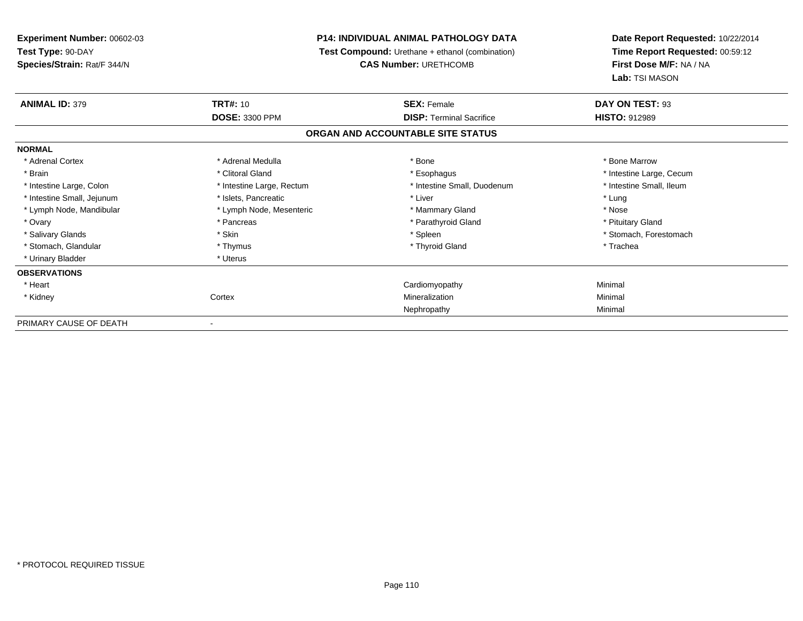**Experiment Number:** 00602-03**Test Type:** 90-DAY **Species/Strain:** Rat/F 344/N**P14: INDIVIDUAL ANIMAL PATHOLOGY DATA Test Compound:** Urethane + ethanol (combination)**CAS Number:** URETHCOMB**Date Report Requested:** 10/22/2014**Time Report Requested:** 00:59:12**First Dose M/F:** NA / NA**Lab:** TSI MASON**ANIMAL ID:** 379**TRT#:** 10 **SEX:** Female **DAY ON TEST:** 93 **DOSE:** 3300 PPM**DISP:** Terminal Sacrifice **HISTO:** 912989 **ORGAN AND ACCOUNTABLE SITE STATUSNORMAL**\* Adrenal Cortex \* Adrenal Medulla \* Adrenal Medulla \* Bone \* Bone \* Bone \* Bone \* Bone Marrow \* Brain \* Alternation of the state of the state of the state of the state of the state of the state of the state of the state of the state of the state of the state of the state of the state of the state of the state of th \* Intestine Small, Ileum \* Intestine Large, Colon \* Intestine Large, Rectum \* Intestine Small, Duodenum \* Intestine Small, Duodenum \* Intestine Small, Jejunum \* The matches of the state of the state of the state of the state of the state of the state of the state of the state of the state of the state of the state of the state of the state of the state \* Nose \* Lymph Node, Mandibular \* Lymph Node, Mesenteric \* Mammary Gland \* Mammary Gland \* Pituitary Gland \* Ovary \* Pancreas \* Pancreas \* Pancreas \* Parathyroid Gland \* Parathyroid Gland \* Salivary Glands \* The stomach \* Skin \* Spleen \* Spleen \* Stomach, Forestomach \* Stomach, Forestomach \* Stomach, Forestomach \* Stomach, Glandular \* Thymus \* Thymus \* The store and the store and the store and the store and the store and the store and the store and the store and the store and the store and the store and the store and the store and \* Urinary Bladder \* Uterus **OBSERVATIONS** \* Heart Cardiomyopathy Minimal \* Kidneyy which is a context of the Cortext of the Cortext of the Cortext of the Mineralization n Minimal Nephropathy Minimal PRIMARY CAUSE OF DEATH-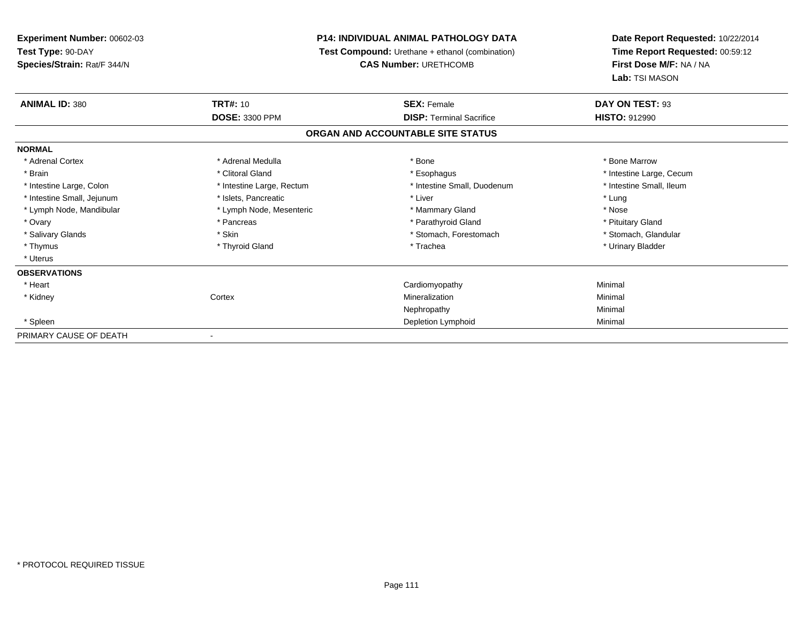**Experiment Number:** 00602-03**Test Type:** 90-DAY **Species/Strain:** Rat/F 344/N**P14: INDIVIDUAL ANIMAL PATHOLOGY DATA Test Compound:** Urethane + ethanol (combination)**CAS Number:** URETHCOMB**Date Report Requested:** 10/22/2014**Time Report Requested:** 00:59:12**First Dose M/F:** NA / NA**Lab:** TSI MASON**ANIMAL ID:** 380**TRT#:** 10 **SEX:** Female **DAY ON TEST:** 93 **DOSE:** 3300 PPM**DISP:** Terminal Sacrifice **HISTO:** 912990 **ORGAN AND ACCOUNTABLE SITE STATUSNORMAL**\* Adrenal Cortex \* Adrenal Medulla \* Adrenal Medulla \* Bone \* Bone \* Bone \* Bone \* Bone Marrow \* Brain \* Alternation of the state of the state of the state of the state of the state of the state of the state of the state of the state of the state of the state of the state of the state of the state of the state of th \* Intestine Small, Ileum \* Intestine Large, Colon \* Intestine Large, Rectum \* Intestine Small, Duodenum \* Intestine Small, Duodenum \* Intestine Small, Jejunum \* The matches of the state of the state of the state of the state of the state of the state of the state of the state of the state of the state of the state of the state of the state of the state \* Nose \* Lymph Node, Mandibular \* Lymph Node, Mesenteric \* Mammary Gland \* Mammary Gland \* Pituitary Gland \* Ovary \* Pancreas \* Pancreas \* Pancreas \* Parathyroid Gland \* Parathyroid Gland \* Stomach, Glandular \* Salivary Glands \* Stomach, Forestomach \* Skin \* Skin \* Stomach, Forestomach \* Stomach, Forestomach \* Thymus \* Thyroid Gland \* Trachea \* Urinary Bladder \* \* Uterus**OBSERVATIONS** \* Heart Cardiomyopathy Minimal \* Kidneyy which is a context of the Cortext of the Cortext of the Cortext of the Mineralization n Minimal Nephropathy Minimal \* Spleenn and the control of the control of the control of the control of the control of the control of the control of the control of the control of the control of the control of the control of the control of the control of the co PRIMARY CAUSE OF DEATH-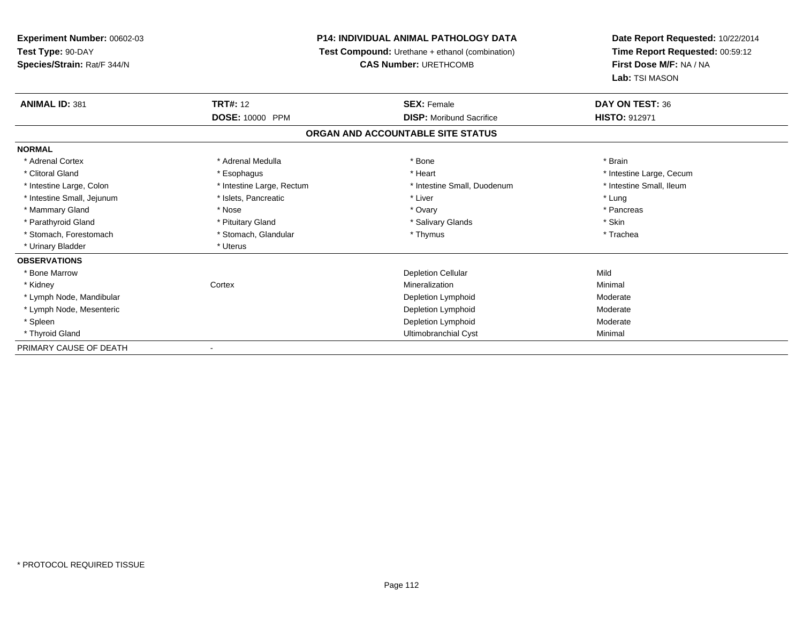## **P14: INDIVIDUAL ANIMAL PATHOLOGY DATA**

**Test Compound:** Urethane + ethanol (combination)

**CAS Number:** URETHCOMB

| <b>ANIMAL ID: 381</b>      | <b>TRT#:</b> 12           | <b>SEX: Female</b>                | DAY ON TEST: 36          |  |
|----------------------------|---------------------------|-----------------------------------|--------------------------|--|
|                            | DOSE: 10000 PPM           | <b>DISP:</b> Moribund Sacrifice   | <b>HISTO: 912971</b>     |  |
|                            |                           | ORGAN AND ACCOUNTABLE SITE STATUS |                          |  |
| <b>NORMAL</b>              |                           |                                   |                          |  |
| * Adrenal Cortex           | * Adrenal Medulla         | * Bone                            | * Brain                  |  |
| * Clitoral Gland           | * Esophagus               | * Heart                           | * Intestine Large, Cecum |  |
| * Intestine Large, Colon   | * Intestine Large, Rectum | * Intestine Small, Duodenum       | * Intestine Small, Ileum |  |
| * Intestine Small, Jejunum | * Islets, Pancreatic      | * Liver                           | * Lung                   |  |
| * Mammary Gland            | * Nose                    | * Ovary                           | * Pancreas               |  |
| * Parathyroid Gland        | * Pituitary Gland         | * Salivary Glands                 | * Skin                   |  |
| * Stomach, Forestomach     | * Stomach, Glandular      | * Thymus                          | * Trachea                |  |
| * Urinary Bladder          | * Uterus                  |                                   |                          |  |
| <b>OBSERVATIONS</b>        |                           |                                   |                          |  |
| * Bone Marrow              |                           | <b>Depletion Cellular</b>         | Mild                     |  |
| * Kidney                   | Cortex                    | Mineralization                    | Minimal                  |  |
| * Lymph Node, Mandibular   |                           | Depletion Lymphoid                | Moderate                 |  |
| * Lymph Node, Mesenteric   |                           | Depletion Lymphoid                | Moderate                 |  |
| * Spleen                   |                           | Depletion Lymphoid                | Moderate                 |  |
| * Thyroid Gland            |                           | Ultimobranchial Cyst              | Minimal                  |  |
| PRIMARY CAUSE OF DEATH     |                           |                                   |                          |  |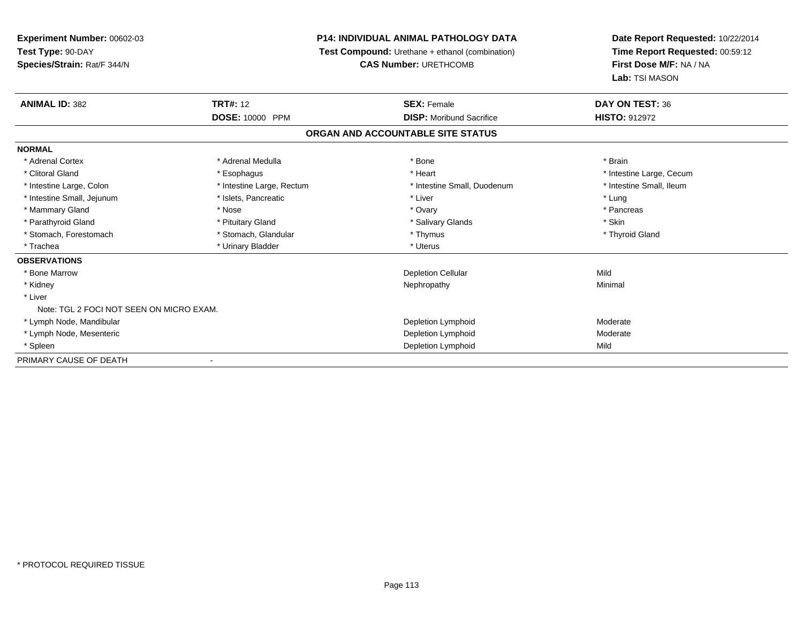# **P14: INDIVIDUAL ANIMAL PATHOLOGY DATA**

**Test Compound:** Urethane + ethanol (combination)

**CAS Number:** URETHCOMB

| <b>ANIMAL ID: 382</b>                    | <b>TRT#: 12</b>           | <b>SEX: Female</b>                | DAY ON TEST: 36          |  |
|------------------------------------------|---------------------------|-----------------------------------|--------------------------|--|
|                                          | DOSE: 10000 PPM           | <b>DISP:</b> Moribund Sacrifice   | <b>HISTO: 912972</b>     |  |
|                                          |                           | ORGAN AND ACCOUNTABLE SITE STATUS |                          |  |
| <b>NORMAL</b>                            |                           |                                   |                          |  |
| * Adrenal Cortex                         | * Adrenal Medulla         | * Bone                            | * Brain                  |  |
| * Clitoral Gland                         | * Esophagus               | * Heart                           | * Intestine Large, Cecum |  |
| * Intestine Large, Colon                 | * Intestine Large, Rectum | * Intestine Small, Duodenum       | * Intestine Small, Ileum |  |
| * Intestine Small, Jejunum               | * Islets, Pancreatic      | * Liver                           | * Lung                   |  |
| * Mammary Gland                          | * Nose                    | * Ovary                           | * Pancreas               |  |
| * Parathyroid Gland                      | * Pituitary Gland         | * Salivary Glands                 | * Skin                   |  |
| * Stomach, Forestomach                   | * Stomach, Glandular      | * Thymus                          | * Thyroid Gland          |  |
| * Trachea                                | * Urinary Bladder         | * Uterus                          |                          |  |
| <b>OBSERVATIONS</b>                      |                           |                                   |                          |  |
| * Bone Marrow                            |                           | <b>Depletion Cellular</b>         | Mild                     |  |
| * Kidney                                 |                           | Nephropathy                       | Minimal                  |  |
| * Liver                                  |                           |                                   |                          |  |
| Note: TGL 2 FOCI NOT SEEN ON MICRO EXAM. |                           |                                   |                          |  |
| * Lymph Node, Mandibular                 |                           | Depletion Lymphoid                | Moderate                 |  |
| * Lymph Node, Mesenteric                 |                           | Depletion Lymphoid                | Moderate                 |  |
| * Spleen                                 |                           | Depletion Lymphoid                | Mild                     |  |
| PRIMARY CAUSE OF DEATH                   |                           |                                   |                          |  |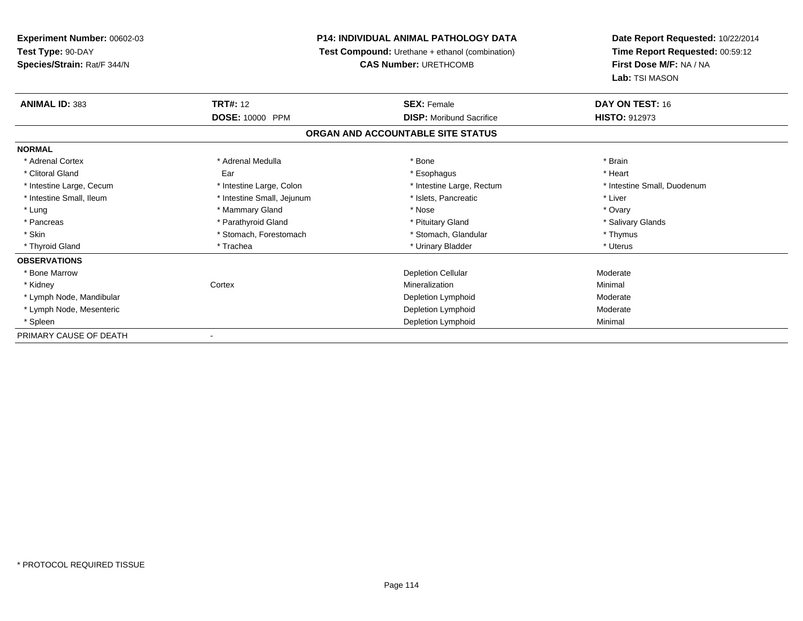## **P14: INDIVIDUAL ANIMAL PATHOLOGY DATA**

**Test Compound:** Urethane + ethanol (combination)

**CAS Number:** URETHCOMB

| <b>ANIMAL ID: 383</b>    | <b>TRT#:</b> 12            | <b>SEX: Female</b>                | DAY ON TEST: 16             |
|--------------------------|----------------------------|-----------------------------------|-----------------------------|
|                          | DOSE: 10000 PPM            | <b>DISP:</b> Moribund Sacrifice   | HISTO: 912973               |
|                          |                            | ORGAN AND ACCOUNTABLE SITE STATUS |                             |
| <b>NORMAL</b>            |                            |                                   |                             |
| * Adrenal Cortex         | * Adrenal Medulla          | * Bone                            | * Brain                     |
| * Clitoral Gland         | Ear                        | * Esophagus                       | * Heart                     |
| * Intestine Large, Cecum | * Intestine Large, Colon   | * Intestine Large, Rectum         | * Intestine Small, Duodenum |
| * Intestine Small, Ileum | * Intestine Small, Jejunum | * Islets, Pancreatic              | * Liver                     |
| * Lung                   | * Mammary Gland            | * Nose                            | * Ovary                     |
| * Pancreas               | * Parathyroid Gland        | * Pituitary Gland                 | * Salivary Glands           |
| * Skin                   | * Stomach, Forestomach     | * Stomach, Glandular              | * Thymus                    |
| * Thyroid Gland          | * Trachea                  | * Urinary Bladder                 | * Uterus                    |
| <b>OBSERVATIONS</b>      |                            |                                   |                             |
| * Bone Marrow            |                            | <b>Depletion Cellular</b>         | Moderate                    |
| * Kidney                 | Cortex                     | Mineralization                    | Minimal                     |
| * Lymph Node, Mandibular |                            | Depletion Lymphoid                | Moderate                    |
| * Lymph Node, Mesenteric |                            | Depletion Lymphoid                | Moderate                    |
| * Spleen                 |                            | Depletion Lymphoid                | Minimal                     |
| PRIMARY CAUSE OF DEATH   |                            |                                   |                             |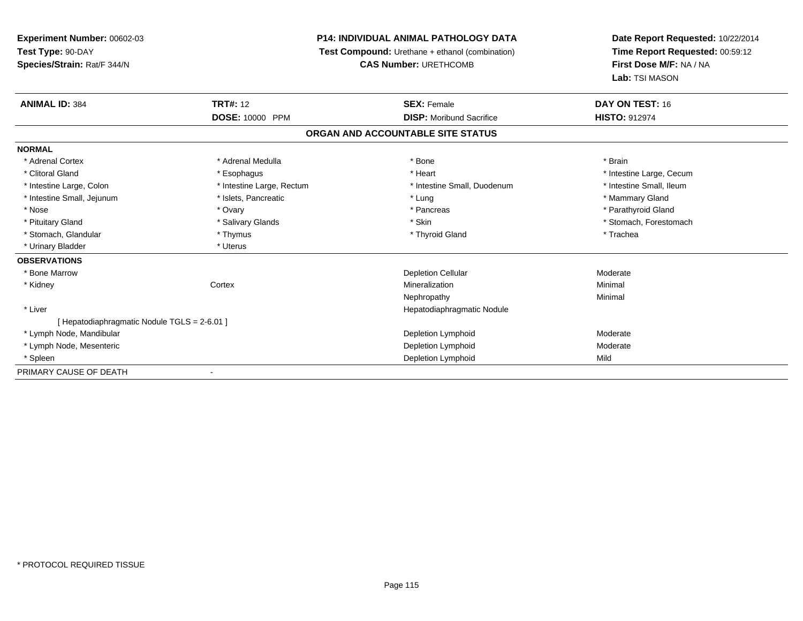## **P14: INDIVIDUAL ANIMAL PATHOLOGY DATA**

**Test Compound:** Urethane + ethanol (combination)

**CAS Number:** URETHCOMB

| <b>ANIMAL ID: 384</b>                      | <b>TRT#: 12</b>           | <b>SEX: Female</b>                | DAY ON TEST: 16          |  |
|--------------------------------------------|---------------------------|-----------------------------------|--------------------------|--|
|                                            | DOSE: 10000 PPM           | <b>DISP:</b> Moribund Sacrifice   | <b>HISTO: 912974</b>     |  |
|                                            |                           | ORGAN AND ACCOUNTABLE SITE STATUS |                          |  |
| <b>NORMAL</b>                              |                           |                                   |                          |  |
| * Adrenal Cortex                           | * Adrenal Medulla         | * Bone                            | * Brain                  |  |
| * Clitoral Gland                           | * Esophagus               | * Heart                           | * Intestine Large, Cecum |  |
| * Intestine Large, Colon                   | * Intestine Large, Rectum | * Intestine Small, Duodenum       | * Intestine Small, Ileum |  |
| * Intestine Small, Jejunum                 | * Islets, Pancreatic      | * Lung                            | * Mammary Gland          |  |
| * Nose                                     | * Ovary                   | * Pancreas                        | * Parathyroid Gland      |  |
| * Pituitary Gland                          | * Salivary Glands         | * Skin                            | * Stomach, Forestomach   |  |
| * Stomach, Glandular                       | * Thymus                  | * Thyroid Gland                   | * Trachea                |  |
| * Urinary Bladder                          | * Uterus                  |                                   |                          |  |
| <b>OBSERVATIONS</b>                        |                           |                                   |                          |  |
| * Bone Marrow                              |                           | <b>Depletion Cellular</b>         | Moderate                 |  |
| * Kidney                                   | Cortex                    | Mineralization                    | Minimal                  |  |
|                                            |                           | Nephropathy                       | Minimal                  |  |
| * Liver                                    |                           | Hepatodiaphragmatic Nodule        |                          |  |
| [Hepatodiaphragmatic Nodule TGLS = 2-6.01] |                           |                                   |                          |  |
| * Lymph Node, Mandibular                   |                           | Depletion Lymphoid                | Moderate                 |  |
| * Lymph Node, Mesenteric                   |                           | Depletion Lymphoid                | Moderate                 |  |
| * Spleen                                   |                           | Depletion Lymphoid                | Mild                     |  |
| PRIMARY CAUSE OF DEATH                     |                           |                                   |                          |  |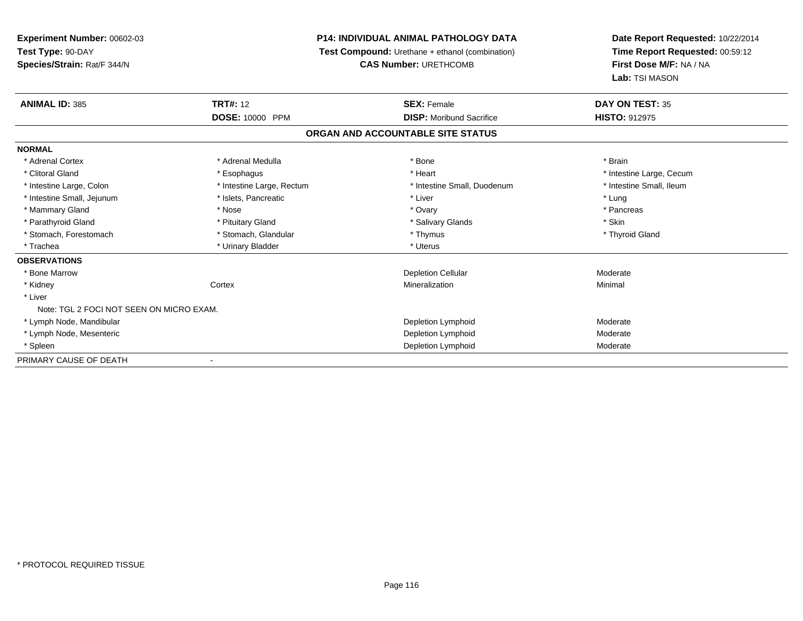# **P14: INDIVIDUAL ANIMAL PATHOLOGY DATA**

**Test Compound:** Urethane + ethanol (combination)

**CAS Number:** URETHCOMB

| <b>ANIMAL ID: 385</b>                    | <b>TRT#: 12</b>           | <b>SEX: Female</b>                | DAY ON TEST: 35          |  |
|------------------------------------------|---------------------------|-----------------------------------|--------------------------|--|
|                                          | DOSE: 10000 PPM           | <b>DISP:</b> Moribund Sacrifice   | <b>HISTO: 912975</b>     |  |
|                                          |                           | ORGAN AND ACCOUNTABLE SITE STATUS |                          |  |
| <b>NORMAL</b>                            |                           |                                   |                          |  |
| * Adrenal Cortex                         | * Adrenal Medulla         | * Bone                            | * Brain                  |  |
| * Clitoral Gland                         | * Esophagus               | * Heart                           | * Intestine Large, Cecum |  |
| * Intestine Large, Colon                 | * Intestine Large, Rectum | * Intestine Small, Duodenum       | * Intestine Small, Ileum |  |
| * Intestine Small, Jejunum               | * Islets, Pancreatic      | * Liver                           | * Lung                   |  |
| * Mammary Gland                          | * Nose                    | * Ovary                           | * Pancreas               |  |
| * Parathyroid Gland                      | * Pituitary Gland         | * Salivary Glands                 | * Skin                   |  |
| * Stomach, Forestomach                   | * Stomach, Glandular      | * Thymus                          | * Thyroid Gland          |  |
| * Trachea                                | * Urinary Bladder         | * Uterus                          |                          |  |
| <b>OBSERVATIONS</b>                      |                           |                                   |                          |  |
| * Bone Marrow                            |                           | <b>Depletion Cellular</b>         | Moderate                 |  |
| * Kidney                                 | Cortex                    | Mineralization                    | Minimal                  |  |
| * Liver                                  |                           |                                   |                          |  |
| Note: TGL 2 FOCI NOT SEEN ON MICRO EXAM. |                           |                                   |                          |  |
| * Lymph Node, Mandibular                 |                           | Depletion Lymphoid                | Moderate                 |  |
| * Lymph Node, Mesenteric                 |                           | Depletion Lymphoid                | Moderate                 |  |
| * Spleen                                 |                           | Depletion Lymphoid                | Moderate                 |  |
| PRIMARY CAUSE OF DEATH                   |                           |                                   |                          |  |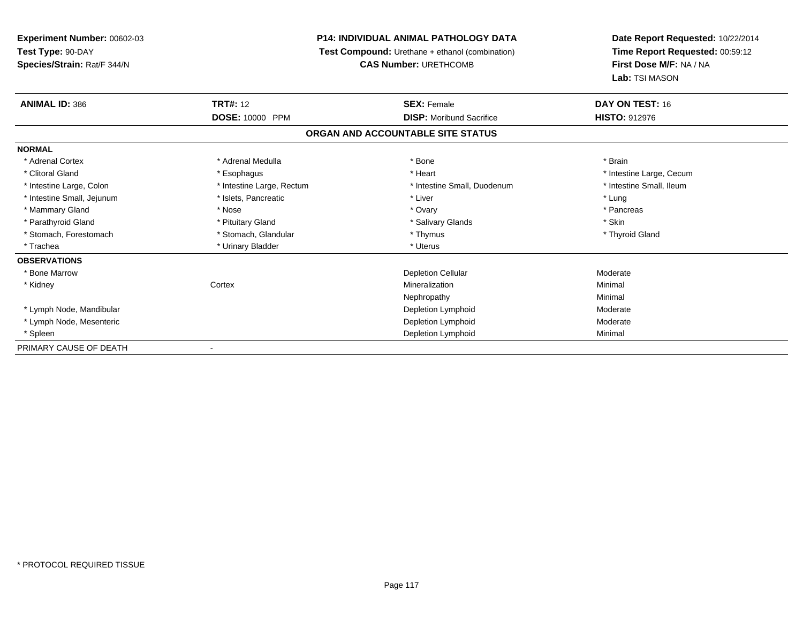## **P14: INDIVIDUAL ANIMAL PATHOLOGY DATA**

**Test Compound:** Urethane + ethanol (combination)

**CAS Number:** URETHCOMB

| <b>ANIMAL ID: 386</b>      | <b>TRT#: 12</b>           | <b>SEX: Female</b>                | DAY ON TEST: 16          |
|----------------------------|---------------------------|-----------------------------------|--------------------------|
|                            | <b>DOSE: 10000 PPM</b>    | <b>DISP:</b> Moribund Sacrifice   | <b>HISTO: 912976</b>     |
|                            |                           | ORGAN AND ACCOUNTABLE SITE STATUS |                          |
| <b>NORMAL</b>              |                           |                                   |                          |
| * Adrenal Cortex           | * Adrenal Medulla         | * Bone                            | * Brain                  |
| * Clitoral Gland           | * Esophagus               | * Heart                           | * Intestine Large, Cecum |
| * Intestine Large, Colon   | * Intestine Large, Rectum | * Intestine Small, Duodenum       | * Intestine Small, Ileum |
| * Intestine Small, Jejunum | * Islets, Pancreatic      | * Liver                           | * Lung                   |
| * Mammary Gland            | * Nose                    | * Ovary                           | * Pancreas               |
| * Parathyroid Gland        | * Pituitary Gland         | * Salivary Glands                 | * Skin                   |
| * Stomach, Forestomach     | * Stomach, Glandular      | * Thymus                          | * Thyroid Gland          |
| * Trachea                  | * Urinary Bladder         | * Uterus                          |                          |
| <b>OBSERVATIONS</b>        |                           |                                   |                          |
| * Bone Marrow              |                           | <b>Depletion Cellular</b>         | Moderate                 |
| * Kidney                   | Cortex                    | Mineralization                    | Minimal                  |
|                            |                           | Nephropathy                       | Minimal                  |
| * Lymph Node, Mandibular   |                           | Depletion Lymphoid                | Moderate                 |
| * Lymph Node, Mesenteric   |                           | Depletion Lymphoid                | Moderate                 |
| * Spleen                   |                           | Depletion Lymphoid                | Minimal                  |
| PRIMARY CAUSE OF DEATH     |                           |                                   |                          |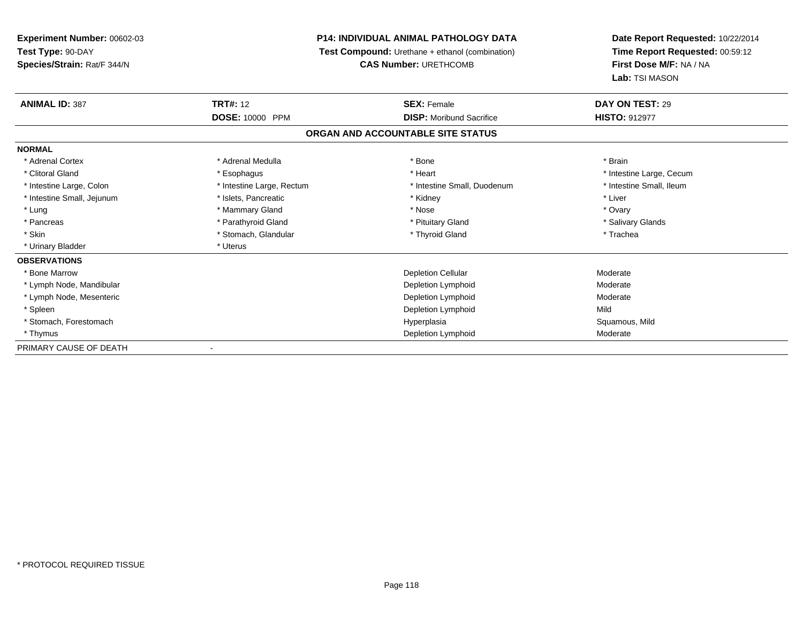## **P14: INDIVIDUAL ANIMAL PATHOLOGY DATA**

**Test Compound:** Urethane + ethanol (combination)

**CAS Number:** URETHCOMB

| <b>ANIMAL ID: 387</b>      | <b>TRT#: 12</b>           | <b>SEX: Female</b>                | DAY ON TEST: 29          |
|----------------------------|---------------------------|-----------------------------------|--------------------------|
|                            | <b>DOSE: 10000 PPM</b>    | <b>DISP:</b> Moribund Sacrifice   | <b>HISTO: 912977</b>     |
|                            |                           | ORGAN AND ACCOUNTABLE SITE STATUS |                          |
| <b>NORMAL</b>              |                           |                                   |                          |
| * Adrenal Cortex           | * Adrenal Medulla         | * Bone                            | * Brain                  |
| * Clitoral Gland           | * Esophagus               | * Heart                           | * Intestine Large, Cecum |
| * Intestine Large, Colon   | * Intestine Large, Rectum | * Intestine Small, Duodenum       | * Intestine Small, Ileum |
| * Intestine Small, Jejunum | * Islets, Pancreatic      | * Kidney                          | * Liver                  |
| * Lung                     | * Mammary Gland           | * Nose                            | * Ovary                  |
| * Pancreas                 | * Parathyroid Gland       | * Pituitary Gland                 | * Salivary Glands        |
| * Skin                     | * Stomach, Glandular      | * Thyroid Gland                   | * Trachea                |
| * Urinary Bladder          | * Uterus                  |                                   |                          |
| <b>OBSERVATIONS</b>        |                           |                                   |                          |
| * Bone Marrow              |                           | <b>Depletion Cellular</b>         | Moderate                 |
| * Lymph Node, Mandibular   |                           | Depletion Lymphoid                | Moderate                 |
| * Lymph Node, Mesenteric   |                           | Depletion Lymphoid                | Moderate                 |
| * Spleen                   |                           | Depletion Lymphoid                | Mild                     |
| * Stomach, Forestomach     |                           | Hyperplasia                       | Squamous, Mild           |
| * Thymus                   |                           | Depletion Lymphoid                | Moderate                 |
| PRIMARY CAUSE OF DEATH     |                           |                                   |                          |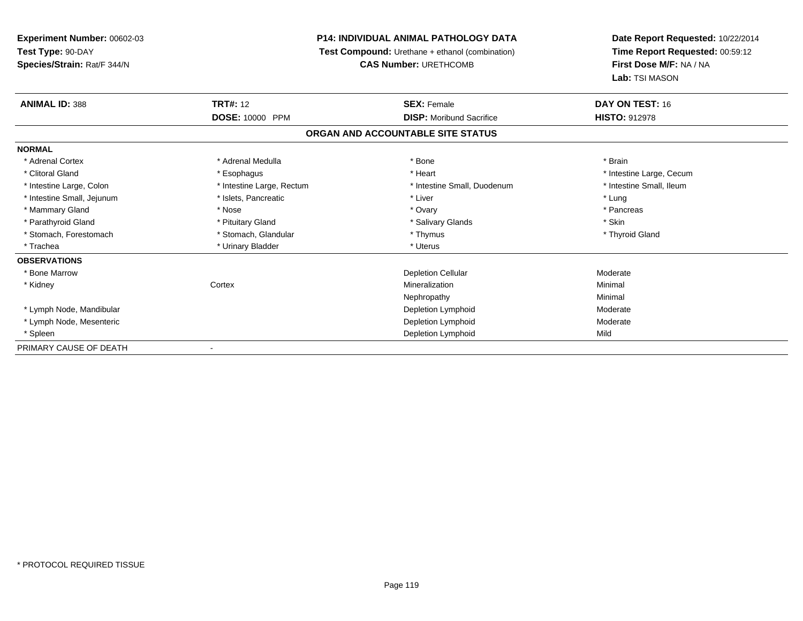## **P14: INDIVIDUAL ANIMAL PATHOLOGY DATA**

**Test Compound:** Urethane + ethanol (combination)

**CAS Number:** URETHCOMB

| <b>ANIMAL ID: 388</b>      | <b>TRT#:</b> 12           | <b>SEX: Female</b>                | DAY ON TEST: 16          |  |
|----------------------------|---------------------------|-----------------------------------|--------------------------|--|
|                            | <b>DOSE: 10000 PPM</b>    | <b>DISP:</b> Moribund Sacrifice   | <b>HISTO: 912978</b>     |  |
|                            |                           | ORGAN AND ACCOUNTABLE SITE STATUS |                          |  |
| <b>NORMAL</b>              |                           |                                   |                          |  |
| * Adrenal Cortex           | * Adrenal Medulla         | * Bone                            | * Brain                  |  |
| * Clitoral Gland           | * Esophagus               | * Heart                           | * Intestine Large, Cecum |  |
| * Intestine Large, Colon   | * Intestine Large, Rectum | * Intestine Small, Duodenum       | * Intestine Small, Ileum |  |
| * Intestine Small, Jejunum | * Islets, Pancreatic      | * Liver                           | * Lung                   |  |
| * Mammary Gland            | * Nose                    | * Ovary                           | * Pancreas               |  |
| * Parathyroid Gland        | * Pituitary Gland         | * Salivary Glands                 | * Skin                   |  |
| * Stomach, Forestomach     | * Stomach, Glandular      | * Thymus                          | * Thyroid Gland          |  |
| * Trachea                  | * Urinary Bladder         | * Uterus                          |                          |  |
| <b>OBSERVATIONS</b>        |                           |                                   |                          |  |
| * Bone Marrow              |                           | <b>Depletion Cellular</b>         | Moderate                 |  |
| * Kidney                   | Cortex                    | Mineralization                    | Minimal                  |  |
|                            |                           | Nephropathy                       | Minimal                  |  |
| * Lymph Node, Mandibular   |                           | Depletion Lymphoid                | Moderate                 |  |
| * Lymph Node, Mesenteric   |                           | Depletion Lymphoid                | Moderate                 |  |
| * Spleen                   |                           | Depletion Lymphoid                | Mild                     |  |
| PRIMARY CAUSE OF DEATH     |                           |                                   |                          |  |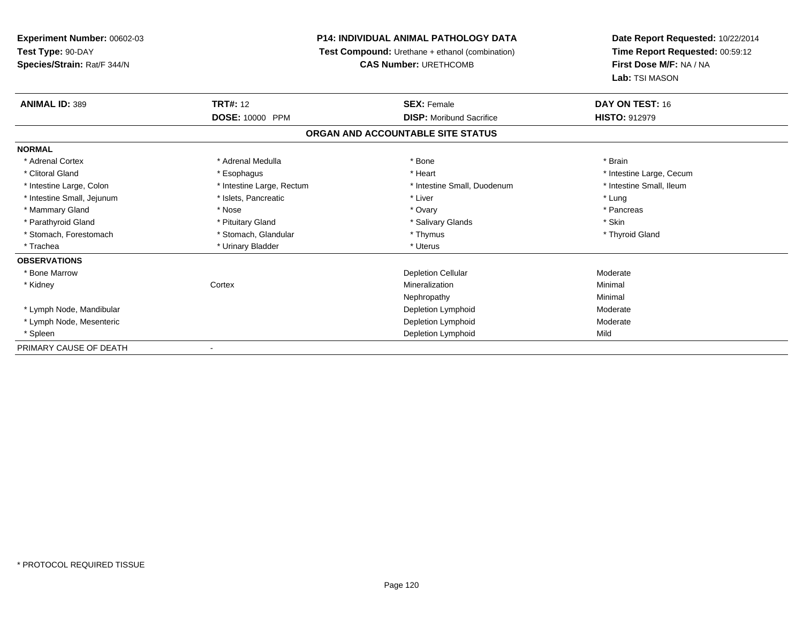# **P14: INDIVIDUAL ANIMAL PATHOLOGY DATA**

**Test Compound:** Urethane + ethanol (combination)

**CAS Number:** URETHCOMB

| <b>ANIMAL ID: 389</b>      | <b>TRT#:</b> 12           | <b>SEX: Female</b>                | DAY ON TEST: 16          |  |
|----------------------------|---------------------------|-----------------------------------|--------------------------|--|
|                            | <b>DOSE: 10000 PPM</b>    | <b>DISP:</b> Moribund Sacrifice   | <b>HISTO: 912979</b>     |  |
|                            |                           | ORGAN AND ACCOUNTABLE SITE STATUS |                          |  |
| <b>NORMAL</b>              |                           |                                   |                          |  |
| * Adrenal Cortex           | * Adrenal Medulla         | * Bone                            | * Brain                  |  |
| * Clitoral Gland           | * Esophagus               | * Heart                           | * Intestine Large, Cecum |  |
| * Intestine Large, Colon   | * Intestine Large, Rectum | * Intestine Small, Duodenum       | * Intestine Small, Ileum |  |
| * Intestine Small, Jejunum | * Islets, Pancreatic      | * Liver                           | * Lung                   |  |
| * Mammary Gland            | * Nose                    | * Ovary                           | * Pancreas               |  |
| * Parathyroid Gland        | * Pituitary Gland         | * Salivary Glands                 | * Skin                   |  |
| * Stomach, Forestomach     | * Stomach, Glandular      | * Thymus                          | * Thyroid Gland          |  |
| * Trachea                  | * Urinary Bladder         | * Uterus                          |                          |  |
| <b>OBSERVATIONS</b>        |                           |                                   |                          |  |
| * Bone Marrow              |                           | <b>Depletion Cellular</b>         | Moderate                 |  |
| * Kidney                   | Cortex                    | Mineralization                    | Minimal                  |  |
|                            |                           | Nephropathy                       | Minimal                  |  |
| * Lymph Node, Mandibular   |                           | Depletion Lymphoid                | Moderate                 |  |
| * Lymph Node, Mesenteric   |                           | Depletion Lymphoid                | Moderate                 |  |
| * Spleen                   |                           | Depletion Lymphoid                | Mild                     |  |
| PRIMARY CAUSE OF DEATH     |                           |                                   |                          |  |